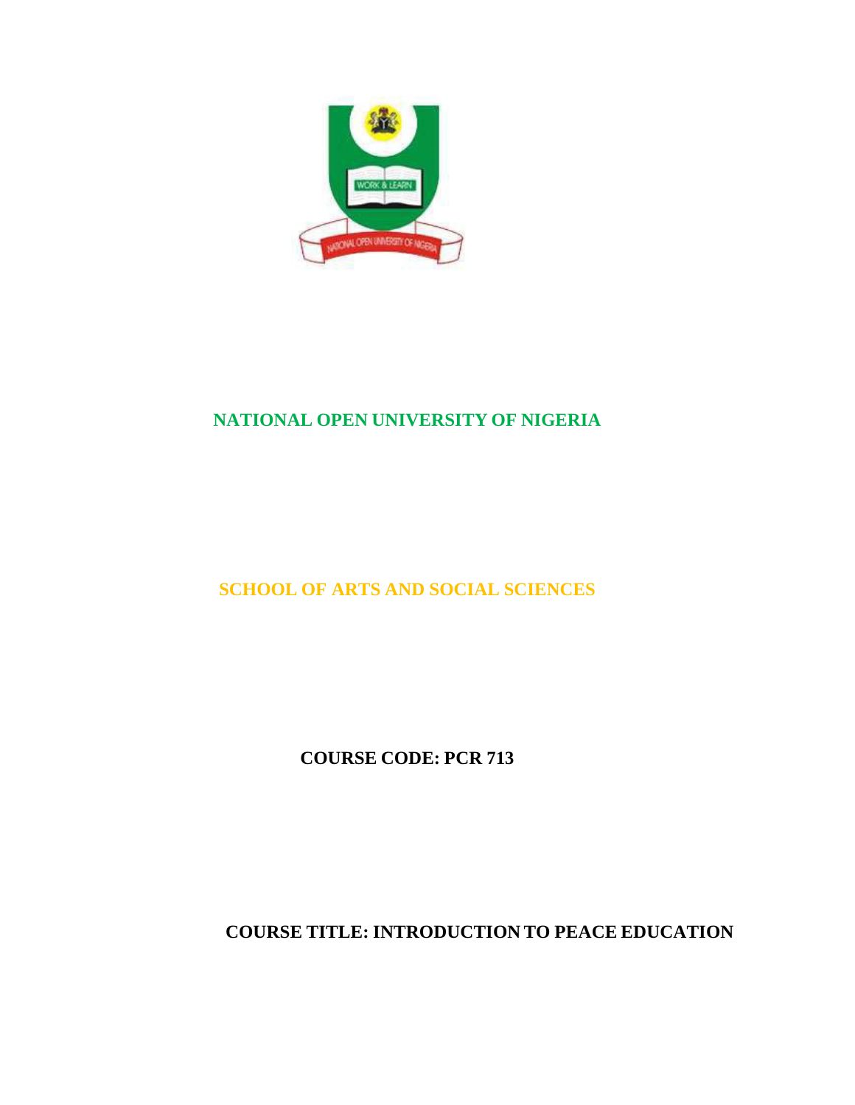

# **NATIONAL OPEN UNIVERSITY OF NIGERIA**

# **SCHOOL OF ARTS AND SOCIAL SCIENCES**

**COURSE CODE: PCR 713**

**COURSE TITLE: INTRODUCTION TO PEACE EDUCATION**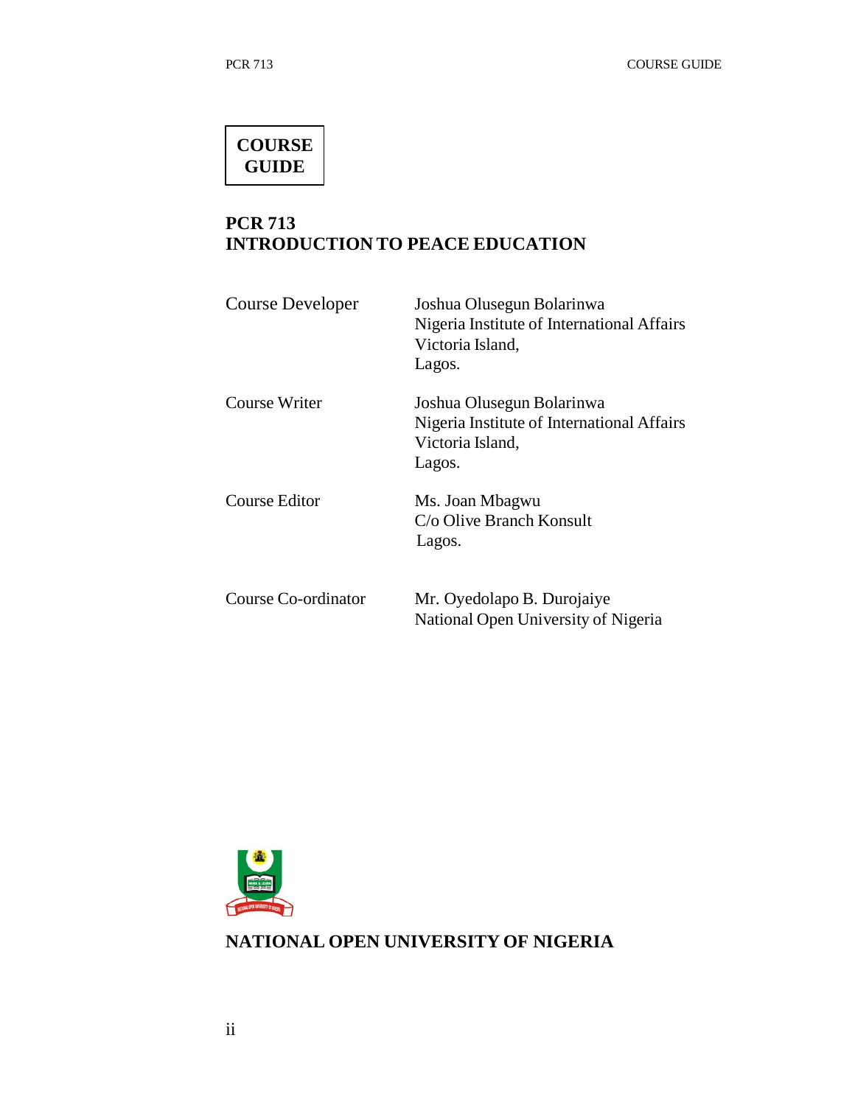# **COURSE GUIDE**

# **PCR 713 INTRODUCTION TO PEACE EDUCATION**

| Course Developer    | Joshua Olusegun Bolarinwa<br>Nigeria Institute of International Affairs<br>Victoria Island,<br>Lagos. |
|---------------------|-------------------------------------------------------------------------------------------------------|
| Course Writer       | Joshua Olusegun Bolarinwa<br>Nigeria Institute of International Affairs<br>Victoria Island,<br>Lagos. |
| Course Editor       | Ms. Joan Mbagwu<br>C/o Olive Branch Konsult<br>Lagos.                                                 |
| Course Co-ordinator | Mr. Oyedolapo B. Durojaiye<br>National Open University of Nigeria                                     |



# **NATIONAL OPEN UNIVERSITY OF NIGERIA**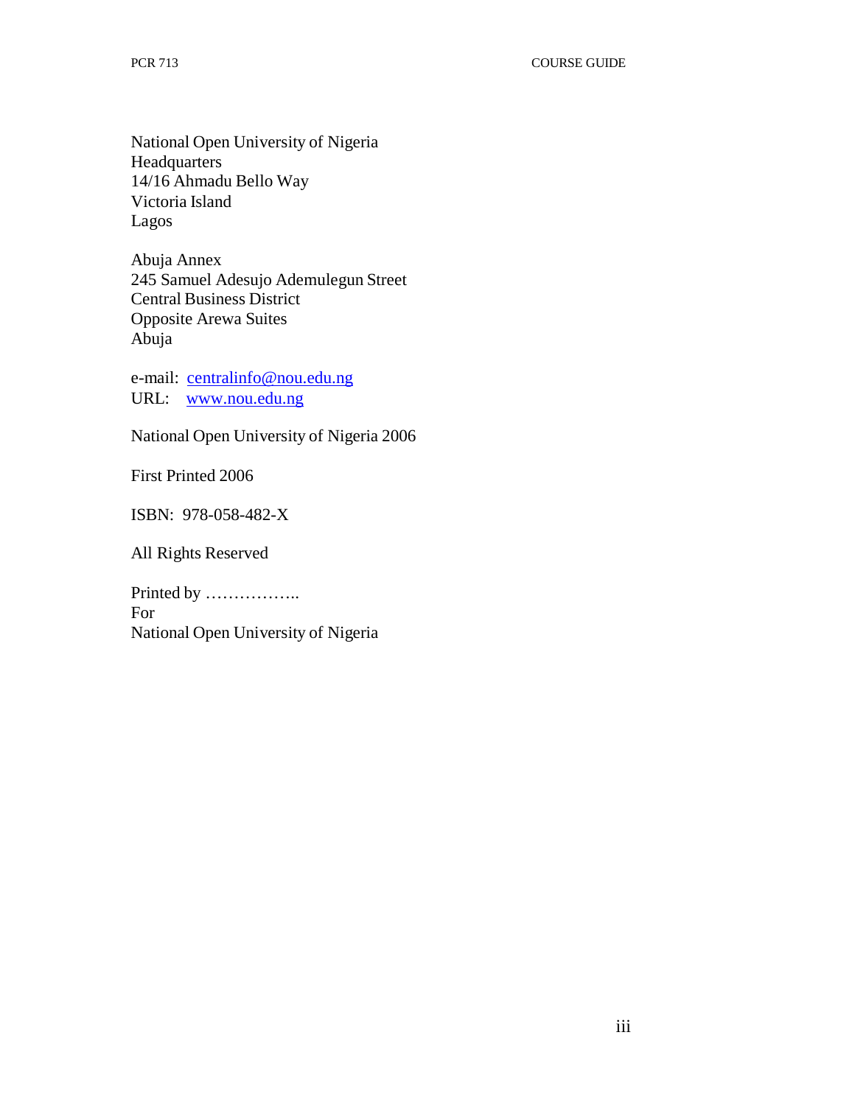National Open University of Nigeria **Headquarters** 14/16 Ahmadu Bello Way Victoria Island Lagos

Abuja Annex 245 Samuel Adesujo Ademulegun Street Central Business District Opposite Arewa Suites Abuja

e-mail: centralinfo@nou.edu.ng URL: www.nou.edu.ng

National Open University of Nigeria 2006

First Printed 2006

ISBN: 978-058-482-X

All Rights Reserved

Printed by …………….. For National Open University of Nigeria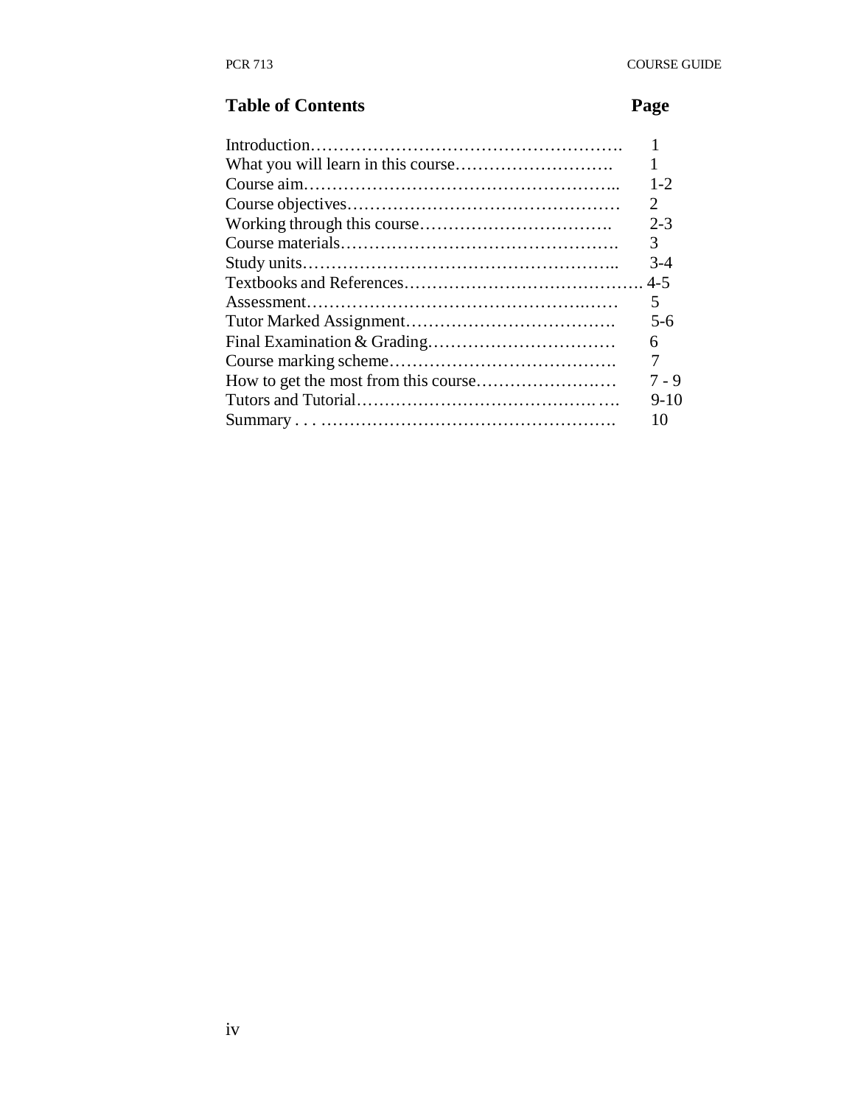# **Table of Contents** Page

| $1 - 2$                     |
|-----------------------------|
| $\mathcal{D}_{\mathcal{L}}$ |
| $2 - 3$                     |
| 3                           |
| $3-4$                       |
|                             |
| 5                           |
| $5 - 6$                     |
| 6                           |
| 7                           |
| 7 - 9                       |
| $9-10$                      |
| 10                          |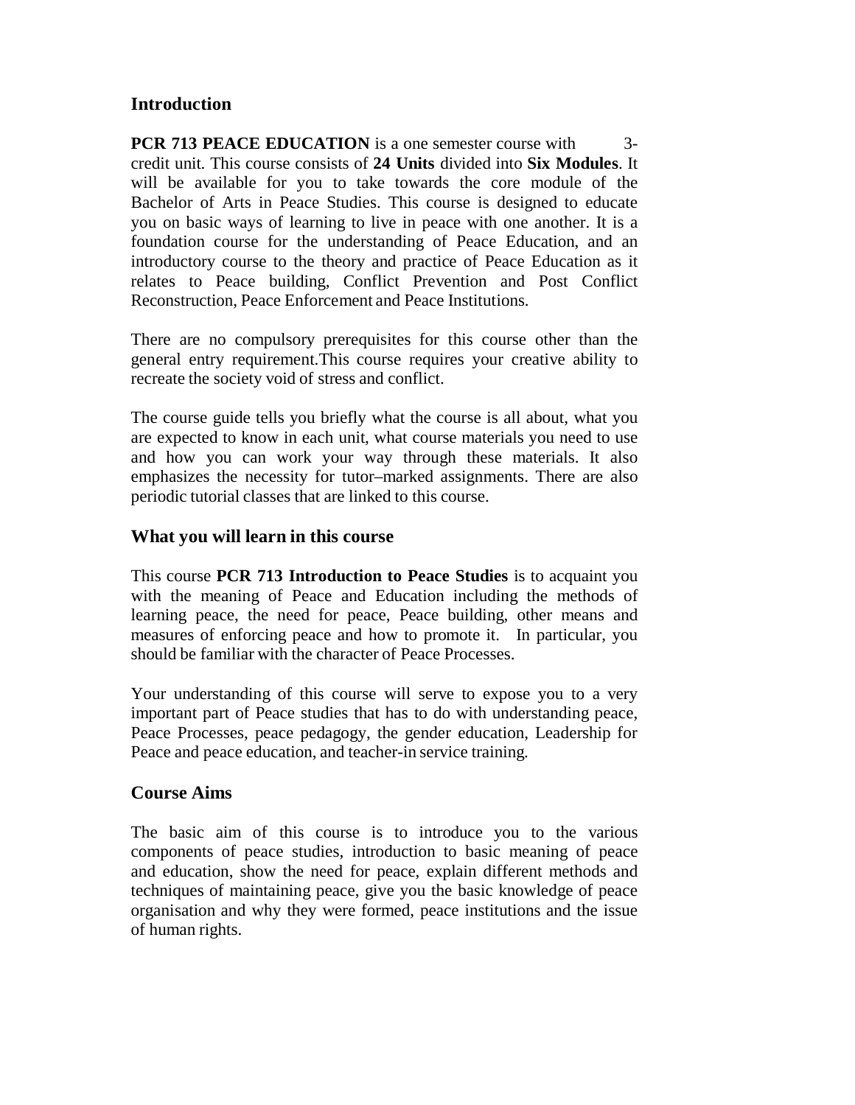# **Introduction**

**PCR 713 PEACE EDUCATION** is a one semester course with 3credit unit. This course consists of **24 Units** divided into **Six Modules**. It will be available for you to take towards the core module of the Bachelor of Arts in Peace Studies. This course is designed to educate you on basic ways of learning to live in peace with one another. It is a foundation course for the understanding of Peace Education, and an introductory course to the theory and practice of Peace Education as it relates to Peace building, Conflict Prevention and Post Conflict Reconstruction, Peace Enforcement and Peace Institutions.

There are no compulsory prerequisites for this course other than the general entry requirement.This course requires your creative ability to recreate the society void of stress and conflict.

The course guide tells you briefly what the course is all about, what you are expected to know in each unit, what course materials you need to use and how you can work your way through these materials. It also emphasizes the necessity for tutor–marked assignments. There are also periodic tutorial classes that are linked to this course.

# **What you will learn in this course**

This course **PCR 713 Introduction to Peace Studies** is to acquaint you with the meaning of Peace and Education including the methods of learning peace, the need for peace, Peace building, other means and measures of enforcing peace and how to promote it. In particular, you should be familiar with the character of Peace Processes.

Your understanding of this course will serve to expose you to a very important part of Peace studies that has to do with understanding peace, Peace Processes, peace pedagogy, the gender education, Leadership for Peace and peace education, and teacher-in service training.

# **Course Aims**

The basic aim of this course is to introduce you to the various components of peace studies, introduction to basic meaning of peace and education, show the need for peace, explain different methods and techniques of maintaining peace, give you the basic knowledge of peace organisation and why they were formed, peace institutions and the issue of human rights.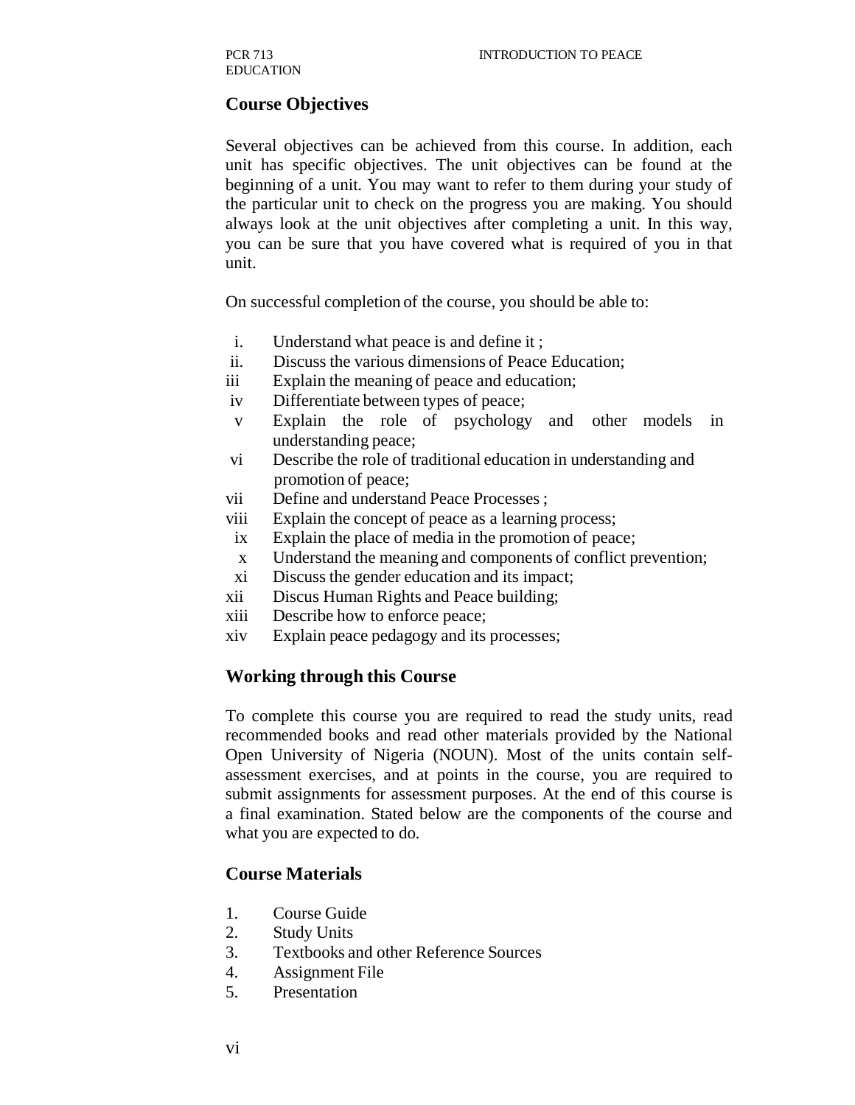# **Course Objectives**

Several objectives can be achieved from this course. In addition, each unit has specific objectives. The unit objectives can be found at the beginning of a unit. You may want to refer to them during your study of the particular unit to check on the progress you are making. You should always look at the unit objectives after completing a unit. In this way, you can be sure that you have covered what is required of you in that unit.

On successful completion of the course, you should be able to:

- i. Understand what peace is and define it ;
- ii. Discuss the various dimensions of Peace Education;
- iii Explain the meaning of peace and education;
- iv Differentiate between types of peace;
- v Explain the role of psychology and other models in understanding peace;
- vi Describe the role of traditional education in understanding and promotion of peace;
- vii Define and understand Peace Processes ;
- viii Explain the concept of peace as a learning process;
- ix Explain the place of media in the promotion of peace;
- x Understand the meaning and components of conflict prevention;
- xi Discuss the gender education and its impact;
- xii Discus Human Rights and Peace building;
- xiii Describe how to enforce peace;
- xiv Explain peace pedagogy and its processes;

#### **Working through this Course**

To complete this course you are required to read the study units, read recommended books and read other materials provided by the National Open University of Nigeria (NOUN). Most of the units contain selfassessment exercises, and at points in the course, you are required to submit assignments for assessment purposes. At the end of this course is a final examination. Stated below are the components of the course and what you are expected to do.

#### **Course Materials**

- 1. Course Guide
- 2. Study Units
- 3. Textbooks and other Reference Sources
- 4. Assignment File
- 5. Presentation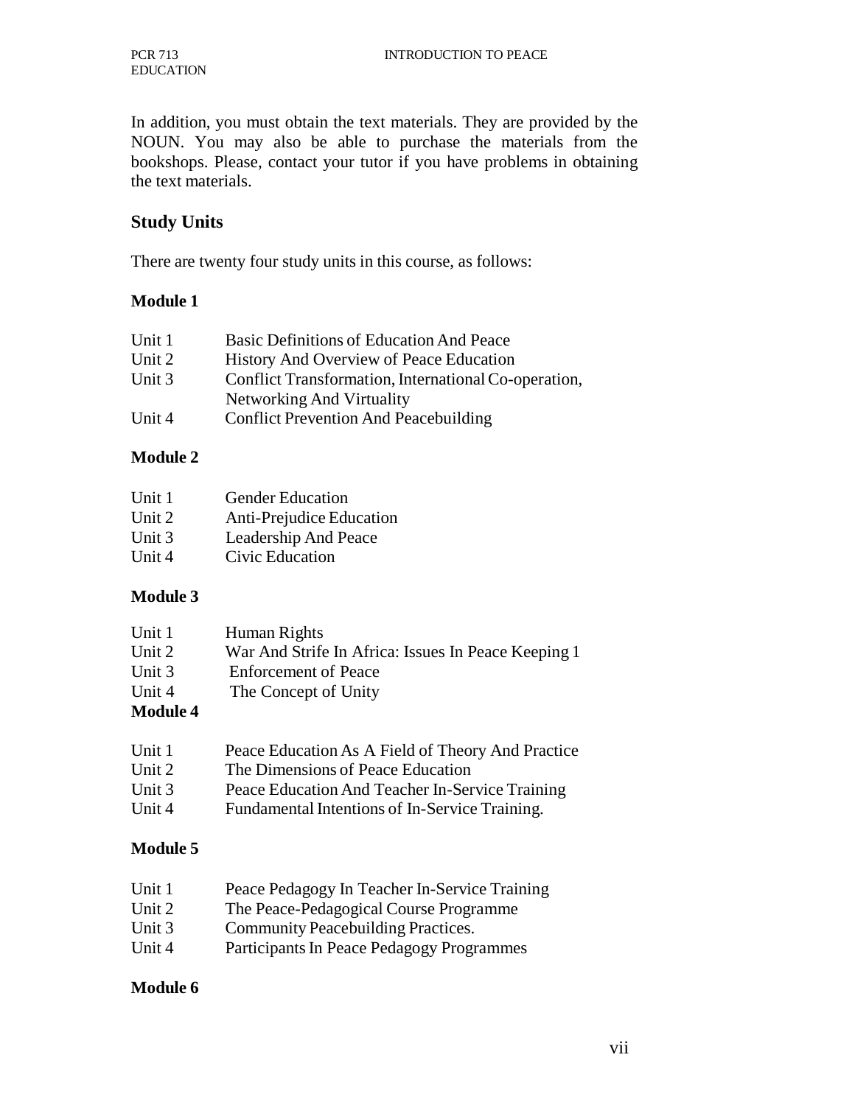In addition, you must obtain the text materials. They are provided by the NOUN. You may also be able to purchase the materials from the bookshops. Please, contact your tutor if you have problems in obtaining the text materials.

# **Study Units**

There are twenty four study units in this course, as follows:

#### **Module 1**

| Unit 1 | Basic Definitions of Education And Peace             |
|--------|------------------------------------------------------|
| Unit 2 | History And Overview of Peace Education              |
| Unit 3 | Conflict Transformation, International Co-operation, |
|        | Networking And Virtuality                            |
| Unit 4 | <b>Conflict Prevention And Peacebuilding</b>         |

#### **Module 2**

| Unit 1 | <b>Gender Education</b>  |
|--------|--------------------------|
| Unit 2 | Anti-Prejudice Education |
| Unit 3 | Leadership And Peace     |
| Unit 4 | Civic Education          |

#### **Module 3**

| Unit 1          | Human Rights                                        |
|-----------------|-----------------------------------------------------|
| Unit 2          | War And Strife In Africa: Issues In Peace Keeping 1 |
| Unit 3          | <b>Enforcement of Peace</b>                         |
| Unit 4          | The Concept of Unity                                |
| <b>Module 4</b> |                                                     |

| Unit 1   | Peace Education As A Field of Theory And Practice |
|----------|---------------------------------------------------|
| Unit 2   | The Dimensions of Peace Education                 |
| Unit $3$ | Peace Education And Teacher In-Service Training   |
| Unit 4   | Fundamental Intentions of In-Service Training.    |

#### **Module 5**

| Unit 1   | Peace Pedagogy In Teacher In-Service Training |
|----------|-----------------------------------------------|
| Unit 2   | The Peace-Pedagogical Course Programme        |
| Unit $3$ | Community Peacebuilding Practices.            |
| Unit 4   | Participants In Peace Pedagogy Programmes     |

#### **Module 6**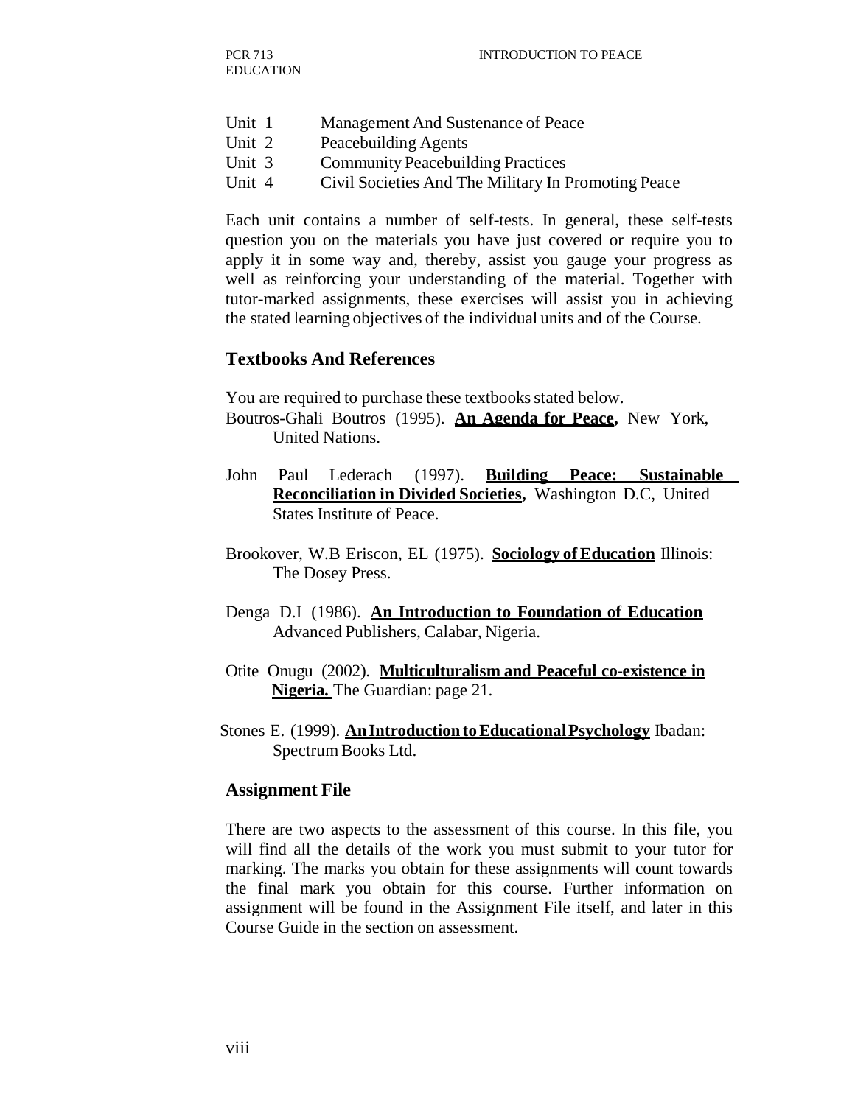- Unit 1 Management And Sustenance of Peace
- Unit 2 Peacebuilding Agents
- Unit 3 Community Peacebuilding Practices
- Unit 4 Civil Societies And The Military In Promoting Peace

Each unit contains a number of self-tests. In general, these self-tests question you on the materials you have just covered or require you to apply it in some way and, thereby, assist you gauge your progress as well as reinforcing your understanding of the material. Together with tutor-marked assignments, these exercises will assist you in achieving the stated learning objectives of the individual units and of the Course.

#### **Textbooks And References**

You are required to purchase these textbooks stated below.

- Boutros-Ghali Boutros (1995). **An Agenda for Peace,** New York, United Nations.
- John Paul Lederach (1997). **Building Peace: Sustainable Reconciliation in Divided Societies,** Washington D.C, United States Institute of Peace.
- Brookover, W.B Eriscon, EL (1975). **Sociology of Education** Illinois: The Dosey Press.
- Denga D.I (1986). **An Introduction to Foundation of Education** Advanced Publishers, Calabar, Nigeria.
- Otite Onugu (2002). **Multiculturalism and Peaceful co-existence in Nigeria.** The Guardian: page 21.
- Stones E. (1999). **An Introduction to Educational Psychology** Ibadan: Spectrum Books Ltd.

#### **Assignment File**

There are two aspects to the assessment of this course. In this file, you will find all the details of the work you must submit to your tutor for marking. The marks you obtain for these assignments will count towards the final mark you obtain for this course. Further information on assignment will be found in the Assignment File itself, and later in this Course Guide in the section on assessment.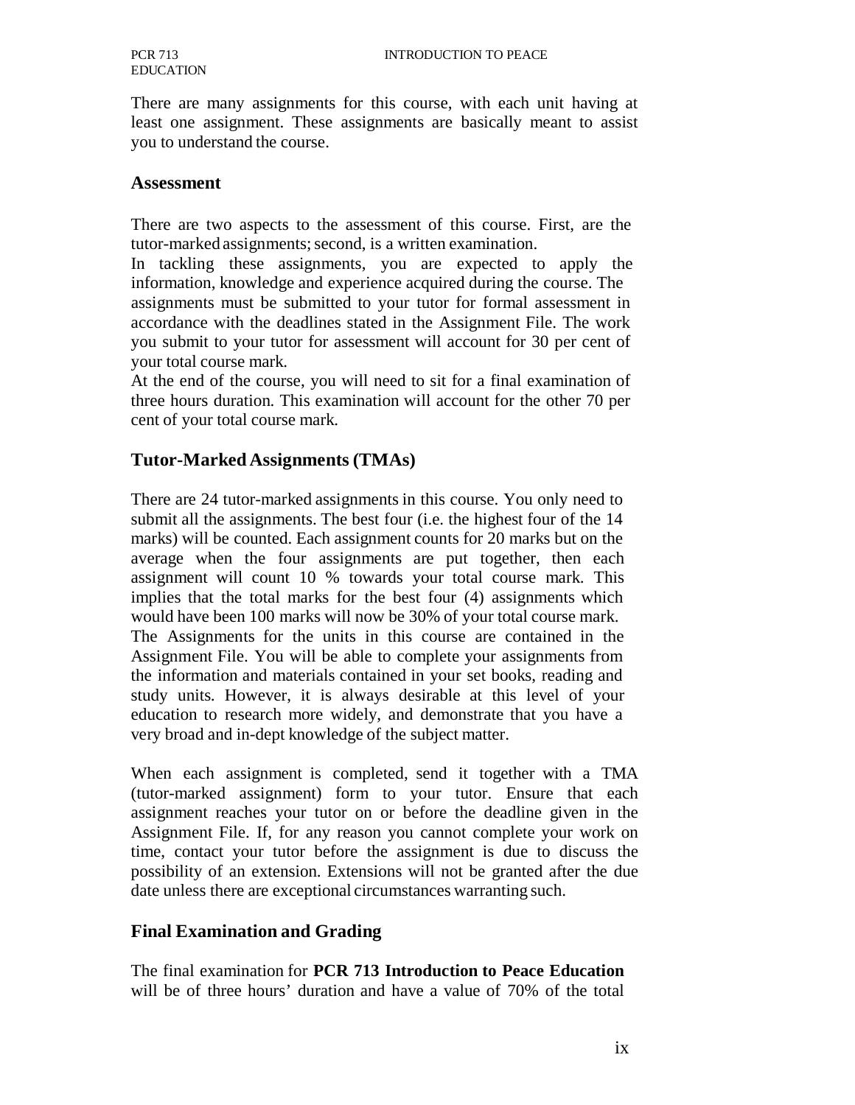There are many assignments for this course, with each unit having at least one assignment. These assignments are basically meant to assist you to understand the course.

#### **Assessment**

There are two aspects to the assessment of this course. First, are the tutor-marked assignments; second, is a written examination.

In tackling these assignments, you are expected to apply the information, knowledge and experience acquired during the course. The assignments must be submitted to your tutor for formal assessment in accordance with the deadlines stated in the Assignment File. The work you submit to your tutor for assessment will account for 30 per cent of your total course mark.

At the end of the course, you will need to sit for a final examination of three hours duration. This examination will account for the other 70 per cent of your total course mark.

#### **Tutor-Marked Assignments (TMAs)**

There are 24 tutor-marked assignments in this course. You only need to submit all the assignments. The best four (i.e. the highest four of the 14 marks) will be counted. Each assignment counts for 20 marks but on the average when the four assignments are put together, then each assignment will count 10 % towards your total course mark. This implies that the total marks for the best four (4) assignments which would have been 100 marks will now be 30% of your total course mark. The Assignments for the units in this course are contained in the Assignment File. You will be able to complete your assignments from the information and materials contained in your set books, reading and study units. However, it is always desirable at this level of your education to research more widely, and demonstrate that you have a very broad and in-dept knowledge of the subject matter.

When each assignment is completed, send it together with a TMA (tutor-marked assignment) form to your tutor. Ensure that each assignment reaches your tutor on or before the deadline given in the Assignment File. If, for any reason you cannot complete your work on time, contact your tutor before the assignment is due to discuss the possibility of an extension. Extensions will not be granted after the due date unless there are exceptional circumstances warranting such.

#### **Final Examination and Grading**

The final examination for **PCR 713 Introduction to Peace Education** will be of three hours' duration and have a value of 70% of the total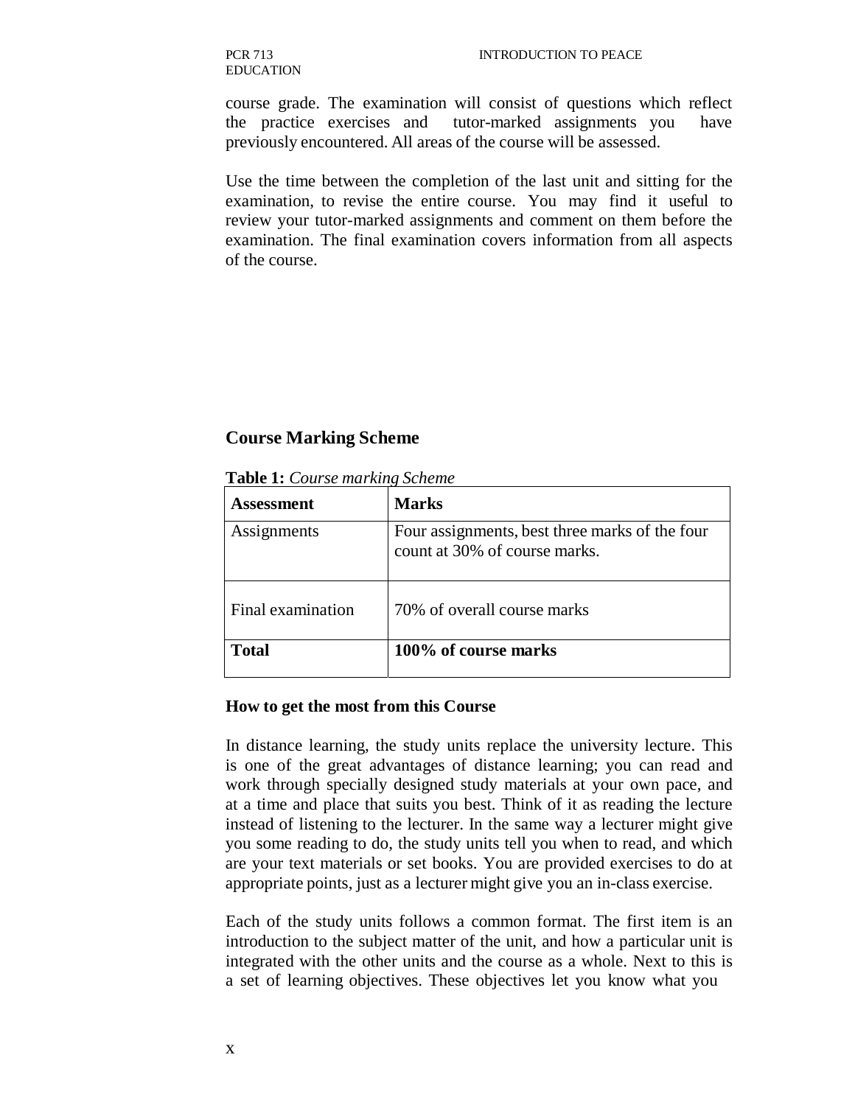PCR 713 EDUCATION

course grade. The examination will consist of questions which reflect the practice exercises and tutor-marked assignments you have previously encountered. All areas of the course will be assessed.

Use the time between the completion of the last unit and sitting for the examination, to revise the entire course. You may find it useful to review your tutor-marked assignments and comment on them before the examination. The final examination covers information from all aspects of the course.

#### **Course Marking Scheme**

| Assessment        | <b>Marks</b>                                                                    |
|-------------------|---------------------------------------------------------------------------------|
| Assignments       | Four assignments, best three marks of the four<br>count at 30% of course marks. |
| Final examination | 70% of overall course marks                                                     |
| <b>Total</b>      | 100% of course marks                                                            |

**Table 1:** *Course marking Scheme*

#### **How to get the most from this Course**

In distance learning, the study units replace the university lecture. This is one of the great advantages of distance learning; you can read and work through specially designed study materials at your own pace, and at a time and place that suits you best. Think of it as reading the lecture instead of listening to the lecturer. In the same way a lecturer might give you some reading to do, the study units tell you when to read, and which are your text materials or set books. You are provided exercises to do at appropriate points, just as a lecturer might give you an in-class exercise.

Each of the study units follows a common format. The first item is an introduction to the subject matter of the unit, and how a particular unit is integrated with the other units and the course as a whole. Next to this is a set of learning objectives. These objectives let you know what you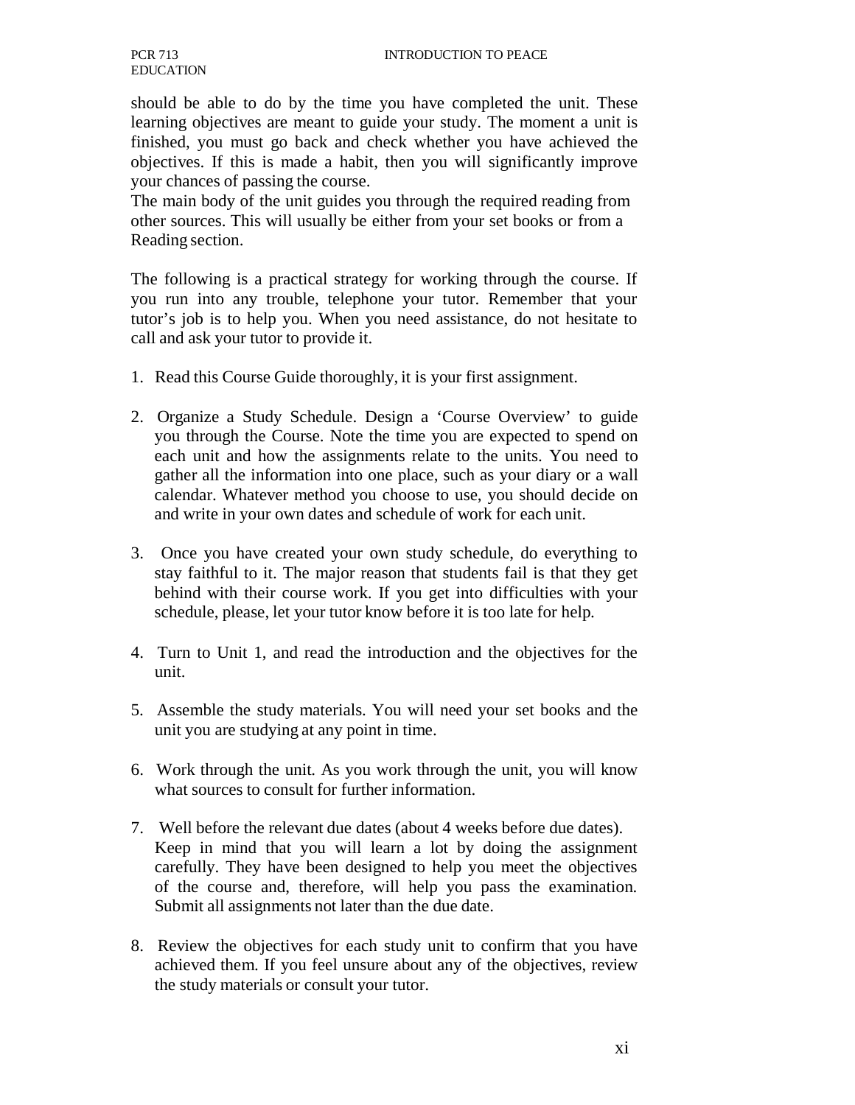should be able to do by the time you have completed the unit. These learning objectives are meant to guide your study. The moment a unit is finished, you must go back and check whether you have achieved the objectives. If this is made a habit, then you will significantly improve your chances of passing the course.

The main body of the unit guides you through the required reading from other sources. This will usually be either from your set books or from a Reading section.

The following is a practical strategy for working through the course. If you run into any trouble, telephone your tutor. Remember that your tutor's job is to help you. When you need assistance, do not hesitate to call and ask your tutor to provide it.

- 1. Read this Course Guide thoroughly, it is your first assignment.
- 2. Organize a Study Schedule. Design a 'Course Overview' to guide you through the Course. Note the time you are expected to spend on each unit and how the assignments relate to the units. You need to gather all the information into one place, such as your diary or a wall calendar. Whatever method you choose to use, you should decide on and write in your own dates and schedule of work for each unit.
- 3. Once you have created your own study schedule, do everything to stay faithful to it. The major reason that students fail is that they get behind with their course work. If you get into difficulties with your schedule, please, let your tutor know before it is too late for help.
- 4. Turn to Unit 1, and read the introduction and the objectives for the unit.
- 5. Assemble the study materials. You will need your set books and the unit you are studying at any point in time.
- 6. Work through the unit. As you work through the unit, you will know what sources to consult for further information.
- 7. Well before the relevant due dates (about 4 weeks before due dates). Keep in mind that you will learn a lot by doing the assignment carefully. They have been designed to help you meet the objectives of the course and, therefore, will help you pass the examination. Submit all assignments not later than the due date.
- 8. Review the objectives for each study unit to confirm that you have achieved them. If you feel unsure about any of the objectives, review the study materials or consult your tutor.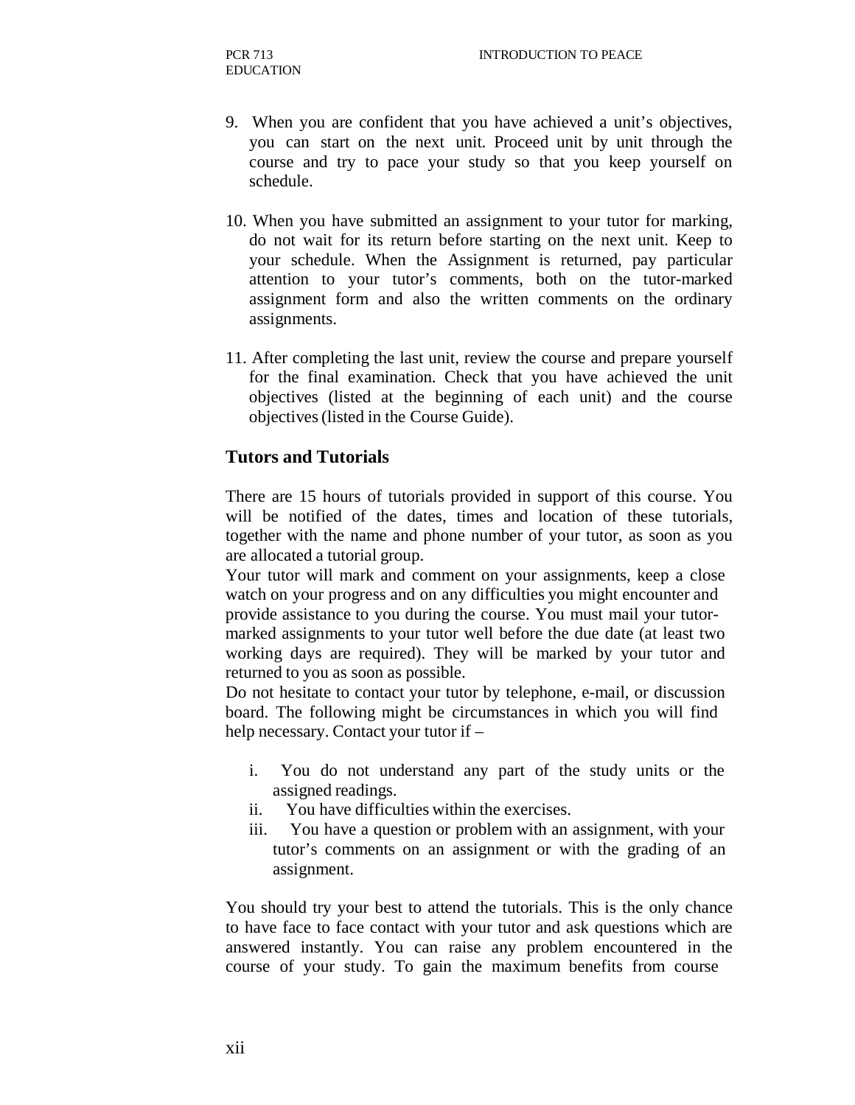- 9. When you are confident that you have achieved a unit's objectives, you can start on the next unit. Proceed unit by unit through the course and try to pace your study so that you keep yourself on schedule.
- 10. When you have submitted an assignment to your tutor for marking, do not wait for its return before starting on the next unit. Keep to your schedule. When the Assignment is returned, pay particular attention to your tutor's comments, both on the tutor-marked assignment form and also the written comments on the ordinary assignments.
- 11. After completing the last unit, review the course and prepare yourself for the final examination. Check that you have achieved the unit objectives (listed at the beginning of each unit) and the course objectives (listed in the Course Guide).

#### **Tutors and Tutorials**

There are 15 hours of tutorials provided in support of this course. You will be notified of the dates, times and location of these tutorials, together with the name and phone number of your tutor, as soon as you are allocated a tutorial group.

Your tutor will mark and comment on your assignments, keep a close watch on your progress and on any difficulties you might encounter and provide assistance to you during the course. You must mail your tutormarked assignments to your tutor well before the due date (at least two working days are required). They will be marked by your tutor and returned to you as soon as possible.

Do not hesitate to contact your tutor by telephone, e-mail, or discussion board. The following might be circumstances in which you will find help necessary. Contact your tutor if –

- i. You do not understand any part of the study units or the assigned readings.
- ii. You have difficulties within the exercises.
- iii. You have a question or problem with an assignment, with your tutor's comments on an assignment or with the grading of an assignment.

You should try your best to attend the tutorials. This is the only chance to have face to face contact with your tutor and ask questions which are answered instantly. You can raise any problem encountered in the course of your study. To gain the maximum benefits from course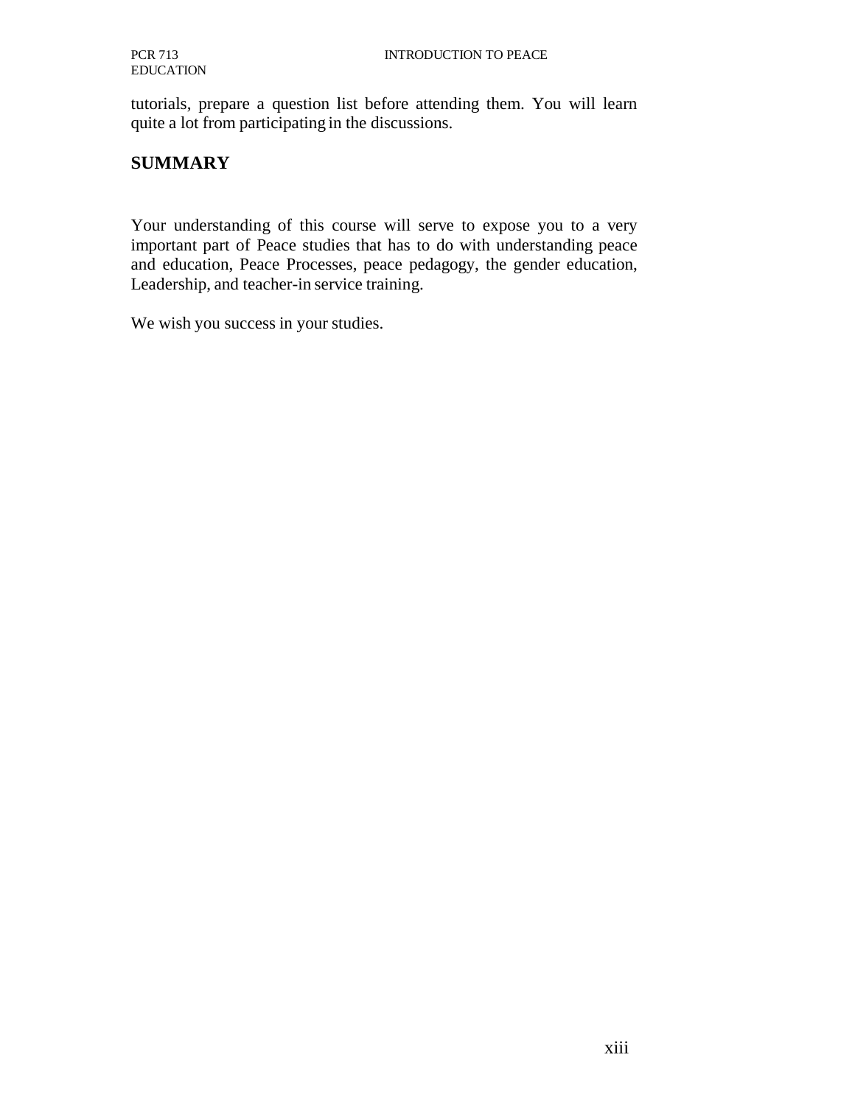tutorials, prepare a question list before attending them. You will learn quite a lot from participating in the discussions.

# **SUMMARY**

Your understanding of this course will serve to expose you to a very important part of Peace studies that has to do with understanding peace and education, Peace Processes, peace pedagogy, the gender education, Leadership, and teacher-in service training.

We wish you success in your studies.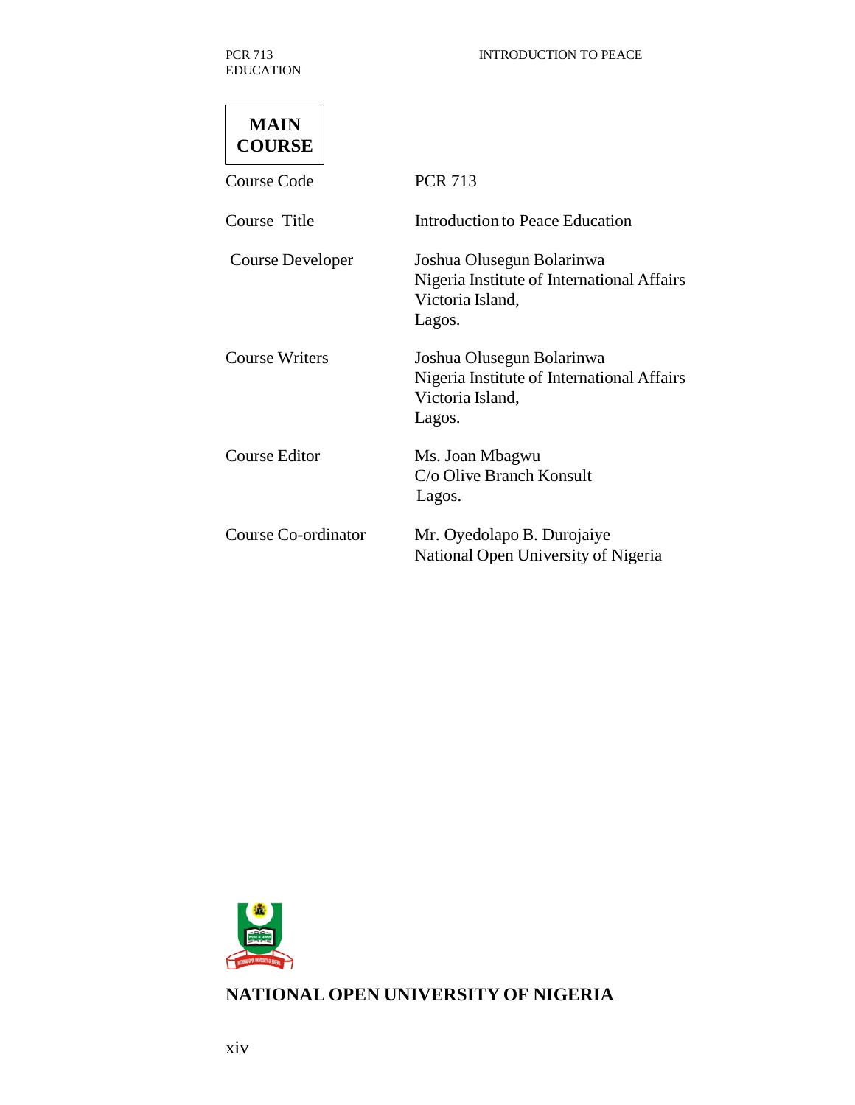PCR 713 EDUCATION

| MAIN          |
|---------------|
| <b>COURSE</b> |

| <b>Course Code</b>    | <b>PCR 713</b>                                                                                        |
|-----------------------|-------------------------------------------------------------------------------------------------------|
| Course Title          | Introduction to Peace Education                                                                       |
| Course Developer      | Joshua Olusegun Bolarinwa<br>Nigeria Institute of International Affairs<br>Victoria Island,<br>Lagos. |
| <b>Course Writers</b> | Joshua Olusegun Bolarinwa<br>Nigeria Institute of International Affairs<br>Victoria Island,<br>Lagos. |
| Course Editor         | Ms. Joan Mbagwu<br>C/o Olive Branch Konsult<br>Lagos.                                                 |
| Course Co-ordinator   | Mr. Oyedolapo B. Durojaiye<br>National Open University of Nigeria                                     |



# **NATIONAL OPEN UNIVERSITY OF NIGERIA**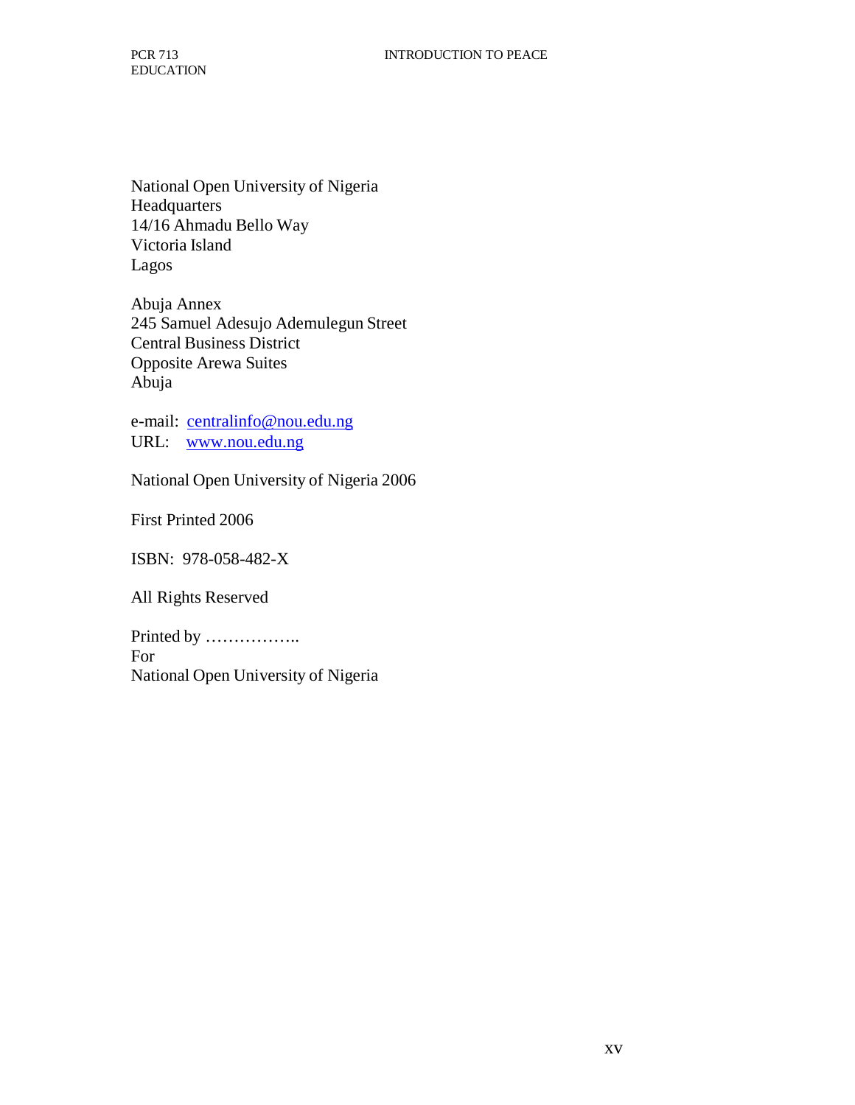National Open University of Nigeria Headquarters 14/16 Ahmadu Bello Way Victoria Island Lagos

Abuja Annex 245 Samuel Adesujo Ademulegun Street Central Business District Opposite Arewa Suites Abuja

e-mail: centralinfo@nou.edu.ng URL: www.nou.edu.ng

National Open University of Nigeria 2006

First Printed 2006

ISBN: 978-058-482-X

All Rights Reserved

Printed by …………….. For National Open University of Nigeria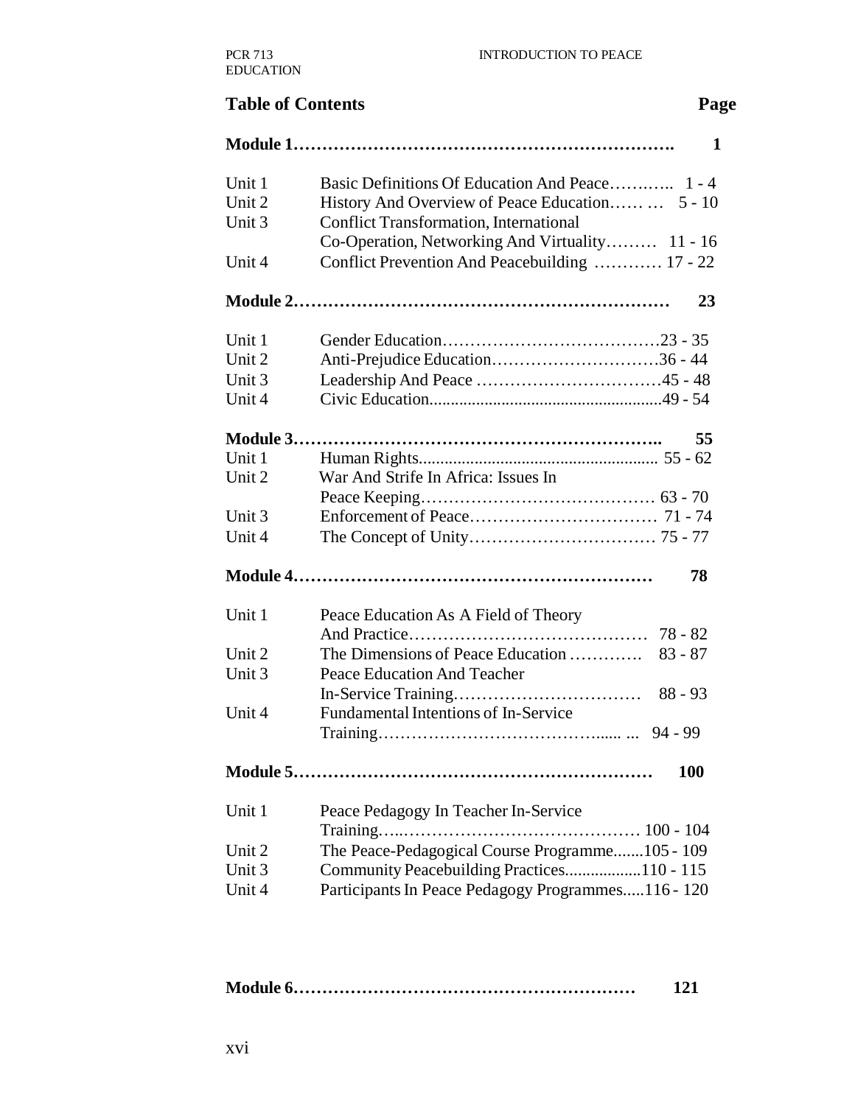# **Table of Contents** Page **Module 1…………………………………………………………. 1** Unit 1 Basic Definitions Of Education And Peace............. 1 - 4 Unit 2 History And Overview of Peace Education…… 5 - 10 Unit 3 Conflict Transformation, International Co-Operation, Networking And Virtuality……… 11 - 16 Unit 4 Conflict Prevention And Peacebuilding ............ 17 - 22 **Module 2………………………………………………………… 23** Unit 1 Gender Education…………………………………………23 - 35 Unit 2 Anti-Prejudice Education…………………………36 - 44 Unit 3 Leadership And Peace ………………………………………………45 - 48 Unit 4 Civic Education.......................................................49 - 54 **Module 3……………………………………………………….. 55** Unit 1 Human Rights........................................................ 55 - 62 Unit 2 War And Strife In Africa: Issues In Peace Keeping…………………………………… 63 - 70 Unit 3 Enforcement of Peace…………………………… 71 - 74 Unit 4 The Concept of Unity…………………………… 75 - 77 **Module 4……………………………………………………… 78** Unit 1 Peace Education As A Field of Theory And Practice…………………………………… 78 - 82 Unit 2 Unit 3 The Dimensions of Peace Education …………. Peace Education And Teacher 83 - 87 Unit 4 In-Service Training…………………………… Fundamental Intentions of In-Service 88 - 93 Training…………………………………...... ... 94 - 99 **Module 5……………………………………………………… 100** Unit 1 Peace Pedagogy In Teacher In-Service Training…..…………………………………… 100 - 104 Unit 2 The Peace-Pedagogical Course Programme.......105 - 109 Unit 3 Community Peacebuilding Practices..................110 - 115 Unit 4 Participants In Peace Pedagogy Programmes.....116 - 120

|--|--|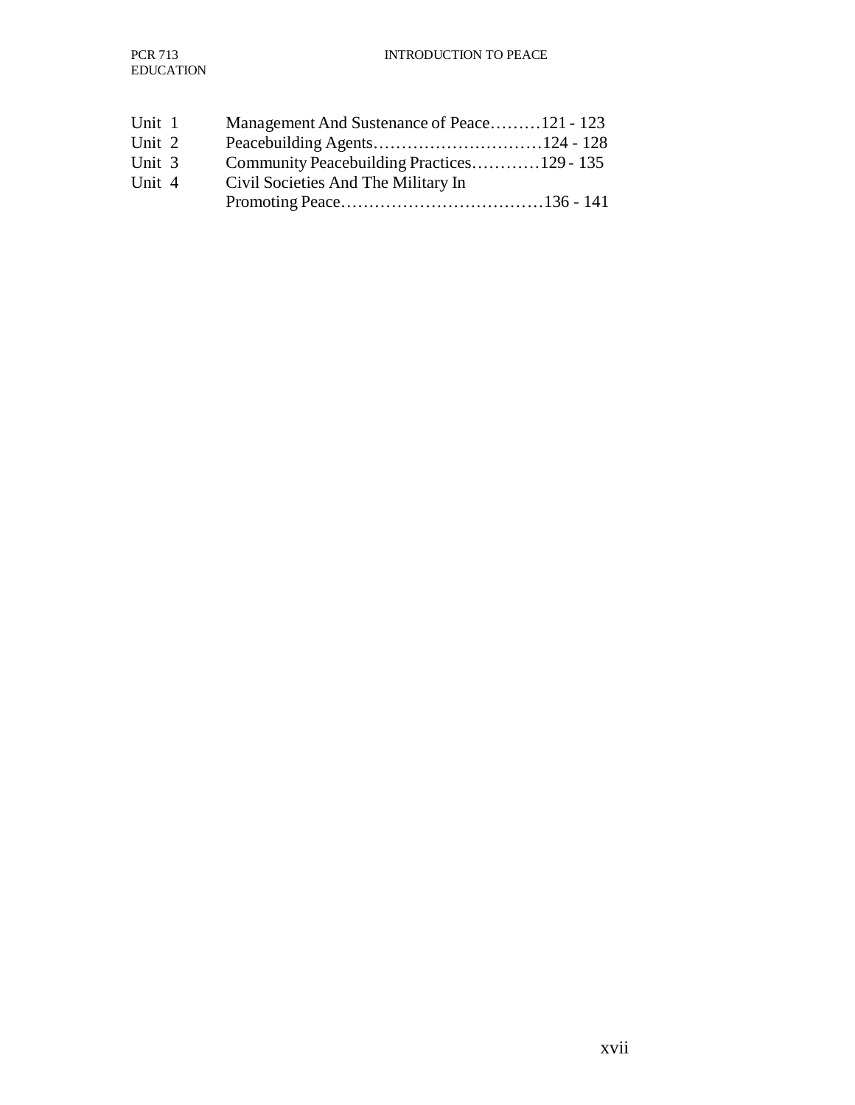| Unit 1 | Management And Sustenance of Peace121 - 123 |
|--------|---------------------------------------------|
| Unit 2 |                                             |
| Unit 3 | Community Peacebuilding Practices129 - 135  |
| Unit 4 | Civil Societies And The Military In         |
|        |                                             |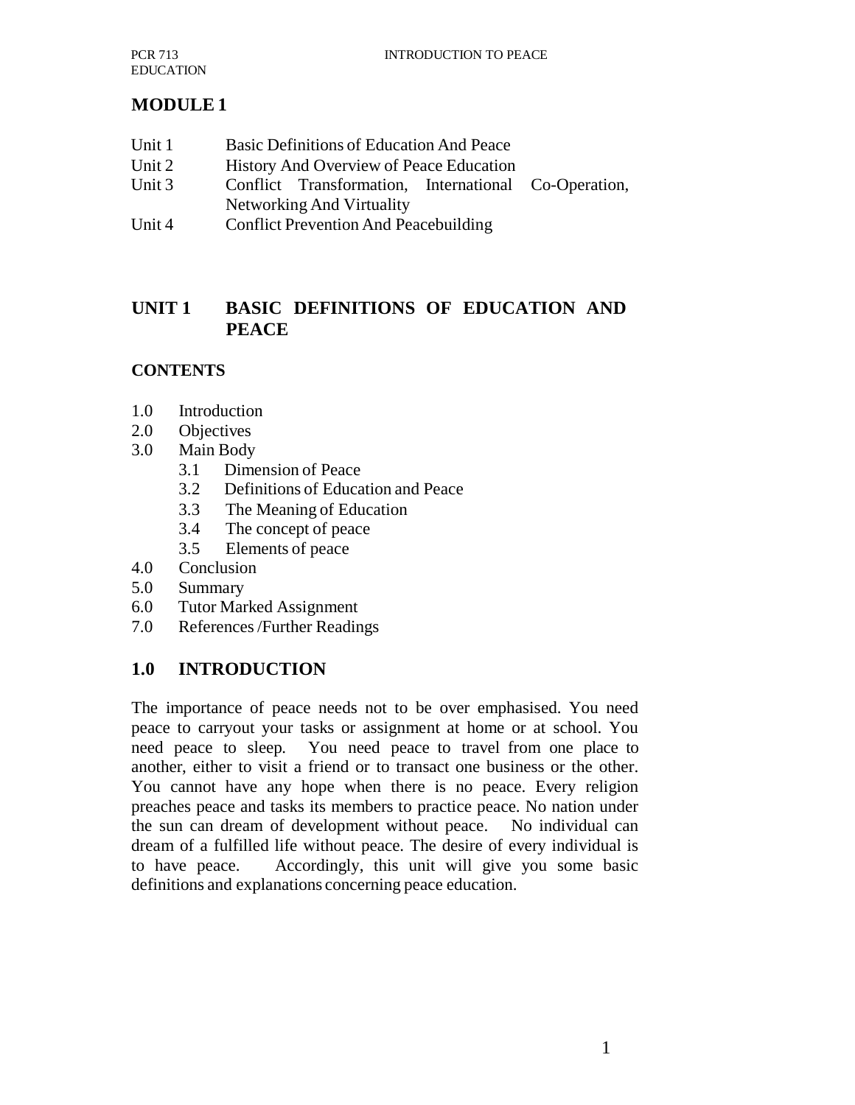# **MODULE 1**

- Unit 1 Basic Definitions of Education And Peace
- Unit 2 History And Overview of Peace Education
- Unit 3 Conflict Transformation, International Co-Operation, Networking And Virtuality
- Unit 4 Conflict Prevention And Peacebuilding

# **UNIT 1 BASIC DEFINITIONS OF EDUCATION AND PEACE**

# **CONTENTS**

- 1.0 Introduction
- 2.0 Objectives
- 3.0 Main Body
	- 3.1 Dimension of Peace
	- 3.2 Definitions of Education and Peace
	- 3.3 The Meaning of Education
	- 3.4 The concept of peace
	- 3.5 Elements of peace
- 4.0 Conclusion
- 5.0 Summary
- 6.0 Tutor Marked Assignment
- 7.0 References /Further Readings

# **1.0 INTRODUCTION**

The importance of peace needs not to be over emphasised. You need peace to carryout your tasks or assignment at home or at school. You need peace to sleep. You need peace to travel from one place to another, either to visit a friend or to transact one business or the other. You cannot have any hope when there is no peace. Every religion preaches peace and tasks its members to practice peace. No nation under the sun can dream of development without peace. No individual can dream of a fulfilled life without peace. The desire of every individual is to have peace. Accordingly, this unit will give you some basic definitions and explanations concerning peace education.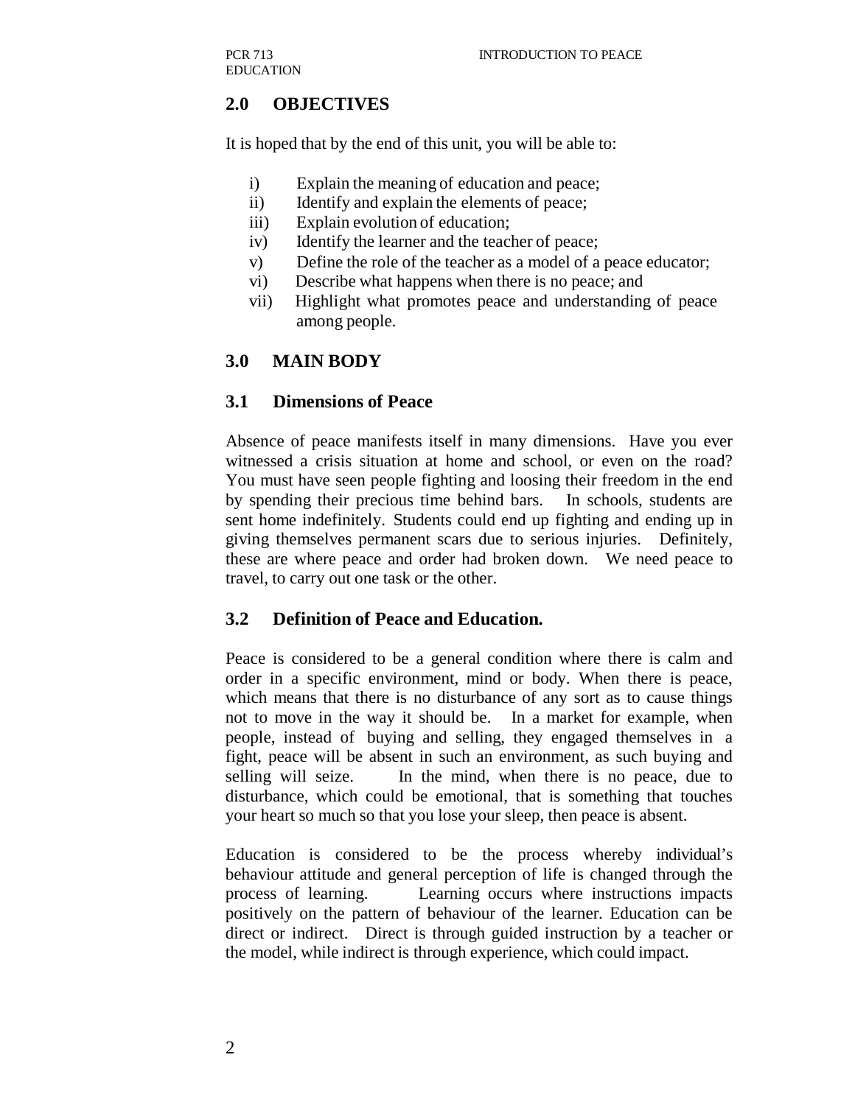# **2.0 OBJECTIVES**

It is hoped that by the end of this unit, you will be able to:

- i) Explain the meaning of education and peace;
- ii) Identify and explain the elements of peace;
- iii) Explain evolution of education;
- iv) Identify the learner and the teacher of peace;
- v) Define the role of the teacher as a model of a peace educator;
- vi) Describe what happens when there is no peace; and
- vii) Highlight what promotes peace and understanding of peace among people.

# **3.0 MAIN BODY**

#### **3.1 Dimensions of Peace**

Absence of peace manifests itself in many dimensions. Have you ever witnessed a crisis situation at home and school, or even on the road? You must have seen people fighting and loosing their freedom in the end by spending their precious time behind bars. In schools, students are sent home indefinitely. Students could end up fighting and ending up in giving themselves permanent scars due to serious injuries. Definitely, these are where peace and order had broken down. We need peace to travel, to carry out one task or the other.

# **3.2 Definition of Peace and Education.**

Peace is considered to be a general condition where there is calm and order in a specific environment, mind or body. When there is peace, which means that there is no disturbance of any sort as to cause things not to move in the way it should be. In a market for example, when people, instead of buying and selling, they engaged themselves in a fight, peace will be absent in such an environment, as such buying and selling will seize. In the mind, when there is no peace, due to disturbance, which could be emotional, that is something that touches your heart so much so that you lose your sleep, then peace is absent.

Education is considered to be the process whereby individual's behaviour attitude and general perception of life is changed through the process of learning. Learning occurs where instructions impacts positively on the pattern of behaviour of the learner. Education can be direct or indirect. Direct is through guided instruction by a teacher or the model, while indirect is through experience, which could impact.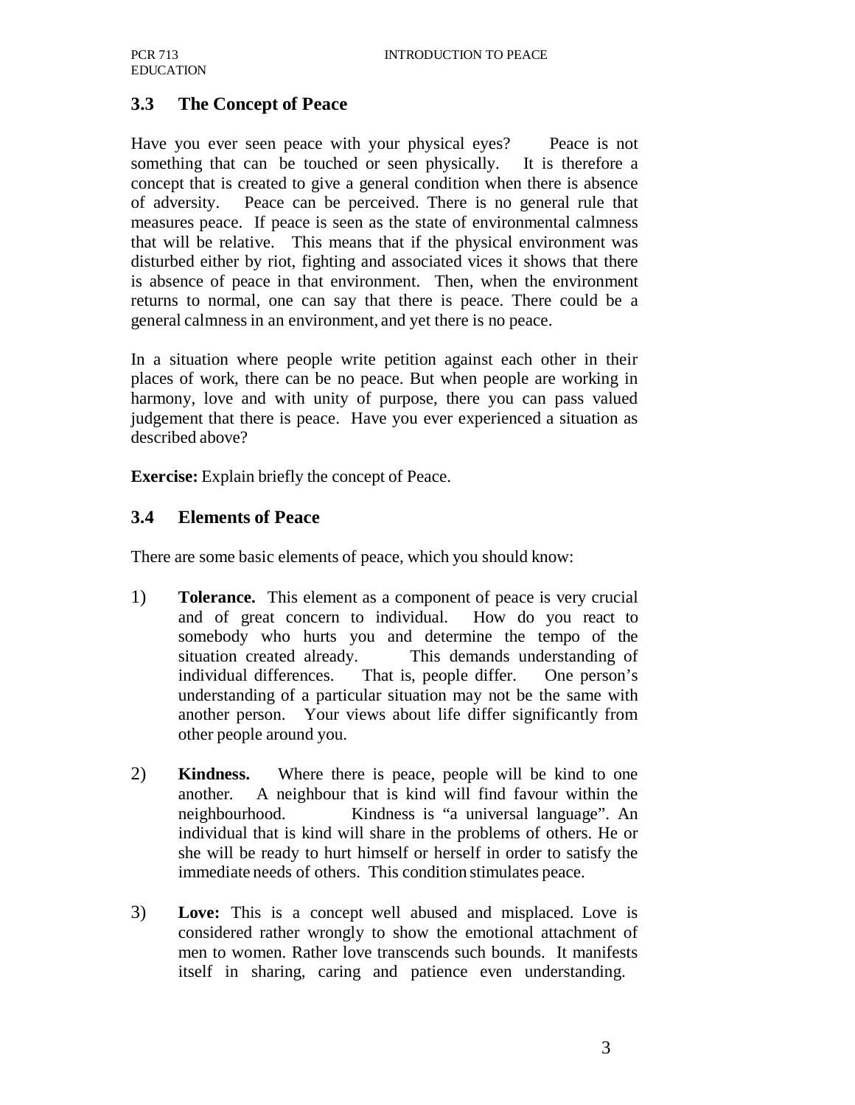# **3.3 The Concept of Peace**

Have you ever seen peace with your physical eyes? Peace is not something that can be touched or seen physically. It is therefore a concept that is created to give a general condition when there is absence of adversity. Peace can be perceived. There is no general rule that measures peace. If peace is seen as the state of environmental calmness that will be relative. This means that if the physical environment was disturbed either by riot, fighting and associated vices it shows that there is absence of peace in that environment. Then, when the environment returns to normal, one can say that there is peace. There could be a general calmness in an environment, and yet there is no peace.

In a situation where people write petition against each other in their places of work, there can be no peace. But when people are working in harmony, love and with unity of purpose, there you can pass valued judgement that there is peace. Have you ever experienced a situation as described above?

**Exercise:** Explain briefly the concept of Peace.

#### **3.4 Elements of Peace**

There are some basic elements of peace, which you should know:

- 1) **Tolerance.** This element as a component of peace is very crucial and of great concern to individual. How do you react to somebody who hurts you and determine the tempo of the situation created already. This demands understanding of individual differences. That is, people differ. One person's understanding of a particular situation may not be the same with another person. Your views about life differ significantly from other people around you.
- 2) **Kindness.** Where there is peace, people will be kind to one another. A neighbour that is kind will find favour within the neighbourhood. Kindness is "a universal language". An individual that is kind will share in the problems of others. He or she will be ready to hurt himself or herself in order to satisfy the immediate needs of others. This condition stimulates peace.
- 3) **Love:** This is a concept well abused and misplaced. Love is considered rather wrongly to show the emotional attachment of men to women. Rather love transcends such bounds. It manifests itself in sharing, caring and patience even understanding.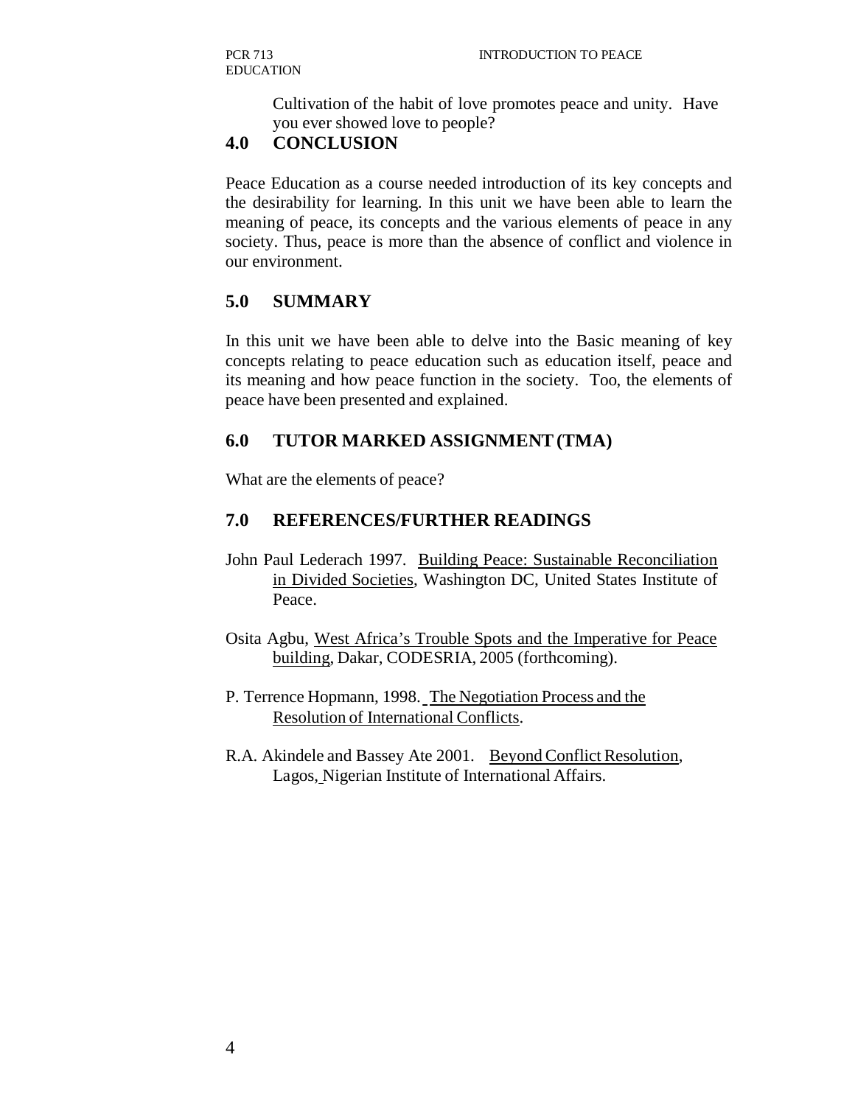Cultivation of the habit of love promotes peace and unity. Have you ever showed love to people?

#### **4.0 CONCLUSION**

Peace Education as a course needed introduction of its key concepts and the desirability for learning. In this unit we have been able to learn the meaning of peace, its concepts and the various elements of peace in any society. Thus, peace is more than the absence of conflict and violence in our environment.

# **5.0 SUMMARY**

In this unit we have been able to delve into the Basic meaning of key concepts relating to peace education such as education itself, peace and its meaning and how peace function in the society. Too, the elements of peace have been presented and explained.

#### **6.0 TUTOR MARKED ASSIGNMENT (TMA)**

What are the elements of peace?

# **7.0 REFERENCES/FURTHER READINGS**

- John Paul Lederach 1997. Building Peace: Sustainable Reconciliation in Divided Societies, Washington DC, United States Institute of Peace.
- Osita Agbu, West Africa's Trouble Spots and the Imperative for Peace building, Dakar, CODESRIA, 2005 (forthcoming).
- P. Terrence Hopmann, 1998. The Negotiation Process and the Resolution of International Conflicts.
- R.A. Akindele and Bassey Ate 2001. Beyond Conflict Resolution, Lagos, Nigerian Institute of International Affairs.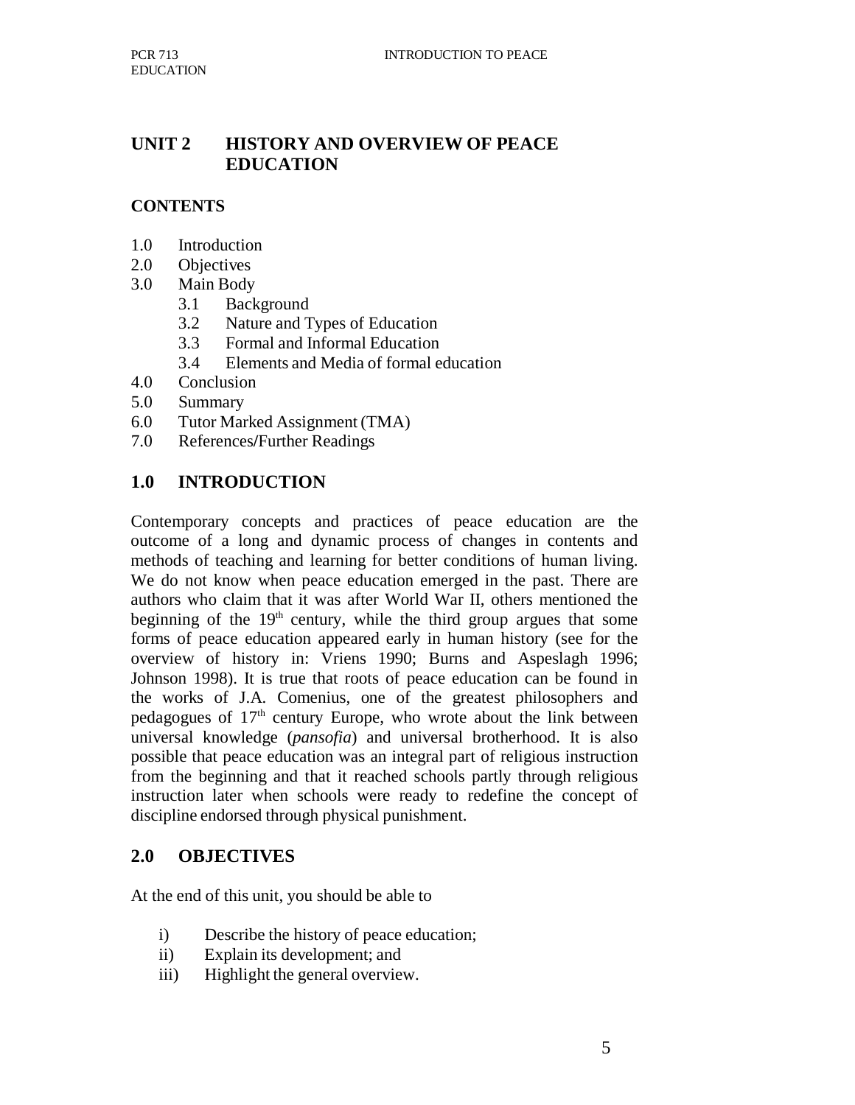# **UNIT 2 HISTORY AND OVERVIEW OF PEACE EDUCATION**

#### **CONTENTS**

- 1.0 Introduction
- 2.0 Objectives
- 3.0 Main Body
	- 3.1 Background
	- 3.2 Nature and Types of Education
	- 3.3 Formal and Informal Education
	- 3.4 Elements and Media of formal education
- 4.0 Conclusion
- 5.0 Summary
- 6.0 Tutor Marked Assignment (TMA)
- 7.0 References**/**Further Readings

# **1.0 INTRODUCTION**

Contemporary concepts and practices of peace education are the outcome of a long and dynamic process of changes in contents and methods of teaching and learning for better conditions of human living. We do not know when peace education emerged in the past. There are authors who claim that it was after World War II, others mentioned the beginning of the  $19<sup>th</sup>$  century, while the third group argues that some forms of peace education appeared early in human history (see for the overview of history in: Vriens 1990; Burns and Aspeslagh 1996; Johnson 1998). It is true that roots of peace education can be found in the works of J.A. Comenius, one of the greatest philosophers and pedagogues of  $17<sup>th</sup>$  century Europe, who wrote about the link between universal knowledge (*pansofia*) and universal brotherhood. It is also possible that peace education was an integral part of religious instruction from the beginning and that it reached schools partly through religious instruction later when schools were ready to redefine the concept of discipline endorsed through physical punishment.

#### **2.0 OBJECTIVES**

At the end of this unit, you should be able to

- i) Describe the history of peace education;
- ii) Explain its development; and
- iii) Highlight the general overview.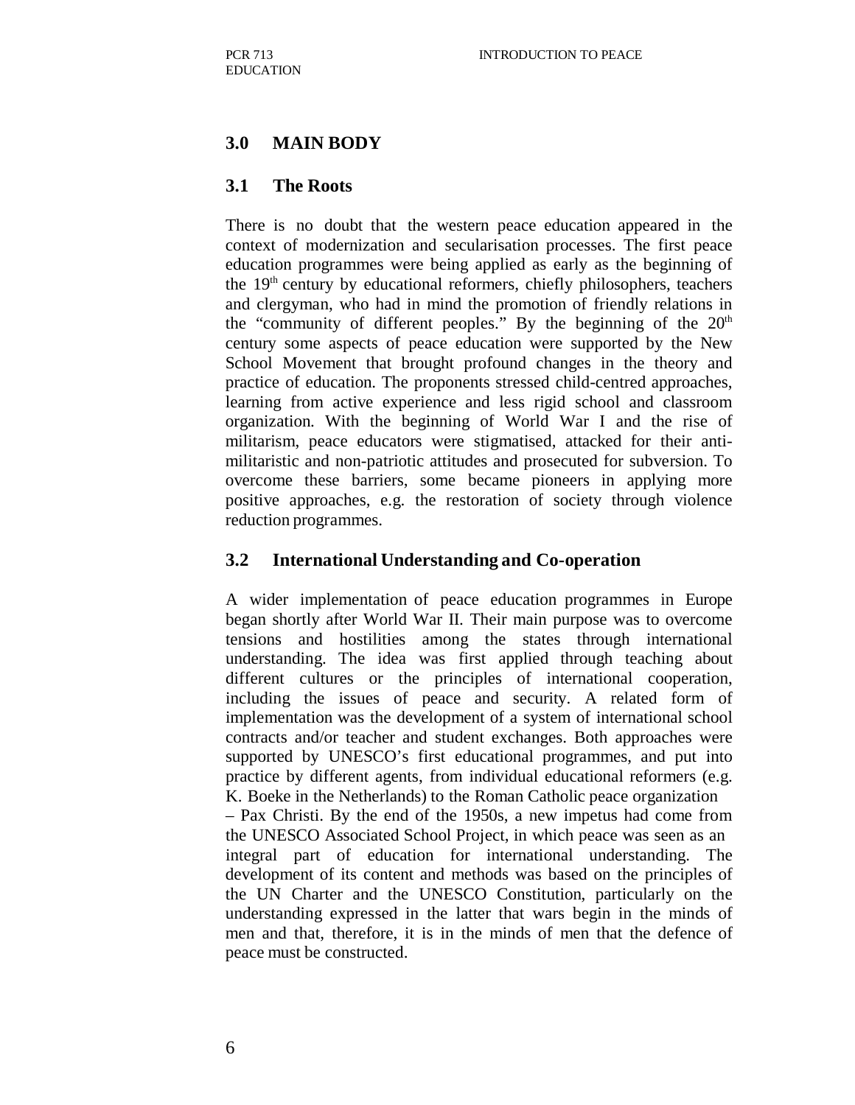# **3.0 MAIN BODY**

#### **3.1 The Roots**

There is no doubt that the western peace education appeared in the context of modernization and secularisation processes. The first peace education programmes were being applied as early as the beginning of the  $19<sup>th</sup>$  century by educational reformers, chiefly philosophers, teachers and clergyman, who had in mind the promotion of friendly relations in the "community of different peoples." By the beginning of the  $20<sup>th</sup>$ century some aspects of peace education were supported by the New School Movement that brought profound changes in the theory and practice of education. The proponents stressed child-centred approaches, learning from active experience and less rigid school and classroom organization. With the beginning of World War I and the rise of militarism, peace educators were stigmatised, attacked for their antimilitaristic and non-patriotic attitudes and prosecuted for subversion. To overcome these barriers, some became pioneers in applying more positive approaches, e.g. the restoration of society through violence reduction programmes.

#### **3.2 International Understanding and Co-operation**

A wider implementation of peace education programmes in Europe began shortly after World War II. Their main purpose was to overcome tensions and hostilities among the states through international understanding. The idea was first applied through teaching about different cultures or the principles of international cooperation, including the issues of peace and security. A related form of implementation was the development of a system of international school contracts and/or teacher and student exchanges. Both approaches were supported by UNESCO's first educational programmes, and put into practice by different agents, from individual educational reformers (e.g. K. Boeke in the Netherlands) to the Roman Catholic peace organization

– Pax Christi. By the end of the 1950s, a new impetus had come from the UNESCO Associated School Project, in which peace was seen as an integral part of education for international understanding. The development of its content and methods was based on the principles of the UN Charter and the UNESCO Constitution, particularly on the understanding expressed in the latter that wars begin in the minds of men and that, therefore, it is in the minds of men that the defence of peace must be constructed.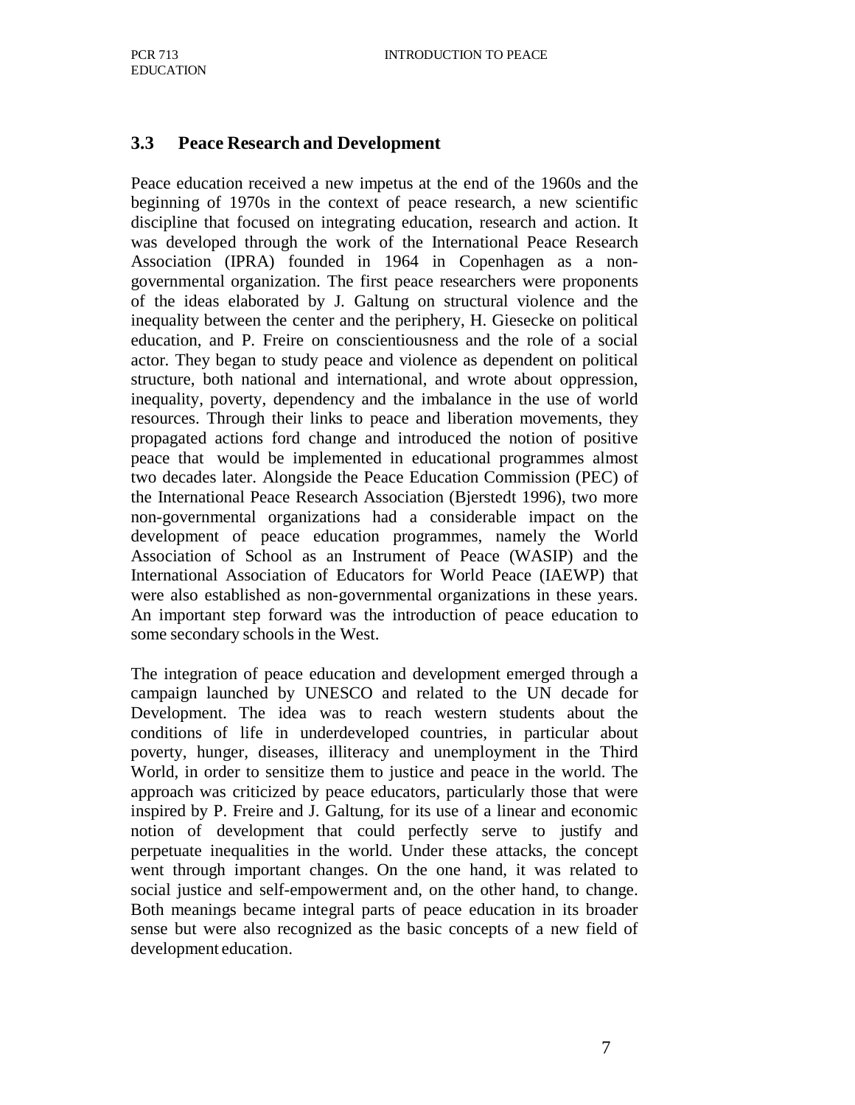#### **3.3 Peace Research and Development**

Peace education received a new impetus at the end of the 1960s and the beginning of 1970s in the context of peace research, a new scientific discipline that focused on integrating education, research and action. It was developed through the work of the International Peace Research Association (IPRA) founded in 1964 in Copenhagen as a nongovernmental organization. The first peace researchers were proponents of the ideas elaborated by J. Galtung on structural violence and the inequality between the center and the periphery, H. Giesecke on political education, and P. Freire on conscientiousness and the role of a social actor. They began to study peace and violence as dependent on political structure, both national and international, and wrote about oppression, inequality, poverty, dependency and the imbalance in the use of world resources. Through their links to peace and liberation movements, they propagated actions ford change and introduced the notion of positive peace that would be implemented in educational programmes almost two decades later. Alongside the Peace Education Commission (PEC) of the International Peace Research Association (Bjerstedt 1996), two more non-governmental organizations had a considerable impact on the development of peace education programmes, namely the World Association of School as an Instrument of Peace (WASIP) and the International Association of Educators for World Peace (IAEWP) that were also established as non-governmental organizations in these years. An important step forward was the introduction of peace education to some secondary schools in the West.

The integration of peace education and development emerged through a campaign launched by UNESCO and related to the UN decade for Development. The idea was to reach western students about the conditions of life in underdeveloped countries, in particular about poverty, hunger, diseases, illiteracy and unemployment in the Third World, in order to sensitize them to justice and peace in the world. The approach was criticized by peace educators, particularly those that were inspired by P. Freire and J. Galtung, for its use of a linear and economic notion of development that could perfectly serve to justify and perpetuate inequalities in the world. Under these attacks, the concept went through important changes. On the one hand, it was related to social justice and self-empowerment and, on the other hand, to change. Both meanings became integral parts of peace education in its broader sense but were also recognized as the basic concepts of a new field of development education.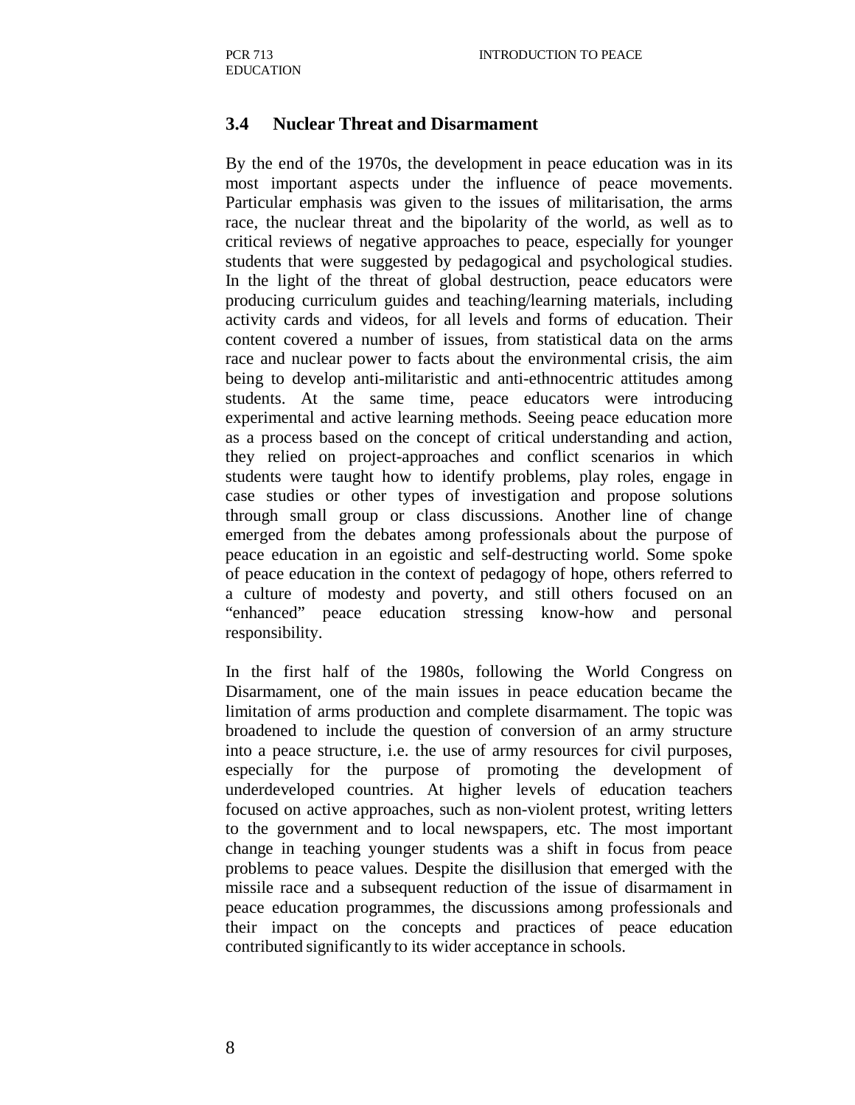#### **3.4 Nuclear Threat and Disarmament**

By the end of the 1970s, the development in peace education was in its most important aspects under the influence of peace movements. Particular emphasis was given to the issues of militarisation, the arms race, the nuclear threat and the bipolarity of the world, as well as to critical reviews of negative approaches to peace, especially for younger students that were suggested by pedagogical and psychological studies. In the light of the threat of global destruction, peace educators were producing curriculum guides and teaching/learning materials, including activity cards and videos, for all levels and forms of education. Their content covered a number of issues, from statistical data on the arms race and nuclear power to facts about the environmental crisis, the aim being to develop anti-militaristic and anti-ethnocentric attitudes among students. At the same time, peace educators were introducing experimental and active learning methods. Seeing peace education more as a process based on the concept of critical understanding and action, they relied on project-approaches and conflict scenarios in which students were taught how to identify problems, play roles, engage in case studies or other types of investigation and propose solutions through small group or class discussions. Another line of change emerged from the debates among professionals about the purpose of peace education in an egoistic and self-destructing world. Some spoke of peace education in the context of pedagogy of hope, others referred to a culture of modesty and poverty, and still others focused on an "enhanced" peace education stressing know-how and personal responsibility.

In the first half of the 1980s, following the World Congress on Disarmament, one of the main issues in peace education became the limitation of arms production and complete disarmament. The topic was broadened to include the question of conversion of an army structure into a peace structure, i.e. the use of army resources for civil purposes, especially for the purpose of promoting the development of underdeveloped countries. At higher levels of education teachers focused on active approaches, such as non-violent protest, writing letters to the government and to local newspapers, etc. The most important change in teaching younger students was a shift in focus from peace problems to peace values. Despite the disillusion that emerged with the missile race and a subsequent reduction of the issue of disarmament in peace education programmes, the discussions among professionals and their impact on the concepts and practices of peace education contributed significantly to its wider acceptance in schools.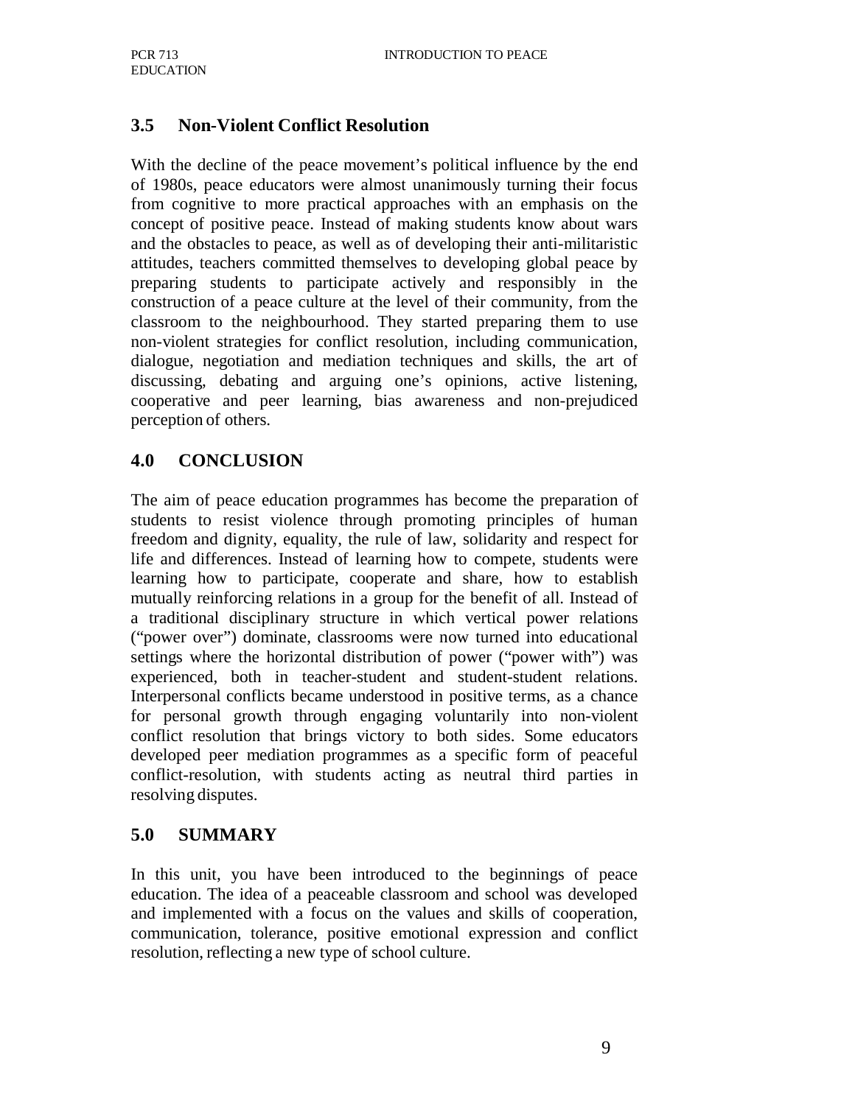# **3.5 Non-Violent Conflict Resolution**

With the decline of the peace movement's political influence by the end of 1980s, peace educators were almost unanimously turning their focus from cognitive to more practical approaches with an emphasis on the concept of positive peace. Instead of making students know about wars and the obstacles to peace, as well as of developing their anti-militaristic attitudes, teachers committed themselves to developing global peace by preparing students to participate actively and responsibly in the construction of a peace culture at the level of their community, from the classroom to the neighbourhood. They started preparing them to use non-violent strategies for conflict resolution, including communication, dialogue, negotiation and mediation techniques and skills, the art of discussing, debating and arguing one's opinions, active listening, cooperative and peer learning, bias awareness and non-prejudiced perception of others.

# **4.0 CONCLUSION**

The aim of peace education programmes has become the preparation of students to resist violence through promoting principles of human freedom and dignity, equality, the rule of law, solidarity and respect for life and differences. Instead of learning how to compete, students were learning how to participate, cooperate and share, how to establish mutually reinforcing relations in a group for the benefit of all. Instead of a traditional disciplinary structure in which vertical power relations ("power over") dominate, classrooms were now turned into educational settings where the horizontal distribution of power ("power with") was experienced, both in teacher-student and student-student relations. Interpersonal conflicts became understood in positive terms, as a chance for personal growth through engaging voluntarily into non-violent conflict resolution that brings victory to both sides. Some educators developed peer mediation programmes as a specific form of peaceful conflict-resolution, with students acting as neutral third parties in resolving disputes.

# **5.0 SUMMARY**

In this unit, you have been introduced to the beginnings of peace education. The idea of a peaceable classroom and school was developed and implemented with a focus on the values and skills of cooperation, communication, tolerance, positive emotional expression and conflict resolution, reflecting a new type of school culture.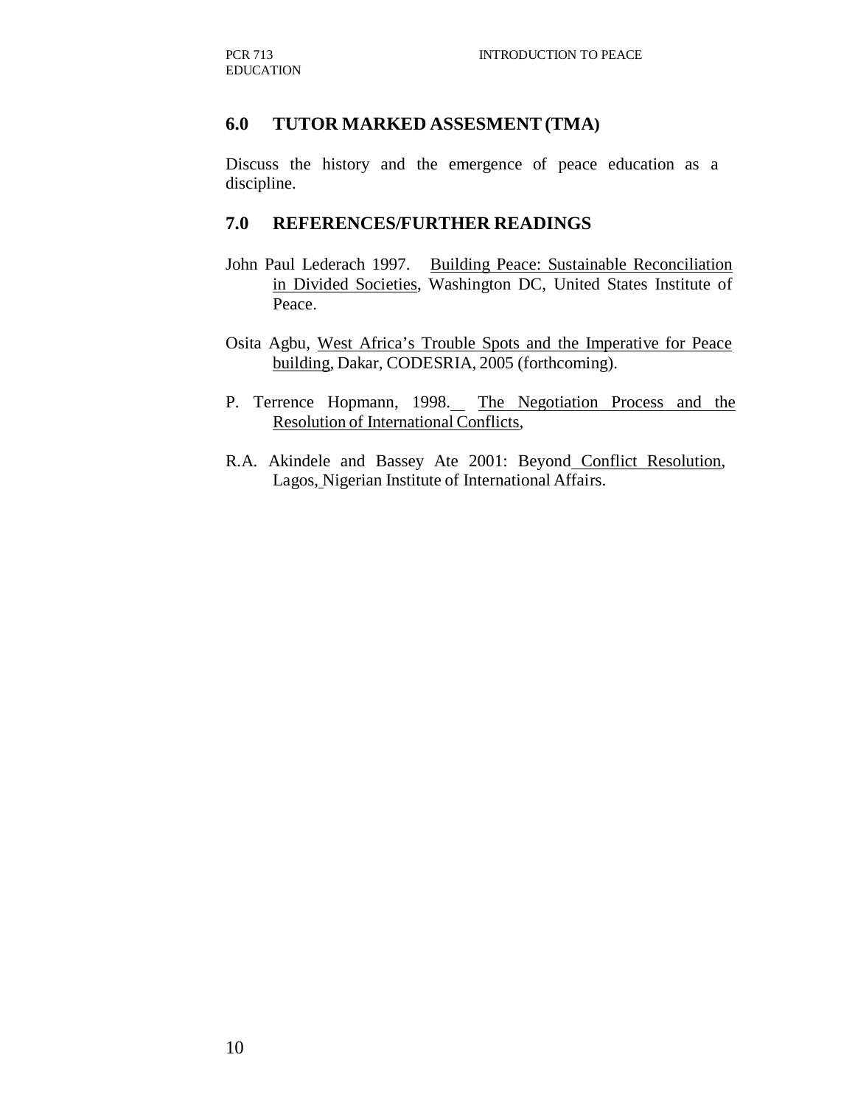#### **6.0 TUTOR MARKED ASSESMENT (TMA)**

Discuss the history and the emergence of peace education as a discipline.

#### **7.0 REFERENCES/FURTHER READINGS**

- John Paul Lederach 1997. Building Peace: Sustainable Reconciliation in Divided Societies, Washington DC, United States Institute of Peace.
- Osita Agbu, West Africa's Trouble Spots and the Imperative for Peace building, Dakar, CODESRIA, 2005 (forthcoming).
- P. Terrence Hopmann, 1998. The Negotiation Process and the Resolution of International Conflicts,
- R.A. Akindele and Bassey Ate 2001: Beyond Conflict Resolution, Lagos, Nigerian Institute of International Affairs.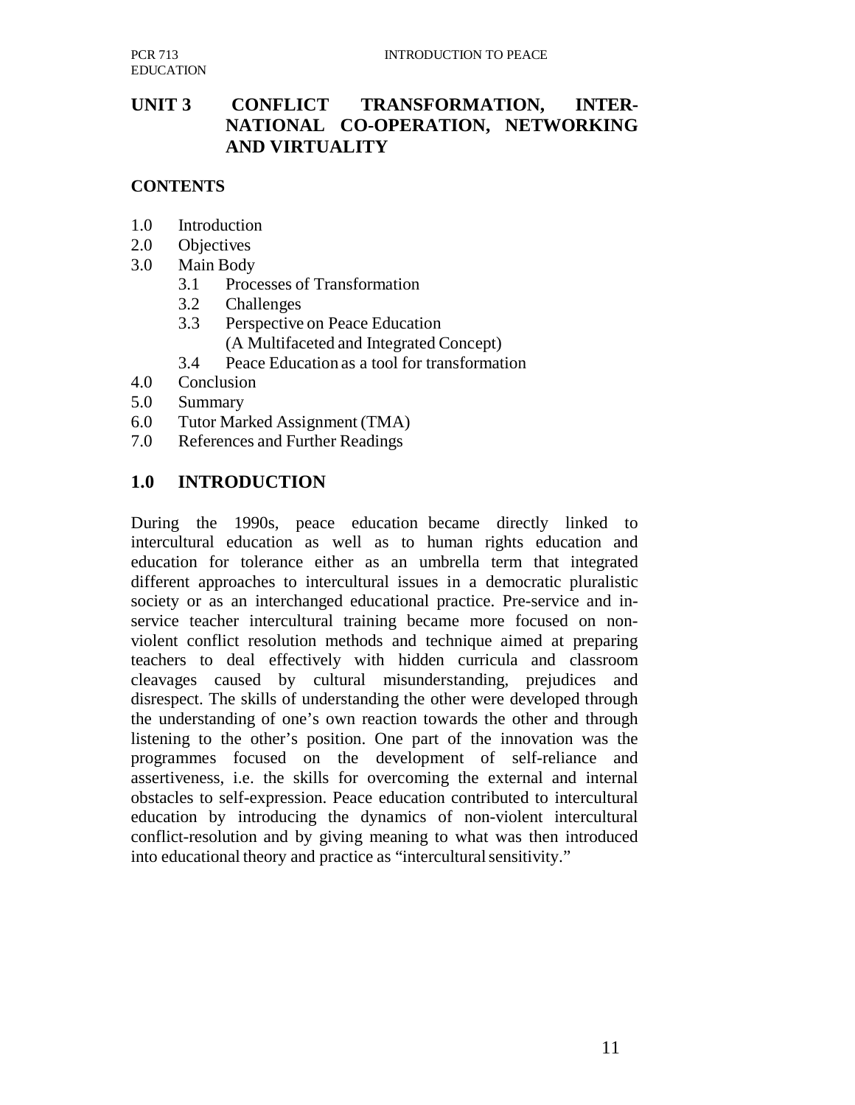# **UNIT 3 CONFLICT TRANSFORMATION, INTER-NATIONAL CO-OPERATION, NETWORKING AND VIRTUALITY**

#### **CONTENTS**

- 1.0 Introduction
- 2.0 Objectives
- 3.0 Main Body
	- 3.1 Processes of Transformation
	- 3.2 Challenges
	- 3.3 Perspective on Peace Education
		- (A Multifaceted and Integrated Concept)
	- 3.4 Peace Education as a tool for transformation
- 4.0 Conclusion
- 5.0 Summary
- 6.0 Tutor Marked Assignment (TMA)
- 7.0 References and Further Readings

#### **1.0 INTRODUCTION**

During the 1990s, peace education became directly linked to intercultural education as well as to human rights education and education for tolerance either as an umbrella term that integrated different approaches to intercultural issues in a democratic pluralistic society or as an interchanged educational practice. Pre-service and inservice teacher intercultural training became more focused on nonviolent conflict resolution methods and technique aimed at preparing teachers to deal effectively with hidden curricula and classroom cleavages caused by cultural misunderstanding, prejudices and disrespect. The skills of understanding the other were developed through the understanding of one's own reaction towards the other and through listening to the other's position. One part of the innovation was the programmes focused on the development of self-reliance and assertiveness, i.e. the skills for overcoming the external and internal obstacles to self-expression. Peace education contributed to intercultural education by introducing the dynamics of non-violent intercultural conflict-resolution and by giving meaning to what was then introduced into educational theory and practice as "intercultural sensitivity."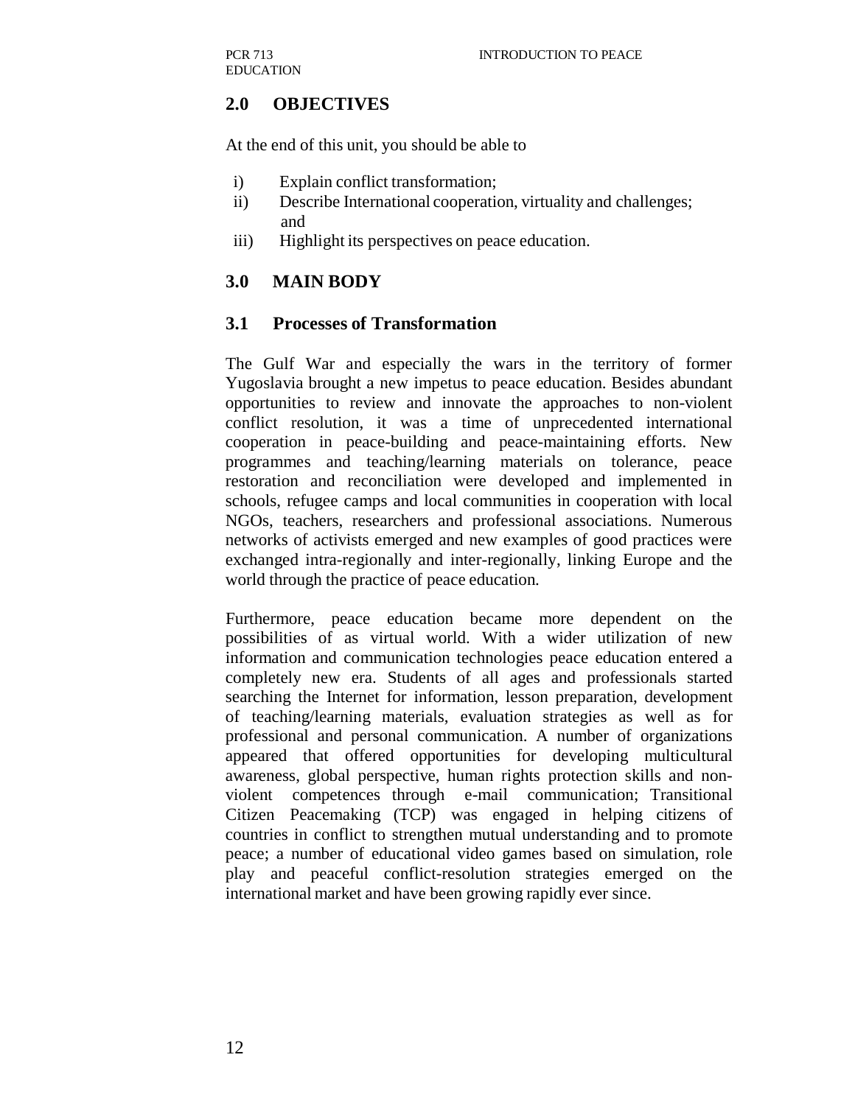# **2.0 OBJECTIVES**

At the end of this unit, you should be able to

- i) Explain conflict transformation;
- ii) Describe International cooperation, virtuality and challenges; and
- iii) Highlight its perspectives on peace education.

#### **3.0 MAIN BODY**

#### **3.1 Processes of Transformation**

The Gulf War and especially the wars in the territory of former Yugoslavia brought a new impetus to peace education. Besides abundant opportunities to review and innovate the approaches to non-violent conflict resolution, it was a time of unprecedented international cooperation in peace-building and peace-maintaining efforts. New programmes and teaching/learning materials on tolerance, peace restoration and reconciliation were developed and implemented in schools, refugee camps and local communities in cooperation with local NGOs, teachers, researchers and professional associations. Numerous networks of activists emerged and new examples of good practices were exchanged intra-regionally and inter-regionally, linking Europe and the world through the practice of peace education.

Furthermore, peace education became more dependent on the possibilities of as virtual world. With a wider utilization of new information and communication technologies peace education entered a completely new era. Students of all ages and professionals started searching the Internet for information, lesson preparation, development of teaching/learning materials, evaluation strategies as well as for professional and personal communication. A number of organizations appeared that offered opportunities for developing multicultural awareness, global perspective, human rights protection skills and nonviolent competences through e-mail communication; Transitional Citizen Peacemaking (TCP) was engaged in helping citizens of countries in conflict to strengthen mutual understanding and to promote peace; a number of educational video games based on simulation, role play and peaceful conflict-resolution strategies emerged on the international market and have been growing rapidly ever since.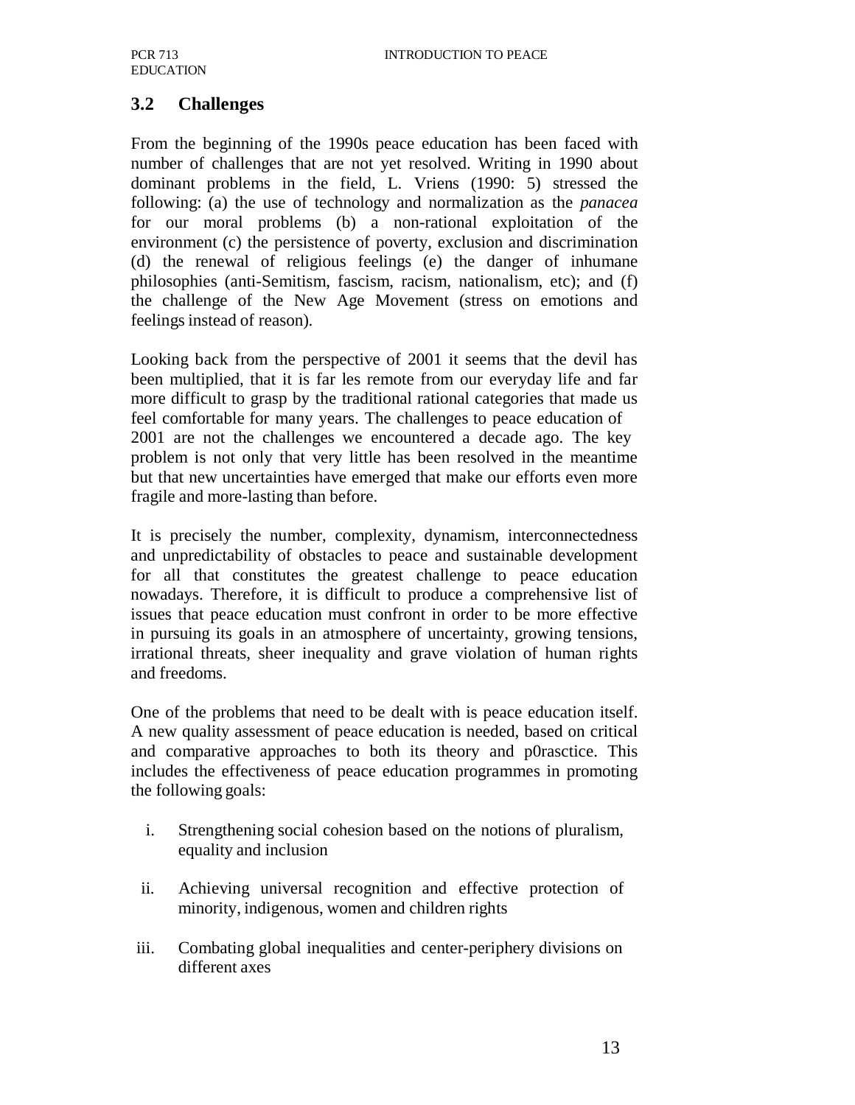#### **3.2 Challenges**

From the beginning of the 1990s peace education has been faced with number of challenges that are not yet resolved. Writing in 1990 about dominant problems in the field, L. Vriens (1990: 5) stressed the following: (a) the use of technology and normalization as the *panacea*  for our moral problems (b) a non-rational exploitation of the environment (c) the persistence of poverty, exclusion and discrimination (d) the renewal of religious feelings (e) the danger of inhumane philosophies (anti-Semitism, fascism, racism, nationalism, etc); and (f) the challenge of the New Age Movement (stress on emotions and feelings instead of reason).

Looking back from the perspective of 2001 it seems that the devil has been multiplied, that it is far les remote from our everyday life and far more difficult to grasp by the traditional rational categories that made us feel comfortable for many years. The challenges to peace education of 2001 are not the challenges we encountered a decade ago. The key problem is not only that very little has been resolved in the meantime but that new uncertainties have emerged that make our efforts even more fragile and more-lasting than before.

It is precisely the number, complexity, dynamism, interconnectedness and unpredictability of obstacles to peace and sustainable development for all that constitutes the greatest challenge to peace education nowadays. Therefore, it is difficult to produce a comprehensive list of issues that peace education must confront in order to be more effective in pursuing its goals in an atmosphere of uncertainty, growing tensions, irrational threats, sheer inequality and grave violation of human rights and freedoms.

One of the problems that need to be dealt with is peace education itself. A new quality assessment of peace education is needed, based on critical and comparative approaches to both its theory and p0rasctice. This includes the effectiveness of peace education programmes in promoting the following goals:

- i. Strengthening social cohesion based on the notions of pluralism, equality and inclusion
- ii. Achieving universal recognition and effective protection of minority, indigenous, women and children rights
- iii. Combating global inequalities and center-periphery divisions on different axes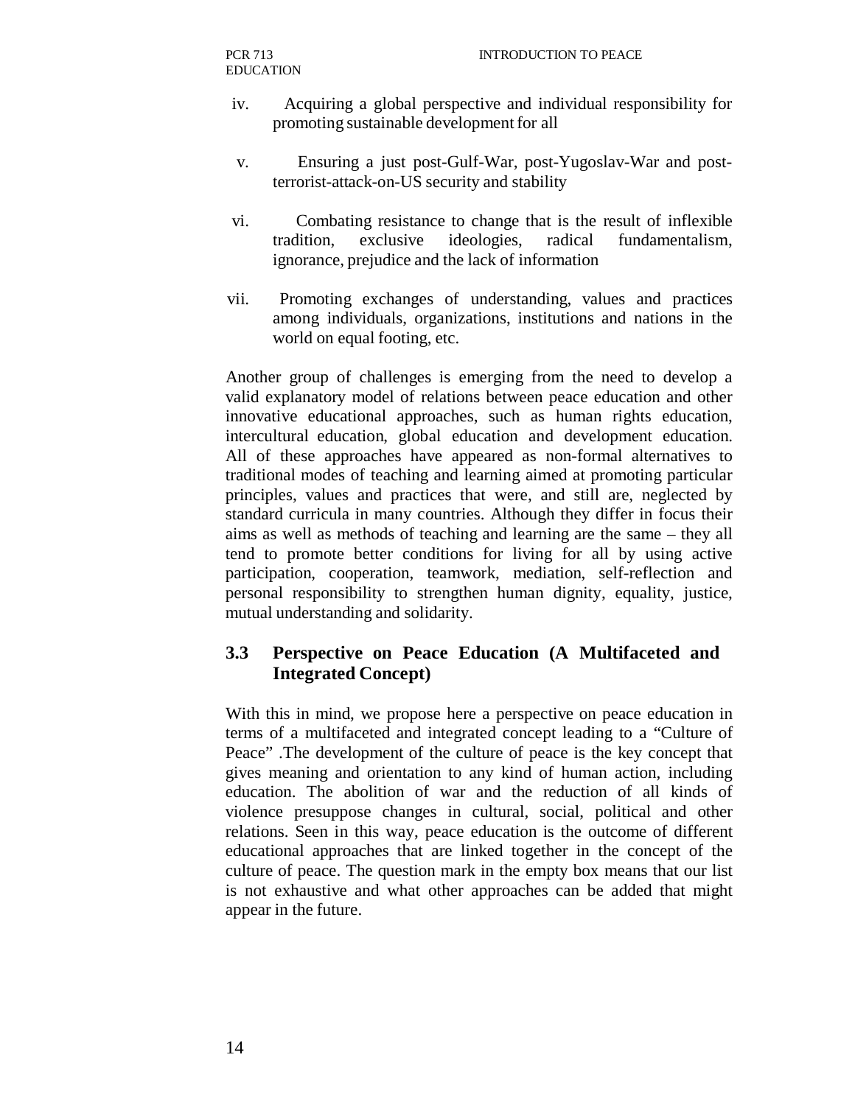- iv. Acquiring a global perspective and individual responsibility for promoting sustainable development for all
- v. Ensuring a just post-Gulf-War, post-Yugoslav-War and postterrorist-attack-on-US security and stability
- vi. Combating resistance to change that is the result of inflexible tradition, exclusive ideologies, radical fundamentalism, ignorance, prejudice and the lack of information
- vii. Promoting exchanges of understanding, values and practices among individuals, organizations, institutions and nations in the world on equal footing, etc.

Another group of challenges is emerging from the need to develop a valid explanatory model of relations between peace education and other innovative educational approaches, such as human rights education, intercultural education, global education and development education. All of these approaches have appeared as non-formal alternatives to traditional modes of teaching and learning aimed at promoting particular principles, values and practices that were, and still are, neglected by standard curricula in many countries. Although they differ in focus their aims as well as methods of teaching and learning are the same – they all tend to promote better conditions for living for all by using active participation, cooperation, teamwork, mediation, self-reflection and personal responsibility to strengthen human dignity, equality, justice, mutual understanding and solidarity.

# **3.3 Perspective on Peace Education (A Multifaceted and Integrated Concept)**

With this in mind, we propose here a perspective on peace education in terms of a multifaceted and integrated concept leading to a "Culture of Peace" .The development of the culture of peace is the key concept that gives meaning and orientation to any kind of human action, including education. The abolition of war and the reduction of all kinds of violence presuppose changes in cultural, social, political and other relations. Seen in this way, peace education is the outcome of different educational approaches that are linked together in the concept of the culture of peace. The question mark in the empty box means that our list is not exhaustive and what other approaches can be added that might appear in the future.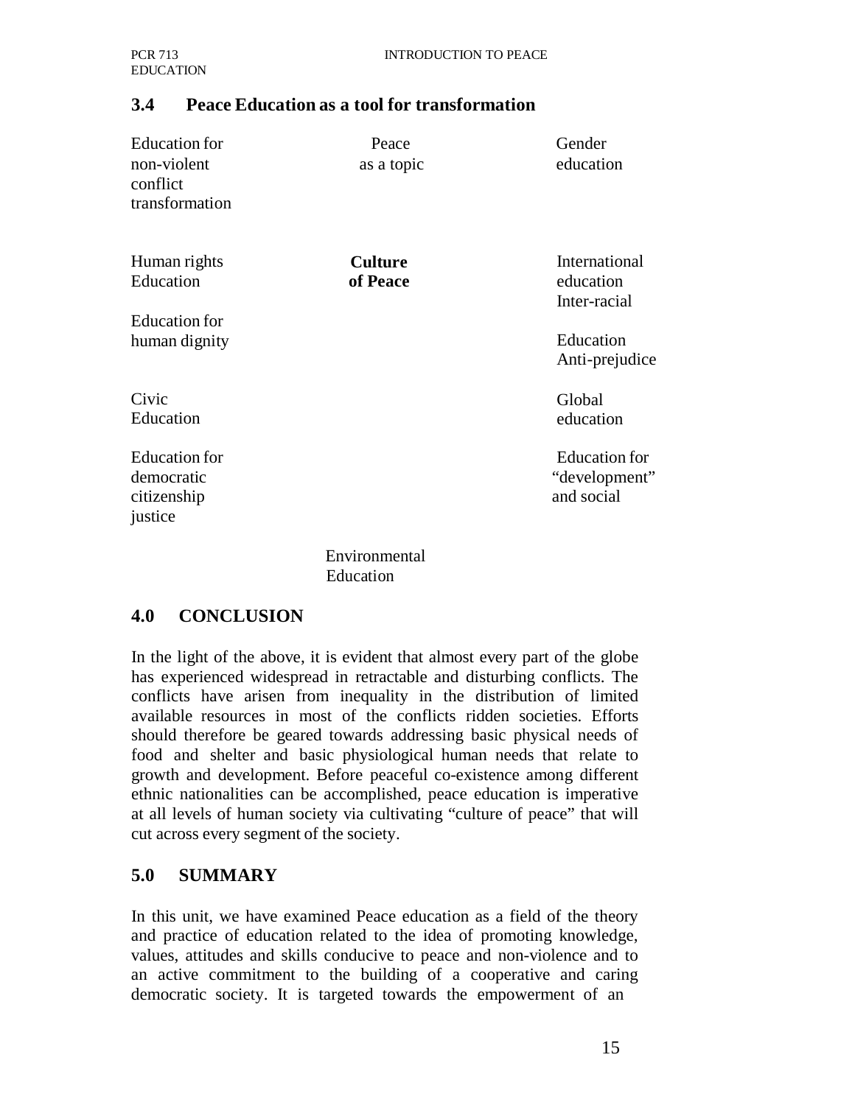#### **3.4 Peace Education as a tool for transformation**

| <b>Education</b> for<br>non-violent<br>conflict<br>transformation | Peace<br>as a topic        | Gender<br>education                          |
|-------------------------------------------------------------------|----------------------------|----------------------------------------------|
| Human rights<br>Education                                         | <b>Culture</b><br>of Peace | International<br>education<br>Inter-racial   |
| <b>Education</b> for<br>human dignity                             |                            | Education<br>Anti-prejudice                  |
| Civic<br>Education                                                |                            | Global<br>education                          |
| <b>Education</b> for<br>democratic<br>citizenship<br>justice      |                            | Education for<br>"development"<br>and social |
|                                                                   | Environmental              |                                              |

Environmental Education

#### **4.0 CONCLUSION**

In the light of the above, it is evident that almost every part of the globe has experienced widespread in retractable and disturbing conflicts. The conflicts have arisen from inequality in the distribution of limited available resources in most of the conflicts ridden societies. Efforts should therefore be geared towards addressing basic physical needs of food and shelter and basic physiological human needs that relate to growth and development. Before peaceful co-existence among different ethnic nationalities can be accomplished, peace education is imperative at all levels of human society via cultivating "culture of peace" that will cut across every segment of the society.

# **5.0 SUMMARY**

In this unit, we have examined Peace education as a field of the theory and practice of education related to the idea of promoting knowledge, values, attitudes and skills conducive to peace and non-violence and to an active commitment to the building of a cooperative and caring democratic society. It is targeted towards the empowerment of an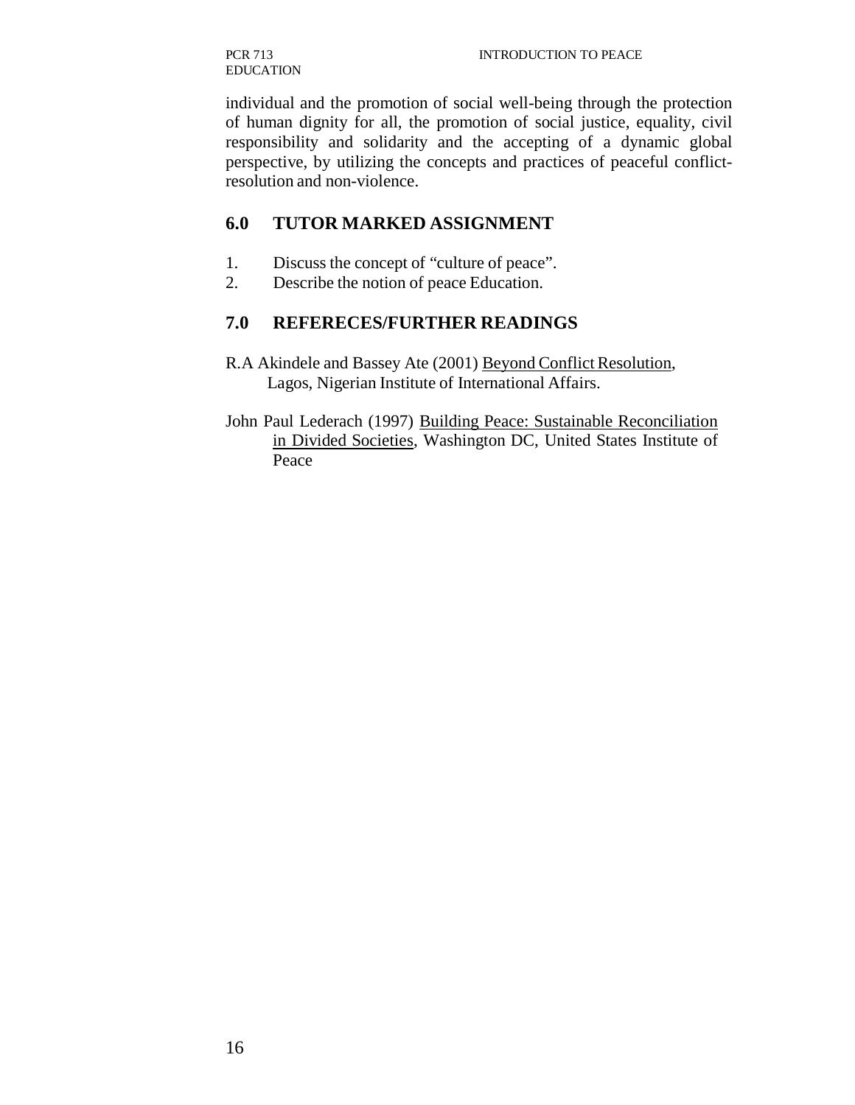PCR 713 EDUCATION

individual and the promotion of social well-being through the protection of human dignity for all, the promotion of social justice, equality, civil responsibility and solidarity and the accepting of a dynamic global perspective, by utilizing the concepts and practices of peaceful conflictresolution and non-violence.

# **6.0 TUTOR MARKED ASSIGNMENT**

- 1. Discuss the concept of "culture of peace".
- 2. Describe the notion of peace Education.

# **7.0 REFERECES/FURTHER READINGS**

- R.A Akindele and Bassey Ate (2001) Beyond Conflict Resolution, Lagos, Nigerian Institute of International Affairs.
- John Paul Lederach (1997) Building Peace: Sustainable Reconciliation in Divided Societies, Washington DC, United States Institute of Peace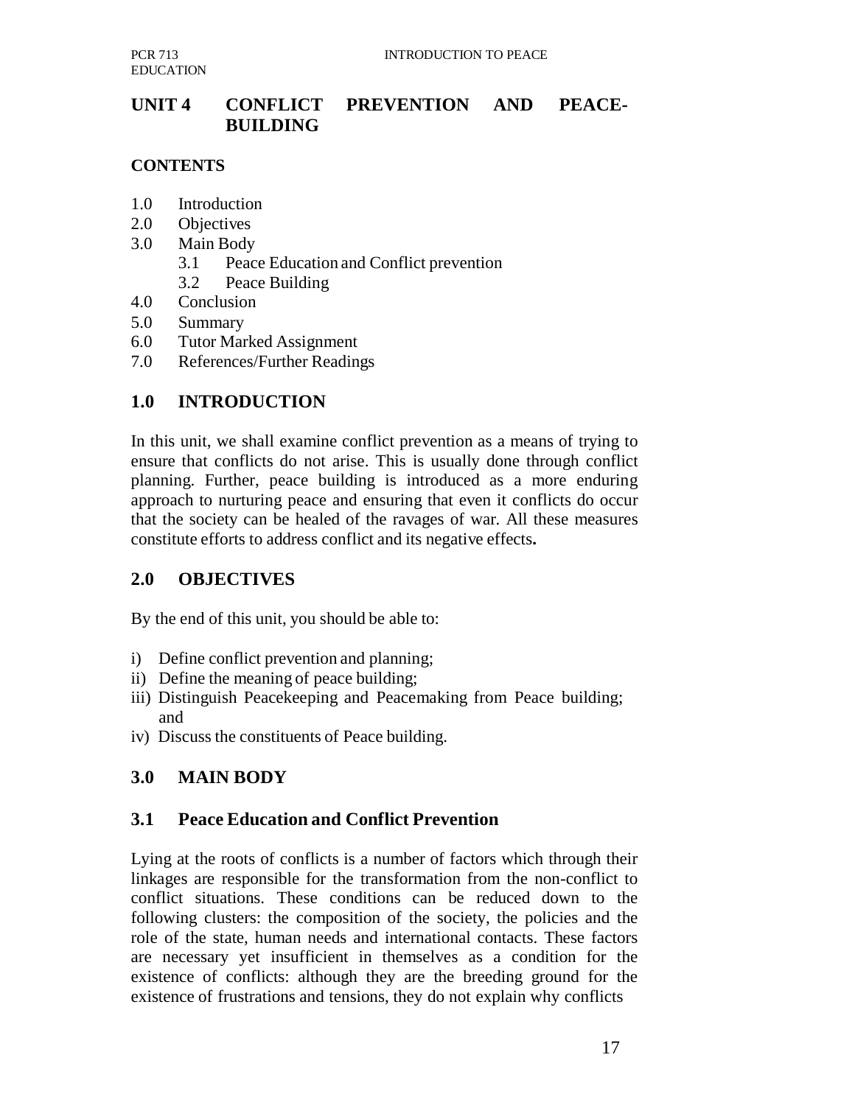# **UNIT 4 CONFLICT PREVENTION AND PEACE-BUILDING**

#### **CONTENTS**

- 1.0 Introduction
- 2.0 Objectives
- 3.0 Main Body
	- 3.1 Peace Education and Conflict prevention
	- 3.2 Peace Building
- 4.0 Conclusion
- 5.0 Summary
- 6.0 Tutor Marked Assignment
- 7.0 References/Further Readings

# **1.0 INTRODUCTION**

In this unit, we shall examine conflict prevention as a means of trying to ensure that conflicts do not arise. This is usually done through conflict planning. Further, peace building is introduced as a more enduring approach to nurturing peace and ensuring that even it conflicts do occur that the society can be healed of the ravages of war. All these measures constitute efforts to address conflict and its negative effects**.**

# **2.0 OBJECTIVES**

By the end of this unit, you should be able to:

- i) Define conflict prevention and planning;
- ii) Define the meaning of peace building;
- iii) Distinguish Peacekeeping and Peacemaking from Peace building; and
- iv) Discuss the constituents of Peace building.

# **3.0 MAIN BODY**

# **3.1 Peace Education and Conflict Prevention**

Lying at the roots of conflicts is a number of factors which through their linkages are responsible for the transformation from the non-conflict to conflict situations. These conditions can be reduced down to the following clusters: the composition of the society, the policies and the role of the state, human needs and international contacts. These factors are necessary yet insufficient in themselves as a condition for the existence of conflicts: although they are the breeding ground for the existence of frustrations and tensions, they do not explain why conflicts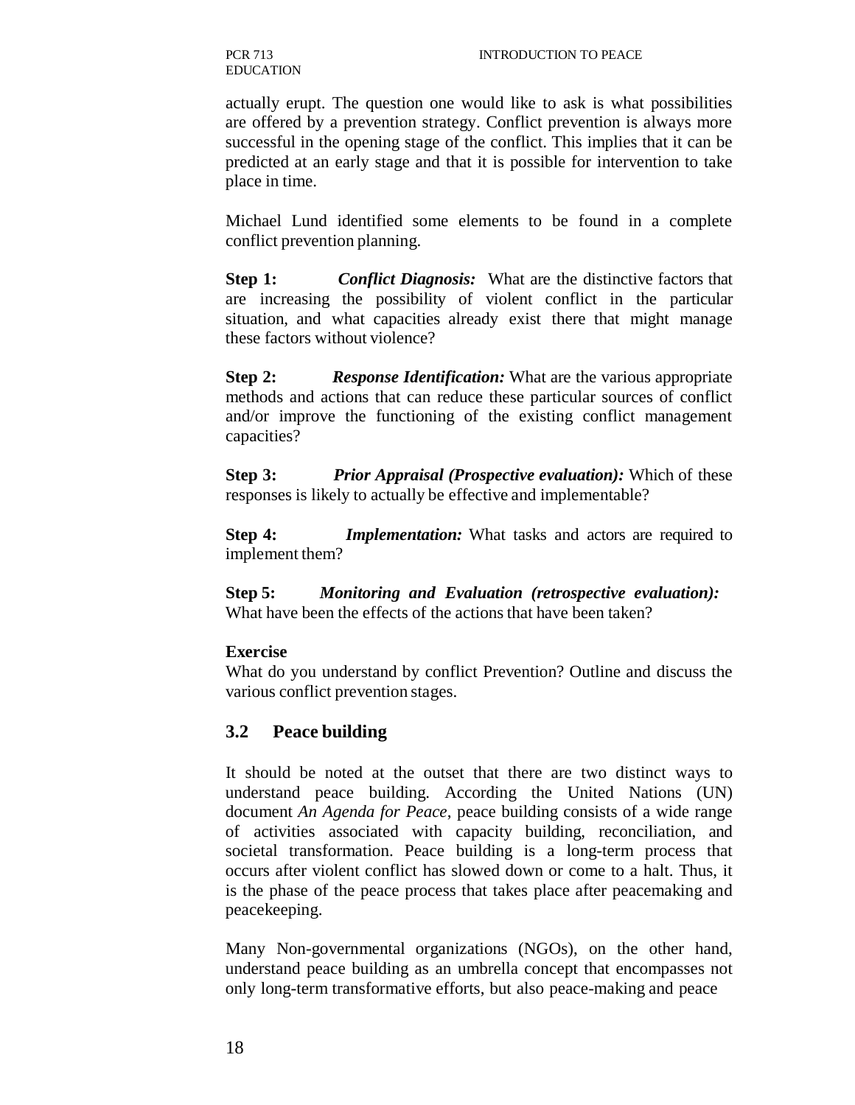PCR 713 EDUCATION

actually erupt. The question one would like to ask is what possibilities are offered by a prevention strategy. Conflict prevention is always more successful in the opening stage of the conflict. This implies that it can be predicted at an early stage and that it is possible for intervention to take place in time.

Michael Lund identified some elements to be found in a complete conflict prevention planning.

**Step 1:** *Conflict Diagnosis:* What are the distinctive factors that are increasing the possibility of violent conflict in the particular situation, and what capacities already exist there that might manage these factors without violence?

**Step 2:** *Response Identification:* What are the various appropriate methods and actions that can reduce these particular sources of conflict and/or improve the functioning of the existing conflict management capacities?

**Step 3:** *Prior Appraisal (Prospective evaluation):* Which of these responses is likely to actually be effective and implementable?

**Step 4:** *Implementation:* What tasks and actors are required to implement them?

**Step 5:** *Monitoring and Evaluation (retrospective evaluation):* What have been the effects of the actions that have been taken?

#### **Exercise**

What do you understand by conflict Prevention? Outline and discuss the various conflict prevention stages.

# **3.2 Peace building**

It should be noted at the outset that there are two distinct ways to understand peace building. According the United Nations (UN) document *An Agenda for Peace*, peace building consists of a wide range of activities associated with capacity building, reconciliation, and societal transformation. Peace building is a long-term process that occurs after violent conflict has slowed down or come to a halt. Thus, it is the phase of the peace process that takes place after peacemaking and peacekeeping.

Many Non-governmental organizations (NGOs), on the other hand, understand peace building as an umbrella concept that encompasses not only long-term transformative efforts, but also peace-making and peace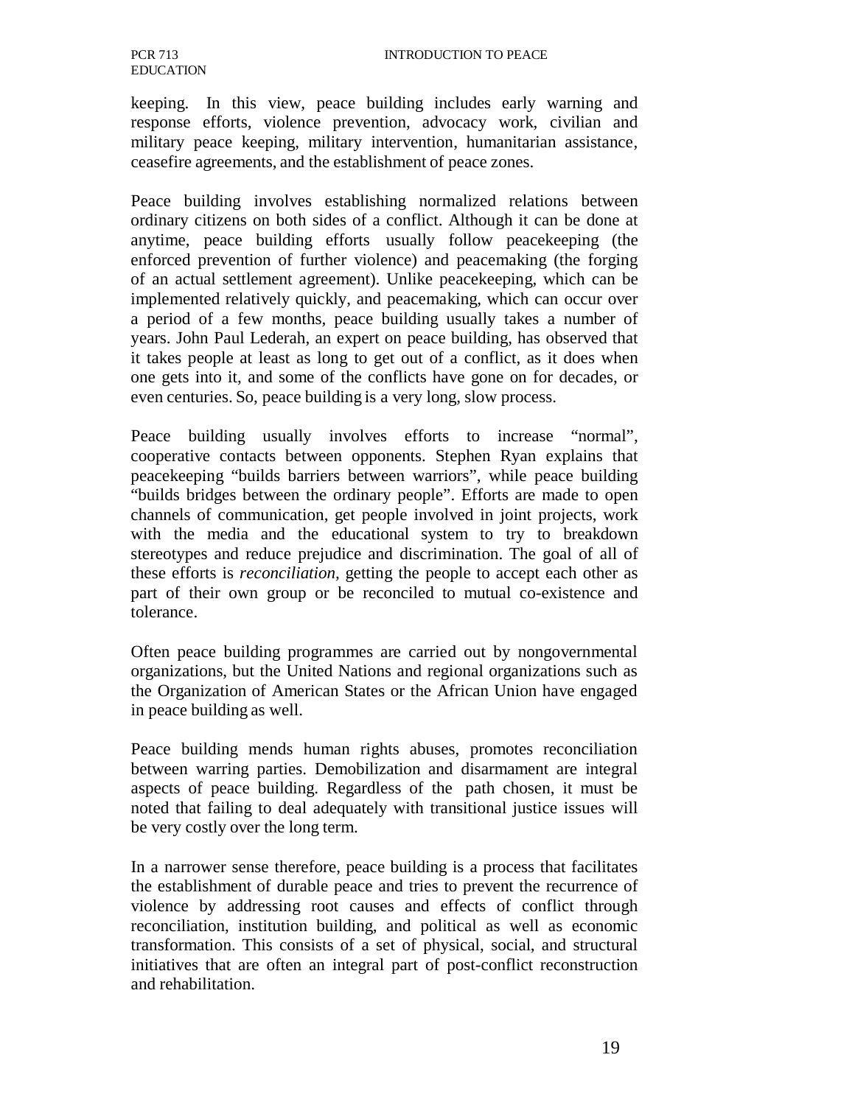keeping. In this view, peace building includes early warning and response efforts, violence prevention, advocacy work, civilian and military peace keeping, military intervention, humanitarian assistance, ceasefire agreements, and the establishment of peace zones.

Peace building involves establishing normalized relations between ordinary citizens on both sides of a conflict. Although it can be done at anytime, peace building efforts usually follow peacekeeping (the enforced prevention of further violence) and peacemaking (the forging of an actual settlement agreement). Unlike peacekeeping, which can be implemented relatively quickly, and peacemaking, which can occur over a period of a few months, peace building usually takes a number of years. John Paul Lederah, an expert on peace building, has observed that it takes people at least as long to get out of a conflict, as it does when one gets into it, and some of the conflicts have gone on for decades, or even centuries. So, peace building is a very long, slow process.

Peace building usually involves efforts to increase "normal", cooperative contacts between opponents. Stephen Ryan explains that peacekeeping "builds barriers between warriors", while peace building "builds bridges between the ordinary people". Efforts are made to open channels of communication, get people involved in joint projects, work with the media and the educational system to try to breakdown stereotypes and reduce prejudice and discrimination. The goal of all of these efforts is *reconciliation,* getting the people to accept each other as part of their own group or be reconciled to mutual co-existence and tolerance.

Often peace building programmes are carried out by nongovernmental organizations, but the United Nations and regional organizations such as the Organization of American States or the African Union have engaged in peace building as well.

Peace building mends human rights abuses, promotes reconciliation between warring parties. Demobilization and disarmament are integral aspects of peace building. Regardless of the path chosen, it must be noted that failing to deal adequately with transitional justice issues will be very costly over the long term.

In a narrower sense therefore, peace building is a process that facilitates the establishment of durable peace and tries to prevent the recurrence of violence by addressing root causes and effects of conflict through reconciliation, institution building, and political as well as economic transformation. This consists of a set of physical, social, and structural initiatives that are often an integral part of post-conflict reconstruction and rehabilitation.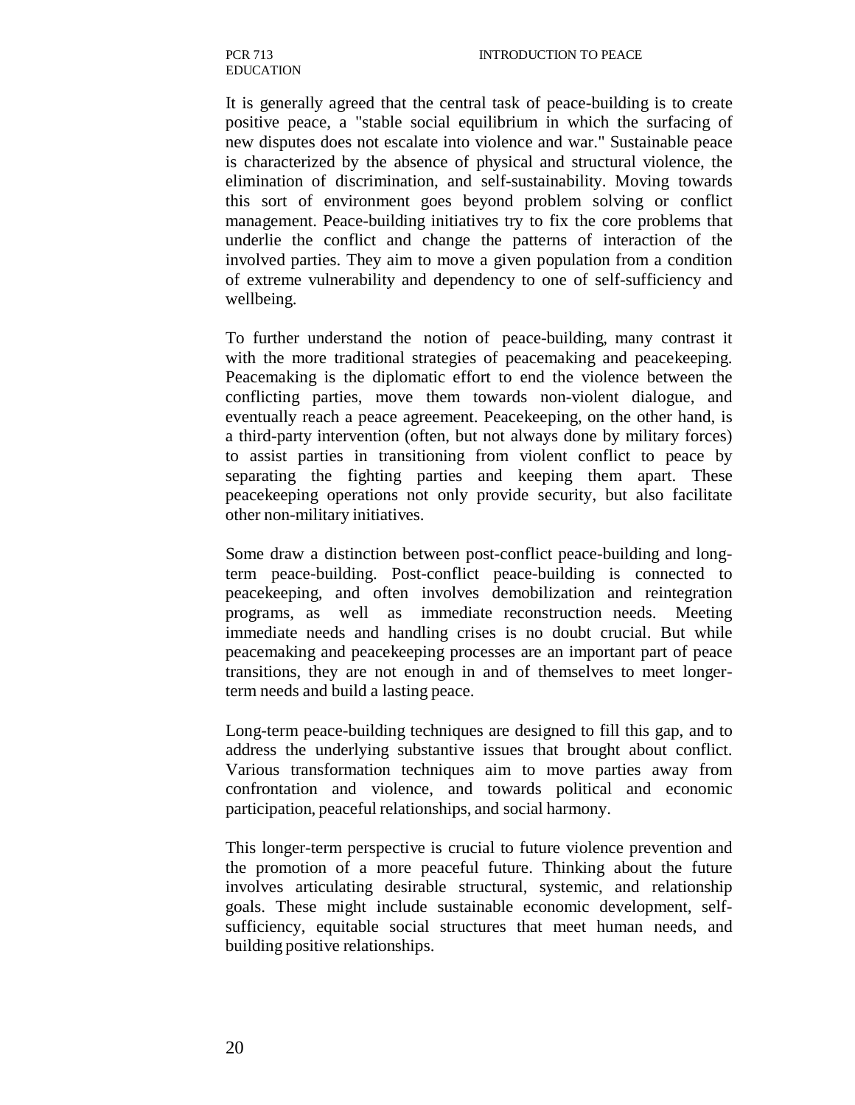It is generally agreed that the central task of peace-building is to create positive peace, a "stable social equilibrium in which the surfacing of new disputes does not escalate into violence and war." Sustainable peace is characterized by the absence of physical and structural violence, the elimination of discrimination, and self-sustainability. Moving towards this sort of environment goes beyond problem solving or conflict management. Peace-building initiatives try to fix the core problems that underlie the conflict and change the patterns of interaction of the involved parties. They aim to move a given population from a condition of extreme vulnerability and dependency to one of self-sufficiency and wellbeing.

To further understand the notion of peace-building, many contrast it with the more traditional strategies of peacemaking and peacekeeping. Peacemaking is the diplomatic effort to end the violence between the conflicting parties, move them towards non-violent dialogue, and eventually reach a peace agreement. Peacekeeping, on the other hand, is a third-party intervention (often, but not always done by military forces) to assist parties in transitioning from violent conflict to peace by separating the fighting parties and keeping them apart. These peacekeeping operations not only provide security, but also facilitate other non-military initiatives.

Some draw a distinction between post-conflict peace-building and longterm peace-building. Post-conflict peace-building is connected to peacekeeping, and often involves demobilization and reintegration programs, as well as immediate reconstruction needs. Meeting immediate needs and handling crises is no doubt crucial. But while peacemaking and peacekeeping processes are an important part of peace transitions, they are not enough in and of themselves to meet longerterm needs and build a lasting peace.

Long-term peace-building techniques are designed to fill this gap, and to address the underlying substantive issues that brought about conflict. Various transformation techniques aim to move parties away from confrontation and violence, and towards political and economic participation, peaceful relationships, and social harmony.

This longer-term perspective is crucial to future violence prevention and the promotion of a more peaceful future. Thinking about the future involves articulating desirable structural, systemic, and relationship goals. These might include sustainable economic development, selfsufficiency, equitable social structures that meet human needs, and building positive relationships.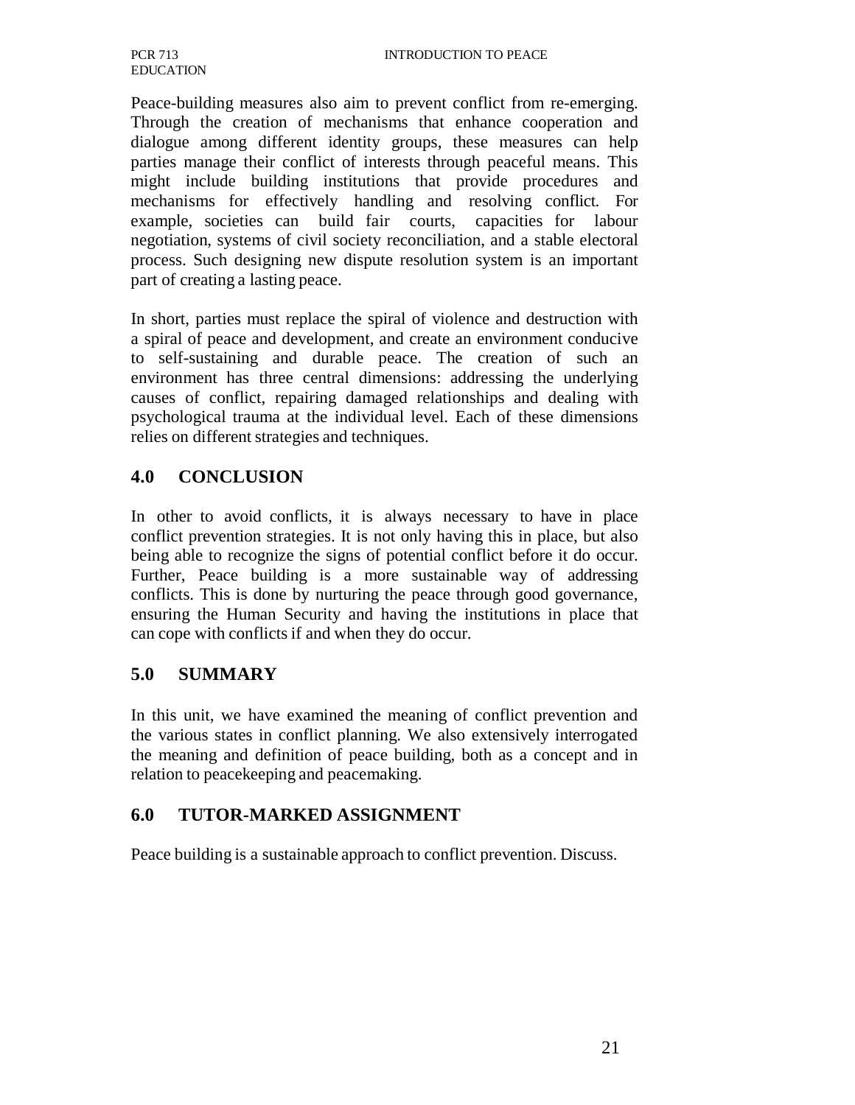Peace-building measures also aim to prevent conflict from re-emerging. Through the creation of mechanisms that enhance cooperation and dialogue among different identity groups, these measures can help parties manage their conflict of interests through peaceful means. This might include building institutions that provide procedures and mechanisms for effectively handling and resolving conflict. For example, societies can build fair courts, capacities for labour negotiation, systems of civil society reconciliation, and a stable electoral process. Such designing new dispute resolution system is an important part of creating a lasting peace.

In short, parties must replace the spiral of violence and destruction with a spiral of peace and development, and create an environment conducive to self-sustaining and durable peace. The creation of such an environment has three central dimensions: addressing the underlying causes of conflict, repairing damaged relationships and dealing with psychological trauma at the individual level. Each of these dimensions relies on different strategies and techniques.

## **4.0 CONCLUSION**

In other to avoid conflicts, it is always necessary to have in place conflict prevention strategies. It is not only having this in place, but also being able to recognize the signs of potential conflict before it do occur. Further, Peace building is a more sustainable way of addressing conflicts. This is done by nurturing the peace through good governance, ensuring the Human Security and having the institutions in place that can cope with conflicts if and when they do occur.

# **5.0 SUMMARY**

In this unit, we have examined the meaning of conflict prevention and the various states in conflict planning. We also extensively interrogated the meaning and definition of peace building, both as a concept and in relation to peacekeeping and peacemaking.

# **6.0 TUTOR-MARKED ASSIGNMENT**

Peace building is a sustainable approach to conflict prevention. Discuss.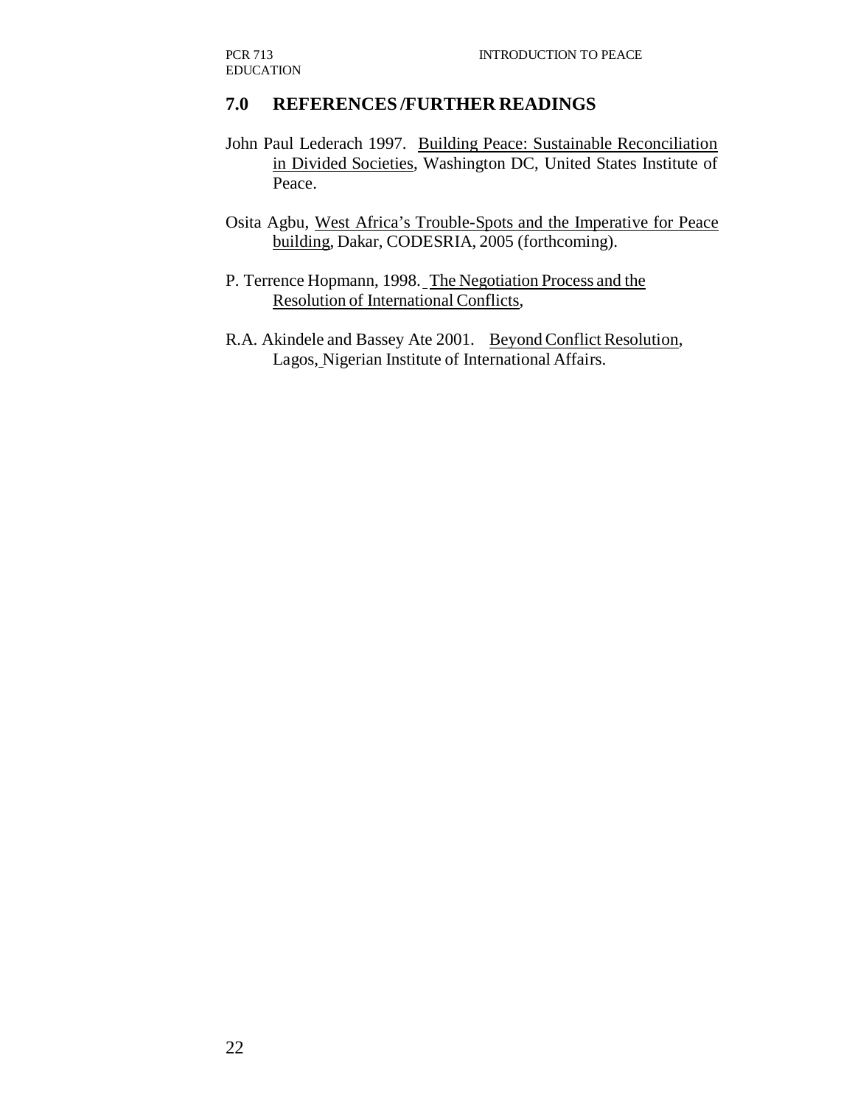### **7.0 REFERENCES /FURTHER READINGS**

- John Paul Lederach 1997. Building Peace: Sustainable Reconciliation in Divided Societies, Washington DC, United States Institute of Peace.
- Osita Agbu, West Africa's Trouble-Spots and the Imperative for Peace building, Dakar, CODESRIA, 2005 (forthcoming).
- P. Terrence Hopmann, 1998. The Negotiation Process and the Resolution of International Conflicts,
- R.A. Akindele and Bassey Ate 2001. Beyond Conflict Resolution, Lagos, Nigerian Institute of International Affairs.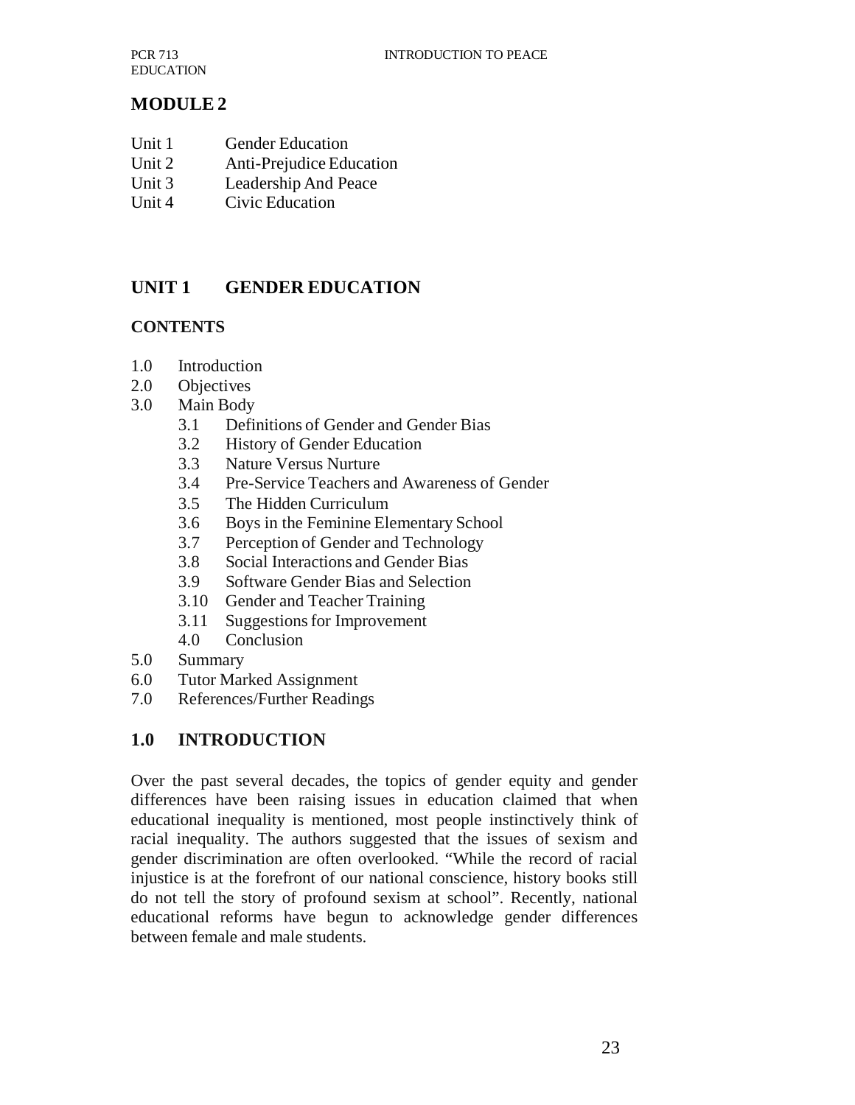## **MODULE 2**

- Unit 1 Gender Education
- Unit 2 Anti-Prejudice Education
- Unit 3 Leadership And Peace
- Unit 4 Civic Education

## **UNIT 1 GENDER EDUCATION**

#### **CONTENTS**

- 1.0 Introduction
- 2.0 Objectives
- 3.0 Main Body
	- 3.1 Definitions of Gender and Gender Bias
	- 3.2 History of Gender Education
	- 3.3 Nature Versus Nurture
	- 3.4 Pre-Service Teachers and Awareness of Gender
	- 3.5 The Hidden Curriculum
	- 3.6 Boys in the Feminine Elementary School
	- 3.7 Perception of Gender and Technology
	- 3.8 Social Interactions and Gender Bias
	- 3.9 Software Gender Bias and Selection
	- 3.10 Gender and Teacher Training
	- 3.11 Suggestions for Improvement
	- 4.0 Conclusion
- 5.0 Summary
- 6.0 Tutor Marked Assignment
- 7.0 References/Further Readings

### **1.0 INTRODUCTION**

Over the past several decades, the topics of gender equity and gender differences have been raising issues in education claimed that when educational inequality is mentioned, most people instinctively think of racial inequality. The authors suggested that the issues of sexism and gender discrimination are often overlooked. "While the record of racial injustice is at the forefront of our national conscience, history books still do not tell the story of profound sexism at school". Recently, national educational reforms have begun to acknowledge gender differences between female and male students.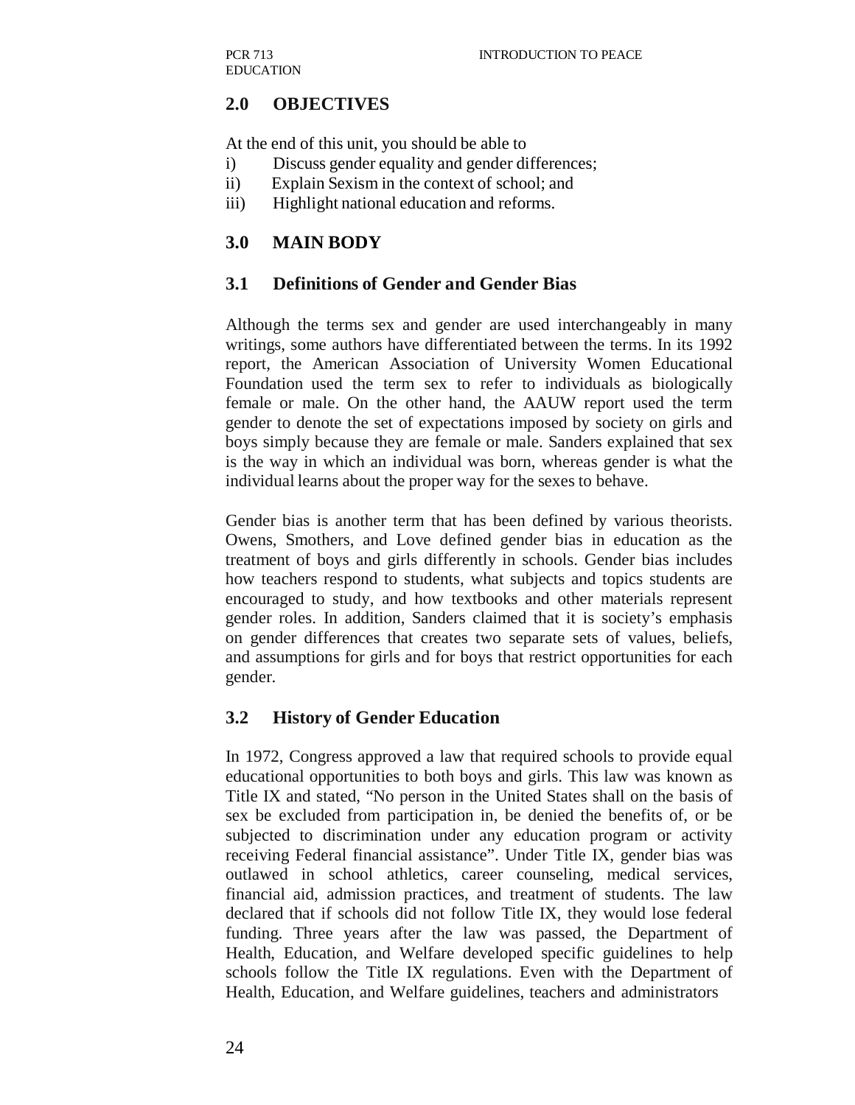## **2.0 OBJECTIVES**

At the end of this unit, you should be able to

- i) Discuss gender equality and gender differences;
- ii) Explain Sexism in the context of school; and
- iii) Highlight national education and reforms.

## **3.0 MAIN BODY**

#### **3.1 Definitions of Gender and Gender Bias**

Although the terms sex and gender are used interchangeably in many writings, some authors have differentiated between the terms. In its 1992 report, the American Association of University Women Educational Foundation used the term sex to refer to individuals as biologically female or male. On the other hand, the AAUW report used the term gender to denote the set of expectations imposed by society on girls and boys simply because they are female or male. Sanders explained that sex is the way in which an individual was born, whereas gender is what the individual learns about the proper way for the sexes to behave.

Gender bias is another term that has been defined by various theorists. Owens, Smothers, and Love defined gender bias in education as the treatment of boys and girls differently in schools. Gender bias includes how teachers respond to students, what subjects and topics students are encouraged to study, and how textbooks and other materials represent gender roles. In addition, Sanders claimed that it is society's emphasis on gender differences that creates two separate sets of values, beliefs, and assumptions for girls and for boys that restrict opportunities for each gender.

### **3.2 History of Gender Education**

In 1972, Congress approved a law that required schools to provide equal educational opportunities to both boys and girls. This law was known as Title IX and stated, "No person in the United States shall on the basis of sex be excluded from participation in, be denied the benefits of, or be subjected to discrimination under any education program or activity receiving Federal financial assistance". Under Title IX, gender bias was outlawed in school athletics, career counseling, medical services, financial aid, admission practices, and treatment of students. The law declared that if schools did not follow Title IX, they would lose federal funding. Three years after the law was passed, the Department of Health, Education, and Welfare developed specific guidelines to help schools follow the Title IX regulations. Even with the Department of Health, Education, and Welfare guidelines, teachers and administrators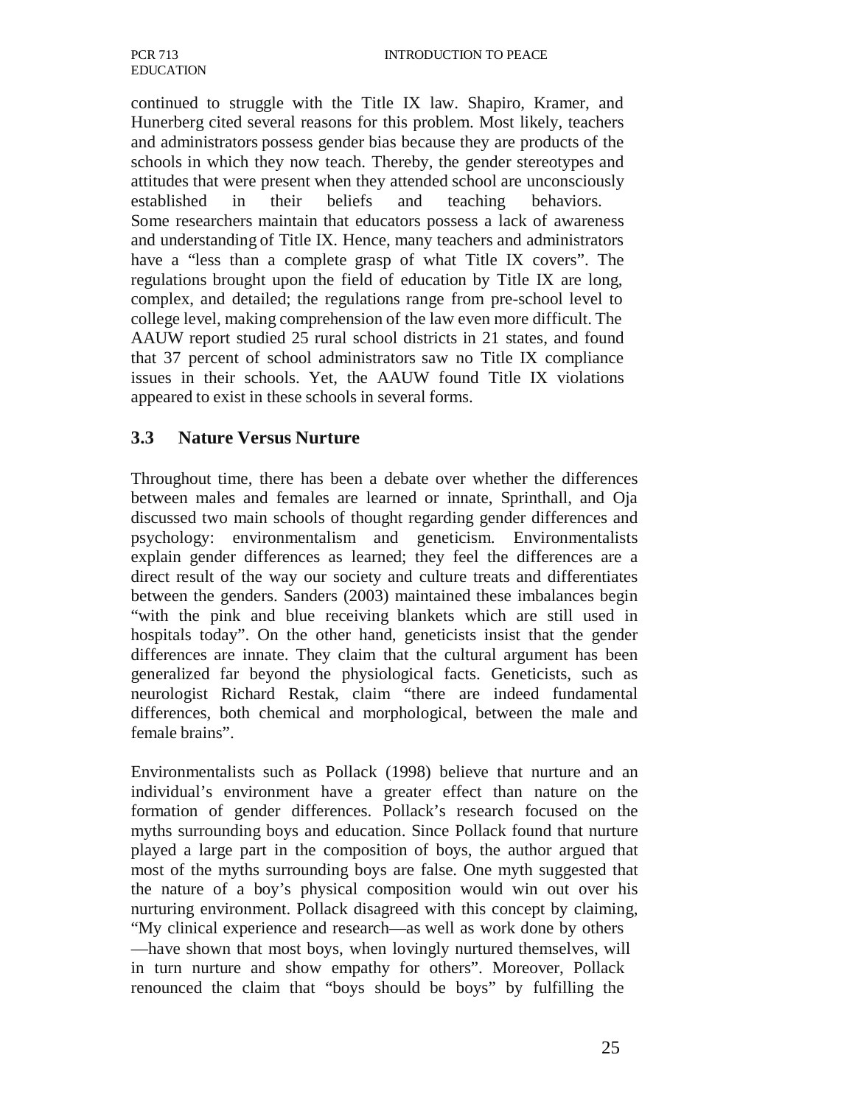continued to struggle with the Title IX law. Shapiro, Kramer, and Hunerberg cited several reasons for this problem. Most likely, teachers and administrators possess gender bias because they are products of the schools in which they now teach. Thereby, the gender stereotypes and attitudes that were present when they attended school are unconsciously established in their beliefs and teaching behaviors. Some researchers maintain that educators possess a lack of awareness and understanding of Title IX. Hence, many teachers and administrators have a "less than a complete grasp of what Title IX covers". The regulations brought upon the field of education by Title IX are long, complex, and detailed; the regulations range from pre-school level to college level, making comprehension of the law even more difficult. The AAUW report studied 25 rural school districts in 21 states, and found that 37 percent of school administrators saw no Title IX compliance issues in their schools. Yet, the AAUW found Title IX violations appeared to exist in these schools in several forms.

### **3.3 Nature Versus Nurture**

Throughout time, there has been a debate over whether the differences between males and females are learned or innate, Sprinthall, and Oja discussed two main schools of thought regarding gender differences and psychology: environmentalism and geneticism. Environmentalists explain gender differences as learned; they feel the differences are a direct result of the way our society and culture treats and differentiates between the genders. Sanders (2003) maintained these imbalances begin "with the pink and blue receiving blankets which are still used in hospitals today". On the other hand, geneticists insist that the gender differences are innate. They claim that the cultural argument has been generalized far beyond the physiological facts. Geneticists, such as neurologist Richard Restak, claim "there are indeed fundamental differences, both chemical and morphological, between the male and female brains".

Environmentalists such as Pollack (1998) believe that nurture and an individual's environment have a greater effect than nature on the formation of gender differences. Pollack's research focused on the myths surrounding boys and education. Since Pollack found that nurture played a large part in the composition of boys, the author argued that most of the myths surrounding boys are false. One myth suggested that the nature of a boy's physical composition would win out over his nurturing environment. Pollack disagreed with this concept by claiming, "My clinical experience and research—as well as work done by others —have shown that most boys, when lovingly nurtured themselves, will in turn nurture and show empathy for others". Moreover, Pollack renounced the claim that "boys should be boys" by fulfilling the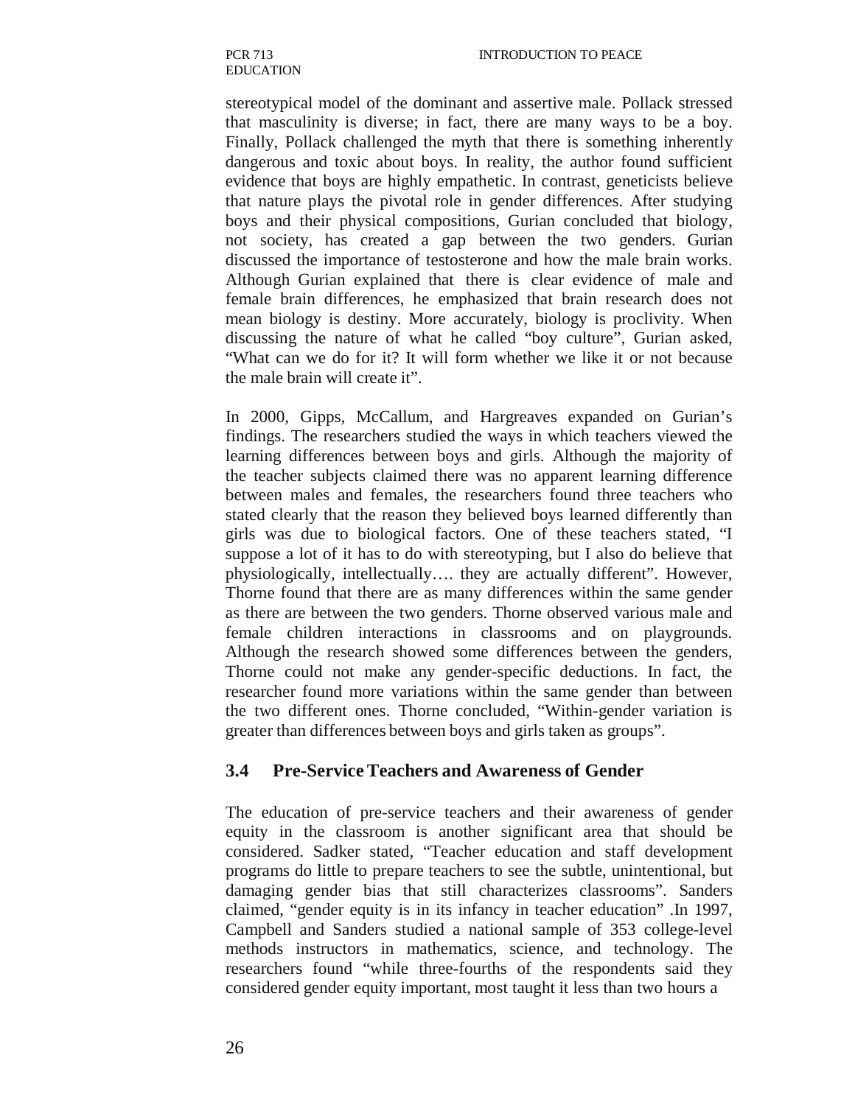stereotypical model of the dominant and assertive male. Pollack stressed that masculinity is diverse; in fact, there are many ways to be a boy. Finally, Pollack challenged the myth that there is something inherently dangerous and toxic about boys. In reality, the author found sufficient evidence that boys are highly empathetic. In contrast, geneticists believe that nature plays the pivotal role in gender differences. After studying boys and their physical compositions, Gurian concluded that biology, not society, has created a gap between the two genders. Gurian discussed the importance of testosterone and how the male brain works. Although Gurian explained that there is clear evidence of male and female brain differences, he emphasized that brain research does not mean biology is destiny. More accurately, biology is proclivity. When discussing the nature of what he called "boy culture", Gurian asked, "What can we do for it? It will form whether we like it or not because the male brain will create it".

In 2000, Gipps, McCallum, and Hargreaves expanded on Gurian's findings. The researchers studied the ways in which teachers viewed the learning differences between boys and girls. Although the majority of the teacher subjects claimed there was no apparent learning difference between males and females, the researchers found three teachers who stated clearly that the reason they believed boys learned differently than girls was due to biological factors. One of these teachers stated, "I suppose a lot of it has to do with stereotyping, but I also do believe that physiologically, intellectually…. they are actually different". However, Thorne found that there are as many differences within the same gender as there are between the two genders. Thorne observed various male and female children interactions in classrooms and on playgrounds. Although the research showed some differences between the genders, Thorne could not make any gender-specific deductions. In fact, the researcher found more variations within the same gender than between the two different ones. Thorne concluded, "Within-gender variation is greater than differences between boys and girls taken as groups".

#### **3.4 Pre-Service Teachers and Awareness of Gender**

The education of pre-service teachers and their awareness of gender equity in the classroom is another significant area that should be considered. Sadker stated, "Teacher education and staff development programs do little to prepare teachers to see the subtle, unintentional, but damaging gender bias that still characterizes classrooms". Sanders claimed, "gender equity is in its infancy in teacher education" .In 1997, Campbell and Sanders studied a national sample of 353 college-level methods instructors in mathematics, science, and technology. The researchers found "while three-fourths of the respondents said they considered gender equity important, most taught it less than two hours a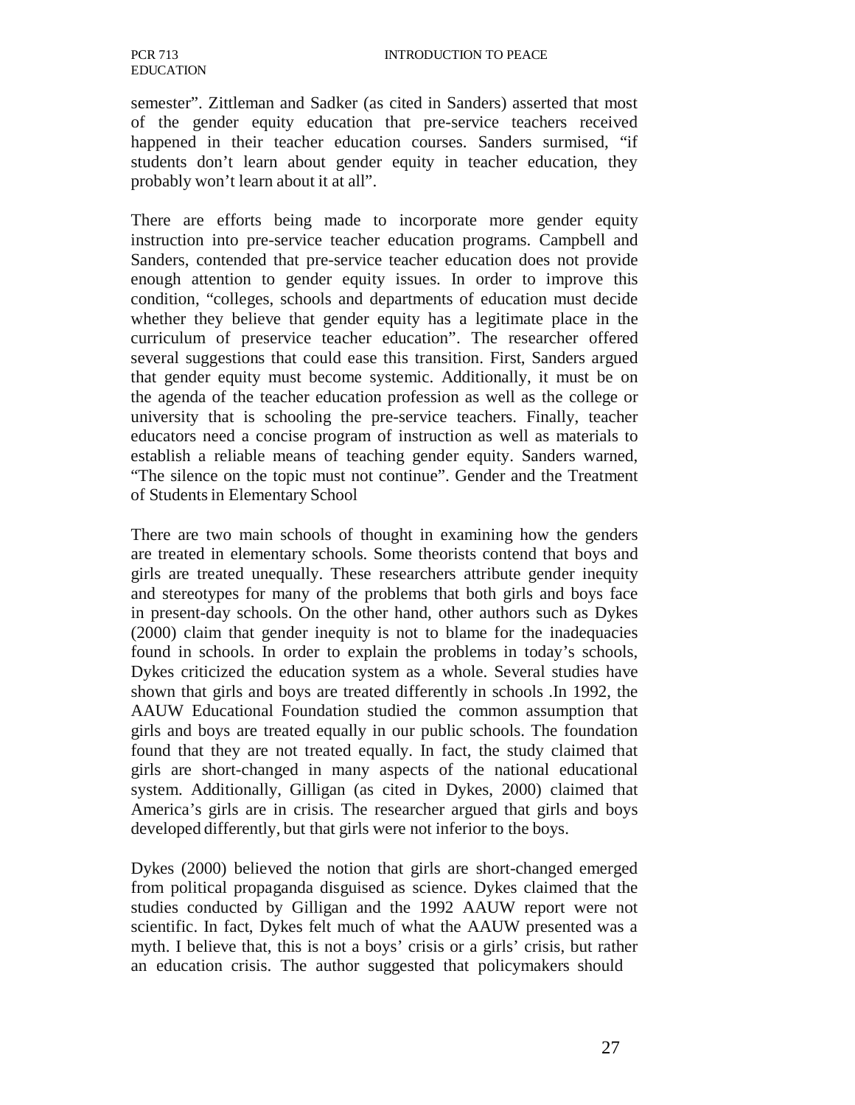semester". Zittleman and Sadker (as cited in Sanders) asserted that most of the gender equity education that pre-service teachers received happened in their teacher education courses. Sanders surmised, "if students don't learn about gender equity in teacher education, they probably won't learn about it at all".

There are efforts being made to incorporate more gender equity instruction into pre-service teacher education programs. Campbell and Sanders, contended that pre-service teacher education does not provide enough attention to gender equity issues. In order to improve this condition, "colleges, schools and departments of education must decide whether they believe that gender equity has a legitimate place in the curriculum of preservice teacher education". The researcher offered several suggestions that could ease this transition. First, Sanders argued that gender equity must become systemic. Additionally, it must be on the agenda of the teacher education profession as well as the college or university that is schooling the pre-service teachers. Finally, teacher educators need a concise program of instruction as well as materials to establish a reliable means of teaching gender equity. Sanders warned, "The silence on the topic must not continue". Gender and the Treatment of Students in Elementary School

There are two main schools of thought in examining how the genders are treated in elementary schools. Some theorists contend that boys and girls are treated unequally. These researchers attribute gender inequity and stereotypes for many of the problems that both girls and boys face in present-day schools. On the other hand, other authors such as Dykes (2000) claim that gender inequity is not to blame for the inadequacies found in schools. In order to explain the problems in today's schools, Dykes criticized the education system as a whole. Several studies have shown that girls and boys are treated differently in schools .In 1992, the AAUW Educational Foundation studied the common assumption that girls and boys are treated equally in our public schools. The foundation found that they are not treated equally. In fact, the study claimed that girls are short-changed in many aspects of the national educational system. Additionally, Gilligan (as cited in Dykes, 2000) claimed that America's girls are in crisis. The researcher argued that girls and boys developed differently, but that girls were not inferior to the boys.

Dykes (2000) believed the notion that girls are short-changed emerged from political propaganda disguised as science. Dykes claimed that the studies conducted by Gilligan and the 1992 AAUW report were not scientific. In fact, Dykes felt much of what the AAUW presented was a myth. I believe that, this is not a boys' crisis or a girls' crisis, but rather an education crisis. The author suggested that policymakers should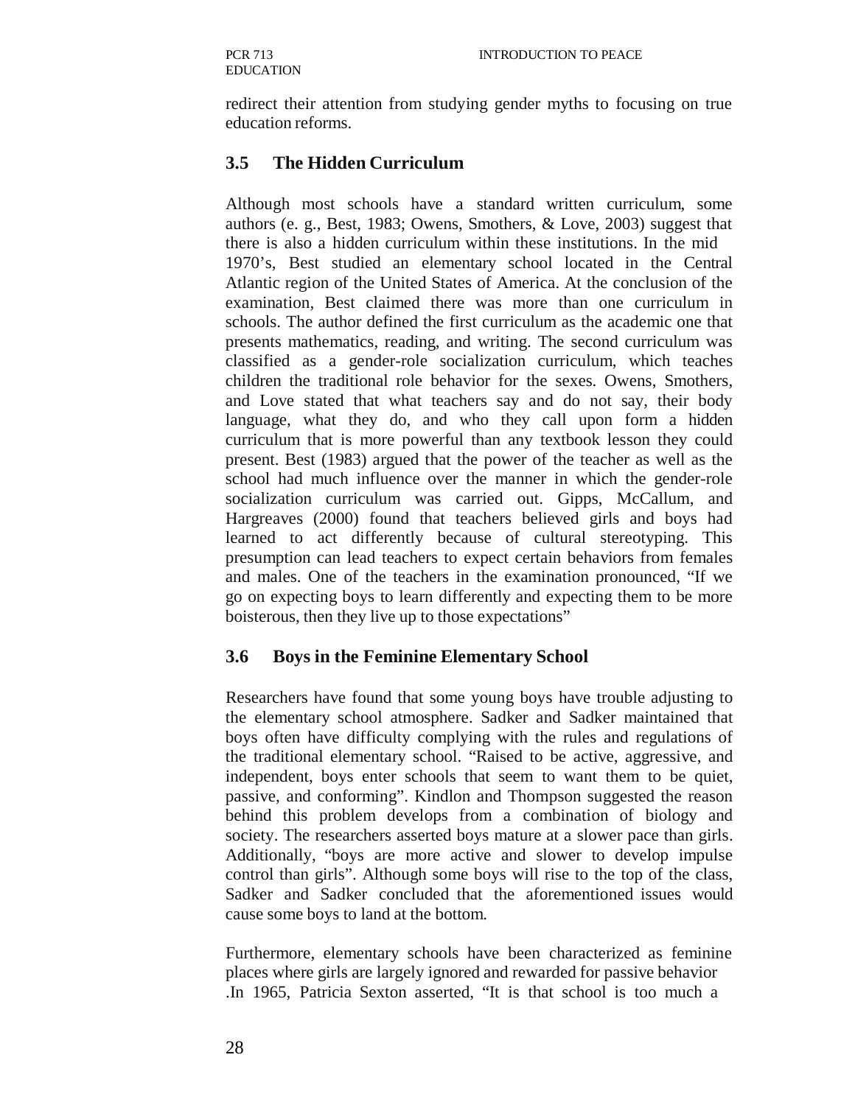redirect their attention from studying gender myths to focusing on true education reforms.

## **3.5 The Hidden Curriculum**

Although most schools have a standard written curriculum, some authors (e. g., Best, 1983; Owens, Smothers, & Love, 2003) suggest that there is also a hidden curriculum within these institutions. In the mid 1970's, Best studied an elementary school located in the Central Atlantic region of the United States of America. At the conclusion of the examination, Best claimed there was more than one curriculum in schools. The author defined the first curriculum as the academic one that presents mathematics, reading, and writing. The second curriculum was classified as a gender-role socialization curriculum, which teaches children the traditional role behavior for the sexes. Owens, Smothers, and Love stated that what teachers say and do not say, their body language, what they do, and who they call upon form a hidden curriculum that is more powerful than any textbook lesson they could present. Best (1983) argued that the power of the teacher as well as the school had much influence over the manner in which the gender-role socialization curriculum was carried out. Gipps, McCallum, and Hargreaves (2000) found that teachers believed girls and boys had learned to act differently because of cultural stereotyping. This presumption can lead teachers to expect certain behaviors from females and males. One of the teachers in the examination pronounced, "If we go on expecting boys to learn differently and expecting them to be more boisterous, then they live up to those expectations"

### **3.6 Boys in the Feminine Elementary School**

Researchers have found that some young boys have trouble adjusting to the elementary school atmosphere. Sadker and Sadker maintained that boys often have difficulty complying with the rules and regulations of the traditional elementary school. "Raised to be active, aggressive, and independent, boys enter schools that seem to want them to be quiet, passive, and conforming". Kindlon and Thompson suggested the reason behind this problem develops from a combination of biology and society. The researchers asserted boys mature at a slower pace than girls. Additionally, "boys are more active and slower to develop impulse control than girls". Although some boys will rise to the top of the class, Sadker and Sadker concluded that the aforementioned issues would cause some boys to land at the bottom.

Furthermore, elementary schools have been characterized as feminine places where girls are largely ignored and rewarded for passive behavior .In 1965, Patricia Sexton asserted, "It is that school is too much a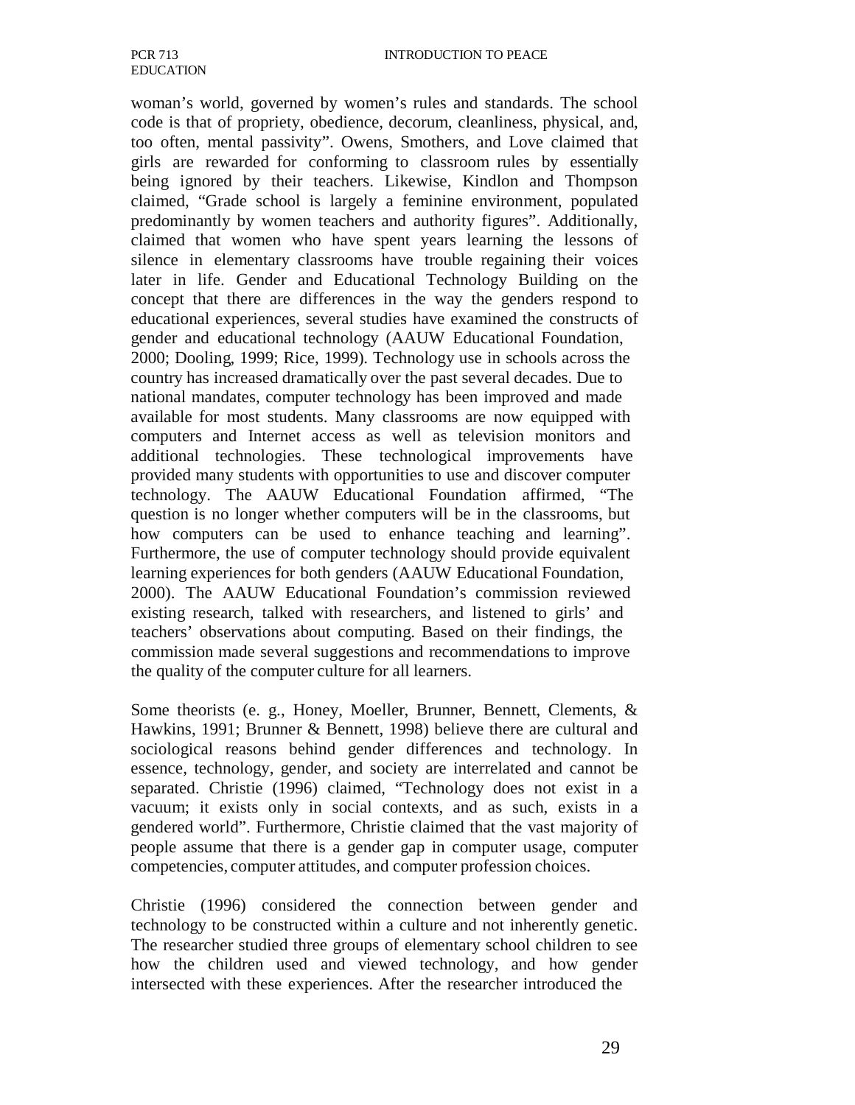woman's world, governed by women's rules and standards. The school code is that of propriety, obedience, decorum, cleanliness, physical, and, too often, mental passivity". Owens, Smothers, and Love claimed that girls are rewarded for conforming to classroom rules by essentially being ignored by their teachers. Likewise, Kindlon and Thompson claimed, "Grade school is largely a feminine environment, populated predominantly by women teachers and authority figures". Additionally, claimed that women who have spent years learning the lessons of silence in elementary classrooms have trouble regaining their voices later in life. Gender and Educational Technology Building on the concept that there are differences in the way the genders respond to educational experiences, several studies have examined the constructs of gender and educational technology (AAUW Educational Foundation, 2000; Dooling, 1999; Rice, 1999). Technology use in schools across the country has increased dramatically over the past several decades. Due to national mandates, computer technology has been improved and made available for most students. Many classrooms are now equipped with computers and Internet access as well as television monitors and additional technologies. These technological improvements have provided many students with opportunities to use and discover computer technology. The AAUW Educational Foundation affirmed, "The question is no longer whether computers will be in the classrooms, but how computers can be used to enhance teaching and learning". Furthermore, the use of computer technology should provide equivalent learning experiences for both genders (AAUW Educational Foundation, 2000). The AAUW Educational Foundation's commission reviewed existing research, talked with researchers, and listened to girls' and teachers' observations about computing. Based on their findings, the commission made several suggestions and recommendations to improve the quality of the computer culture for all learners.

Some theorists (e. g., Honey, Moeller, Brunner, Bennett, Clements, & Hawkins, 1991; Brunner & Bennett, 1998) believe there are cultural and sociological reasons behind gender differences and technology. In essence, technology, gender, and society are interrelated and cannot be separated. Christie (1996) claimed, "Technology does not exist in a vacuum; it exists only in social contexts, and as such, exists in a gendered world". Furthermore, Christie claimed that the vast majority of people assume that there is a gender gap in computer usage, computer competencies, computer attitudes, and computer profession choices.

Christie (1996) considered the connection between gender and technology to be constructed within a culture and not inherently genetic. The researcher studied three groups of elementary school children to see how the children used and viewed technology, and how gender intersected with these experiences. After the researcher introduced the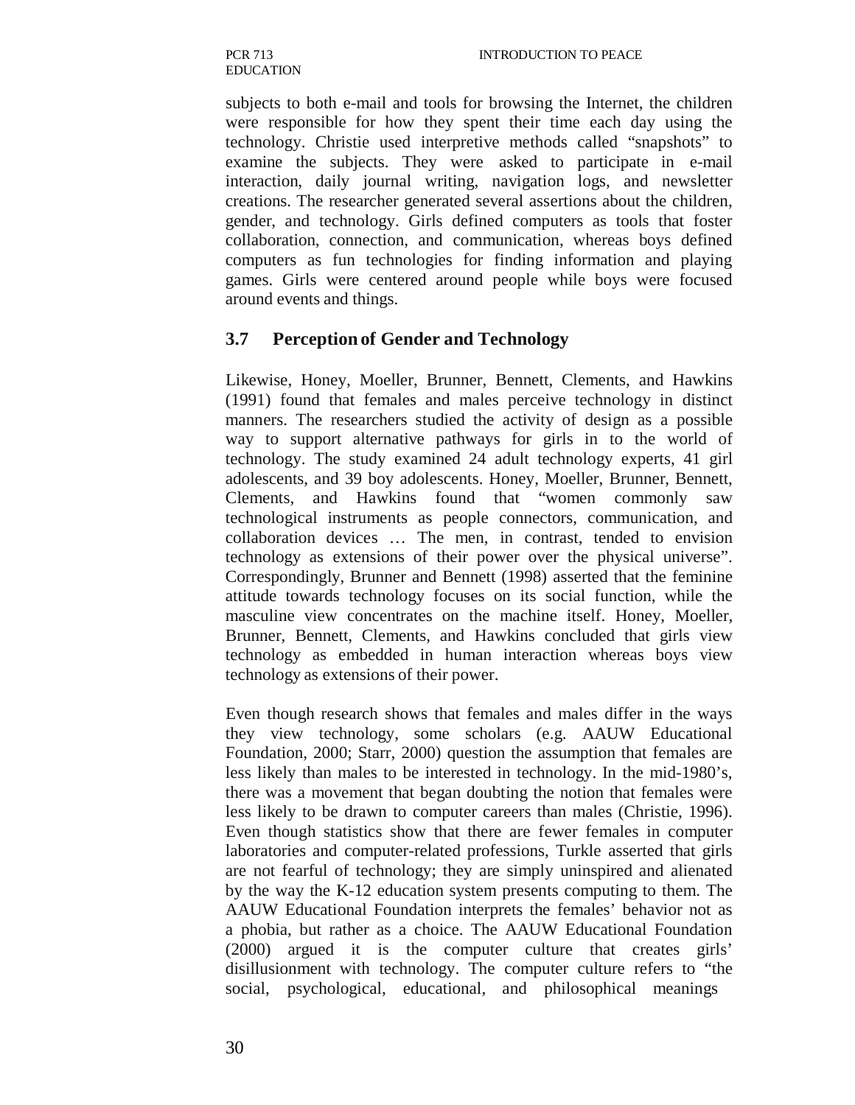subjects to both e-mail and tools for browsing the Internet, the children were responsible for how they spent their time each day using the technology. Christie used interpretive methods called "snapshots" to examine the subjects. They were asked to participate in e-mail interaction, daily journal writing, navigation logs, and newsletter creations. The researcher generated several assertions about the children, gender, and technology. Girls defined computers as tools that foster collaboration, connection, and communication, whereas boys defined computers as fun technologies for finding information and playing games. Girls were centered around people while boys were focused around events and things.

#### **3.7 Perception of Gender and Technology**

Likewise, Honey, Moeller, Brunner, Bennett, Clements, and Hawkins (1991) found that females and males perceive technology in distinct manners. The researchers studied the activity of design as a possible way to support alternative pathways for girls in to the world of technology. The study examined 24 adult technology experts, 41 girl adolescents, and 39 boy adolescents. Honey, Moeller, Brunner, Bennett, Clements, and Hawkins found that "women commonly saw technological instruments as people connectors, communication, and collaboration devices … The men, in contrast, tended to envision technology as extensions of their power over the physical universe". Correspondingly, Brunner and Bennett (1998) asserted that the feminine attitude towards technology focuses on its social function, while the masculine view concentrates on the machine itself. Honey, Moeller, Brunner, Bennett, Clements, and Hawkins concluded that girls view technology as embedded in human interaction whereas boys view technology as extensions of their power.

Even though research shows that females and males differ in the ways they view technology, some scholars (e.g. AAUW Educational Foundation, 2000; Starr, 2000) question the assumption that females are less likely than males to be interested in technology. In the mid-1980's, there was a movement that began doubting the notion that females were less likely to be drawn to computer careers than males (Christie, 1996). Even though statistics show that there are fewer females in computer laboratories and computer-related professions, Turkle asserted that girls are not fearful of technology; they are simply uninspired and alienated by the way the K-12 education system presents computing to them. The AAUW Educational Foundation interprets the females' behavior not as a phobia, but rather as a choice. The AAUW Educational Foundation (2000) argued it is the computer culture that creates girls' disillusionment with technology. The computer culture refers to "the social, psychological, educational, and philosophical meanings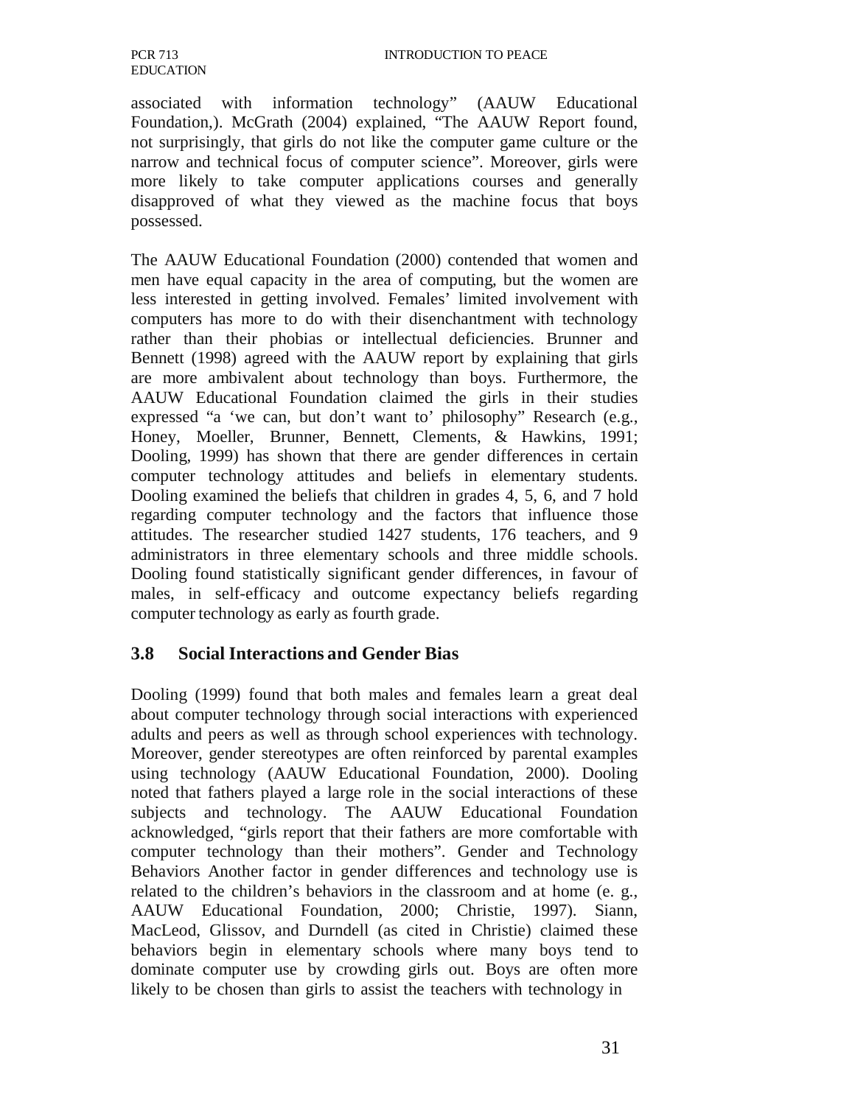associated with information technology" (AAUW Educational Foundation,). McGrath (2004) explained, "The AAUW Report found, not surprisingly, that girls do not like the computer game culture or the narrow and technical focus of computer science". Moreover, girls were more likely to take computer applications courses and generally disapproved of what they viewed as the machine focus that boys possessed.

The AAUW Educational Foundation (2000) contended that women and men have equal capacity in the area of computing, but the women are less interested in getting involved. Females' limited involvement with computers has more to do with their disenchantment with technology rather than their phobias or intellectual deficiencies. Brunner and Bennett (1998) agreed with the AAUW report by explaining that girls are more ambivalent about technology than boys. Furthermore, the AAUW Educational Foundation claimed the girls in their studies expressed "a 'we can, but don't want to' philosophy" Research (e.g., Honey, Moeller, Brunner, Bennett, Clements, & Hawkins, 1991; Dooling, 1999) has shown that there are gender differences in certain computer technology attitudes and beliefs in elementary students. Dooling examined the beliefs that children in grades 4, 5, 6, and 7 hold regarding computer technology and the factors that influence those attitudes. The researcher studied 1427 students, 176 teachers, and 9 administrators in three elementary schools and three middle schools. Dooling found statistically significant gender differences, in favour of males, in self-efficacy and outcome expectancy beliefs regarding computer technology as early as fourth grade.

### **3.8 Social Interactions and Gender Bias**

Dooling (1999) found that both males and females learn a great deal about computer technology through social interactions with experienced adults and peers as well as through school experiences with technology. Moreover, gender stereotypes are often reinforced by parental examples using technology (AAUW Educational Foundation, 2000). Dooling noted that fathers played a large role in the social interactions of these subjects and technology. The AAUW Educational Foundation acknowledged, "girls report that their fathers are more comfortable with computer technology than their mothers". Gender and Technology Behaviors Another factor in gender differences and technology use is related to the children's behaviors in the classroom and at home (e. g., AAUW Educational Foundation, 2000; Christie, 1997). Siann, MacLeod, Glissov, and Durndell (as cited in Christie) claimed these behaviors begin in elementary schools where many boys tend to dominate computer use by crowding girls out. Boys are often more likely to be chosen than girls to assist the teachers with technology in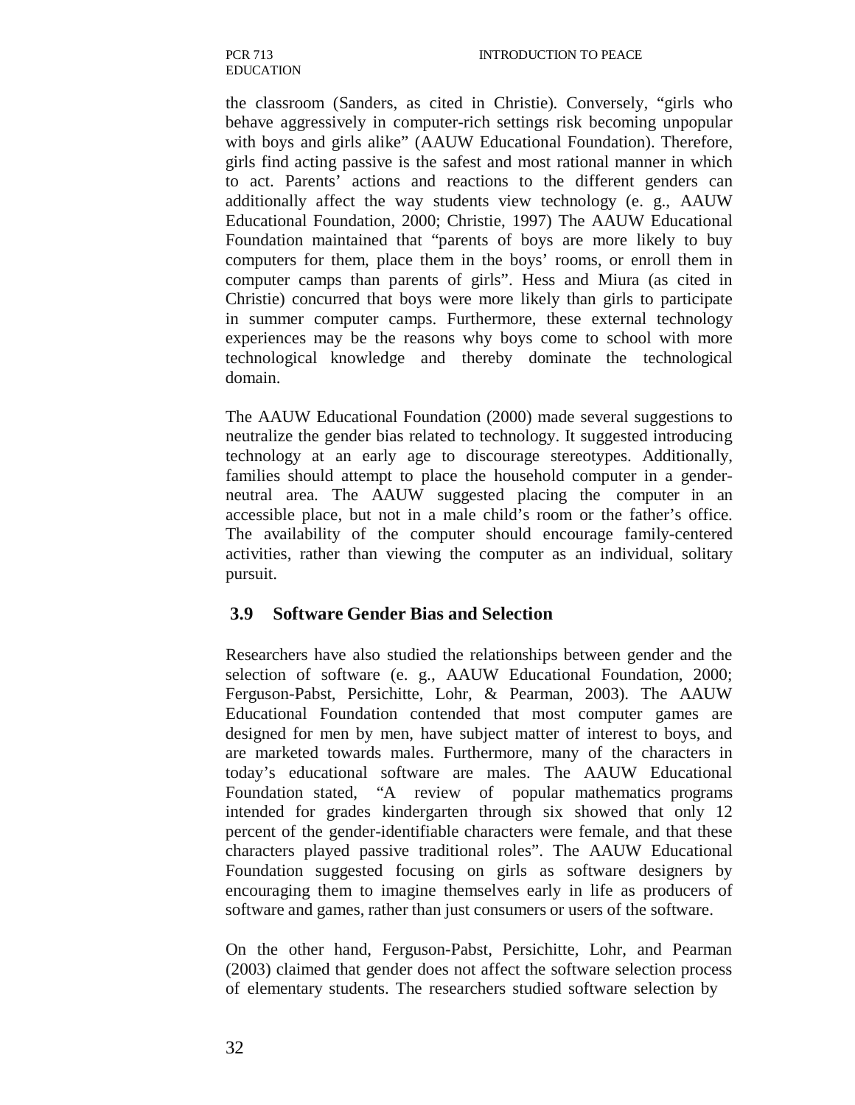the classroom (Sanders, as cited in Christie). Conversely, "girls who behave aggressively in computer-rich settings risk becoming unpopular with boys and girls alike" (AAUW Educational Foundation). Therefore, girls find acting passive is the safest and most rational manner in which to act. Parents' actions and reactions to the different genders can additionally affect the way students view technology (e. g., AAUW Educational Foundation, 2000; Christie, 1997) The AAUW Educational Foundation maintained that "parents of boys are more likely to buy computers for them, place them in the boys' rooms, or enroll them in computer camps than parents of girls". Hess and Miura (as cited in Christie) concurred that boys were more likely than girls to participate in summer computer camps. Furthermore, these external technology experiences may be the reasons why boys come to school with more technological knowledge and thereby dominate the technological domain.

The AAUW Educational Foundation (2000) made several suggestions to neutralize the gender bias related to technology. It suggested introducing technology at an early age to discourage stereotypes. Additionally, families should attempt to place the household computer in a genderneutral area. The AAUW suggested placing the computer in an accessible place, but not in a male child's room or the father's office. The availability of the computer should encourage family-centered activities, rather than viewing the computer as an individual, solitary pursuit.

### **3.9 Software Gender Bias and Selection**

Researchers have also studied the relationships between gender and the selection of software (e. g., AAUW Educational Foundation, 2000; Ferguson-Pabst, Persichitte, Lohr, & Pearman, 2003). The AAUW Educational Foundation contended that most computer games are designed for men by men, have subject matter of interest to boys, and are marketed towards males. Furthermore, many of the characters in today's educational software are males. The AAUW Educational Foundation stated, "A review of popular mathematics programs intended for grades kindergarten through six showed that only 12 percent of the gender-identifiable characters were female, and that these characters played passive traditional roles". The AAUW Educational Foundation suggested focusing on girls as software designers by encouraging them to imagine themselves early in life as producers of software and games, rather than just consumers or users of the software.

On the other hand, Ferguson-Pabst, Persichitte, Lohr, and Pearman (2003) claimed that gender does not affect the software selection process of elementary students. The researchers studied software selection by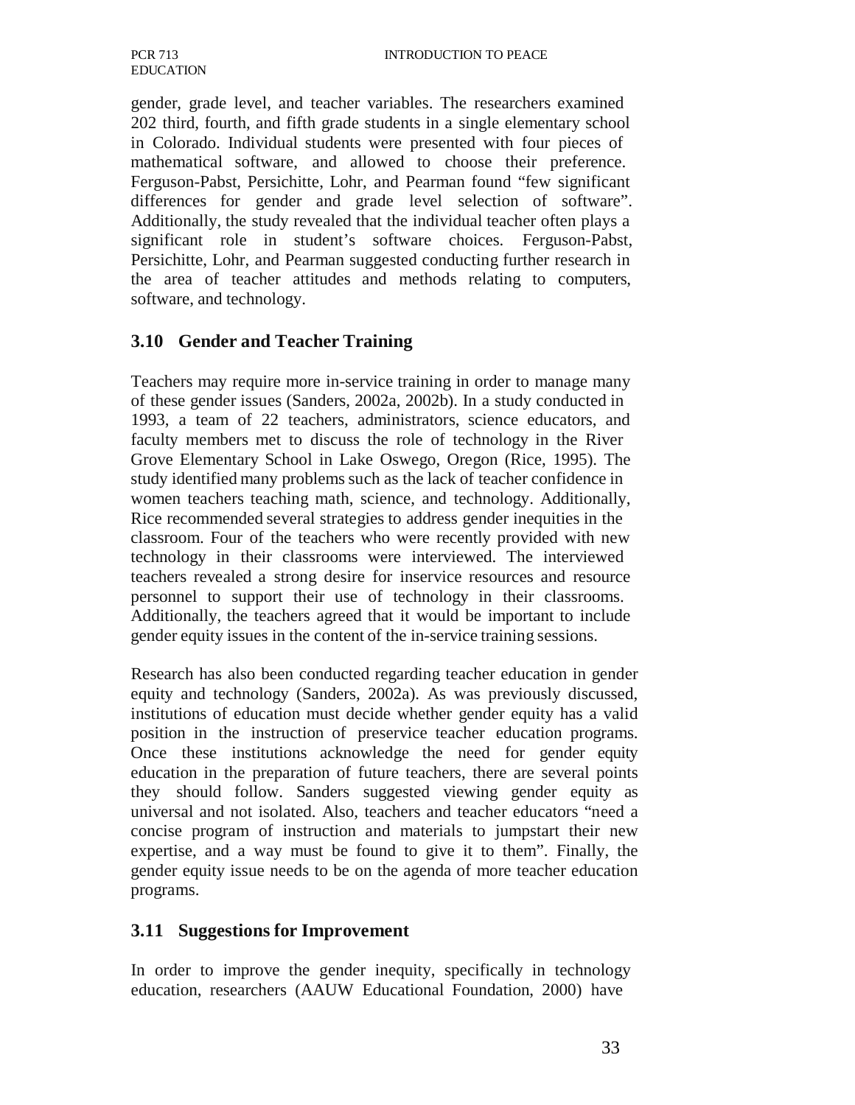gender, grade level, and teacher variables. The researchers examined 202 third, fourth, and fifth grade students in a single elementary school in Colorado. Individual students were presented with four pieces of mathematical software, and allowed to choose their preference. Ferguson-Pabst, Persichitte, Lohr, and Pearman found "few significant differences for gender and grade level selection of software". Additionally, the study revealed that the individual teacher often plays a significant role in student's software choices. Ferguson-Pabst, Persichitte, Lohr, and Pearman suggested conducting further research in the area of teacher attitudes and methods relating to computers, software, and technology.

#### **3.10 Gender and Teacher Training**

Teachers may require more in-service training in order to manage many of these gender issues (Sanders, 2002a, 2002b). In a study conducted in 1993, a team of 22 teachers, administrators, science educators, and faculty members met to discuss the role of technology in the River Grove Elementary School in Lake Oswego, Oregon (Rice, 1995). The study identified many problems such as the lack of teacher confidence in women teachers teaching math, science, and technology. Additionally, Rice recommended several strategies to address gender inequities in the classroom. Four of the teachers who were recently provided with new technology in their classrooms were interviewed. The interviewed teachers revealed a strong desire for inservice resources and resource personnel to support their use of technology in their classrooms. Additionally, the teachers agreed that it would be important to include gender equity issues in the content of the in-service training sessions.

Research has also been conducted regarding teacher education in gender equity and technology (Sanders, 2002a). As was previously discussed, institutions of education must decide whether gender equity has a valid position in the instruction of preservice teacher education programs. Once these institutions acknowledge the need for gender equity education in the preparation of future teachers, there are several points they should follow. Sanders suggested viewing gender equity as universal and not isolated. Also, teachers and teacher educators "need a concise program of instruction and materials to jumpstart their new expertise, and a way must be found to give it to them". Finally, the gender equity issue needs to be on the agenda of more teacher education programs.

#### **3.11 Suggestions for Improvement**

In order to improve the gender inequity, specifically in technology education, researchers (AAUW Educational Foundation, 2000) have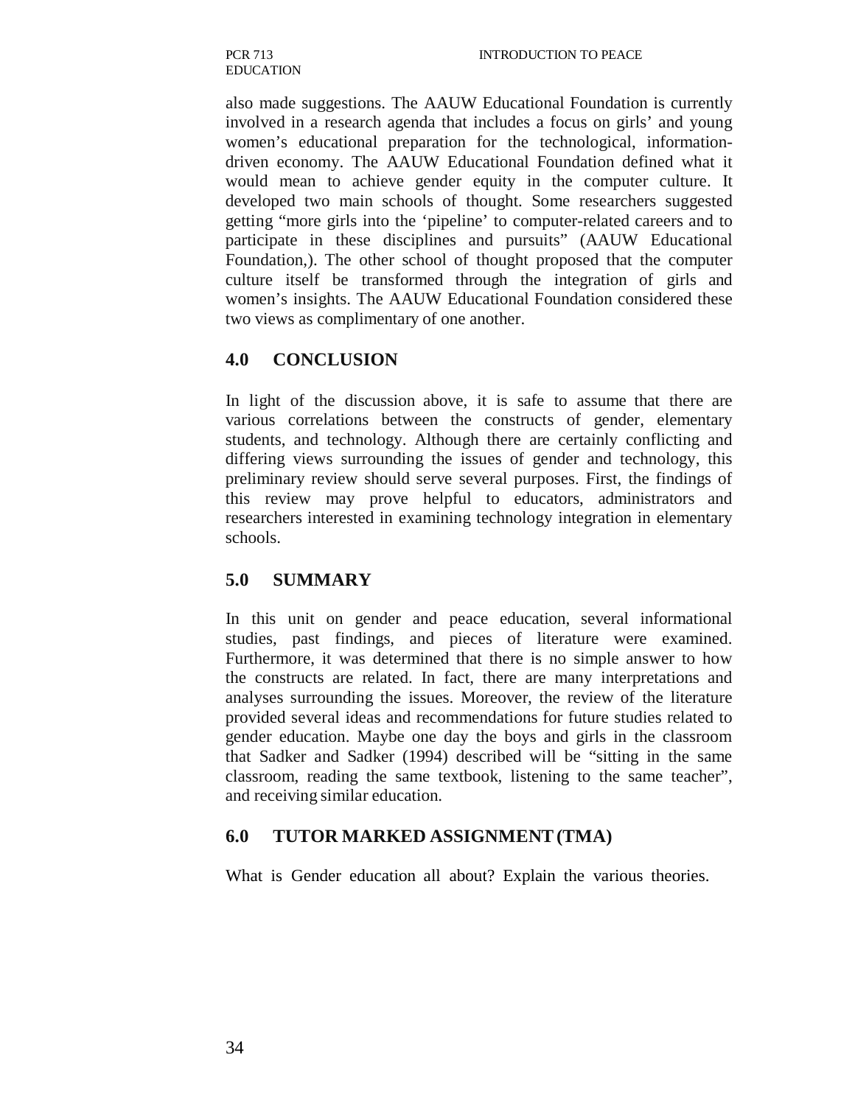also made suggestions. The AAUW Educational Foundation is currently involved in a research agenda that includes a focus on girls' and young women's educational preparation for the technological, informationdriven economy. The AAUW Educational Foundation defined what it would mean to achieve gender equity in the computer culture. It developed two main schools of thought. Some researchers suggested getting "more girls into the 'pipeline' to computer-related careers and to participate in these disciplines and pursuits" (AAUW Educational Foundation,). The other school of thought proposed that the computer culture itself be transformed through the integration of girls and women's insights. The AAUW Educational Foundation considered these two views as complimentary of one another.

## **4.0 CONCLUSION**

In light of the discussion above, it is safe to assume that there are various correlations between the constructs of gender, elementary students, and technology. Although there are certainly conflicting and differing views surrounding the issues of gender and technology, this preliminary review should serve several purposes. First, the findings of this review may prove helpful to educators, administrators and researchers interested in examining technology integration in elementary schools.

### **5.0 SUMMARY**

In this unit on gender and peace education, several informational studies, past findings, and pieces of literature were examined. Furthermore, it was determined that there is no simple answer to how the constructs are related. In fact, there are many interpretations and analyses surrounding the issues. Moreover, the review of the literature provided several ideas and recommendations for future studies related to gender education. Maybe one day the boys and girls in the classroom that Sadker and Sadker (1994) described will be "sitting in the same classroom, reading the same textbook, listening to the same teacher", and receiving similar education.

### **6.0 TUTOR MARKED ASSIGNMENT (TMA)**

What is Gender education all about? Explain the various theories.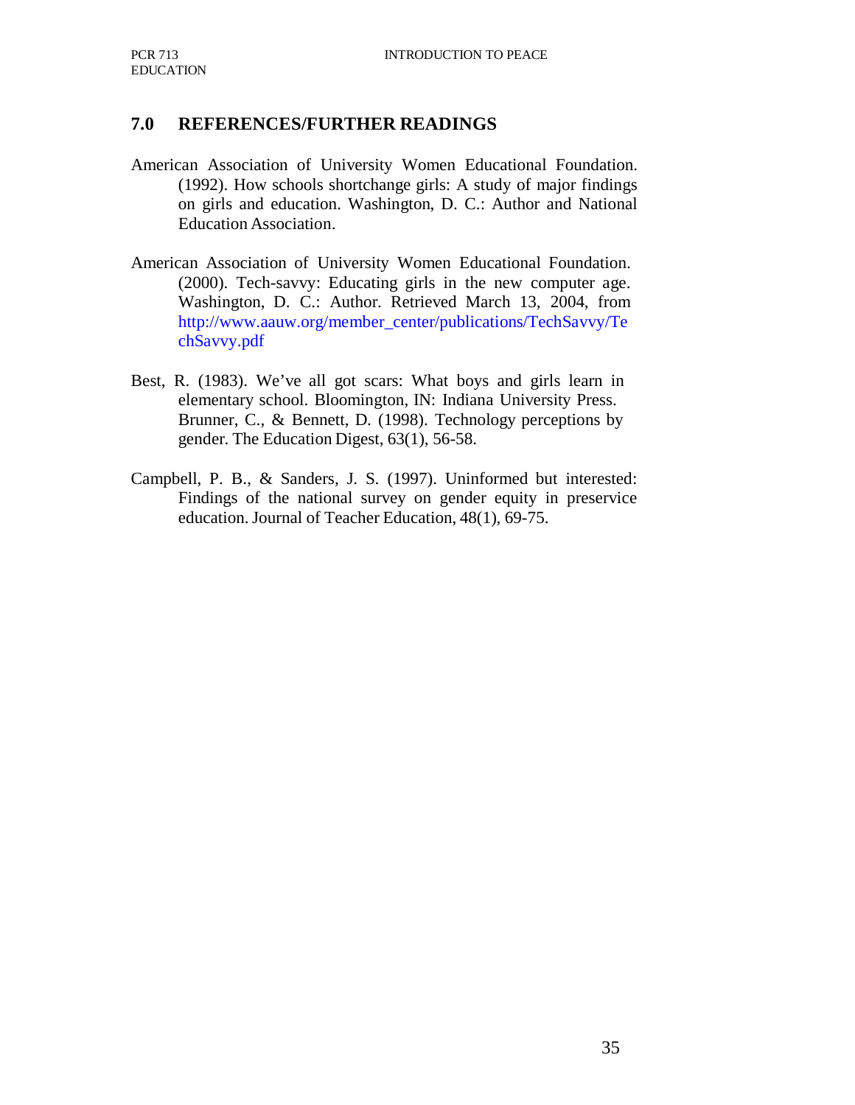#### **7.0 REFERENCES/FURTHER READINGS**

- American Association of University Women Educational Foundation. (1992). How schools shortchange girls: A study of major findings on girls and education. Washington, D. C.: Author and National Education Association.
- American Association of University Women Educational Foundation. (2000). Tech-savvy: Educating girls in the new computer age. Washington, D. C.: Author. Retrieved March 13, 2004, from http://www.aauw.org/member\_center/publications/TechSavvy/Te chSavvy.pdf
- Best, R. (1983). We've all got scars: What boys and girls learn in elementary school. Bloomington, IN: Indiana University Press. Brunner, C., & Bennett, D. (1998). Technology perceptions by gender. The Education Digest, 63(1), 56-58.
- Campbell, P. B., & Sanders, J. S. (1997). Uninformed but interested: Findings of the national survey on gender equity in preservice education. Journal of Teacher Education, 48(1), 69-75.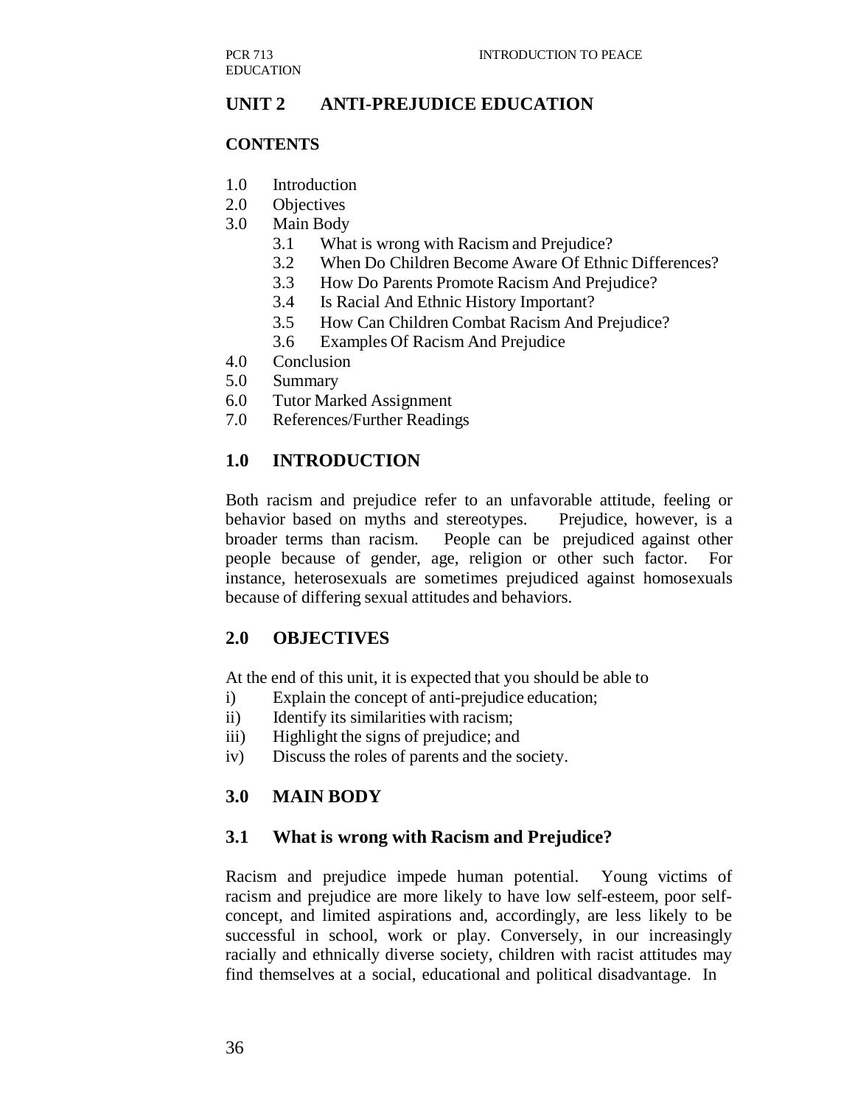## **UNIT 2 ANTI-PREJUDICE EDUCATION**

#### **CONTENTS**

- 1.0 Introduction
- 2.0 Objectives
- 3.0 Main Body
	- 3.1 What is wrong with Racism and Prejudice?
	- 3.2 When Do Children Become Aware Of Ethnic Differences?
	- 3.3 How Do Parents Promote Racism And Prejudice?
	- 3.4 Is Racial And Ethnic History Important?
	- 3.5 How Can Children Combat Racism And Prejudice?
	- 3.6 Examples Of Racism And Prejudice
- 4.0 Conclusion
- 5.0 Summary
- 6.0 Tutor Marked Assignment
- 7.0 References/Further Readings

#### **1.0 INTRODUCTION**

Both racism and prejudice refer to an unfavorable attitude, feeling or behavior based on myths and stereotypes. Prejudice, however, is a broader terms than racism. People can be prejudiced against other people because of gender, age, religion or other such factor. For instance, heterosexuals are sometimes prejudiced against homosexuals because of differing sexual attitudes and behaviors.

### **2.0 OBJECTIVES**

At the end of this unit, it is expected that you should be able to

- i) Explain the concept of anti-prejudice education;
- ii) Identify its similarities with racism;
- iii) Highlight the signs of prejudice; and
- iv) Discuss the roles of parents and the society.

### **3.0 MAIN BODY**

#### **3.1 What is wrong with Racism and Prejudice?**

Racism and prejudice impede human potential. Young victims of racism and prejudice are more likely to have low self-esteem, poor selfconcept, and limited aspirations and, accordingly, are less likely to be successful in school, work or play. Conversely, in our increasingly racially and ethnically diverse society, children with racist attitudes may find themselves at a social, educational and political disadvantage. In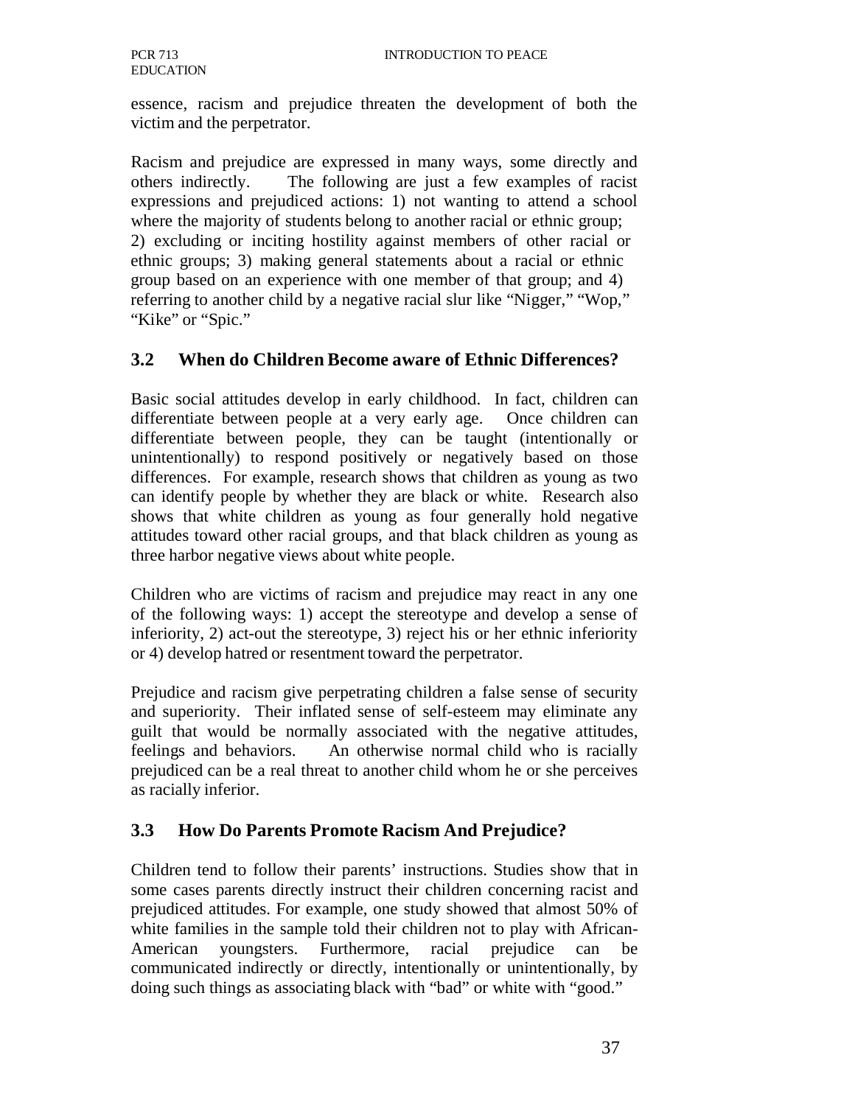essence, racism and prejudice threaten the development of both the victim and the perpetrator.

Racism and prejudice are expressed in many ways, some directly and others indirectly. The following are just a few examples of racist expressions and prejudiced actions: 1) not wanting to attend a school where the majority of students belong to another racial or ethnic group; 2) excluding or inciting hostility against members of other racial or ethnic groups; 3) making general statements about a racial or ethnic group based on an experience with one member of that group; and 4) referring to another child by a negative racial slur like "Nigger," "Wop," "Kike" or "Spic."

#### **3.2 When do Children Become aware of Ethnic Differences?**

Basic social attitudes develop in early childhood. In fact, children can differentiate between people at a very early age. Once children can differentiate between people, they can be taught (intentionally or unintentionally) to respond positively or negatively based on those differences. For example, research shows that children as young as two can identify people by whether they are black or white. Research also shows that white children as young as four generally hold negative attitudes toward other racial groups, and that black children as young as three harbor negative views about white people.

Children who are victims of racism and prejudice may react in any one of the following ways: 1) accept the stereotype and develop a sense of inferiority, 2) act-out the stereotype, 3) reject his or her ethnic inferiority or 4) develop hatred or resentment toward the perpetrator.

Prejudice and racism give perpetrating children a false sense of security and superiority. Their inflated sense of self-esteem may eliminate any guilt that would be normally associated with the negative attitudes, feelings and behaviors. An otherwise normal child who is racially prejudiced can be a real threat to another child whom he or she perceives as racially inferior.

#### **3.3 How Do Parents Promote Racism And Prejudice?**

Children tend to follow their parents' instructions. Studies show that in some cases parents directly instruct their children concerning racist and prejudiced attitudes. For example, one study showed that almost 50% of white families in the sample told their children not to play with African-American youngsters. Furthermore, racial prejudice can be communicated indirectly or directly, intentionally or unintentionally, by doing such things as associating black with "bad" or white with "good."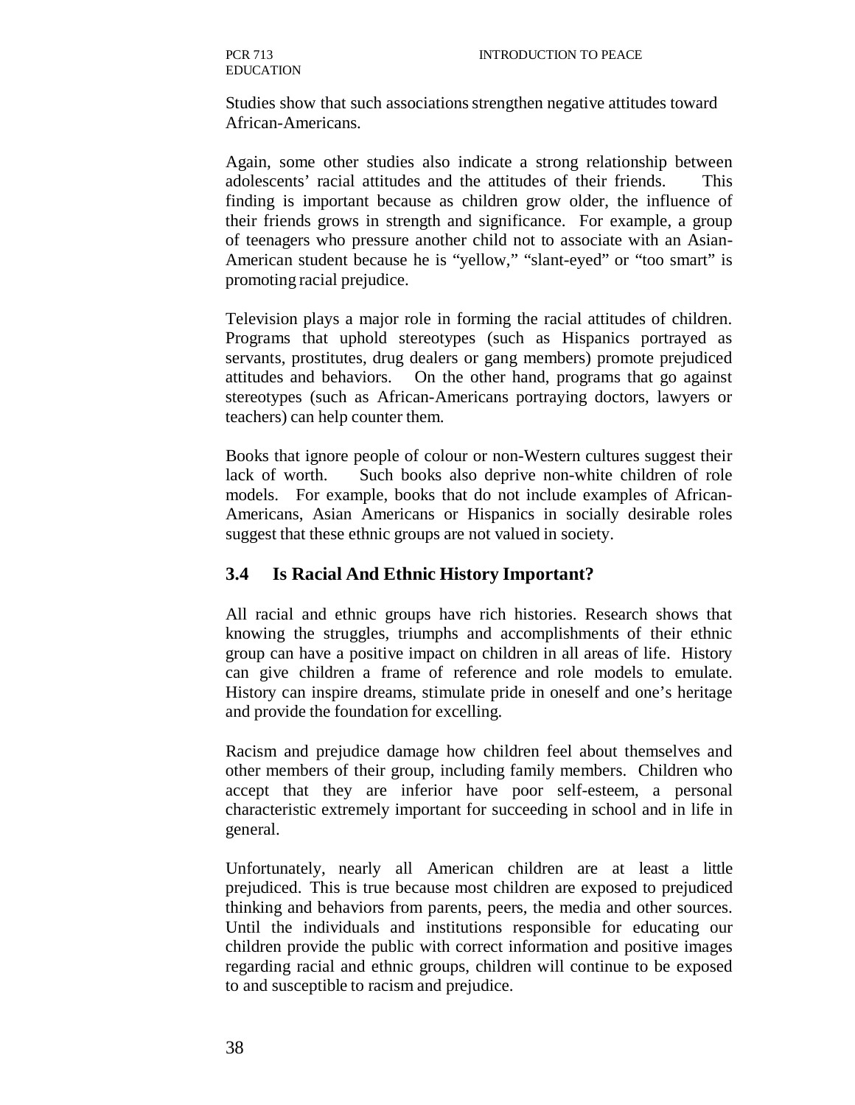Studies show that such associations strengthen negative attitudes toward African-Americans.

Again, some other studies also indicate a strong relationship between adolescents' racial attitudes and the attitudes of their friends. This finding is important because as children grow older, the influence of their friends grows in strength and significance. For example, a group of teenagers who pressure another child not to associate with an Asian-American student because he is "yellow," "slant-eyed" or "too smart" is promoting racial prejudice.

Television plays a major role in forming the racial attitudes of children. Programs that uphold stereotypes (such as Hispanics portrayed as servants, prostitutes, drug dealers or gang members) promote prejudiced attitudes and behaviors. On the other hand, programs that go against stereotypes (such as African-Americans portraying doctors, lawyers or teachers) can help counter them.

Books that ignore people of colour or non-Western cultures suggest their lack of worth. Such books also deprive non-white children of role models. For example, books that do not include examples of African-Americans, Asian Americans or Hispanics in socially desirable roles suggest that these ethnic groups are not valued in society.

#### **3.4 Is Racial And Ethnic History Important?**

All racial and ethnic groups have rich histories. Research shows that knowing the struggles, triumphs and accomplishments of their ethnic group can have a positive impact on children in all areas of life. History can give children a frame of reference and role models to emulate. History can inspire dreams, stimulate pride in oneself and one's heritage and provide the foundation for excelling.

Racism and prejudice damage how children feel about themselves and other members of their group, including family members. Children who accept that they are inferior have poor self-esteem, a personal characteristic extremely important for succeeding in school and in life in general.

Unfortunately, nearly all American children are at least a little prejudiced. This is true because most children are exposed to prejudiced thinking and behaviors from parents, peers, the media and other sources. Until the individuals and institutions responsible for educating our children provide the public with correct information and positive images regarding racial and ethnic groups, children will continue to be exposed to and susceptible to racism and prejudice.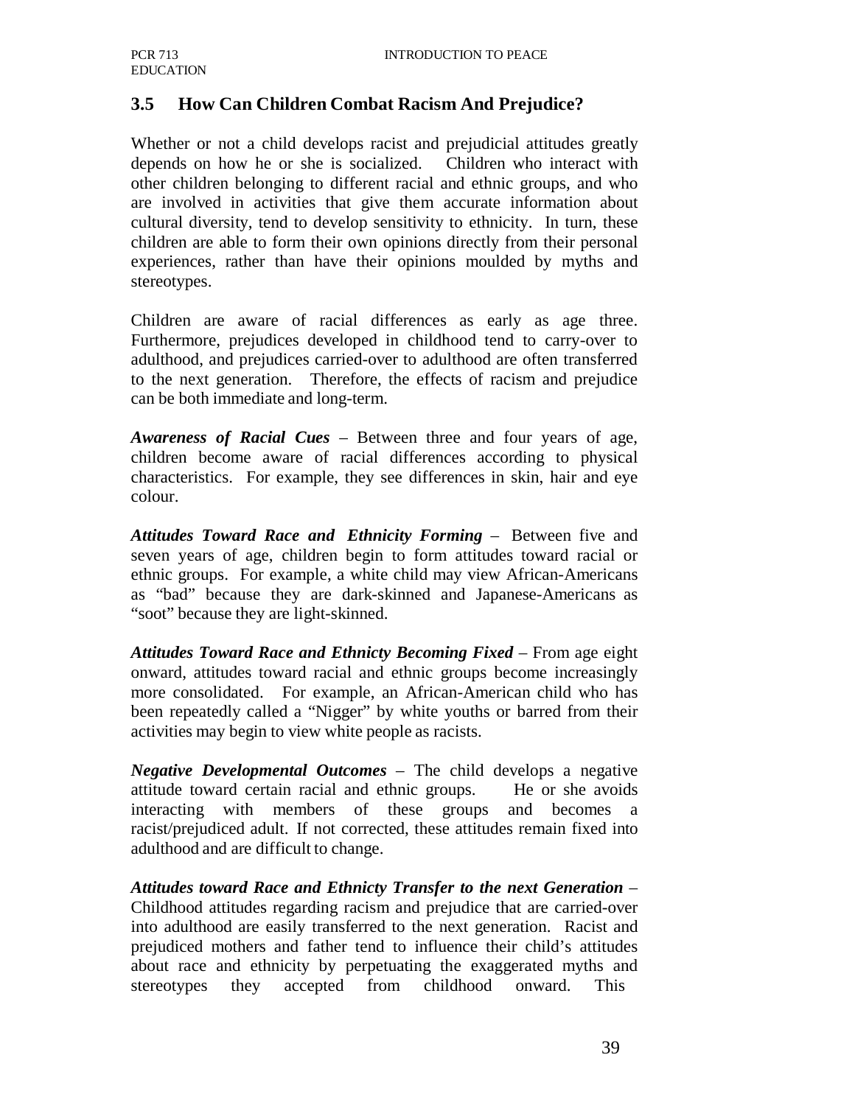### **3.5 How Can Children Combat Racism And Prejudice?**

Whether or not a child develops racist and prejudicial attitudes greatly depends on how he or she is socialized. Children who interact with other children belonging to different racial and ethnic groups, and who are involved in activities that give them accurate information about cultural diversity, tend to develop sensitivity to ethnicity. In turn, these children are able to form their own opinions directly from their personal experiences, rather than have their opinions moulded by myths and stereotypes.

Children are aware of racial differences as early as age three. Furthermore, prejudices developed in childhood tend to carry-over to adulthood, and prejudices carried-over to adulthood are often transferred to the next generation. Therefore, the effects of racism and prejudice can be both immediate and long-term.

*Awareness of Racial Cues* – Between three and four years of age, children become aware of racial differences according to physical characteristics. For example, they see differences in skin, hair and eye colour.

*Attitudes Toward Race and Ethnicity Forming* – Between five and seven years of age, children begin to form attitudes toward racial or ethnic groups. For example, a white child may view African-Americans as "bad" because they are dark-skinned and Japanese-Americans as "soot" because they are light-skinned.

Attitudes Toward Race and Ethnicty Becoming Fixed – From age eight onward, attitudes toward racial and ethnic groups become increasingly more consolidated. For example, an African-American child who has been repeatedly called a "Nigger" by white youths or barred from their activities may begin to view white people as racists.

*Negative Developmental Outcomes* – The child develops a negative attitude toward certain racial and ethnic groups. He or she avoids interacting with members of these groups and becomes a racist/prejudiced adult. If not corrected, these attitudes remain fixed into adulthood and are difficult to change.

*Attitudes toward Race and Ethnicty Transfer to the next Generation* – Childhood attitudes regarding racism and prejudice that are carried-over into adulthood are easily transferred to the next generation. Racist and prejudiced mothers and father tend to influence their child's attitudes about race and ethnicity by perpetuating the exaggerated myths and stereotypes they accepted from childhood onward. This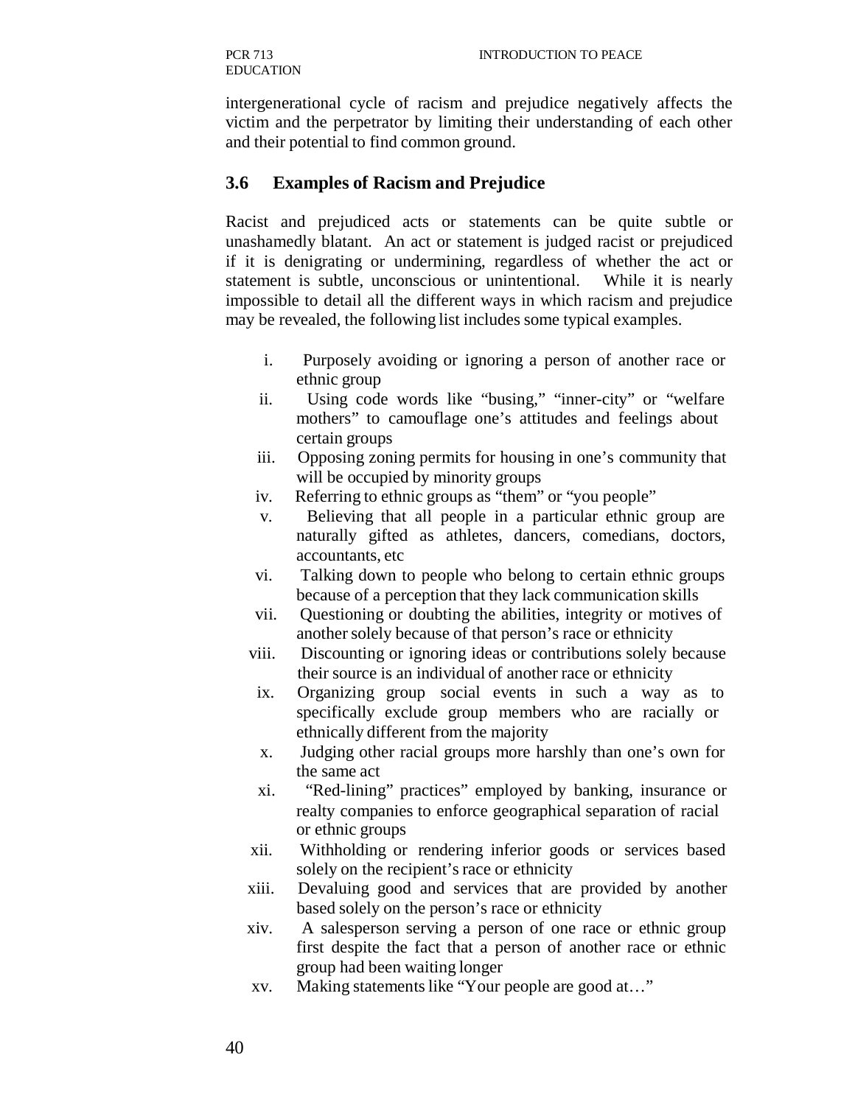intergenerational cycle of racism and prejudice negatively affects the victim and the perpetrator by limiting their understanding of each other and their potential to find common ground.

#### **3.6 Examples of Racism and Prejudice**

Racist and prejudiced acts or statements can be quite subtle or unashamedly blatant. An act or statement is judged racist or prejudiced if it is denigrating or undermining, regardless of whether the act or statement is subtle, unconscious or unintentional. While it is nearly impossible to detail all the different ways in which racism and prejudice may be revealed, the following list includes some typical examples.

- i. Purposely avoiding or ignoring a person of another race or ethnic group
- ii. Using code words like "busing," "inner-city" or "welfare mothers" to camouflage one's attitudes and feelings about certain groups
- iii. Opposing zoning permits for housing in one's community that will be occupied by minority groups
- iv. Referring to ethnic groups as "them" or "you people"
- v. Believing that all people in a particular ethnic group are naturally gifted as athletes, dancers, comedians, doctors, accountants, etc
- vi. Talking down to people who belong to certain ethnic groups because of a perception that they lack communication skills
- vii. Questioning or doubting the abilities, integrity or motives of another solely because of that person's race or ethnicity
- viii. Discounting or ignoring ideas or contributions solely because their source is an individual of another race or ethnicity
- ix. Organizing group social events in such a way as to specifically exclude group members who are racially or ethnically different from the majority
- x. Judging other racial groups more harshly than one's own for the same act
- xi. "Red-lining" practices" employed by banking, insurance or realty companies to enforce geographical separation of racial or ethnic groups
- xii. Withholding or rendering inferior goods or services based solely on the recipient's race or ethnicity
- xiii. Devaluing good and services that are provided by another based solely on the person's race or ethnicity
- xiv. A salesperson serving a person of one race or ethnic group first despite the fact that a person of another race or ethnic group had been waiting longer
- xv. Making statements like "Your people are good at…"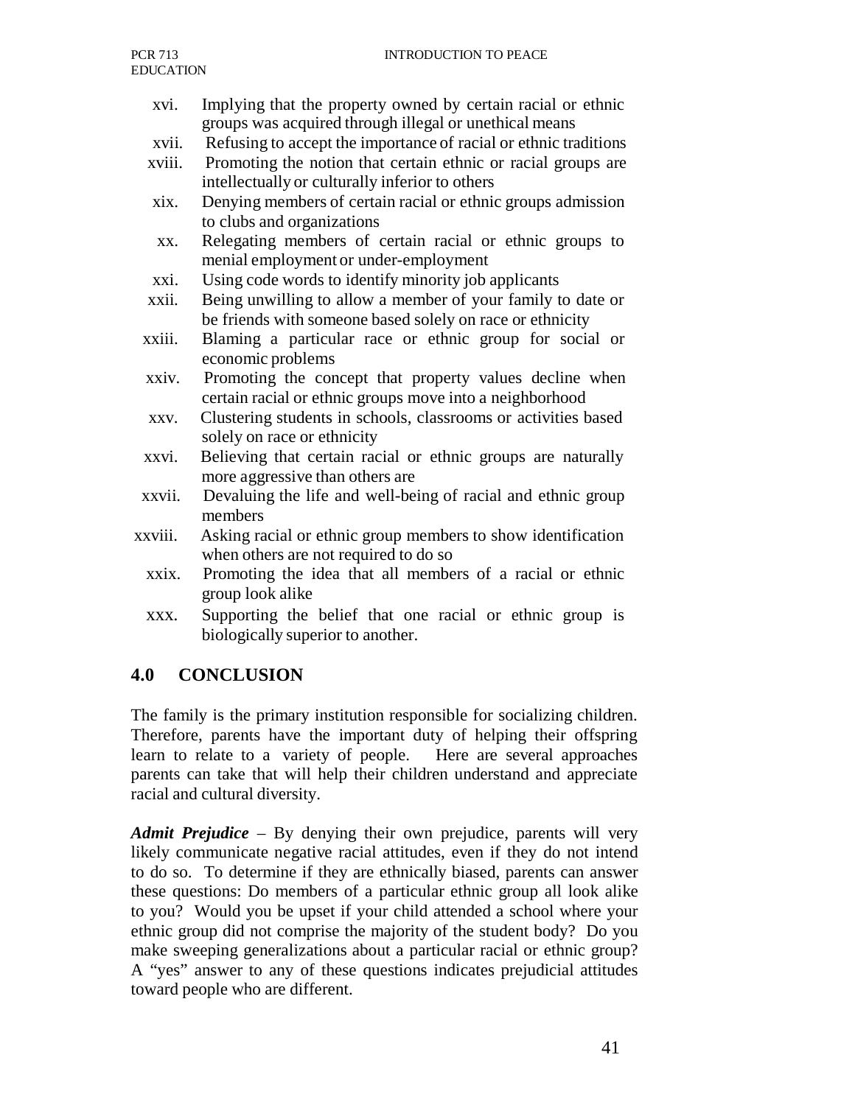- xvi. Implying that the property owned by certain racial or ethnic groups was acquired through illegal or unethical means
- xvii. Refusing to accept the importance of racial or ethnic traditions
- xviii. Promoting the notion that certain ethnic or racial groups are intellectually or culturally inferior to others
- xix. Denying members of certain racial or ethnic groups admission to clubs and organizations
- xx. Relegating members of certain racial or ethnic groups to menial employment or under-employment
- xxi. Using code words to identify minority job applicants
- xxii. Being unwilling to allow a member of your family to date or be friends with someone based solely on race or ethnicity
- xxiii. Blaming a particular race or ethnic group for social or economic problems
- xxiv. Promoting the concept that property values decline when certain racial or ethnic groups move into a neighborhood
- xxv. Clustering students in schools, classrooms or activities based solely on race or ethnicity
- xxvi. Believing that certain racial or ethnic groups are naturally more aggressive than others are
- xxvii. Devaluing the life and well-being of racial and ethnic group members
- xxviii. Asking racial or ethnic group members to show identification when others are not required to do so
	- xxix. Promoting the idea that all members of a racial or ethnic group look alike
	- xxx. Supporting the belief that one racial or ethnic group is biologically superior to another.

### **4.0 CONCLUSION**

The family is the primary institution responsible for socializing children. Therefore, parents have the important duty of helping their offspring learn to relate to a variety of people. Here are several approaches parents can take that will help their children understand and appreciate racial and cultural diversity.

*Admit Prejudice* – By denying their own prejudice, parents will very likely communicate negative racial attitudes, even if they do not intend to do so. To determine if they are ethnically biased, parents can answer these questions: Do members of a particular ethnic group all look alike to you? Would you be upset if your child attended a school where your ethnic group did not comprise the majority of the student body? Do you make sweeping generalizations about a particular racial or ethnic group? A "yes" answer to any of these questions indicates prejudicial attitudes toward people who are different.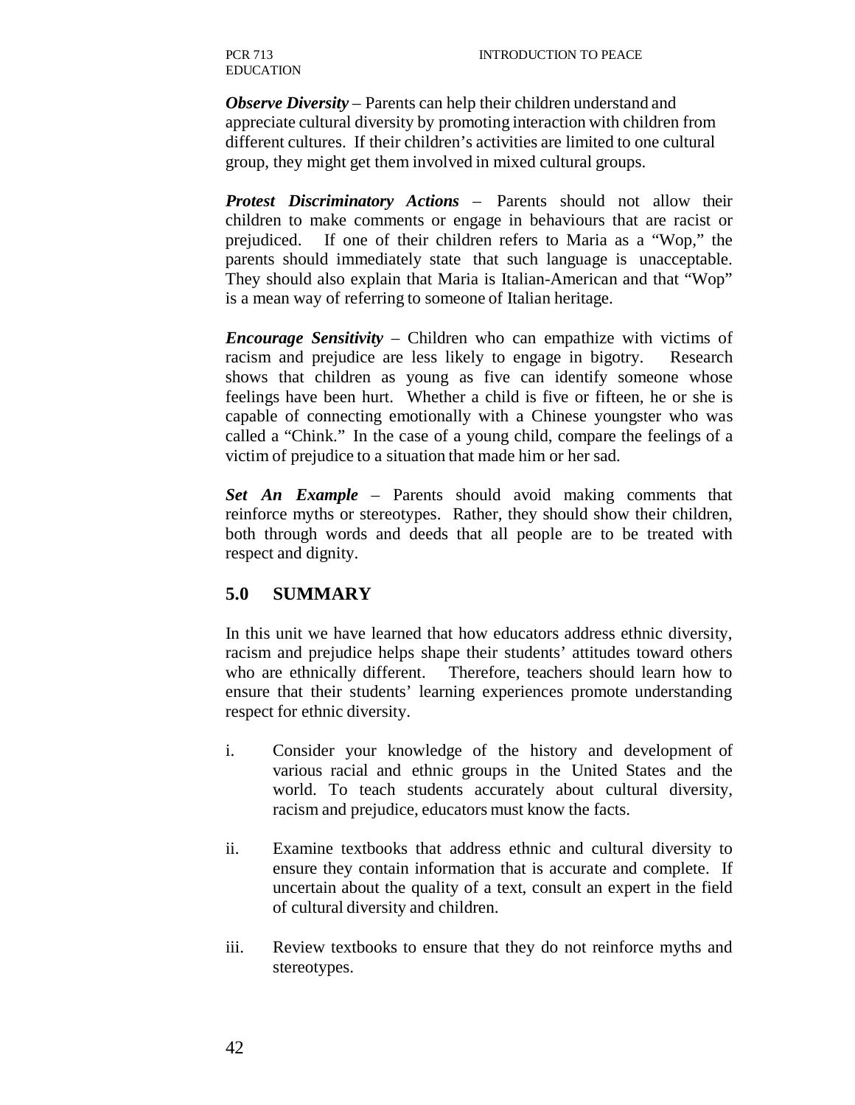*Observe Diversity* – Parents can help their children understand and appreciate cultural diversity by promoting interaction with children from different cultures. If their children's activities are limited to one cultural group, they might get them involved in mixed cultural groups.

*Protest Discriminatory Actions* – Parents should not allow their children to make comments or engage in behaviours that are racist or prejudiced. If one of their children refers to Maria as a "Wop," the parents should immediately state that such language is unacceptable. They should also explain that Maria is Italian-American and that "Wop" is a mean way of referring to someone of Italian heritage.

*Encourage Sensitivity* – Children who can empathize with victims of racism and prejudice are less likely to engage in bigotry. Research shows that children as young as five can identify someone whose feelings have been hurt. Whether a child is five or fifteen, he or she is capable of connecting emotionally with a Chinese youngster who was called a "Chink." In the case of a young child, compare the feelings of a victim of prejudice to a situation that made him or her sad.

*Set An Example* – Parents should avoid making comments that reinforce myths or stereotypes. Rather, they should show their children, both through words and deeds that all people are to be treated with respect and dignity.

### **5.0 SUMMARY**

In this unit we have learned that how educators address ethnic diversity, racism and prejudice helps shape their students' attitudes toward others who are ethnically different. Therefore, teachers should learn how to ensure that their students' learning experiences promote understanding respect for ethnic diversity.

- i. Consider your knowledge of the history and development of various racial and ethnic groups in the United States and the world. To teach students accurately about cultural diversity, racism and prejudice, educators must know the facts.
- ii. Examine textbooks that address ethnic and cultural diversity to ensure they contain information that is accurate and complete. If uncertain about the quality of a text, consult an expert in the field of cultural diversity and children.
- iii. Review textbooks to ensure that they do not reinforce myths and stereotypes.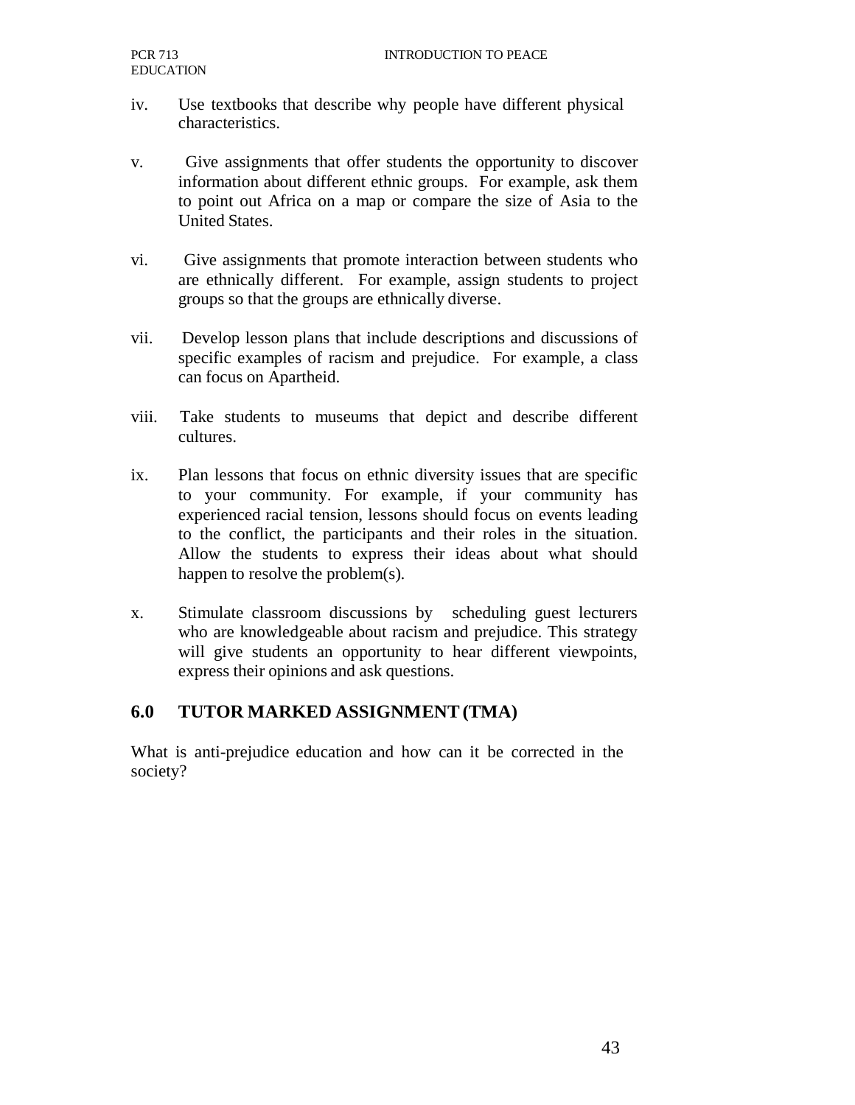- iv. Use textbooks that describe why people have different physical characteristics.
- v. Give assignments that offer students the opportunity to discover information about different ethnic groups. For example, ask them to point out Africa on a map or compare the size of Asia to the United States.
- vi. Give assignments that promote interaction between students who are ethnically different. For example, assign students to project groups so that the groups are ethnically diverse.
- vii. Develop lesson plans that include descriptions and discussions of specific examples of racism and prejudice. For example, a class can focus on Apartheid.
- viii. Take students to museums that depict and describe different cultures.
- ix. Plan lessons that focus on ethnic diversity issues that are specific to your community. For example, if your community has experienced racial tension, lessons should focus on events leading to the conflict, the participants and their roles in the situation. Allow the students to express their ideas about what should happen to resolve the problem(s).
- x. Stimulate classroom discussions by scheduling guest lecturers who are knowledgeable about racism and prejudice. This strategy will give students an opportunity to hear different viewpoints, express their opinions and ask questions.

### **6.0 TUTOR MARKED ASSIGNMENT (TMA)**

What is anti-prejudice education and how can it be corrected in the society?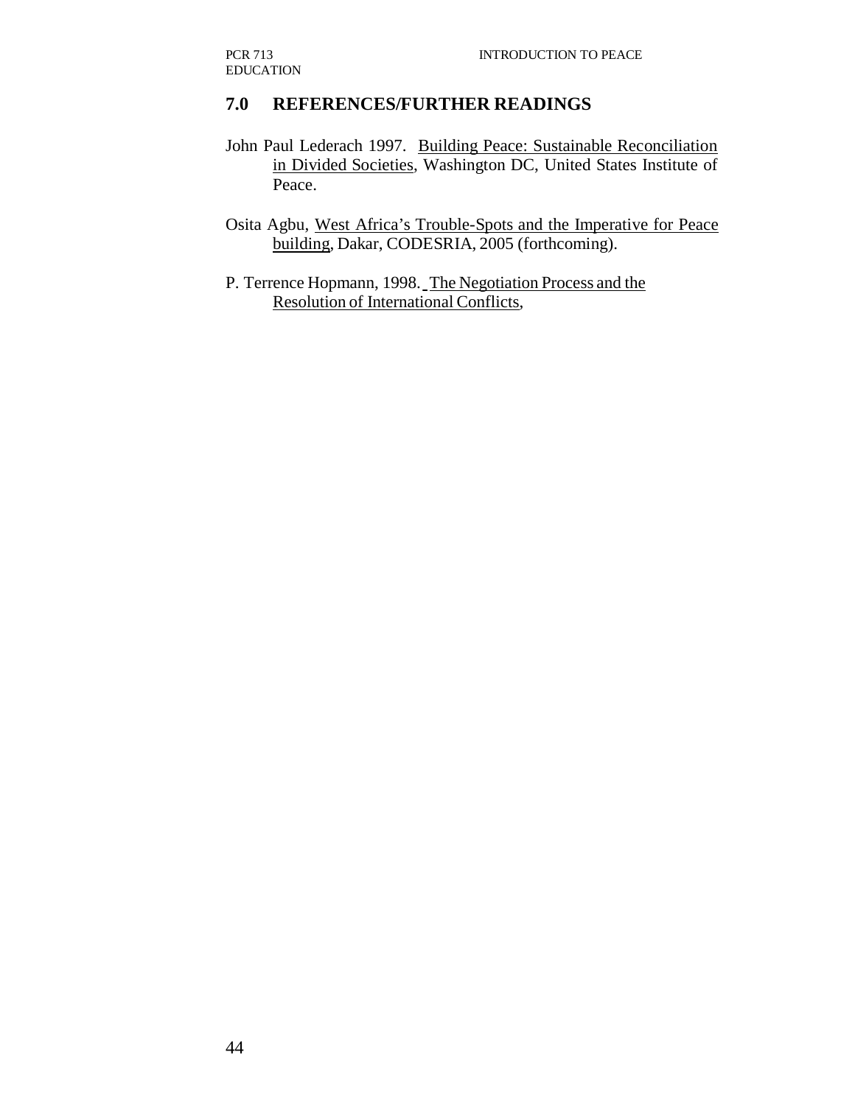### **7.0 REFERENCES/FURTHER READINGS**

John Paul Lederach 1997. Building Peace: Sustainable Reconciliation in Divided Societies, Washington DC, United States Institute of Peace.

Osita Agbu, West Africa's Trouble-Spots and the Imperative for Peace building, Dakar, CODESRIA, 2005 (forthcoming).

P. Terrence Hopmann, 1998. The Negotiation Process and the Resolution of International Conflicts,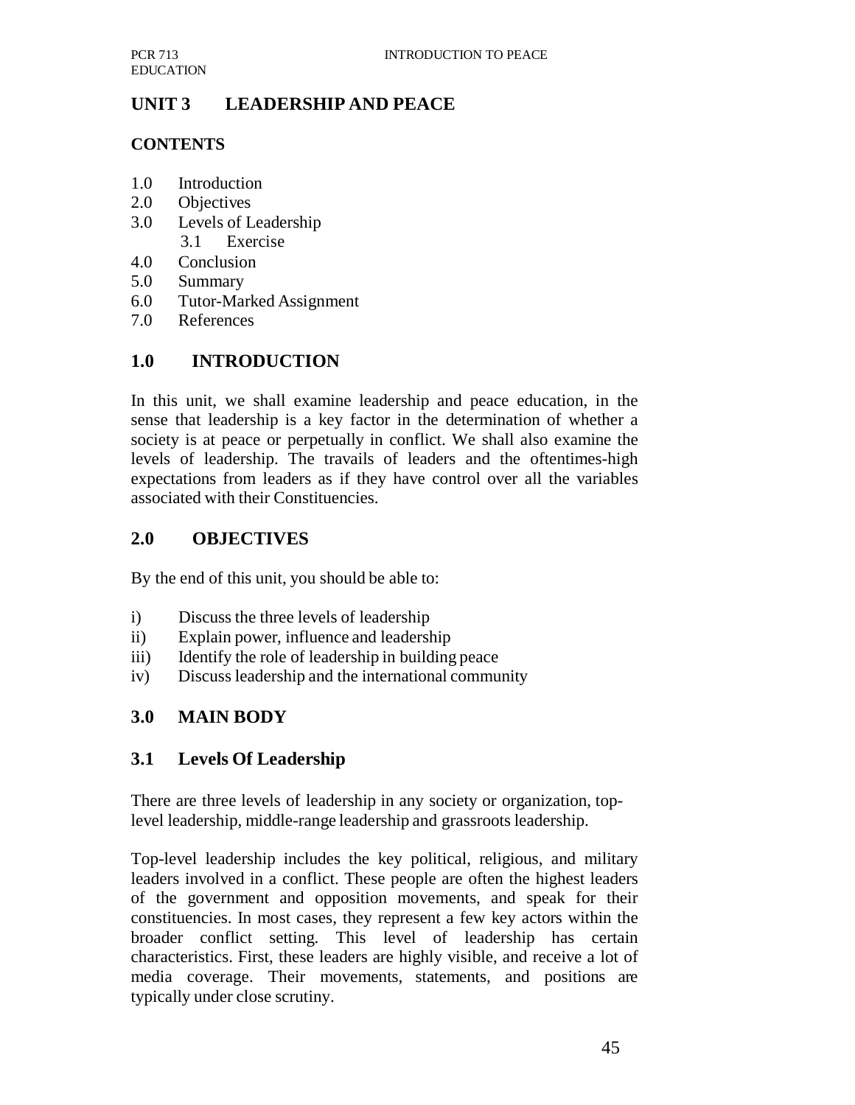# **UNIT 3 LEADERSHIP AND PEACE**

### **CONTENTS**

- 1.0 Introduction
- 2.0 Objectives
- 3.0 Levels of Leadership 3.1 Exercise
- 4.0 Conclusion
- 5.0 Summary
- 6.0 Tutor-Marked Assignment
- 7.0 References

# **1.0 INTRODUCTION**

In this unit, we shall examine leadership and peace education, in the sense that leadership is a key factor in the determination of whether a society is at peace or perpetually in conflict. We shall also examine the levels of leadership. The travails of leaders and the oftentimes-high expectations from leaders as if they have control over all the variables associated with their Constituencies.

# **2.0 OBJECTIVES**

By the end of this unit, you should be able to:

- i) Discuss the three levels of leadership
- ii) Explain power, influence and leadership
- iii) Identify the role of leadership in building peace
- iv) Discuss leadership and the international community

# **3.0 MAIN BODY**

# **3.1 Levels Of Leadership**

There are three levels of leadership in any society or organization, toplevel leadership, middle-range leadership and grassroots leadership.

Top-level leadership includes the key political, religious, and military leaders involved in a conflict. These people are often the highest leaders of the government and opposition movements, and speak for their constituencies. In most cases, they represent a few key actors within the broader conflict setting. This level of leadership has certain characteristics. First, these leaders are highly visible, and receive a lot of media coverage. Their movements, statements, and positions are typically under close scrutiny.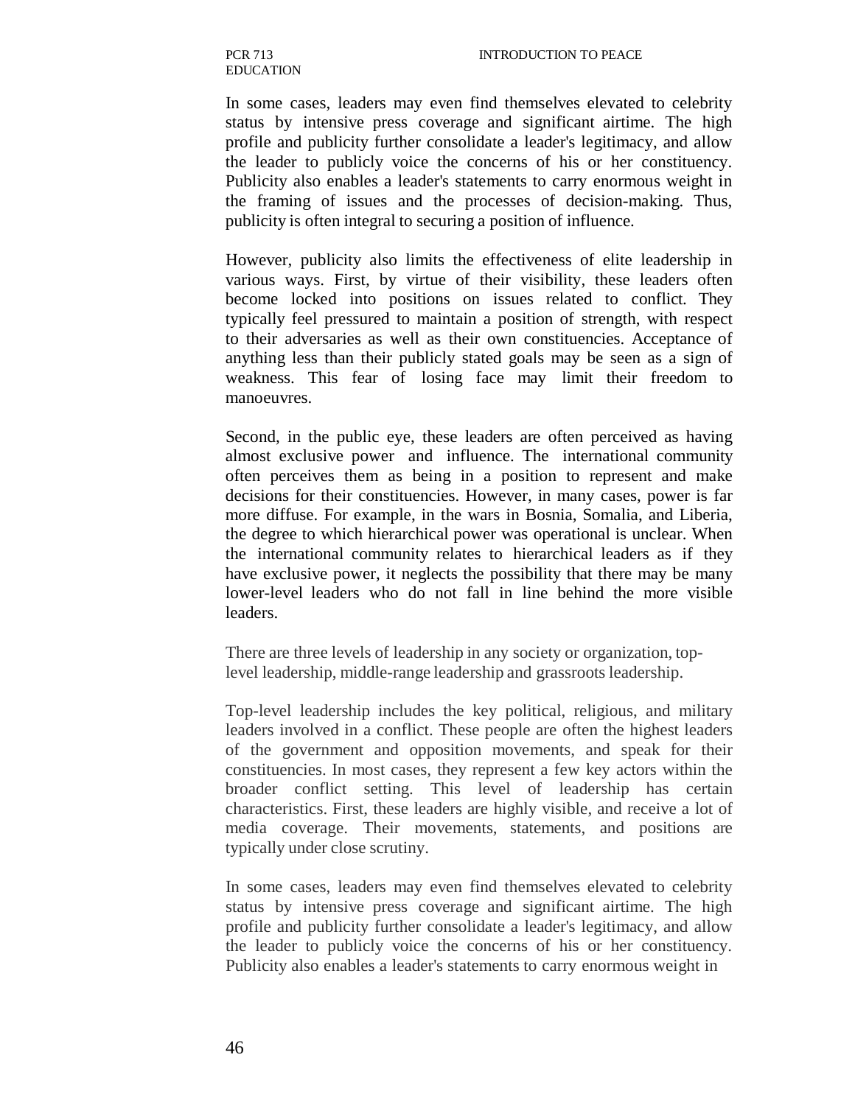In some cases, leaders may even find themselves elevated to celebrity status by intensive press coverage and significant airtime. The high profile and publicity further consolidate a leader's legitimacy, and allow the leader to publicly voice the concerns of his or her constituency. Publicity also enables a leader's statements to carry enormous weight in the framing of issues and the processes of decision-making. Thus, publicity is often integral to securing a position of influence.

However, publicity also limits the effectiveness of elite leadership in various ways. First, by virtue of their visibility, these leaders often become locked into positions on issues related to conflict. They typically feel pressured to maintain a position of strength, with respect to their adversaries as well as their own constituencies. Acceptance of anything less than their publicly stated goals may be seen as a sign of weakness. This fear of losing face may limit their freedom to manoeuvres.

Second, in the public eye, these leaders are often perceived as having almost exclusive power and influence. The international community often perceives them as being in a position to represent and make decisions for their constituencies. However, in many cases, power is far more diffuse. For example, in the wars in Bosnia, Somalia, and Liberia, the degree to which hierarchical power was operational is unclear. When the international community relates to hierarchical leaders as if they have exclusive power, it neglects the possibility that there may be many lower-level leaders who do not fall in line behind the more visible leaders.

There are three levels of leadership in any society or organization, toplevel leadership, middle-range leadership and grassroots leadership.

Top-level leadership includes the key political, religious, and military leaders involved in a conflict. These people are often the highest leaders of the government and opposition movements, and speak for their constituencies. In most cases, they represent a few key actors within the broader conflict setting. This level of leadership has certain characteristics. First, these leaders are highly visible, and receive a lot of media coverage. Their movements, statements, and positions are typically under close scrutiny.

In some cases, leaders may even find themselves elevated to celebrity status by intensive press coverage and significant airtime. The high profile and publicity further consolidate a leader's legitimacy, and allow the leader to publicly voice the concerns of his or her constituency. Publicity also enables a leader's statements to carry enormous weight in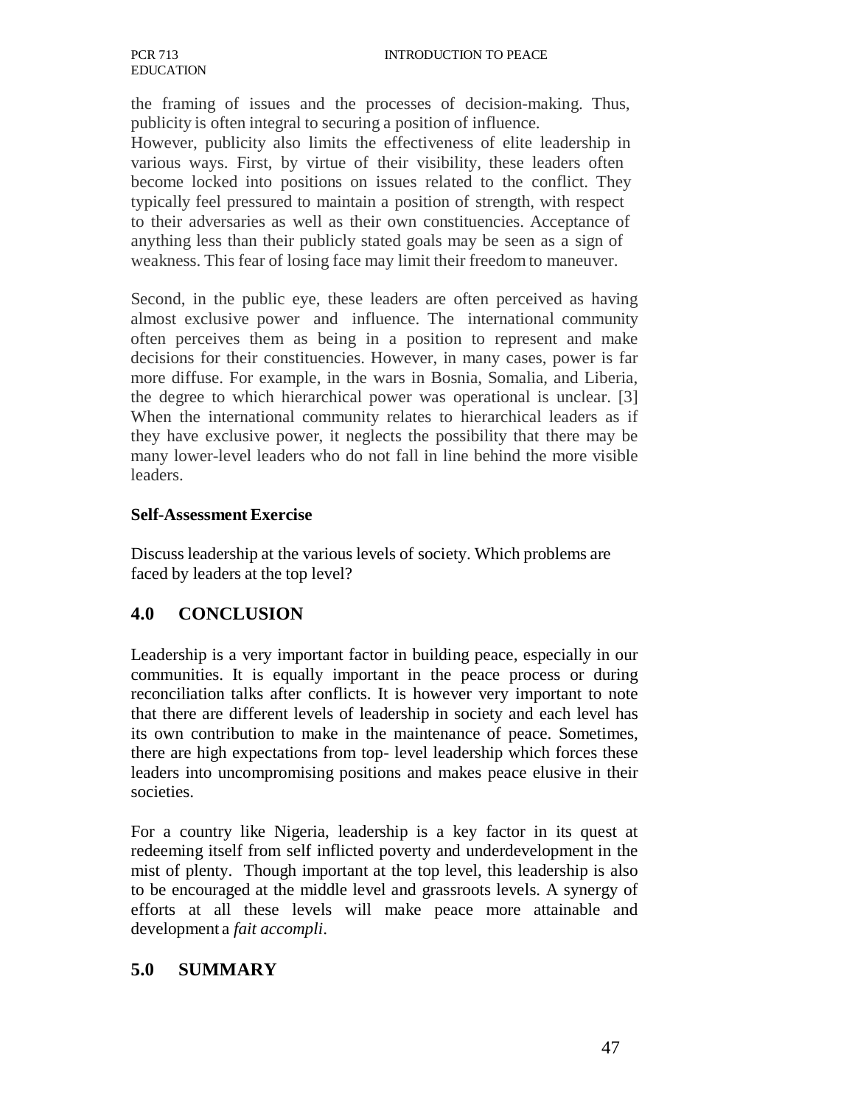the framing of issues and the processes of decision-making. Thus, publicity is often integral to securing a position of influence.

However, publicity also limits the effectiveness of elite leadership in various ways. First, by virtue of their visibility, these leaders often become locked into positions on issues related to the conflict. They typically feel pressured to maintain a position of strength, with respect to their adversaries as well as their own constituencies. Acceptance of anything less than their publicly stated goals may be seen as a sign of weakness. This fear of losing face may limit their freedom to maneuver.

Second, in the public eye, these leaders are often perceived as having almost exclusive power and influence. The international community often perceives them as being in a position to represent and make decisions for their constituencies. However, in many cases, power is far more diffuse. For example, in the wars in Bosnia, Somalia, and Liberia, the degree to which hierarchical power was operational is unclear. [3] When the international community relates to hierarchical leaders as if they have exclusive power, it neglects the possibility that there may be many lower-level leaders who do not fall in line behind the more visible leaders.

#### **Self-Assessment Exercise**

Discuss leadership at the various levels of society. Which problems are faced by leaders at the top level?

### **4.0 CONCLUSION**

Leadership is a very important factor in building peace, especially in our communities. It is equally important in the peace process or during reconciliation talks after conflicts. It is however very important to note that there are different levels of leadership in society and each level has its own contribution to make in the maintenance of peace. Sometimes, there are high expectations from top- level leadership which forces these leaders into uncompromising positions and makes peace elusive in their societies.

For a country like Nigeria, leadership is a key factor in its quest at redeeming itself from self inflicted poverty and underdevelopment in the mist of plenty. Though important at the top level, this leadership is also to be encouraged at the middle level and grassroots levels. A synergy of efforts at all these levels will make peace more attainable and development a *fait accompli*.

### **5.0 SUMMARY**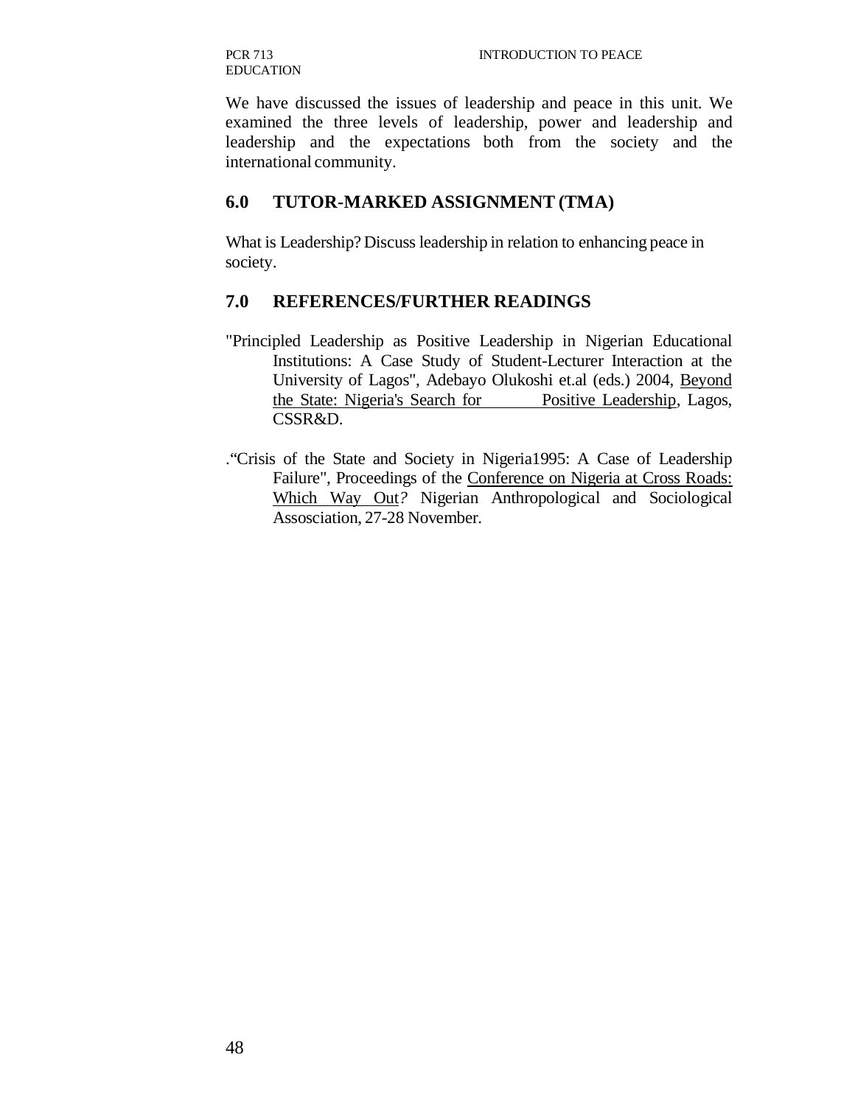We have discussed the issues of leadership and peace in this unit. We examined the three levels of leadership, power and leadership and leadership and the expectations both from the society and the international community.

#### **6.0 TUTOR-MARKED ASSIGNMENT (TMA)**

What is Leadership? Discuss leadership in relation to enhancing peace in society.

#### **7.0 REFERENCES/FURTHER READINGS**

- "Principled Leadership as Positive Leadership in Nigerian Educational Institutions: A Case Study of Student-Lecturer Interaction at the University of Lagos", Adebayo Olukoshi et.al (eds.) 2004, Beyond the State: Nigeria's Search for Positive Leadership, Lagos, CSSR&D.
- ."Crisis of the State and Society in Nigeria1995: A Case of Leadership Failure", Proceedings of the Conference on Nigeria at Cross Roads: Which Way Out*?* Nigerian Anthropological and Sociological Assosciation, 27-28 November.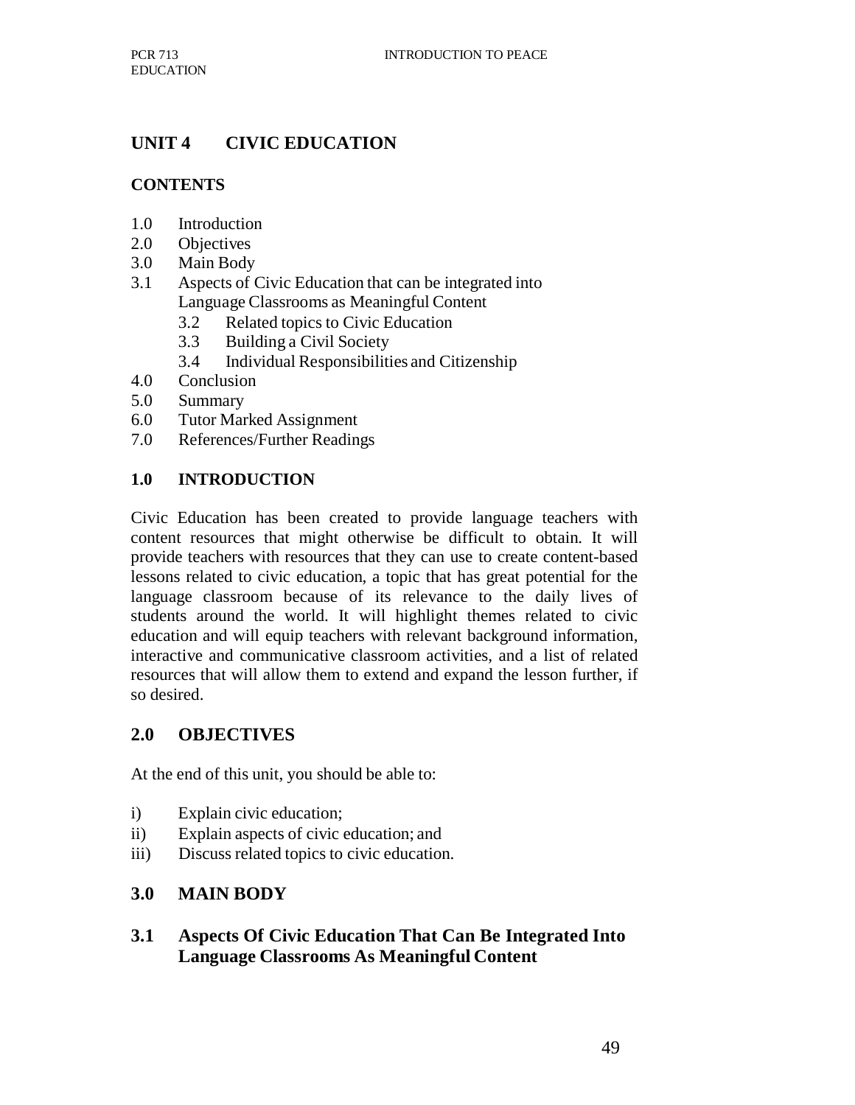## **UNIT 4 CIVIC EDUCATION**

## **CONTENTS**

- 1.0 Introduction
- 2.0 Objectives
- 3.0 Main Body
- 3.1 Aspects of Civic Education that can be integrated into Language Classrooms as Meaningful Content
	- 3.2 Related topics to Civic Education
	- 3.3 Building a Civil Society
	- 3.4 Individual Responsibilities and Citizenship
- 4.0 Conclusion
- 5.0 Summary
- 6.0 Tutor Marked Assignment
- 7.0 References/Further Readings

### **1.0 INTRODUCTION**

Civic Education has been created to provide language teachers with content resources that might otherwise be difficult to obtain. It will provide teachers with resources that they can use to create content-based lessons related to civic education, a topic that has great potential for the language classroom because of its relevance to the daily lives of students around the world. It will highlight themes related to civic education and will equip teachers with relevant background information, interactive and communicative classroom activities, and a list of related resources that will allow them to extend and expand the lesson further, if so desired.

### **2.0 OBJECTIVES**

At the end of this unit, you should be able to:

- i) Explain civic education;
- ii) Explain aspects of civic education; and
- iii) Discuss related topics to civic education.

### **3.0 MAIN BODY**

**3.1 Aspects Of Civic Education That Can Be Integrated Into Language Classrooms As Meaningful Content**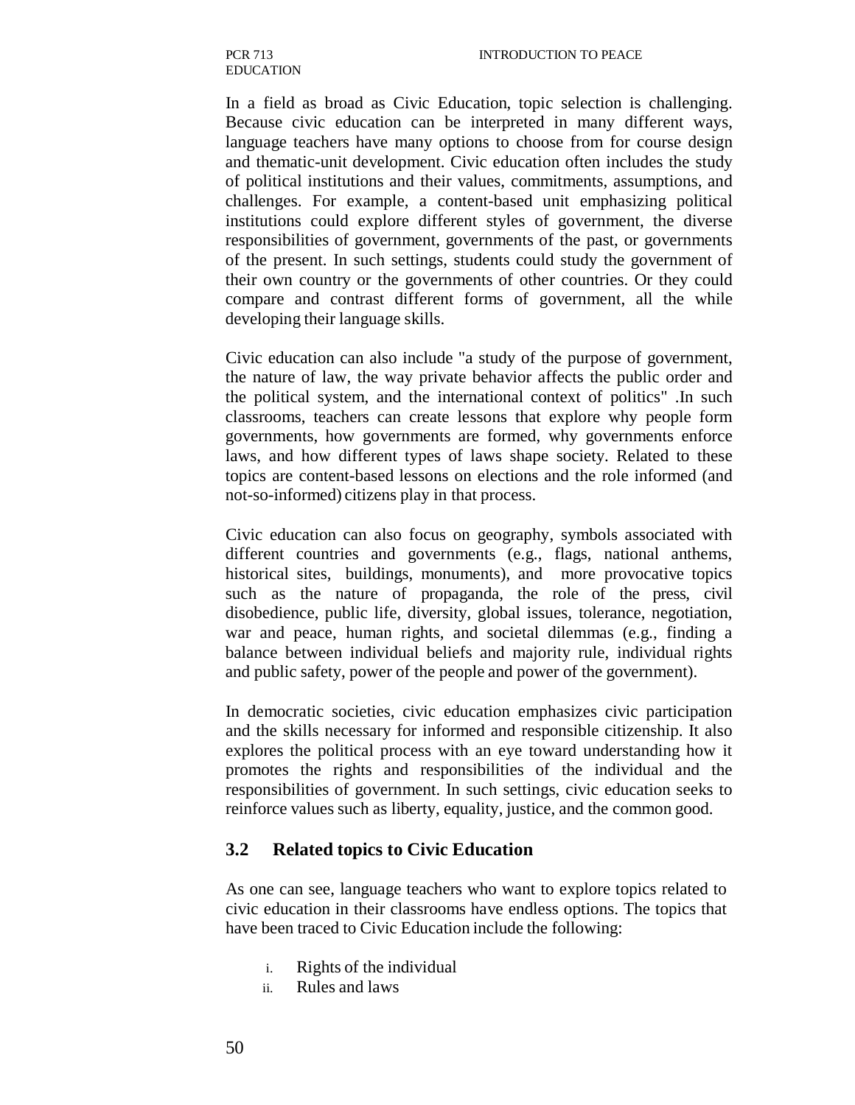In a field as broad as Civic Education, topic selection is challenging. Because civic education can be interpreted in many different ways, language teachers have many options to choose from for course design and thematic-unit development. Civic education often includes the study of political institutions and their values, commitments, assumptions, and challenges. For example, a content-based unit emphasizing political institutions could explore different styles of government, the diverse responsibilities of government, governments of the past, or governments of the present. In such settings, students could study the government of their own country or the governments of other countries. Or they could compare and contrast different forms of government, all the while developing their language skills.

Civic education can also include "a study of the purpose of government, the nature of law, the way private behavior affects the public order and the political system, and the international context of politics" .In such classrooms, teachers can create lessons that explore why people form governments, how governments are formed, why governments enforce laws, and how different types of laws shape society. Related to these topics are content-based lessons on elections and the role informed (and not-so-informed) citizens play in that process.

Civic education can also focus on geography, symbols associated with different countries and governments (e.g., flags, national anthems, historical sites, buildings, monuments), and more provocative topics such as the nature of propaganda, the role of the press, civil disobedience, public life, diversity, global issues, tolerance, negotiation, war and peace, human rights, and societal dilemmas (e.g., finding a balance between individual beliefs and majority rule, individual rights and public safety, power of the people and power of the government).

In democratic societies, civic education emphasizes civic participation and the skills necessary for informed and responsible citizenship. It also explores the political process with an eye toward understanding how it promotes the rights and responsibilities of the individual and the responsibilities of government. In such settings, civic education seeks to reinforce values such as liberty, equality, justice, and the common good.

#### **3.2 Related topics to Civic Education**

As one can see, language teachers who want to explore topics related to civic education in their classrooms have endless options. The topics that have been traced to Civic Education include the following:

- i. Rights of the individual
- ii. Rules and laws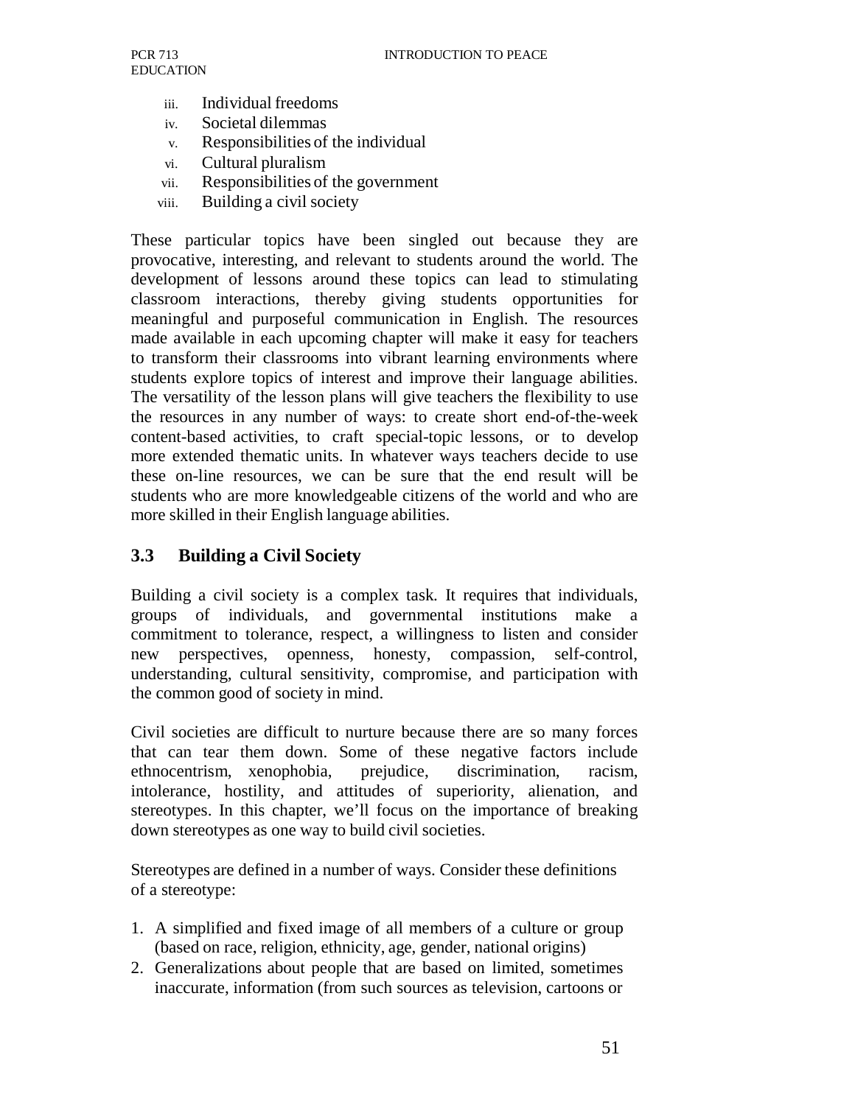- iii. Individual freedoms
- iv. Societal dilemmas
- v. Responsibilities of the individual
- vi. Cultural pluralism
- vii. Responsibilities of the government
- viii. Building a civil society

These particular topics have been singled out because they are provocative, interesting, and relevant to students around the world. The development of lessons around these topics can lead to stimulating classroom interactions, thereby giving students opportunities for meaningful and purposeful communication in English. The resources made available in each upcoming chapter will make it easy for teachers to transform their classrooms into vibrant learning environments where students explore topics of interest and improve their language abilities. The versatility of the lesson plans will give teachers the flexibility to use the resources in any number of ways: to create short end-of-the-week content-based activities, to craft special-topic lessons, or to develop more extended thematic units. In whatever ways teachers decide to use these on-line resources, we can be sure that the end result will be students who are more knowledgeable citizens of the world and who are more skilled in their English language abilities.

#### **3.3 Building a Civil Society**

Building a civil society is a complex task. It requires that individuals, groups of individuals, and governmental institutions make a commitment to tolerance, respect, a willingness to listen and consider new perspectives, openness, honesty, compassion, self-control, understanding, cultural sensitivity, compromise, and participation with the common good of society in mind.

Civil societies are difficult to nurture because there are so many forces that can tear them down. Some of these negative factors include ethnocentrism, xenophobia, prejudice, discrimination, racism, intolerance, hostility, and attitudes of superiority, alienation, and stereotypes. In this chapter, we'll focus on the importance of breaking down stereotypes as one way to build civil societies.

Stereotypes are defined in a number of ways. Consider these definitions of a stereotype:

- 1. A simplified and fixed image of all members of a culture or group (based on race, religion, ethnicity, age, gender, national origins)
- 2. Generalizations about people that are based on limited, sometimes inaccurate, information (from such sources as television, cartoons or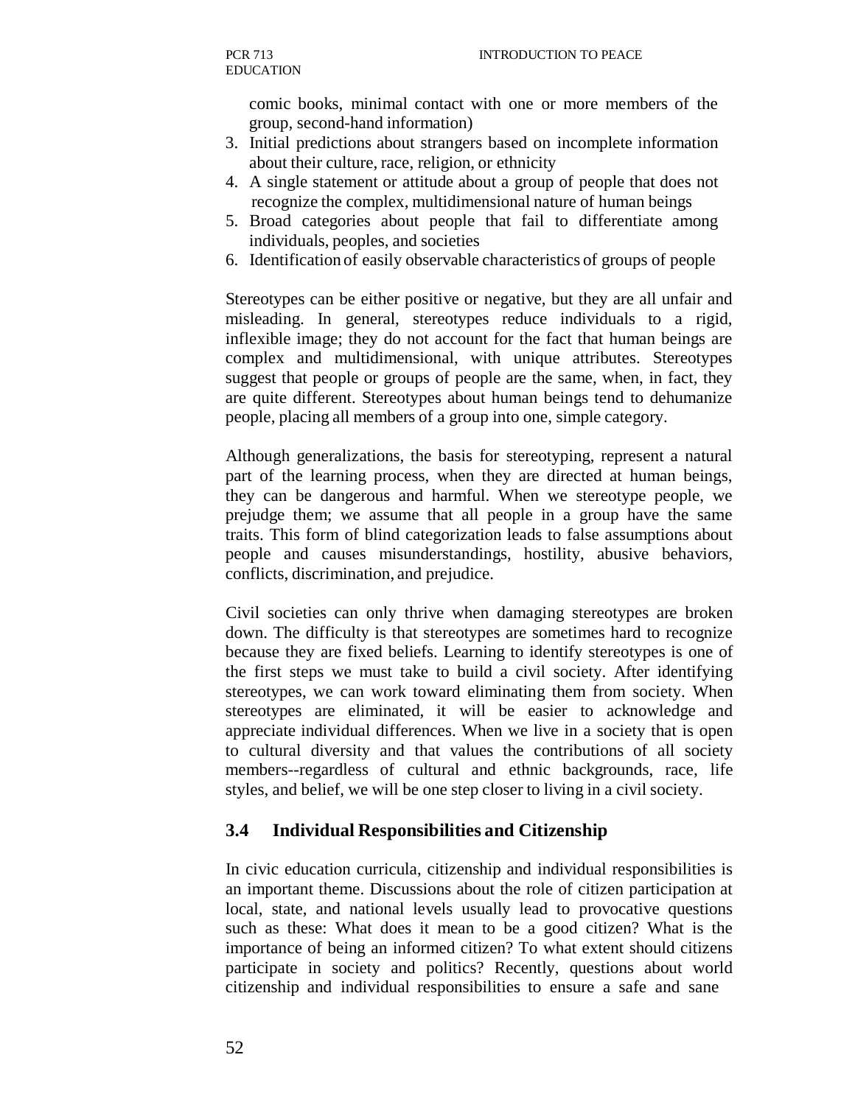comic books, minimal contact with one or more members of the group, second-hand information)

- 3. Initial predictions about strangers based on incomplete information about their culture, race, religion, or ethnicity
- 4. A single statement or attitude about a group of people that does not recognize the complex, multidimensional nature of human beings
- 5. Broad categories about people that fail to differentiate among individuals, peoples, and societies
- 6. Identification of easily observable characteristics of groups of people

Stereotypes can be either positive or negative, but they are all unfair and misleading. In general, stereotypes reduce individuals to a rigid, inflexible image; they do not account for the fact that human beings are complex and multidimensional, with unique attributes. Stereotypes suggest that people or groups of people are the same, when, in fact, they are quite different. Stereotypes about human beings tend to dehumanize people, placing all members of a group into one, simple category.

Although generalizations, the basis for stereotyping, represent a natural part of the learning process, when they are directed at human beings, they can be dangerous and harmful. When we stereotype people, we prejudge them; we assume that all people in a group have the same traits. This form of blind categorization leads to false assumptions about people and causes misunderstandings, hostility, abusive behaviors, conflicts, discrimination, and prejudice.

Civil societies can only thrive when damaging stereotypes are broken down. The difficulty is that stereotypes are sometimes hard to recognize because they are fixed beliefs. Learning to identify stereotypes is one of the first steps we must take to build a civil society. After identifying stereotypes, we can work toward eliminating them from society. When stereotypes are eliminated, it will be easier to acknowledge and appreciate individual differences. When we live in a society that is open to cultural diversity and that values the contributions of all society members--regardless of cultural and ethnic backgrounds, race, life styles, and belief, we will be one step closer to living in a civil society.

#### **3.4 Individual Responsibilities and Citizenship**

In civic education curricula, citizenship and individual responsibilities is an important theme. Discussions about the role of citizen participation at local, state, and national levels usually lead to provocative questions such as these: What does it mean to be a good citizen? What is the importance of being an informed citizen? To what extent should citizens participate in society and politics? Recently, questions about world citizenship and individual responsibilities to ensure a safe and sane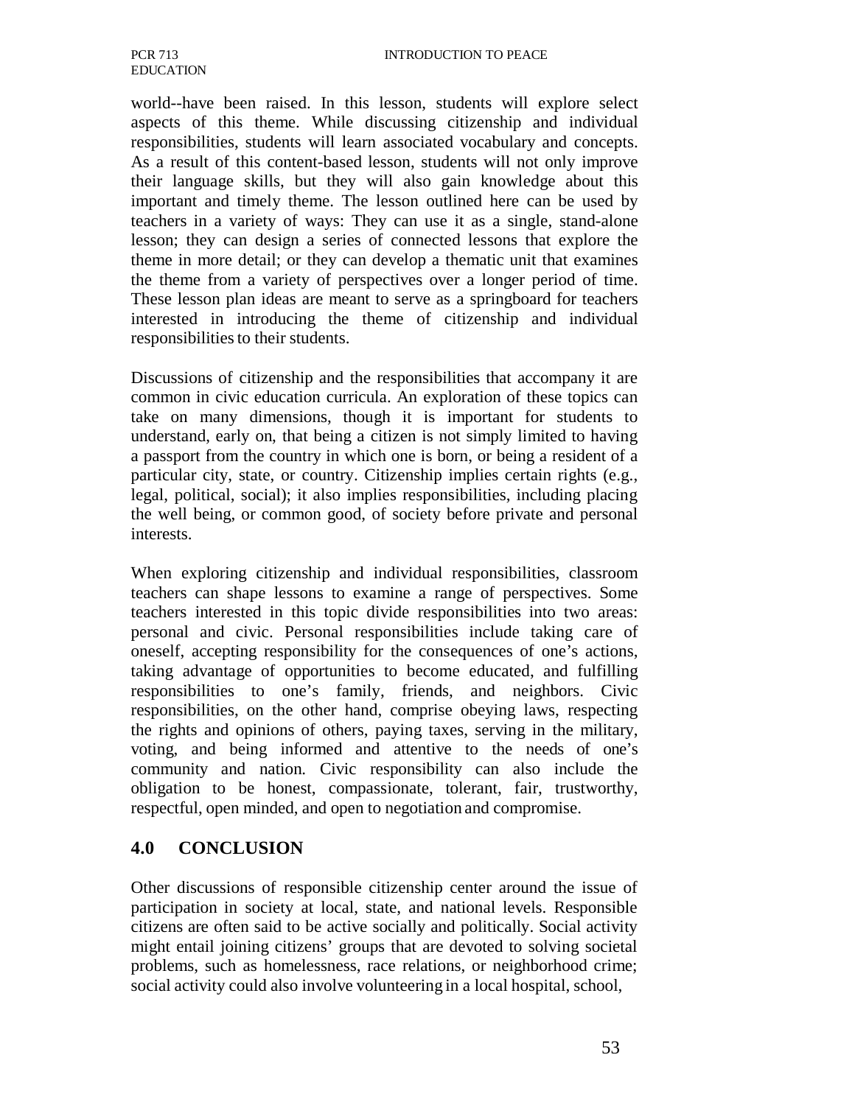world--have been raised. In this lesson, students will explore select aspects of this theme. While discussing citizenship and individual responsibilities, students will learn associated vocabulary and concepts. As a result of this content-based lesson, students will not only improve their language skills, but they will also gain knowledge about this important and timely theme. The lesson outlined here can be used by teachers in a variety of ways: They can use it as a single, stand-alone lesson; they can design a series of connected lessons that explore the theme in more detail; or they can develop a thematic unit that examines the theme from a variety of perspectives over a longer period of time. These lesson plan ideas are meant to serve as a springboard for teachers interested in introducing the theme of citizenship and individual responsibilities to their students.

Discussions of citizenship and the responsibilities that accompany it are common in civic education curricula. An exploration of these topics can take on many dimensions, though it is important for students to understand, early on, that being a citizen is not simply limited to having a passport from the country in which one is born, or being a resident of a particular city, state, or country. Citizenship implies certain rights (e.g., legal, political, social); it also implies responsibilities, including placing the well being, or common good, of society before private and personal interests.

When exploring citizenship and individual responsibilities, classroom teachers can shape lessons to examine a range of perspectives. Some teachers interested in this topic divide responsibilities into two areas: personal and civic. Personal responsibilities include taking care of oneself, accepting responsibility for the consequences of one's actions, taking advantage of opportunities to become educated, and fulfilling responsibilities to one's family, friends, and neighbors. Civic responsibilities, on the other hand, comprise obeying laws, respecting the rights and opinions of others, paying taxes, serving in the military, voting, and being informed and attentive to the needs of one's community and nation. Civic responsibility can also include the obligation to be honest, compassionate, tolerant, fair, trustworthy, respectful, open minded, and open to negotiation and compromise.

#### **4.0 CONCLUSION**

Other discussions of responsible citizenship center around the issue of participation in society at local, state, and national levels. Responsible citizens are often said to be active socially and politically. Social activity might entail joining citizens' groups that are devoted to solving societal problems, such as homelessness, race relations, or neighborhood crime; social activity could also involve volunteering in a local hospital, school,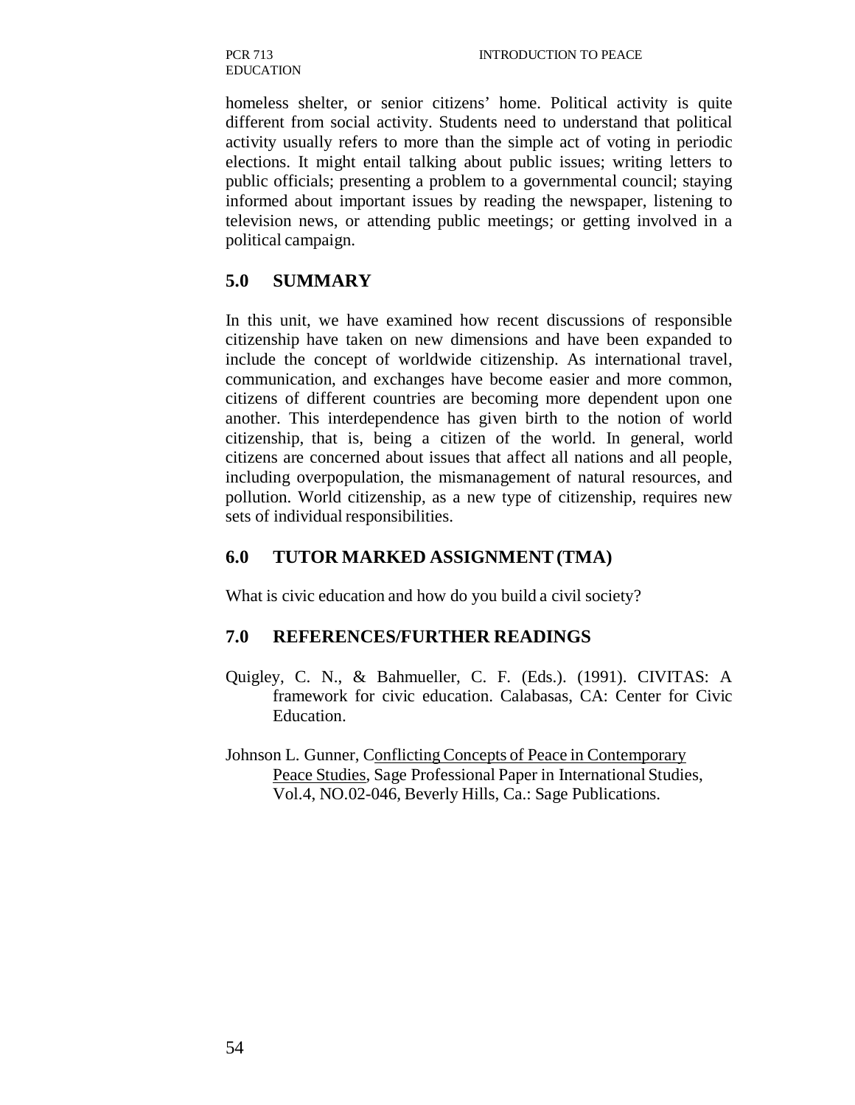homeless shelter, or senior citizens' home. Political activity is quite different from social activity. Students need to understand that political activity usually refers to more than the simple act of voting in periodic elections. It might entail talking about public issues; writing letters to public officials; presenting a problem to a governmental council; staying informed about important issues by reading the newspaper, listening to television news, or attending public meetings; or getting involved in a political campaign.

#### **5.0 SUMMARY**

In this unit, we have examined how recent discussions of responsible citizenship have taken on new dimensions and have been expanded to include the concept of worldwide citizenship. As international travel, communication, and exchanges have become easier and more common, citizens of different countries are becoming more dependent upon one another. This interdependence has given birth to the notion of world citizenship, that is, being a citizen of the world. In general, world citizens are concerned about issues that affect all nations and all people, including overpopulation, the mismanagement of natural resources, and pollution. World citizenship, as a new type of citizenship, requires new sets of individual responsibilities.

#### **6.0 TUTOR MARKED ASSIGNMENT (TMA)**

What is civic education and how do you build a civil society?

### **7.0 REFERENCES/FURTHER READINGS**

- Quigley, C. N., & Bahmueller, C. F. (Eds.). (1991). CIVITAS: A framework for civic education. Calabasas, CA: Center for Civic Education.
- Johnson L. Gunner, Conflicting Concepts of Peace in Contemporary Peace Studies, Sage Professional Paper in International Studies, Vol.4, NO.02-046, Beverly Hills, Ca.: Sage Publications.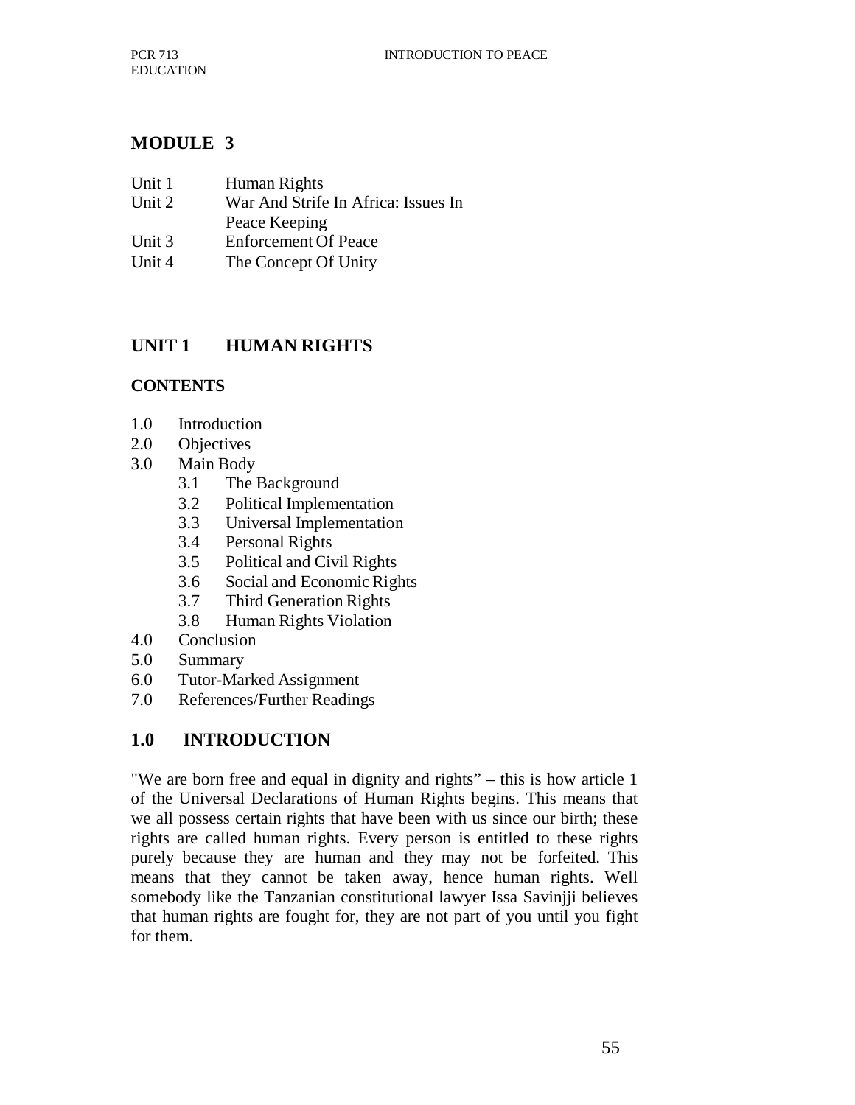## **MODULE 3**

| Unit 1 | Human Rights                        |  |
|--------|-------------------------------------|--|
| Unit 2 | War And Strife In Africa: Issues In |  |
|        | Peace Keeping                       |  |
| Unit 3 | <b>Enforcement Of Peace</b>         |  |
| Unit 4 | The Concept Of Unity                |  |

# **UNIT 1 HUMAN RIGHTS**

#### **CONTENTS**

- 1.0 Introduction
- 2.0 Objectives
- 3.0 Main Body
	- 3.1 The Background
	- 3.2 Political Implementation
	- 3.3 Universal Implementation
	- 3.4 Personal Rights
	- 3.5 Political and Civil Rights
	- 3.6 Social and Economic Rights
	- 3.7 Third Generation Rights
	- 3.8 Human Rights Violation
- 4.0 Conclusion
- 5.0 Summary
- 6.0 Tutor-Marked Assignment
- 7.0 References/Further Readings

## **1.0 INTRODUCTION**

"We are born free and equal in dignity and rights" – this is how article 1 of the Universal Declarations of Human Rights begins. This means that we all possess certain rights that have been with us since our birth; these rights are called human rights. Every person is entitled to these rights purely because they are human and they may not be forfeited. This means that they cannot be taken away, hence human rights. Well somebody like the Tanzanian constitutional lawyer Issa Savinjji believes that human rights are fought for, they are not part of you until you fight for them.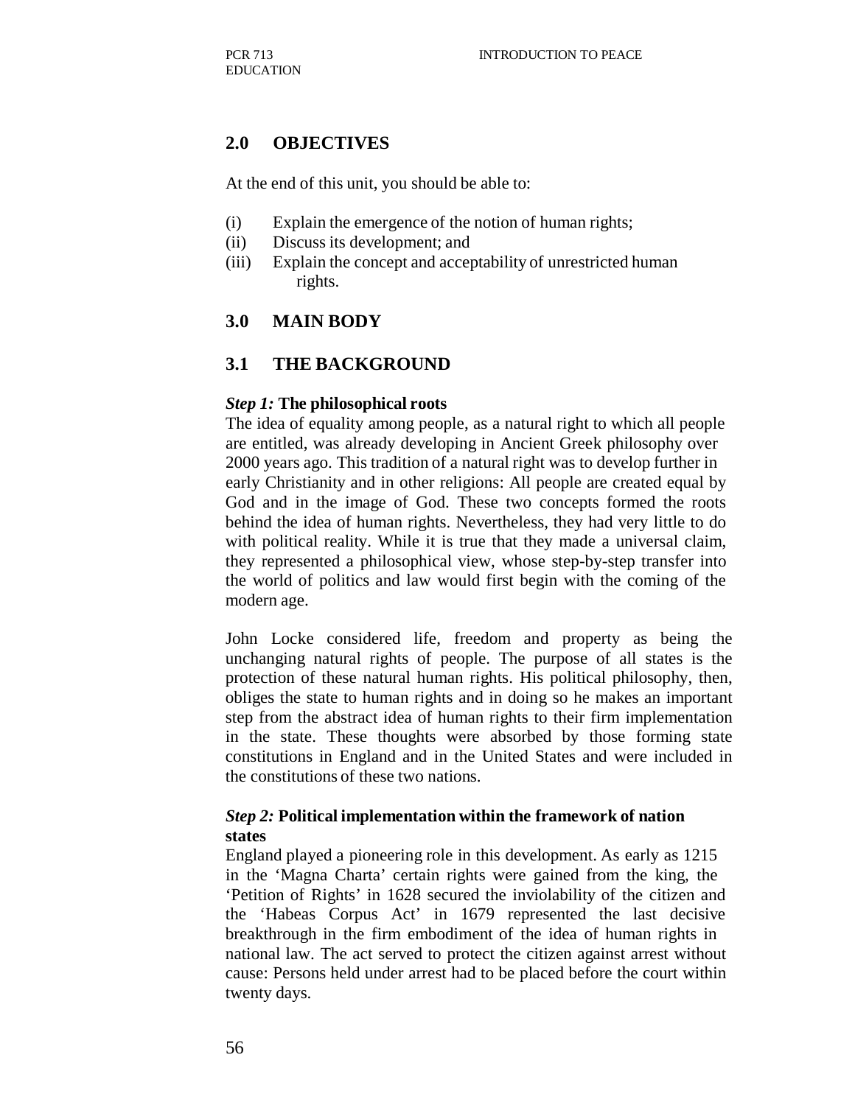#### **2.0 OBJECTIVES**

At the end of this unit, you should be able to:

- (i) Explain the emergence of the notion of human rights;
- (ii) Discuss its development; and
- (iii) Explain the concept and acceptability of unrestricted human rights.

#### **3.0 MAIN BODY**

#### **3.1 THE BACKGROUND**

#### *Step 1:* **The philosophical roots**

The idea of equality among people, as a natural right to which all people are entitled, was already developing in Ancient Greek philosophy over 2000 years ago. This tradition of a natural right was to develop further in early Christianity and in other religions: All people are created equal by God and in the image of God. These two concepts formed the roots behind the idea of human rights. Nevertheless, they had very little to do with political reality. While it is true that they made a universal claim, they represented a philosophical view, whose step-by-step transfer into the world of politics and law would first begin with the coming of the modern age.

John Locke considered life, freedom and property as being the unchanging natural rights of people. The purpose of all states is the protection of these natural human rights. His political philosophy, then, obliges the state to human rights and in doing so he makes an important step from the abstract idea of human rights to their firm implementation in the state. These thoughts were absorbed by those forming state constitutions in England and in the United States and were included in the constitutions of these two nations.

#### *Step 2:* **Political implementation within the framework of nation states**

England played a pioneering role in this development. As early as 1215 in the 'Magna Charta' certain rights were gained from the king, the 'Petition of Rights' in 1628 secured the inviolability of the citizen and the 'Habeas Corpus Act' in 1679 represented the last decisive breakthrough in the firm embodiment of the idea of human rights in national law. The act served to protect the citizen against arrest without cause: Persons held under arrest had to be placed before the court within twenty days.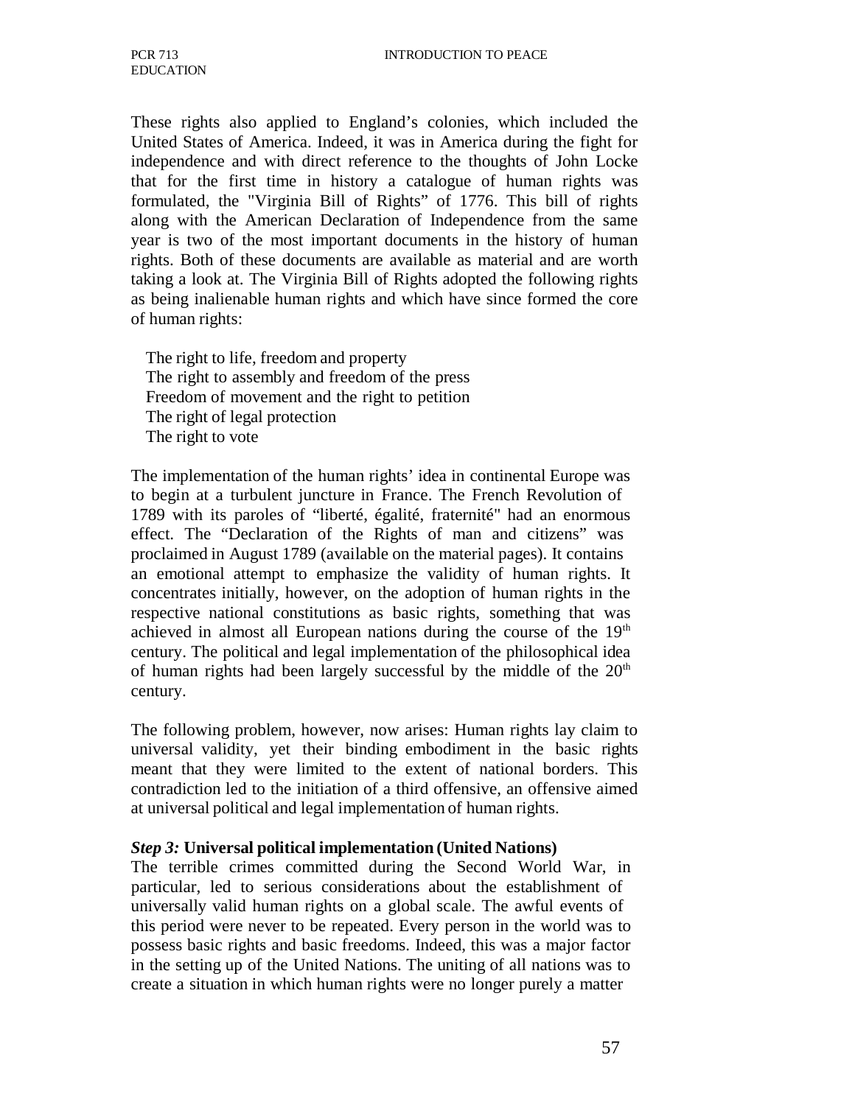These rights also applied to England's colonies, which included the United States of America. Indeed, it was in America during the fight for independence and with direct reference to the thoughts of John Locke that for the first time in history a catalogue of human rights was formulated, the "Virginia Bill of Rights" of 1776. This bill of rights along with the American Declaration of Independence from the same year is two of the most important documents in the history of human rights. Both of these documents are available as material and are worth taking a look at. The Virginia Bill of Rights adopted the following rights as being inalienable human rights and which have since formed the core of human rights:

The right to life, freedom and property The right to assembly and freedom of the press Freedom of movement and the right to petition The right of legal protection The right to vote

The implementation of the human rights' idea in continental Europe was to begin at a turbulent juncture in France. The French Revolution of 1789 with its paroles of "liberté, égalité, fraternité" had an enormous effect. The "Declaration of the Rights of man and citizens" was proclaimed in August 1789 (available on the material pages). It contains an emotional attempt to emphasize the validity of human rights. It concentrates initially, however, on the adoption of human rights in the respective national constitutions as basic rights, something that was achieved in almost all European nations during the course of the  $19<sup>th</sup>$ century. The political and legal implementation of the philosophical idea of human rights had been largely successful by the middle of the  $20<sup>th</sup>$ century.

The following problem, however, now arises: Human rights lay claim to universal validity, yet their binding embodiment in the basic rights meant that they were limited to the extent of national borders. This contradiction led to the initiation of a third offensive, an offensive aimed at universal political and legal implementation of human rights.

#### *Step 3:* **Universal political implementation (United Nations)**

The terrible crimes committed during the Second World War, in particular, led to serious considerations about the establishment of universally valid human rights on a global scale. The awful events of this period were never to be repeated. Every person in the world was to possess basic rights and basic freedoms. Indeed, this was a major factor in the setting up of the United Nations. The uniting of all nations was to create a situation in which human rights were no longer purely a matter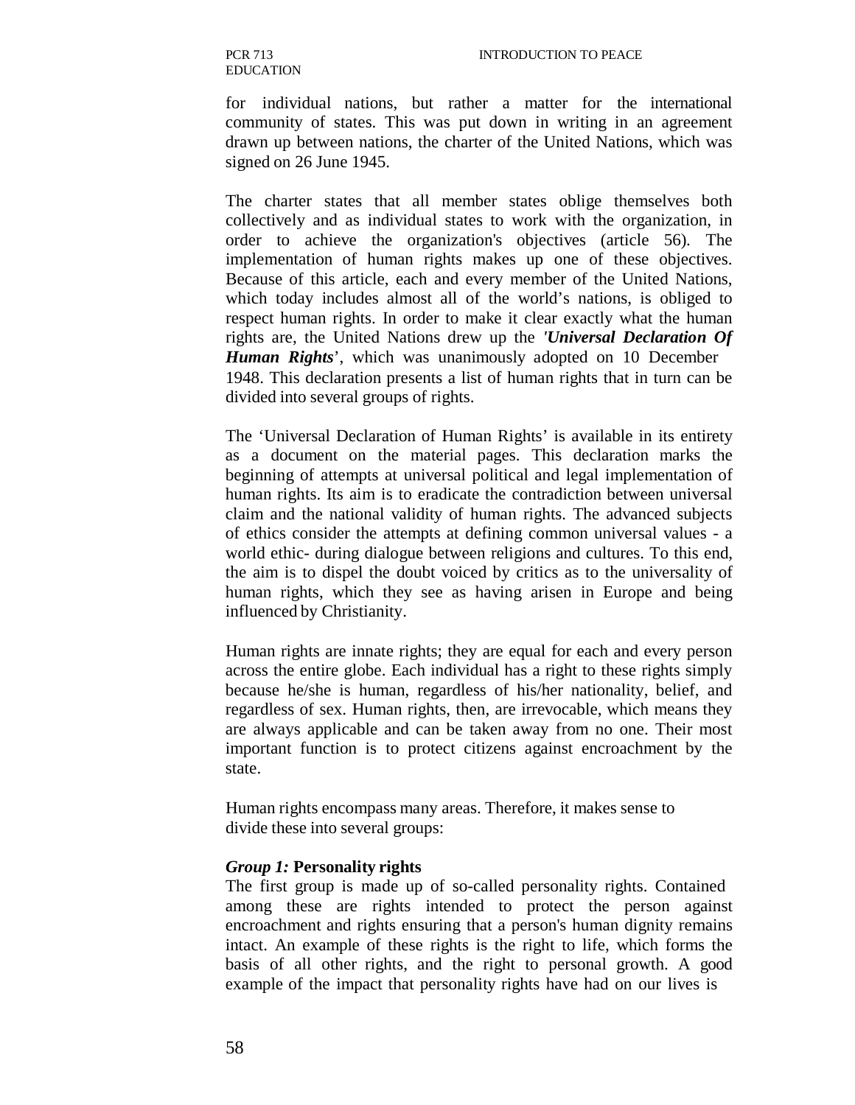for individual nations, but rather a matter for the international community of states. This was put down in writing in an agreement drawn up between nations, the charter of the United Nations, which was signed on 26 June 1945.

The charter states that all member states oblige themselves both collectively and as individual states to work with the organization, in order to achieve the organization's objectives (article 56). The implementation of human rights makes up one of these objectives. Because of this article, each and every member of the United Nations, which today includes almost all of the world's nations, is obliged to respect human rights. In order to make it clear exactly what the human rights are, the United Nations drew up the *'Universal Declaration Of Human Rights*', which was unanimously adopted on 10 December 1948. This declaration presents a list of human rights that in turn can be divided into several groups of rights.

The 'Universal Declaration of Human Rights' is available in its entirety as a document on the material pages. This declaration marks the beginning of attempts at universal political and legal implementation of human rights. Its aim is to eradicate the contradiction between universal claim and the national validity of human rights. The advanced subjects of ethics consider the attempts at defining common universal values - a world ethic- during dialogue between religions and cultures. To this end, the aim is to dispel the doubt voiced by critics as to the universality of human rights, which they see as having arisen in Europe and being influenced by Christianity.

Human rights are innate rights; they are equal for each and every person across the entire globe. Each individual has a right to these rights simply because he/she is human, regardless of his/her nationality, belief, and regardless of sex. Human rights, then, are irrevocable, which means they are always applicable and can be taken away from no one. Their most important function is to protect citizens against encroachment by the state.

Human rights encompass many areas. Therefore, it makes sense to divide these into several groups:

#### *Group 1:* **Personality rights**

The first group is made up of so-called personality rights. Contained among these are rights intended to protect the person against encroachment and rights ensuring that a person's human dignity remains intact. An example of these rights is the right to life, which forms the basis of all other rights, and the right to personal growth. A good example of the impact that personality rights have had on our lives is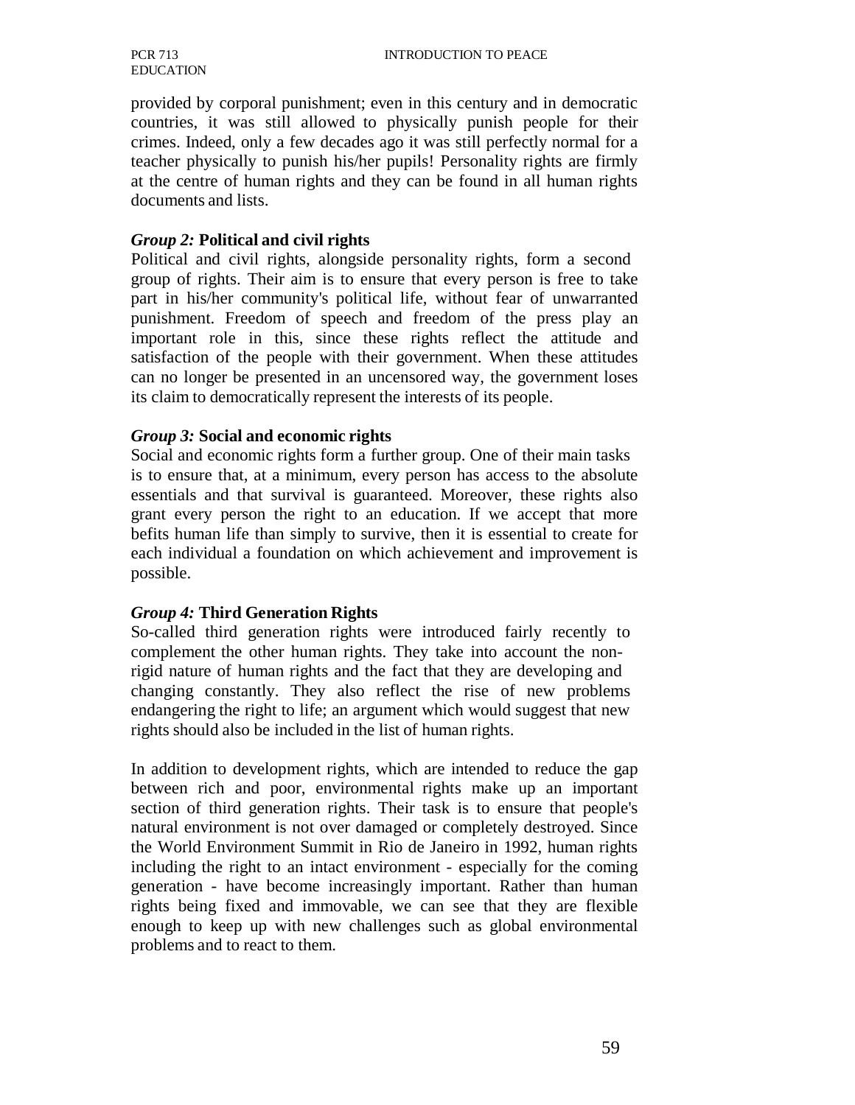provided by corporal punishment; even in this century and in democratic countries, it was still allowed to physically punish people for their crimes. Indeed, only a few decades ago it was still perfectly normal for a teacher physically to punish his/her pupils! Personality rights are firmly at the centre of human rights and they can be found in all human rights documents and lists.

#### *Group 2:* **Political and civil rights**

Political and civil rights, alongside personality rights, form a second group of rights. Their aim is to ensure that every person is free to take part in his/her community's political life, without fear of unwarranted punishment. Freedom of speech and freedom of the press play an important role in this, since these rights reflect the attitude and satisfaction of the people with their government. When these attitudes can no longer be presented in an uncensored way, the government loses its claim to democratically represent the interests of its people.

#### *Group 3:* **Social and economic rights**

Social and economic rights form a further group. One of their main tasks is to ensure that, at a minimum, every person has access to the absolute essentials and that survival is guaranteed. Moreover, these rights also grant every person the right to an education. If we accept that more befits human life than simply to survive, then it is essential to create for each individual a foundation on which achievement and improvement is possible.

#### *Group 4:* **Third Generation Rights**

So-called third generation rights were introduced fairly recently to complement the other human rights. They take into account the nonrigid nature of human rights and the fact that they are developing and changing constantly. They also reflect the rise of new problems endangering the right to life; an argument which would suggest that new rights should also be included in the list of human rights.

In addition to development rights, which are intended to reduce the gap between rich and poor, environmental rights make up an important section of third generation rights. Their task is to ensure that people's natural environment is not over damaged or completely destroyed. Since the World Environment Summit in Rio de Janeiro in 1992, human rights including the right to an intact environment - especially for the coming generation - have become increasingly important. Rather than human rights being fixed and immovable, we can see that they are flexible enough to keep up with new challenges such as global environmental problems and to react to them.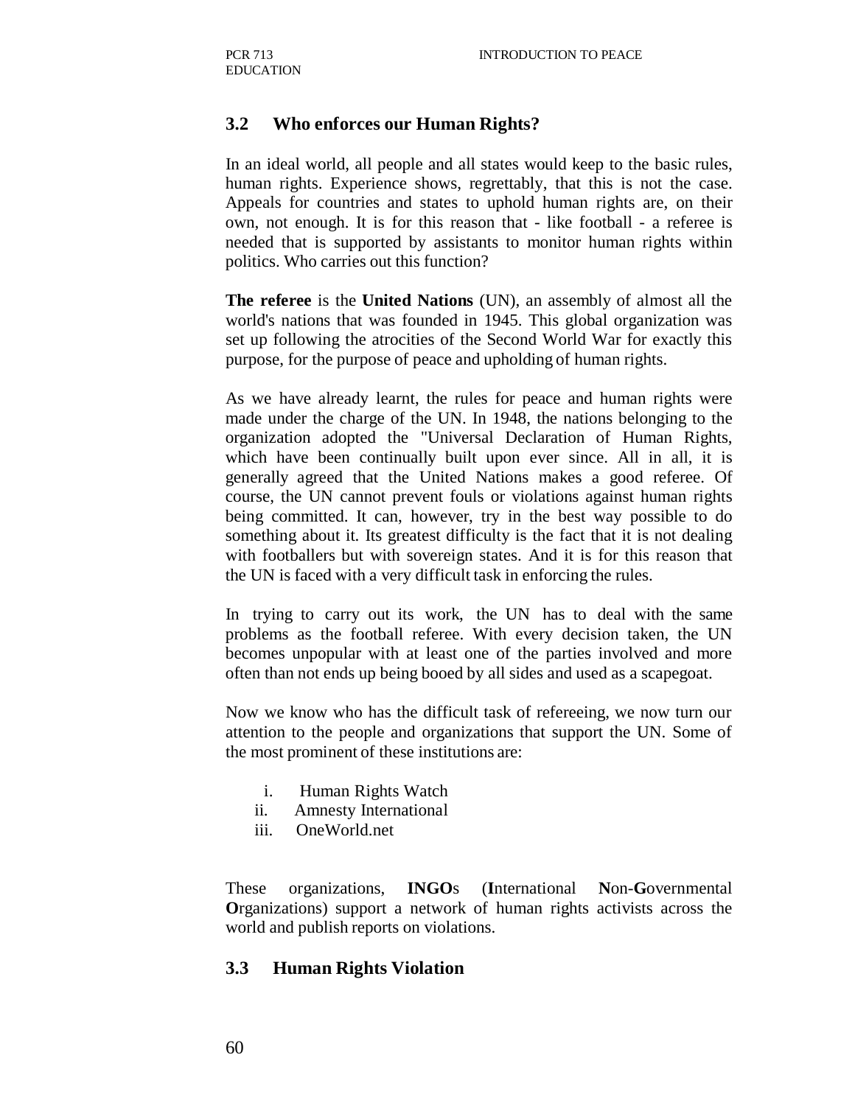#### **3.2 Who enforces our Human Rights?**

In an ideal world, all people and all states would keep to the basic rules, human rights. Experience shows, regrettably, that this is not the case. Appeals for countries and states to uphold human rights are, on their own, not enough. It is for this reason that - like football - a referee is needed that is supported by assistants to monitor human rights within politics. Who carries out this function?

**The referee** is the **United Nations** (UN), an assembly of almost all the world's nations that was founded in 1945. This global organization was set up following the atrocities of the Second World War for exactly this purpose, for the purpose of peace and upholding of human rights.

As we have already learnt, the rules for peace and human rights were made under the charge of the UN. In 1948, the nations belonging to the organization adopted the "Universal Declaration of Human Rights, which have been continually built upon ever since. All in all, it is generally agreed that the United Nations makes a good referee. Of course, the UN cannot prevent fouls or violations against human rights being committed. It can, however, try in the best way possible to do something about it. Its greatest difficulty is the fact that it is not dealing with footballers but with sovereign states. And it is for this reason that the UN is faced with a very difficult task in enforcing the rules.

In trying to carry out its work, the UN has to deal with the same problems as the football referee. With every decision taken, the UN becomes unpopular with at least one of the parties involved and more often than not ends up being booed by all sides and used as a scapegoat.

Now we know who has the difficult task of refereeing, we now turn our attention to the people and organizations that support the UN. Some of the most prominent of these institutions are:

- i. Human Rights Watch
- ii. Amnesty International
- iii. OneWorld.net

These organizations, **INGO**s (**I**nternational **N**on-**G**overnmental **O**rganizations) support a network of human rights activists across the world and publish reports on violations.

#### **3.3 Human Rights Violation**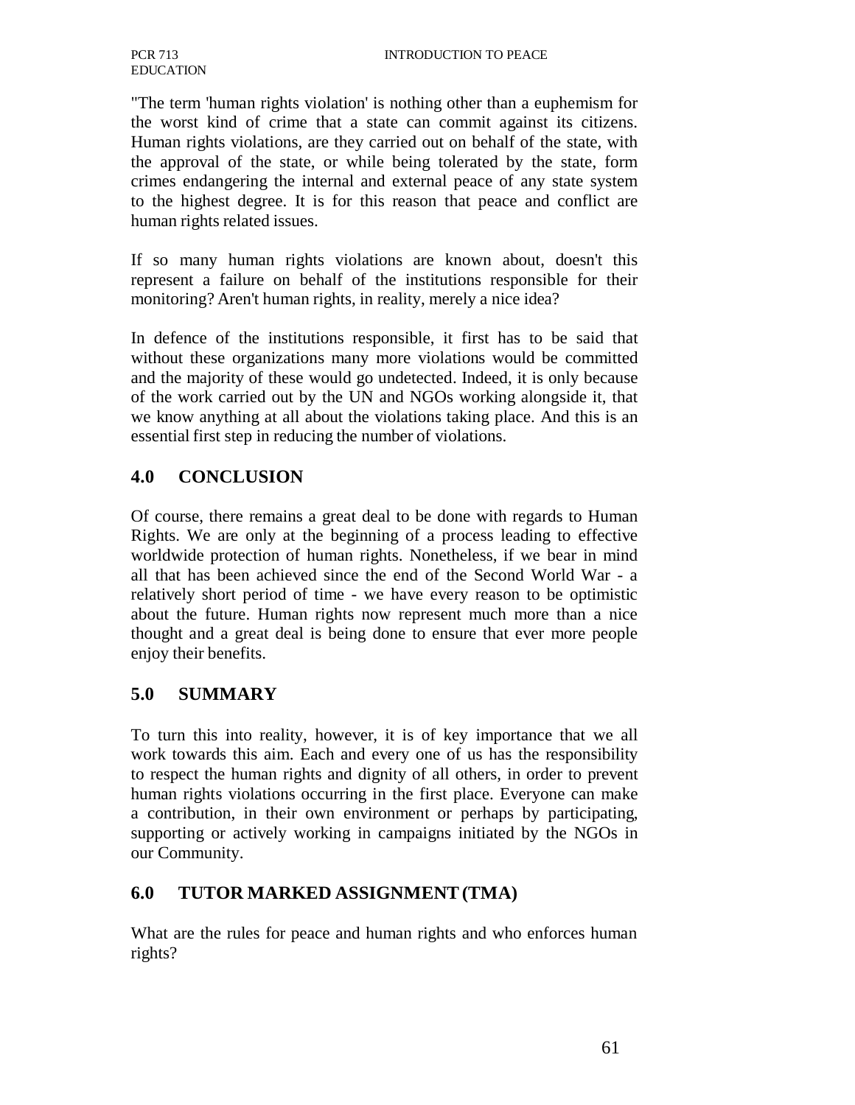"The term 'human rights violation' is nothing other than a euphemism for the worst kind of crime that a state can commit against its citizens. Human rights violations, are they carried out on behalf of the state, with the approval of the state, or while being tolerated by the state, form crimes endangering the internal and external peace of any state system to the highest degree. It is for this reason that peace and conflict are human rights related issues.

If so many human rights violations are known about, doesn't this represent a failure on behalf of the institutions responsible for their monitoring? Aren't human rights, in reality, merely a nice idea?

In defence of the institutions responsible, it first has to be said that without these organizations many more violations would be committed and the majority of these would go undetected. Indeed, it is only because of the work carried out by the UN and NGOs working alongside it, that we know anything at all about the violations taking place. And this is an essential first step in reducing the number of violations.

### **4.0 CONCLUSION**

Of course, there remains a great deal to be done with regards to Human Rights. We are only at the beginning of a process leading to effective worldwide protection of human rights. Nonetheless, if we bear in mind all that has been achieved since the end of the Second World War - a relatively short period of time - we have every reason to be optimistic about the future. Human rights now represent much more than a nice thought and a great deal is being done to ensure that ever more people enjoy their benefits.

#### **5.0 SUMMARY**

To turn this into reality, however, it is of key importance that we all work towards this aim. Each and every one of us has the responsibility to respect the human rights and dignity of all others, in order to prevent human rights violations occurring in the first place. Everyone can make a contribution, in their own environment or perhaps by participating, supporting or actively working in campaigns initiated by the NGOs in our Community.

## **6.0 TUTOR MARKED ASSIGNMENT (TMA)**

What are the rules for peace and human rights and who enforces human rights?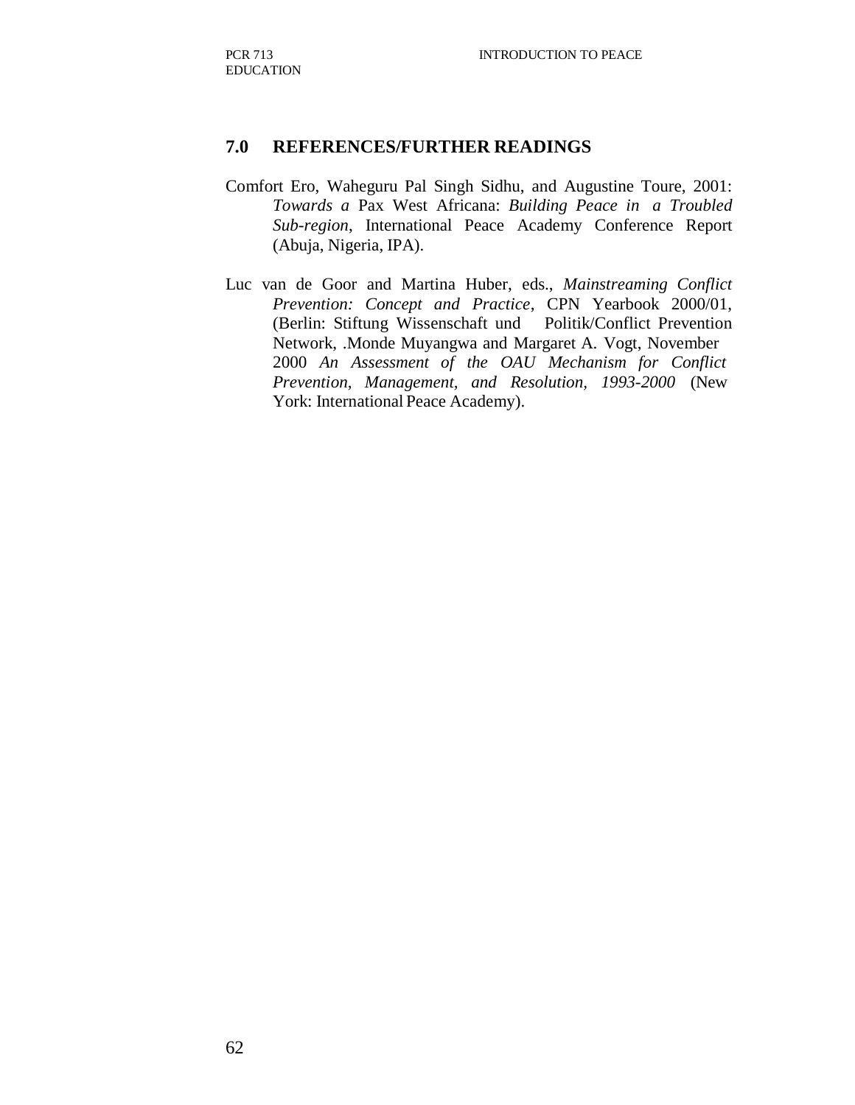#### **7.0 REFERENCES/FURTHER READINGS**

- Comfort Ero, Waheguru Pal Singh Sidhu, and Augustine Toure, 2001: *Towards a* Pax West Africana: *Building Peace in a Troubled Sub-region*, International Peace Academy Conference Report (Abuja, Nigeria, IPA).
- Luc van de Goor and Martina Huber, eds., *Mainstreaming Conflict Prevention: Concept and Practice*, CPN Yearbook 2000/01, (Berlin: Stiftung Wissenschaft und Politik/Conflict Prevention Network, .Monde Muyangwa and Margaret A. Vogt, November 2000 *An Assessment of the OAU Mechanism for Conflict Prevention, Management, and Resolution, 1993-2000* (New York: International Peace Academy).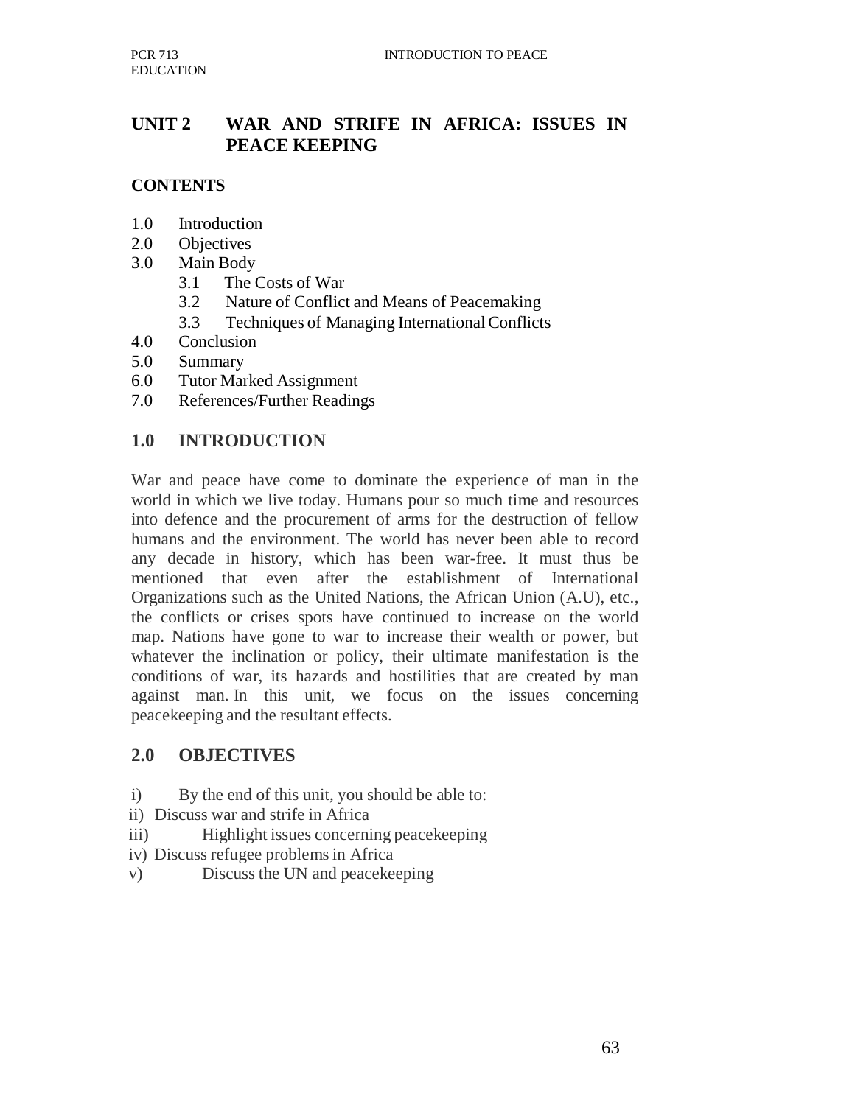## **UNIT 2 WAR AND STRIFE IN AFRICA: ISSUES IN PEACE KEEPING**

## **CONTENTS**

- 1.0 Introduction
- 2.0 Objectives
- 3.0 Main Body
	- 3.1 The Costs of War
	- 3.2 Nature of Conflict and Means of Peacemaking
	- 3.3 Techniques of Managing International Conflicts
- 4.0 Conclusion
- 5.0 Summary
- 6.0 Tutor Marked Assignment
- 7.0 References/Further Readings

### **1.0 INTRODUCTION**

War and peace have come to dominate the experience of man in the world in which we live today. Humans pour so much time and resources into defence and the procurement of arms for the destruction of fellow humans and the environment. The world has never been able to record any decade in history, which has been war-free. It must thus be mentioned that even after the establishment of International Organizations such as the United Nations, the African Union (A.U), etc., the conflicts or crises spots have continued to increase on the world map. Nations have gone to war to increase their wealth or power, but whatever the inclination or policy, their ultimate manifestation is the conditions of war, its hazards and hostilities that are created by man against man. In this unit, we focus on the issues concerning peacekeeping and the resultant effects.

#### **2.0 OBJECTIVES**

- i) By the end of this unit, you should be able to:
- ii) Discuss war and strife in Africa
- iii) Highlight issues concerning peacekeeping
- iv) Discuss refugee problems in Africa
- v) Discuss the UN and peacekeeping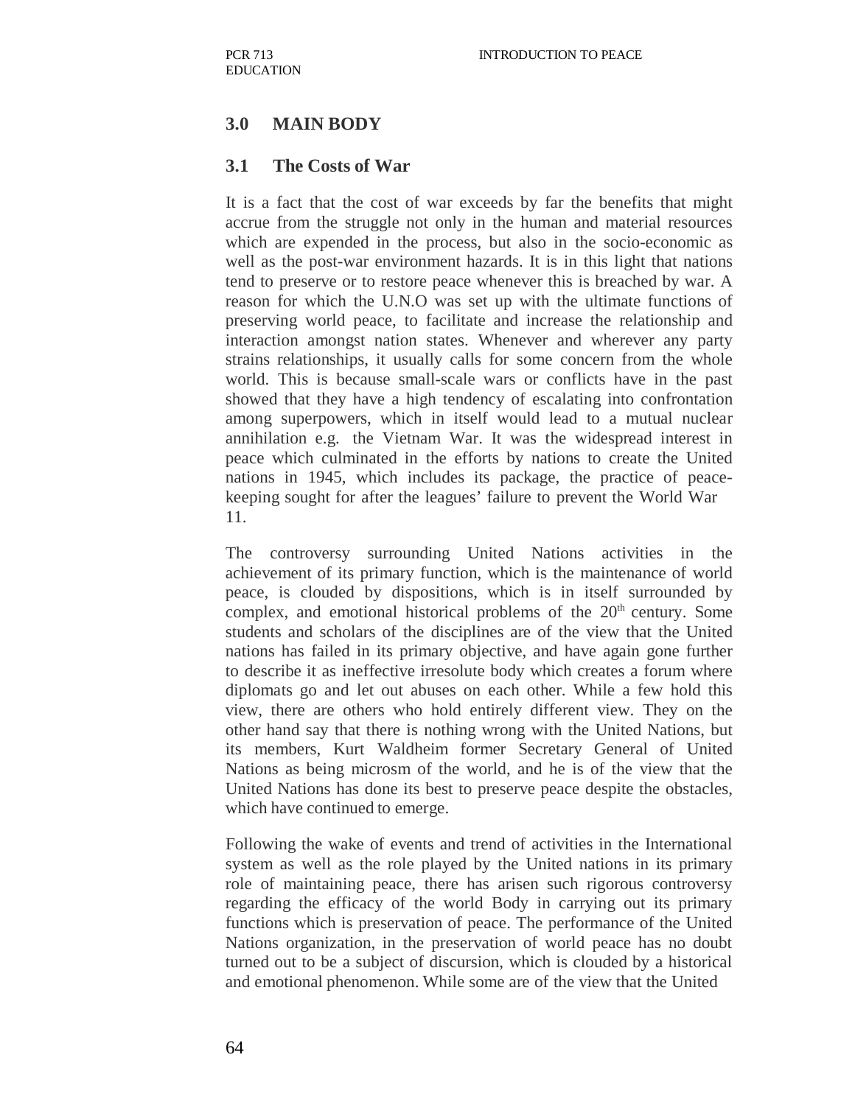## **3.0 MAIN BODY**

#### **3.1 The Costs of War**

It is a fact that the cost of war exceeds by far the benefits that might accrue from the struggle not only in the human and material resources which are expended in the process, but also in the socio-economic as well as the post-war environment hazards. It is in this light that nations tend to preserve or to restore peace whenever this is breached by war. A reason for which the U.N.O was set up with the ultimate functions of preserving world peace, to facilitate and increase the relationship and interaction amongst nation states. Whenever and wherever any party strains relationships, it usually calls for some concern from the whole world. This is because small-scale wars or conflicts have in the past showed that they have a high tendency of escalating into confrontation among superpowers, which in itself would lead to a mutual nuclear annihilation e.g. the Vietnam War. It was the widespread interest in peace which culminated in the efforts by nations to create the United nations in 1945, which includes its package, the practice of peacekeeping sought for after the leagues' failure to prevent the World War 11.

The controversy surrounding United Nations activities in the achievement of its primary function, which is the maintenance of world peace, is clouded by dispositions, which is in itself surrounded by complex, and emotional historical problems of the  $20<sup>th</sup>$  century. Some students and scholars of the disciplines are of the view that the United nations has failed in its primary objective, and have again gone further to describe it as ineffective irresolute body which creates a forum where diplomats go and let out abuses on each other. While a few hold this view, there are others who hold entirely different view. They on the other hand say that there is nothing wrong with the United Nations, but its members, Kurt Waldheim former Secretary General of United Nations as being microsm of the world, and he is of the view that the United Nations has done its best to preserve peace despite the obstacles, which have continued to emerge.

Following the wake of events and trend of activities in the International system as well as the role played by the United nations in its primary role of maintaining peace, there has arisen such rigorous controversy regarding the efficacy of the world Body in carrying out its primary functions which is preservation of peace. The performance of the United Nations organization, in the preservation of world peace has no doubt turned out to be a subject of discursion, which is clouded by a historical and emotional phenomenon. While some are of the view that the United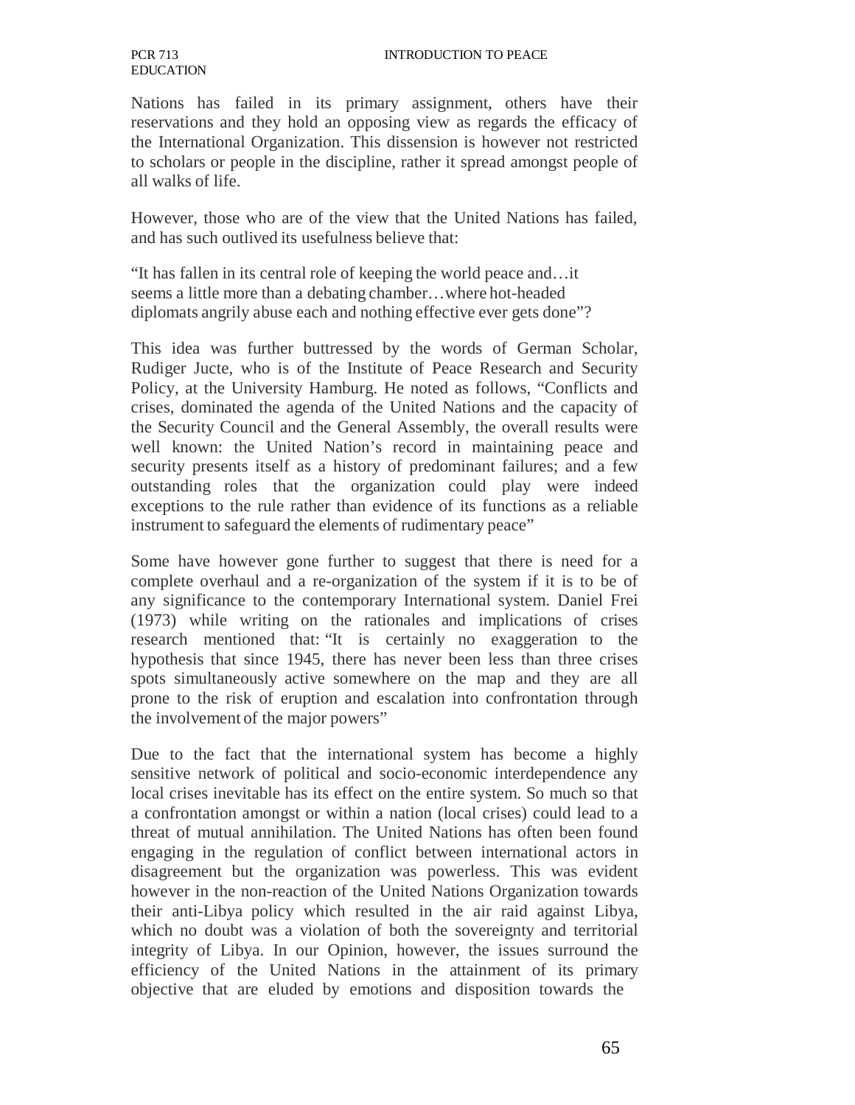#### INTRODUCTION TO PEACE

Nations has failed in its primary assignment, others have their reservations and they hold an opposing view as regards the efficacy of the International Organization. This dissension is however not restricted to scholars or people in the discipline, rather it spread amongst people of all walks of life.

However, those who are of the view that the United Nations has failed, and has such outlived its usefulness believe that:

"It has fallen in its central role of keeping the world peace and…it seems a little more than a debating chamber…where hot-headed diplomats angrily abuse each and nothing effective ever gets done"?

This idea was further buttressed by the words of German Scholar, Rudiger Jucte, who is of the Institute of Peace Research and Security Policy, at the University Hamburg. He noted as follows, "Conflicts and crises, dominated the agenda of the United Nations and the capacity of the Security Council and the General Assembly, the overall results were well known: the United Nation's record in maintaining peace and security presents itself as a history of predominant failures; and a few outstanding roles that the organization could play were indeed exceptions to the rule rather than evidence of its functions as a reliable instrument to safeguard the elements of rudimentary peace"

Some have however gone further to suggest that there is need for a complete overhaul and a re-organization of the system if it is to be of any significance to the contemporary International system. Daniel Frei (1973) while writing on the rationales and implications of crises research mentioned that: "It is certainly no exaggeration to the hypothesis that since 1945, there has never been less than three crises spots simultaneously active somewhere on the map and they are all prone to the risk of eruption and escalation into confrontation through the involvement of the major powers"

Due to the fact that the international system has become a highly sensitive network of political and socio-economic interdependence any local crises inevitable has its effect on the entire system. So much so that a confrontation amongst or within a nation (local crises) could lead to a threat of mutual annihilation. The United Nations has often been found engaging in the regulation of conflict between international actors in disagreement but the organization was powerless. This was evident however in the non-reaction of the United Nations Organization towards their anti-Libya policy which resulted in the air raid against Libya, which no doubt was a violation of both the sovereignty and territorial integrity of Libya. In our Opinion, however, the issues surround the efficiency of the United Nations in the attainment of its primary objective that are eluded by emotions and disposition towards the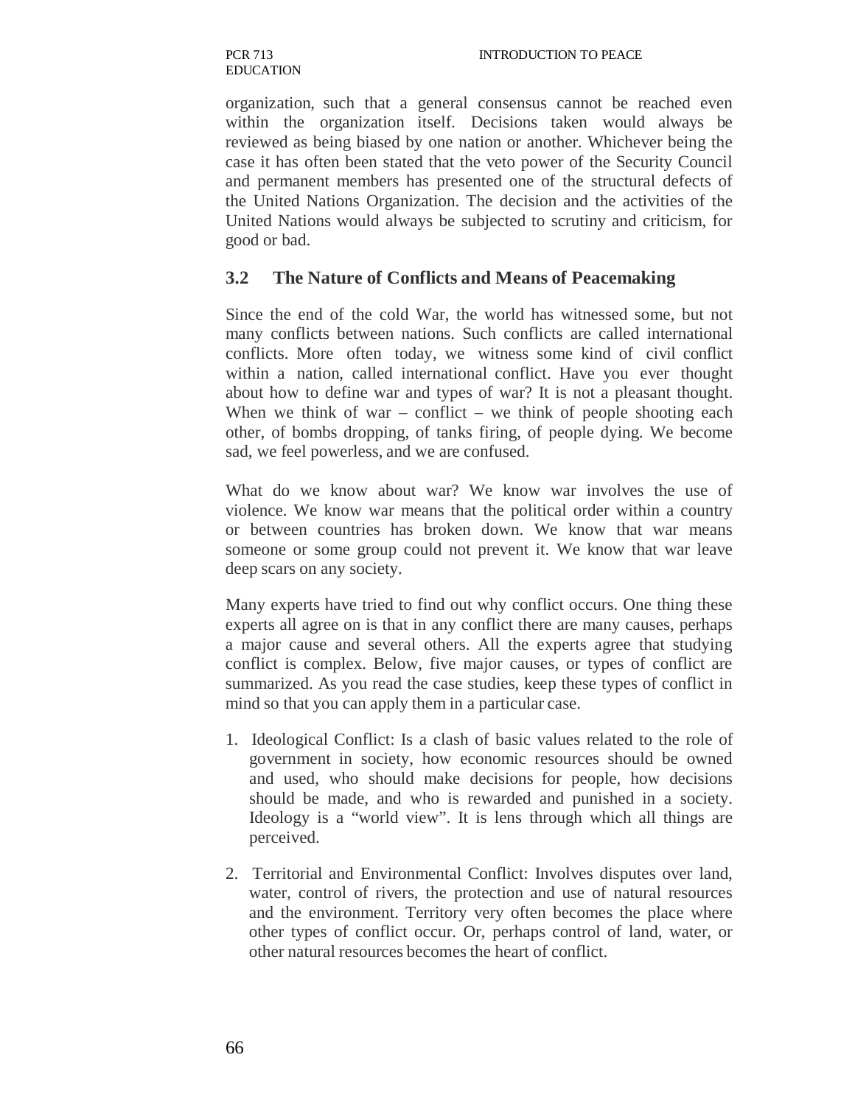organization, such that a general consensus cannot be reached even within the organization itself. Decisions taken would always be reviewed as being biased by one nation or another. Whichever being the case it has often been stated that the veto power of the Security Council and permanent members has presented one of the structural defects of the United Nations Organization. The decision and the activities of the United Nations would always be subjected to scrutiny and criticism, for good or bad.

#### **3.2 The Nature of Conflicts and Means of Peacemaking**

Since the end of the cold War, the world has witnessed some, but not many conflicts between nations. Such conflicts are called international conflicts. More often today, we witness some kind of civil conflict within a nation, called international conflict. Have you ever thought about how to define war and types of war? It is not a pleasant thought. When we think of war – conflict – we think of people shooting each other, of bombs dropping, of tanks firing, of people dying. We become sad, we feel powerless, and we are confused.

What do we know about war? We know war involves the use of violence. We know war means that the political order within a country or between countries has broken down. We know that war means someone or some group could not prevent it. We know that war leave deep scars on any society.

Many experts have tried to find out why conflict occurs. One thing these experts all agree on is that in any conflict there are many causes, perhaps a major cause and several others. All the experts agree that studying conflict is complex. Below, five major causes, or types of conflict are summarized. As you read the case studies, keep these types of conflict in mind so that you can apply them in a particular case.

- 1. Ideological Conflict: Is a clash of basic values related to the role of government in society, how economic resources should be owned and used, who should make decisions for people, how decisions should be made, and who is rewarded and punished in a society. Ideology is a "world view". It is lens through which all things are perceived.
- 2. Territorial and Environmental Conflict: Involves disputes over land, water, control of rivers, the protection and use of natural resources and the environment. Territory very often becomes the place where other types of conflict occur. Or, perhaps control of land, water, or other natural resources becomes the heart of conflict.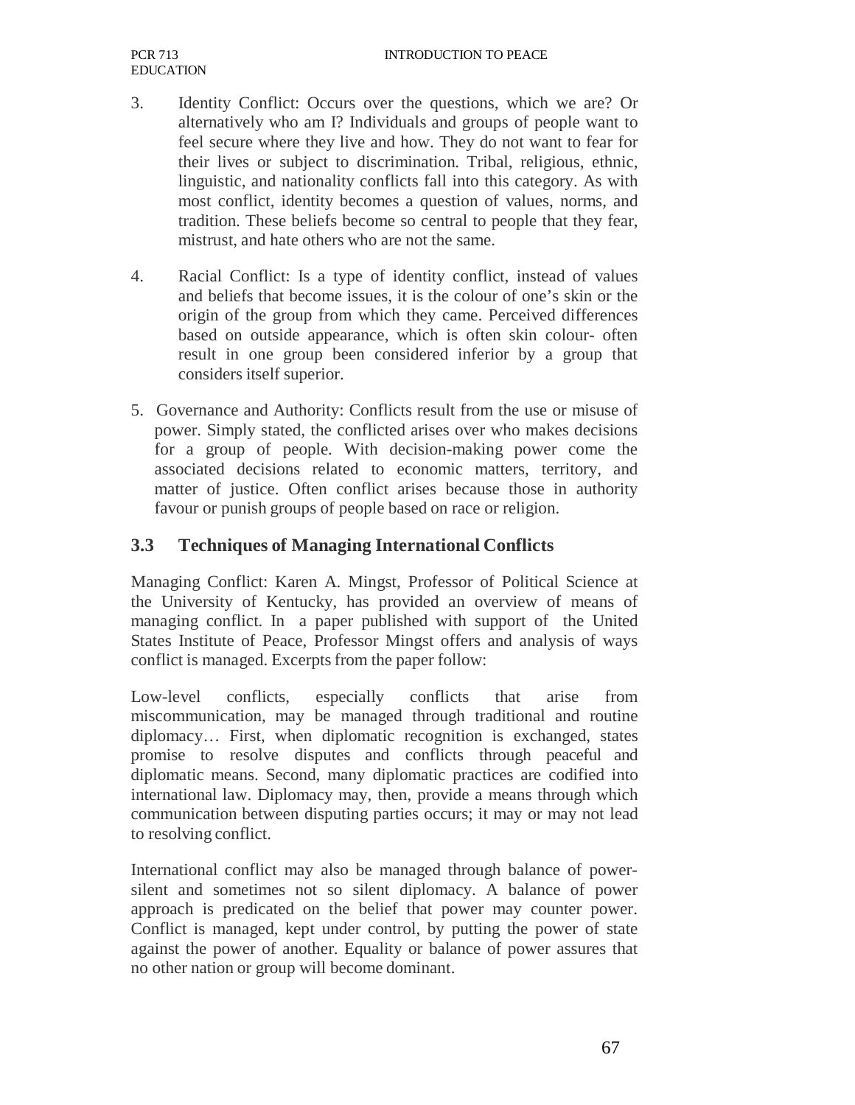- 3. Identity Conflict: Occurs over the questions, which we are? Or alternatively who am I? Individuals and groups of people want to feel secure where they live and how. They do not want to fear for their lives or subject to discrimination. Tribal, religious, ethnic, linguistic, and nationality conflicts fall into this category. As with most conflict, identity becomes a question of values, norms, and tradition. These beliefs become so central to people that they fear, mistrust, and hate others who are not the same.
- 4. Racial Conflict: Is a type of identity conflict, instead of values and beliefs that become issues, it is the colour of one's skin or the origin of the group from which they came. Perceived differences based on outside appearance, which is often skin colour- often result in one group been considered inferior by a group that considers itself superior.
- 5. Governance and Authority: Conflicts result from the use or misuse of power. Simply stated, the conflicted arises over who makes decisions for a group of people. With decision-making power come the associated decisions related to economic matters, territory, and matter of justice. Often conflict arises because those in authority favour or punish groups of people based on race or religion.

## **3.3 Techniques of Managing International Conflicts**

Managing Conflict: Karen A. Mingst, Professor of Political Science at the University of Kentucky, has provided an overview of means of managing conflict. In a paper published with support of the United States Institute of Peace, Professor Mingst offers and analysis of ways conflict is managed. Excerpts from the paper follow:

Low-level conflicts, especially conflicts that arise from miscommunication, may be managed through traditional and routine diplomacy… First, when diplomatic recognition is exchanged, states promise to resolve disputes and conflicts through peaceful and diplomatic means. Second, many diplomatic practices are codified into international law. Diplomacy may, then, provide a means through which communication between disputing parties occurs; it may or may not lead to resolving conflict.

International conflict may also be managed through balance of powersilent and sometimes not so silent diplomacy. A balance of power approach is predicated on the belief that power may counter power. Conflict is managed, kept under control, by putting the power of state against the power of another. Equality or balance of power assures that no other nation or group will become dominant.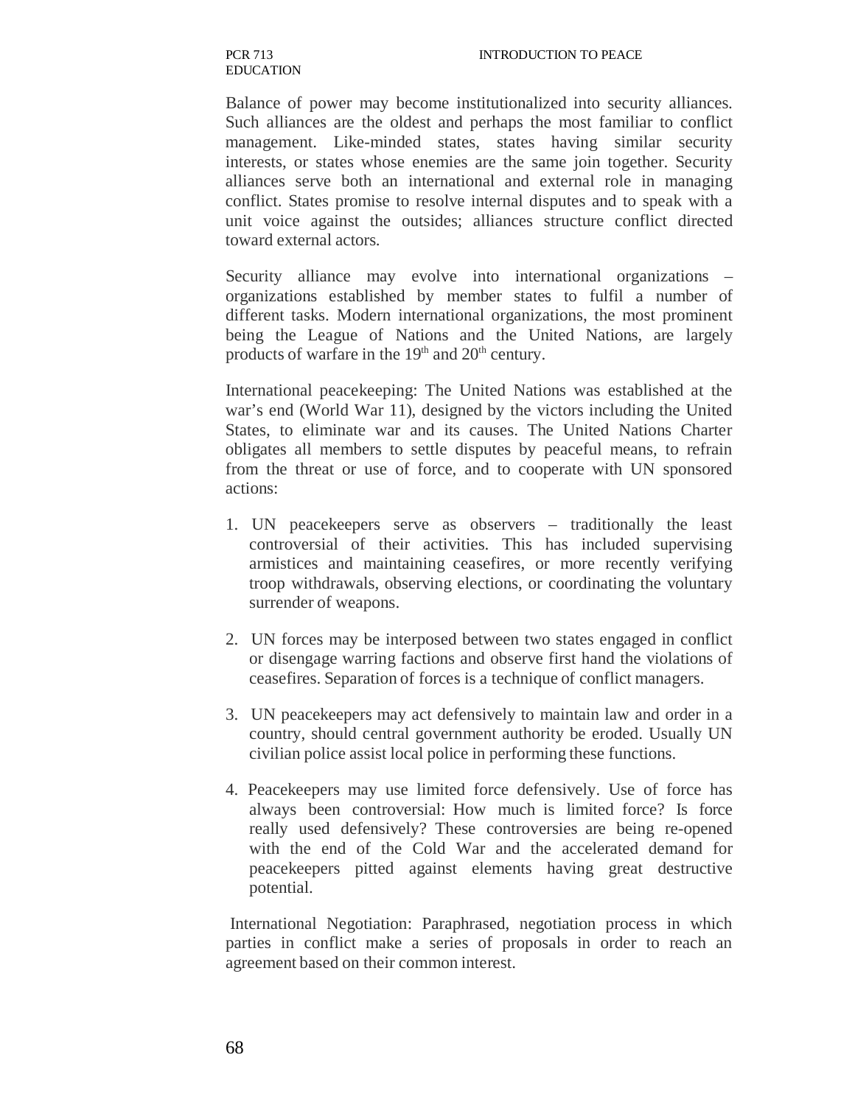Balance of power may become institutionalized into security alliances. Such alliances are the oldest and perhaps the most familiar to conflict management. Like-minded states, states having similar security interests, or states whose enemies are the same join together. Security alliances serve both an international and external role in managing conflict. States promise to resolve internal disputes and to speak with a unit voice against the outsides; alliances structure conflict directed toward external actors.

Security alliance may evolve into international organizations – organizations established by member states to fulfil a number of different tasks. Modern international organizations, the most prominent being the League of Nations and the United Nations, are largely products of warfare in the  $19<sup>th</sup>$  and  $20<sup>th</sup>$  century.

International peacekeeping: The United Nations was established at the war's end (World War 11), designed by the victors including the United States, to eliminate war and its causes. The United Nations Charter obligates all members to settle disputes by peaceful means, to refrain from the threat or use of force, and to cooperate with UN sponsored actions:

- 1. UN peacekeepers serve as observers traditionally the least controversial of their activities. This has included supervising armistices and maintaining ceasefires, or more recently verifying troop withdrawals, observing elections, or coordinating the voluntary surrender of weapons.
- 2. UN forces may be interposed between two states engaged in conflict or disengage warring factions and observe first hand the violations of ceasefires. Separation of forces is a technique of conflict managers.
- 3. UN peacekeepers may act defensively to maintain law and order in a country, should central government authority be eroded. Usually UN civilian police assist local police in performing these functions.
- 4. Peacekeepers may use limited force defensively. Use of force has always been controversial: How much is limited force? Is force really used defensively? These controversies are being re-opened with the end of the Cold War and the accelerated demand for peacekeepers pitted against elements having great destructive potential.

International Negotiation: Paraphrased, negotiation process in which parties in conflict make a series of proposals in order to reach an agreement based on their common interest.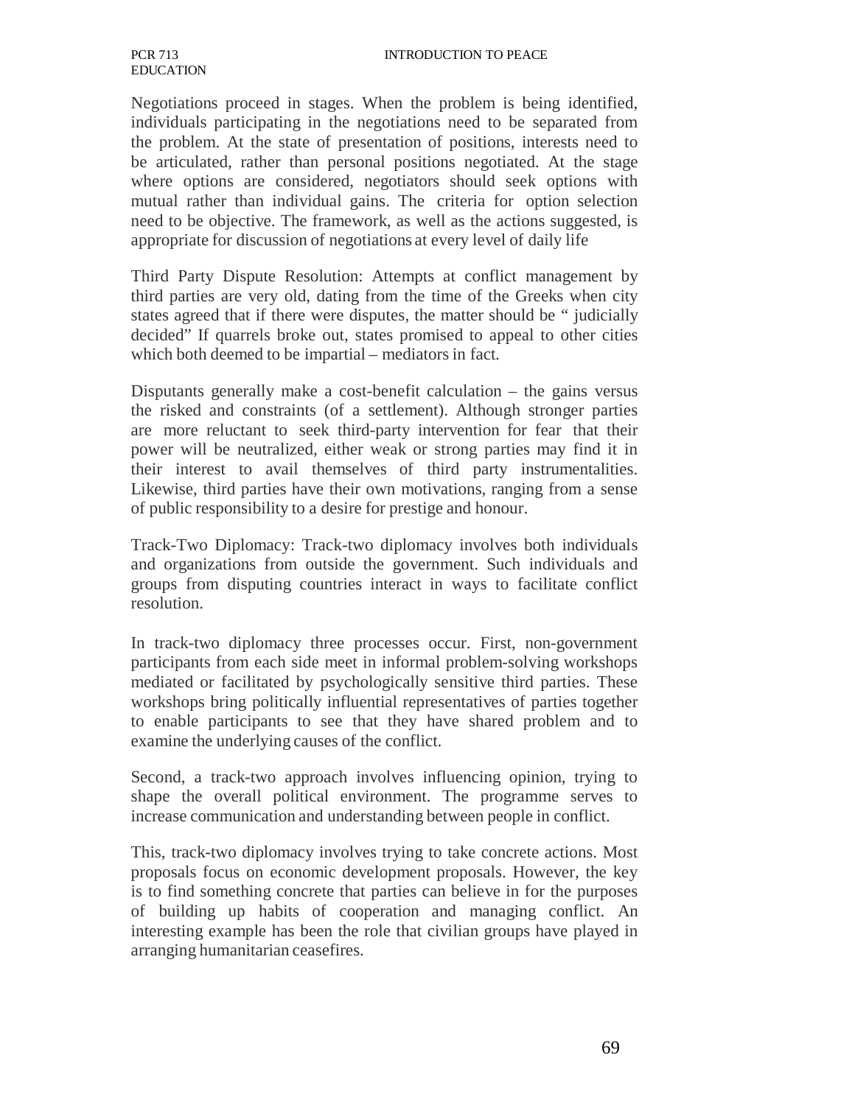#### INTRODUCTION TO PEACE

Negotiations proceed in stages. When the problem is being identified, individuals participating in the negotiations need to be separated from the problem. At the state of presentation of positions, interests need to be articulated, rather than personal positions negotiated. At the stage where options are considered, negotiators should seek options with mutual rather than individual gains. The criteria for option selection need to be objective. The framework, as well as the actions suggested, is appropriate for discussion of negotiations at every level of daily life

Third Party Dispute Resolution: Attempts at conflict management by third parties are very old, dating from the time of the Greeks when city states agreed that if there were disputes, the matter should be " judicially decided" If quarrels broke out, states promised to appeal to other cities which both deemed to be impartial – mediators in fact.

Disputants generally make a cost-benefit calculation – the gains versus the risked and constraints (of a settlement). Although stronger parties are more reluctant to seek third-party intervention for fear that their power will be neutralized, either weak or strong parties may find it in their interest to avail themselves of third party instrumentalities. Likewise, third parties have their own motivations, ranging from a sense of public responsibility to a desire for prestige and honour.

Track-Two Diplomacy: Track-two diplomacy involves both individuals and organizations from outside the government. Such individuals and groups from disputing countries interact in ways to facilitate conflict resolution.

In track-two diplomacy three processes occur. First, non-government participants from each side meet in informal problem-solving workshops mediated or facilitated by psychologically sensitive third parties. These workshops bring politically influential representatives of parties together to enable participants to see that they have shared problem and to examine the underlying causes of the conflict.

Second, a track-two approach involves influencing opinion, trying to shape the overall political environment. The programme serves to increase communication and understanding between people in conflict.

This, track-two diplomacy involves trying to take concrete actions. Most proposals focus on economic development proposals. However, the key is to find something concrete that parties can believe in for the purposes of building up habits of cooperation and managing conflict. An interesting example has been the role that civilian groups have played in arranging humanitarian ceasefires.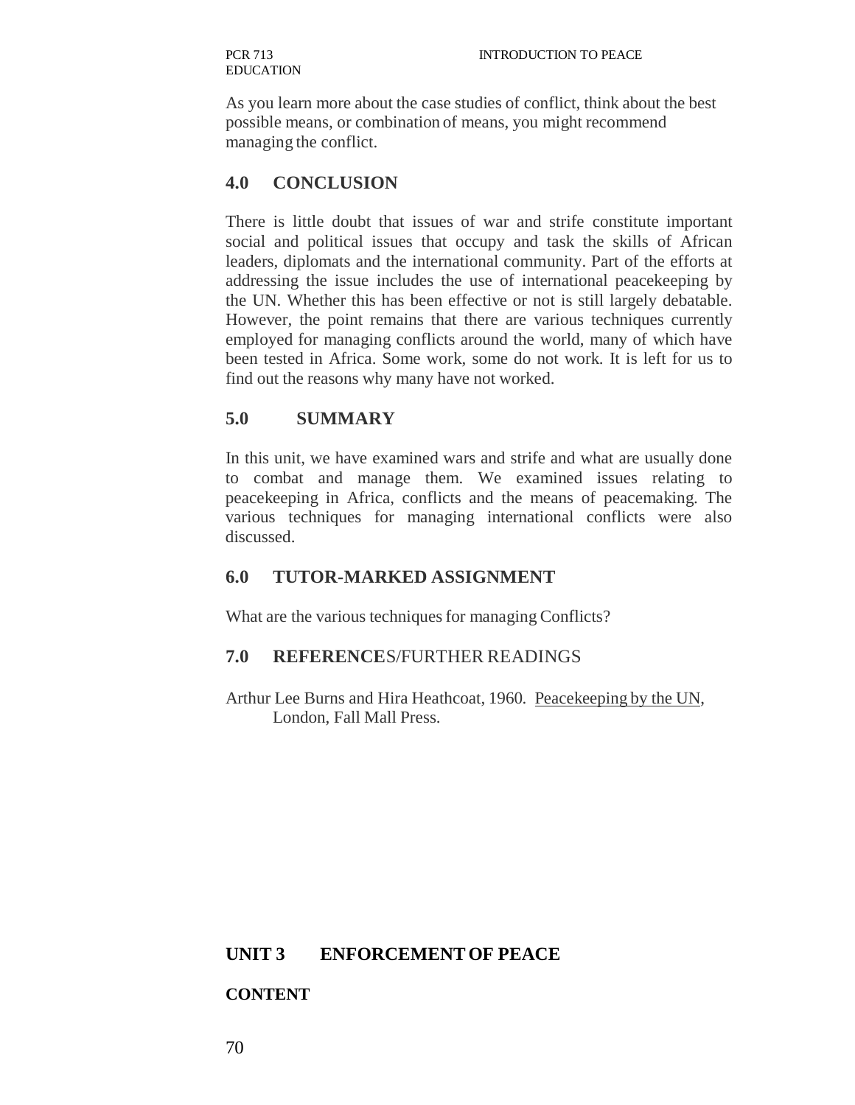As you learn more about the case studies of conflict, think about the best possible means, or combination of means, you might recommend managing the conflict.

#### **4.0 CONCLUSION**

There is little doubt that issues of war and strife constitute important social and political issues that occupy and task the skills of African leaders, diplomats and the international community. Part of the efforts at addressing the issue includes the use of international peacekeeping by the UN. Whether this has been effective or not is still largely debatable. However, the point remains that there are various techniques currently employed for managing conflicts around the world, many of which have been tested in Africa. Some work, some do not work. It is left for us to find out the reasons why many have not worked.

#### **5.0 SUMMARY**

In this unit, we have examined wars and strife and what are usually done to combat and manage them. We examined issues relating to peacekeeping in Africa, conflicts and the means of peacemaking. The various techniques for managing international conflicts were also discussed.

#### **6.0 TUTOR-MARKED ASSIGNMENT**

What are the various techniques for managing Conflicts?

#### **7.0 REFERENCE**S/FURTHER READINGS

Arthur Lee Burns and Hira Heathcoat, 1960. Peacekeeping by the UN, London, Fall Mall Press.

#### **UNIT 3 ENFORCEMENT OF PEACE**

#### **CONTENT**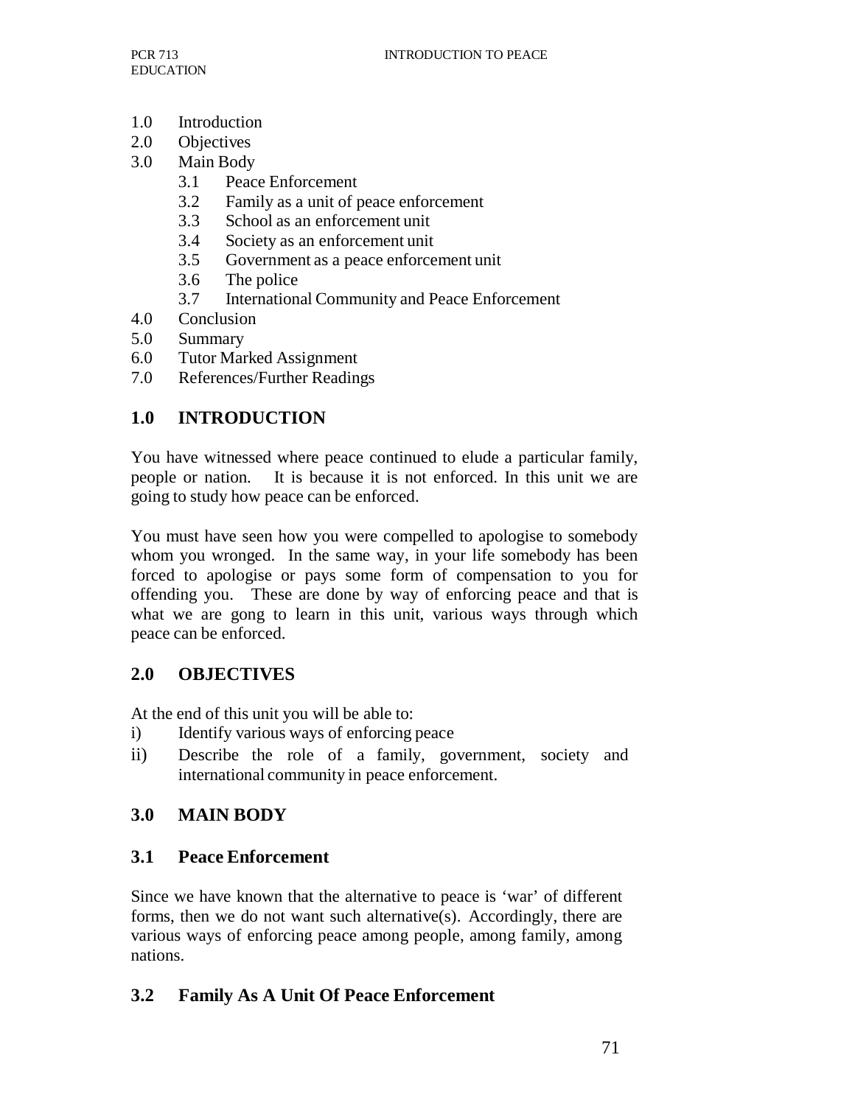- 1.0 Introduction
- 2.0 Objectives
- 3.0 Main Body
	- 3.1 Peace Enforcement
	- 3.2 Family as a unit of peace enforcement
	- 3.3 School as an enforcement unit
	- 3.4 Society as an enforcement unit
	- 3.5 Government as a peace enforcement unit
	- 3.6 The police
	- 3.7 International Community and Peace Enforcement
- 4.0 Conclusion
- 5.0 Summary
- 6.0 Tutor Marked Assignment
- 7.0 References/Further Readings

# **1.0 INTRODUCTION**

You have witnessed where peace continued to elude a particular family, people or nation. It is because it is not enforced. In this unit we are going to study how peace can be enforced.

You must have seen how you were compelled to apologise to somebody whom you wronged. In the same way, in your life somebody has been forced to apologise or pays some form of compensation to you for offending you. These are done by way of enforcing peace and that is what we are gong to learn in this unit, various ways through which peace can be enforced.

# **2.0 OBJECTIVES**

At the end of this unit you will be able to:

- i) Identify various ways of enforcing peace
- ii) Describe the role of a family, government, society and international community in peace enforcement.

# **3.0 MAIN BODY**

## **3.1 Peace Enforcement**

Since we have known that the alternative to peace is 'war' of different forms, then we do not want such alternative(s). Accordingly, there are various ways of enforcing peace among people, among family, among nations.

## **3.2 Family As A Unit Of Peace Enforcement**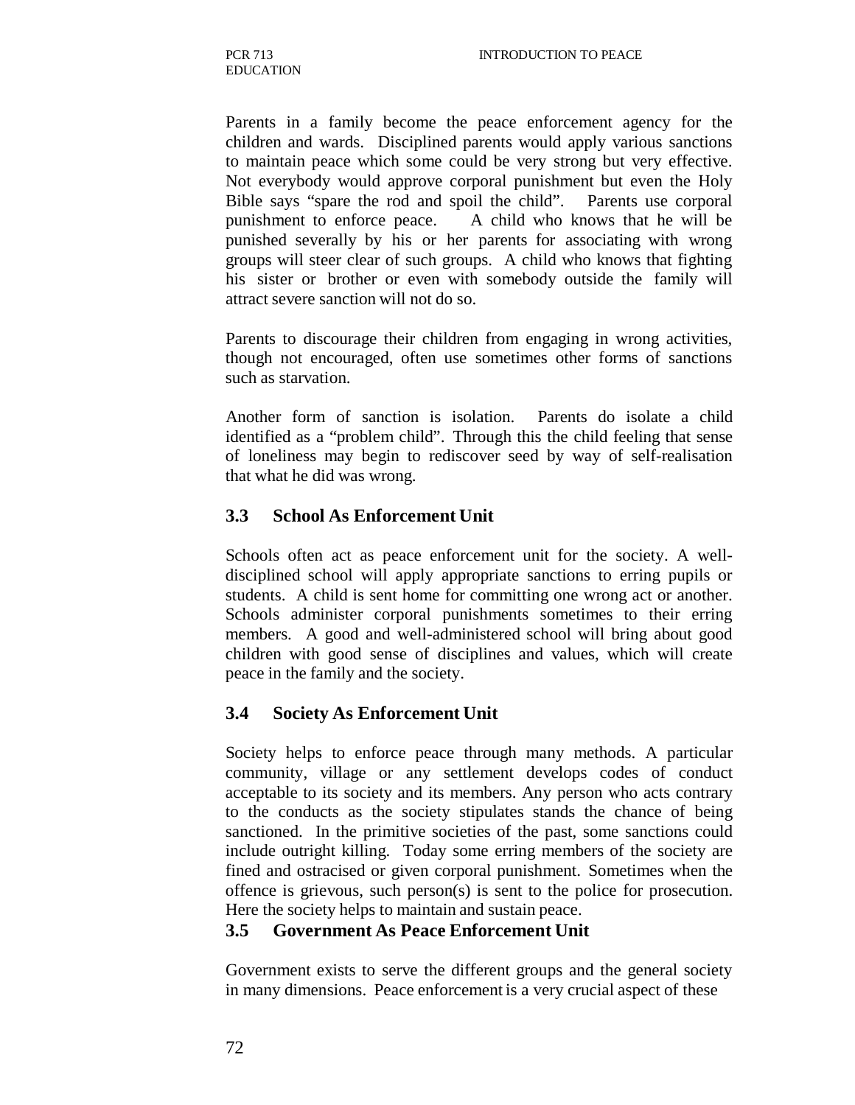Parents in a family become the peace enforcement agency for the children and wards. Disciplined parents would apply various sanctions to maintain peace which some could be very strong but very effective. Not everybody would approve corporal punishment but even the Holy Bible says "spare the rod and spoil the child". Parents use corporal punishment to enforce peace. A child who knows that he will be punished severally by his or her parents for associating with wrong groups will steer clear of such groups. A child who knows that fighting his sister or brother or even with somebody outside the family will attract severe sanction will not do so.

Parents to discourage their children from engaging in wrong activities, though not encouraged, often use sometimes other forms of sanctions such as starvation.

Another form of sanction is isolation. Parents do isolate a child identified as a "problem child". Through this the child feeling that sense of loneliness may begin to rediscover seed by way of self-realisation that what he did was wrong.

#### **3.3 School As Enforcement Unit**

Schools often act as peace enforcement unit for the society. A welldisciplined school will apply appropriate sanctions to erring pupils or students. A child is sent home for committing one wrong act or another. Schools administer corporal punishments sometimes to their erring members. A good and well-administered school will bring about good children with good sense of disciplines and values, which will create peace in the family and the society.

#### **3.4 Society As Enforcement Unit**

Society helps to enforce peace through many methods. A particular community, village or any settlement develops codes of conduct acceptable to its society and its members. Any person who acts contrary to the conducts as the society stipulates stands the chance of being sanctioned. In the primitive societies of the past, some sanctions could include outright killing. Today some erring members of the society are fined and ostracised or given corporal punishment. Sometimes when the offence is grievous, such person(s) is sent to the police for prosecution. Here the society helps to maintain and sustain peace.

#### **3.5 Government As Peace Enforcement Unit**

Government exists to serve the different groups and the general society in many dimensions. Peace enforcement is a very crucial aspect of these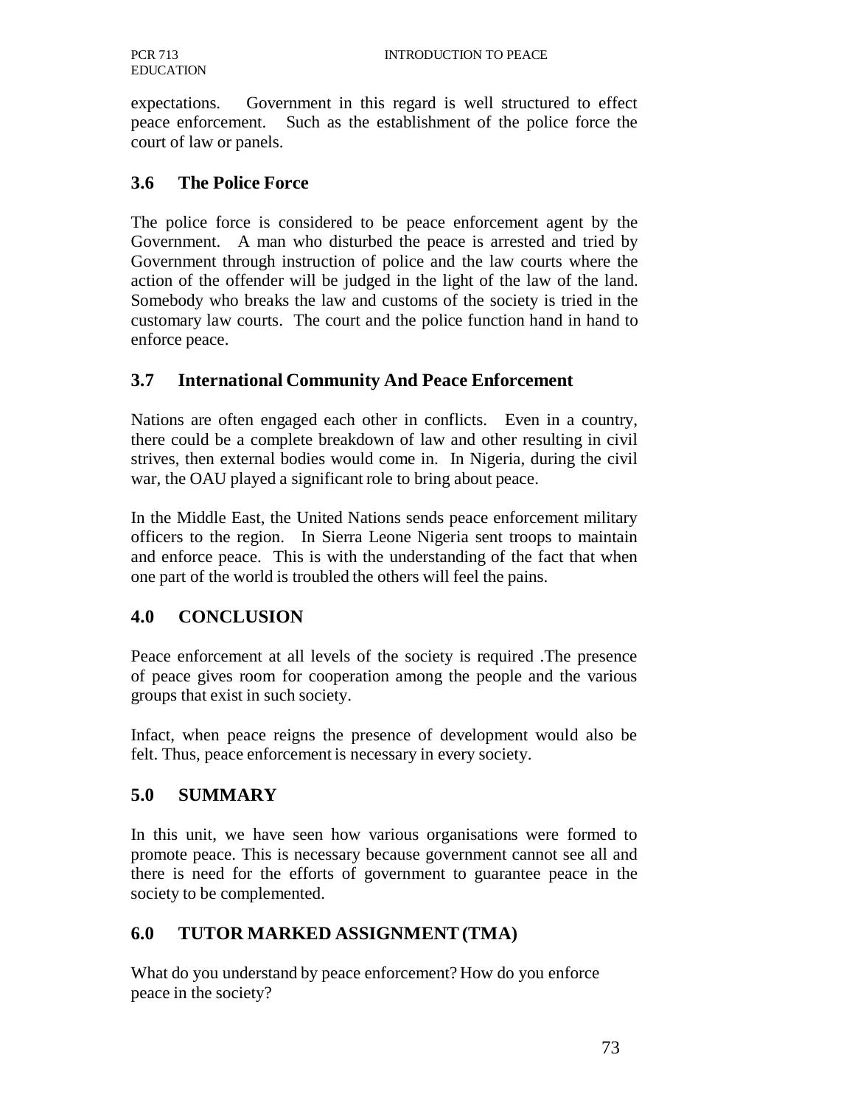expectations. Government in this regard is well structured to effect peace enforcement. Such as the establishment of the police force the court of law or panels.

### **3.6 The Police Force**

The police force is considered to be peace enforcement agent by the Government. A man who disturbed the peace is arrested and tried by Government through instruction of police and the law courts where the action of the offender will be judged in the light of the law of the land. Somebody who breaks the law and customs of the society is tried in the customary law courts. The court and the police function hand in hand to enforce peace.

## **3.7 International Community And Peace Enforcement**

Nations are often engaged each other in conflicts. Even in a country, there could be a complete breakdown of law and other resulting in civil strives, then external bodies would come in. In Nigeria, during the civil war, the OAU played a significant role to bring about peace.

In the Middle East, the United Nations sends peace enforcement military officers to the region. In Sierra Leone Nigeria sent troops to maintain and enforce peace. This is with the understanding of the fact that when one part of the world is troubled the others will feel the pains.

## **4.0 CONCLUSION**

Peace enforcement at all levels of the society is required .The presence of peace gives room for cooperation among the people and the various groups that exist in such society.

Infact, when peace reigns the presence of development would also be felt. Thus, peace enforcement is necessary in every society.

## **5.0 SUMMARY**

In this unit, we have seen how various organisations were formed to promote peace. This is necessary because government cannot see all and there is need for the efforts of government to guarantee peace in the society to be complemented.

## **6.0 TUTOR MARKED ASSIGNMENT (TMA)**

What do you understand by peace enforcement? How do you enforce peace in the society?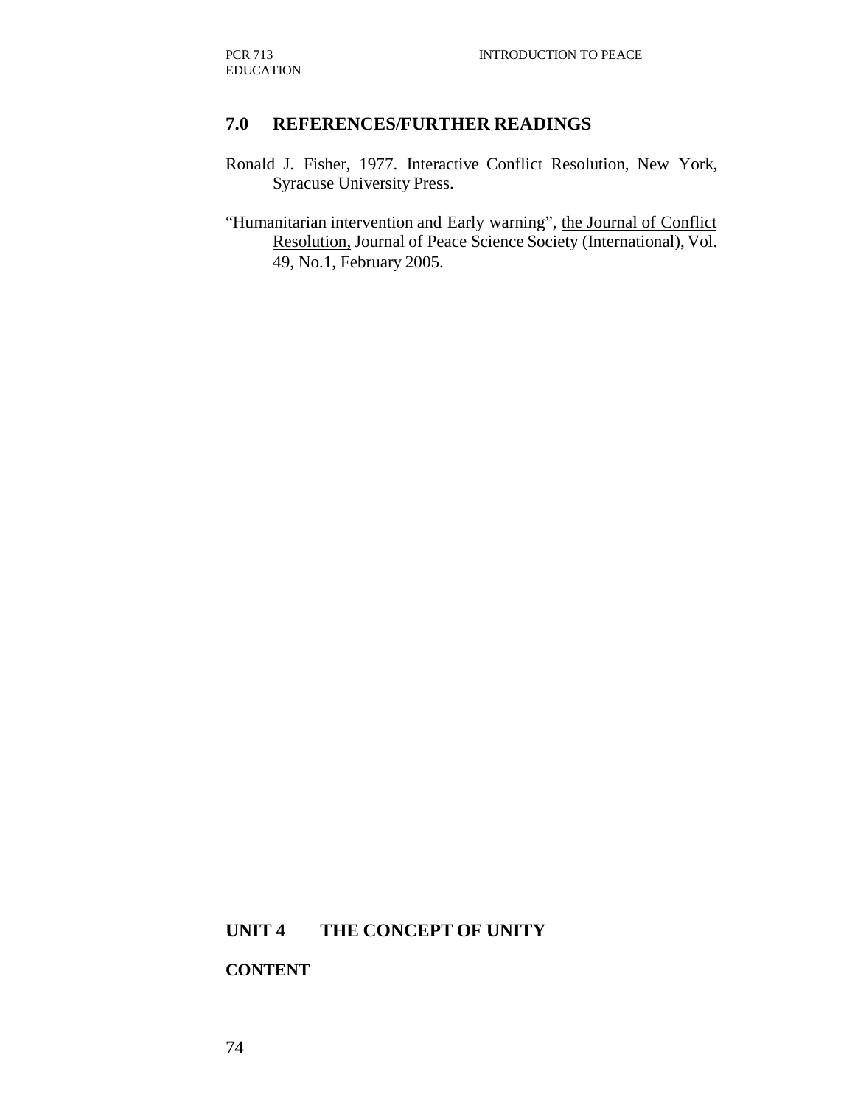#### **7.0 REFERENCES/FURTHER READINGS**

- Ronald J. Fisher, 1977. Interactive Conflict Resolution, New York, Syracuse University Press.
- "Humanitarian intervention and Early warning", the Journal of Conflict Resolution, Journal of Peace Science Society (International), Vol. 49, No.1, February 2005.

### **UNIT 4 THE CONCEPT OF UNITY**

#### **CONTENT**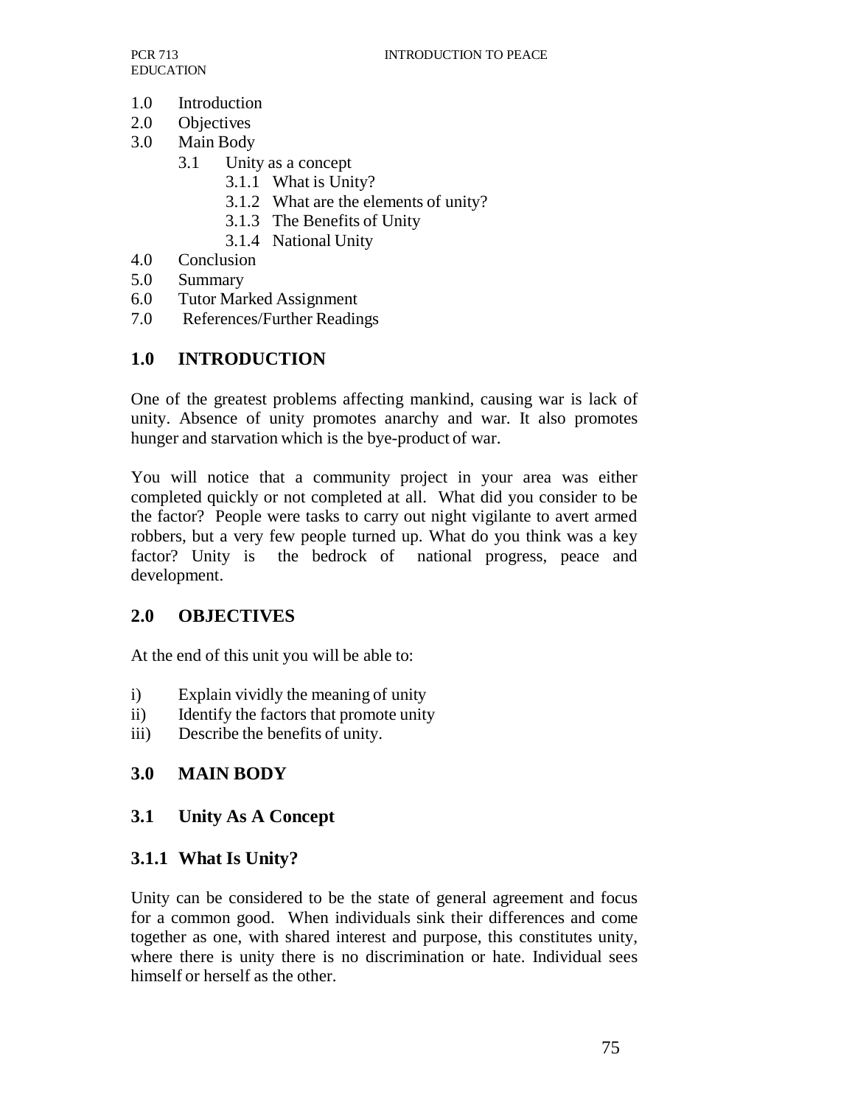- 1.0 Introduction
- 2.0 Objectives
- 3.0 Main Body
	- 3.1 Unity as a concept
		- 3.1.1 What is Unity?
		- 3.1.2 What are the elements of unity?
		- 3.1.3 The Benefits of Unity
		- 3.1.4 National Unity
- 4.0 Conclusion
- 5.0 Summary
- 6.0 Tutor Marked Assignment
- 7.0 References/Further Readings

## **1.0 INTRODUCTION**

One of the greatest problems affecting mankind, causing war is lack of unity. Absence of unity promotes anarchy and war. It also promotes hunger and starvation which is the bye-product of war.

You will notice that a community project in your area was either completed quickly or not completed at all. What did you consider to be the factor? People were tasks to carry out night vigilante to avert armed robbers, but a very few people turned up. What do you think was a key factor? Unity is the bedrock of national progress, peace and development.

## **2.0 OBJECTIVES**

At the end of this unit you will be able to:

- i) Explain vividly the meaning of unity
- ii) Identify the factors that promote unity
- iii) Describe the benefits of unity.

# **3.0 MAIN BODY**

## **3.1 Unity As A Concept**

## **3.1.1 What Is Unity?**

Unity can be considered to be the state of general agreement and focus for a common good. When individuals sink their differences and come together as one, with shared interest and purpose, this constitutes unity, where there is unity there is no discrimination or hate. Individual sees himself or herself as the other.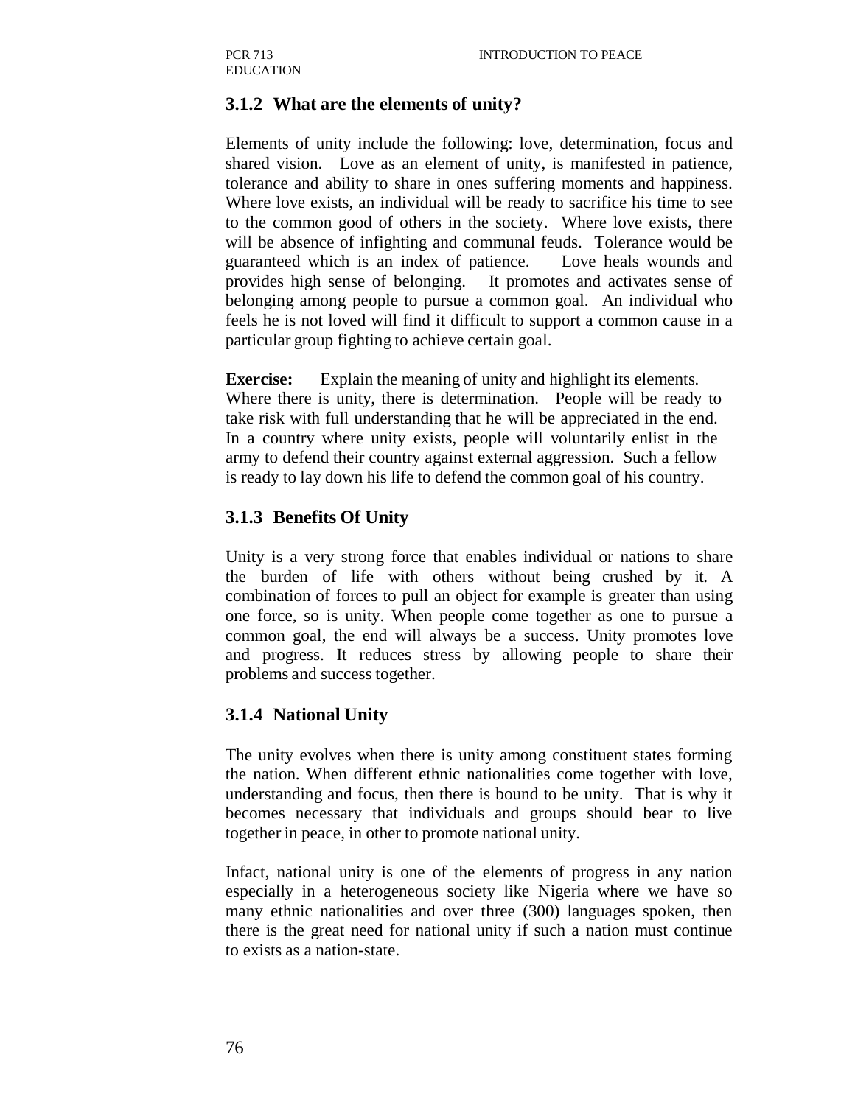### **3.1.2 What are the elements of unity?**

Elements of unity include the following: love, determination, focus and shared vision. Love as an element of unity, is manifested in patience, tolerance and ability to share in ones suffering moments and happiness. Where love exists, an individual will be ready to sacrifice his time to see to the common good of others in the society. Where love exists, there will be absence of infighting and communal feuds. Tolerance would be guaranteed which is an index of patience. Love heals wounds and provides high sense of belonging. It promotes and activates sense of belonging among people to pursue a common goal. An individual who feels he is not loved will find it difficult to support a common cause in a particular group fighting to achieve certain goal.

**Exercise:** Explain the meaning of unity and highlight its elements*.*  Where there is unity, there is determination. People will be ready to take risk with full understanding that he will be appreciated in the end. In a country where unity exists, people will voluntarily enlist in the army to defend their country against external aggression. Such a fellow is ready to lay down his life to defend the common goal of his country.

#### **3.1.3 Benefits Of Unity**

Unity is a very strong force that enables individual or nations to share the burden of life with others without being crushed by it. A combination of forces to pull an object for example is greater than using one force, so is unity. When people come together as one to pursue a common goal, the end will always be a success. Unity promotes love and progress. It reduces stress by allowing people to share their problems and success together.

#### **3.1.4 National Unity**

The unity evolves when there is unity among constituent states forming the nation. When different ethnic nationalities come together with love, understanding and focus, then there is bound to be unity. That is why it becomes necessary that individuals and groups should bear to live together in peace, in other to promote national unity.

Infact, national unity is one of the elements of progress in any nation especially in a heterogeneous society like Nigeria where we have so many ethnic nationalities and over three (300) languages spoken, then there is the great need for national unity if such a nation must continue to exists as a nation-state.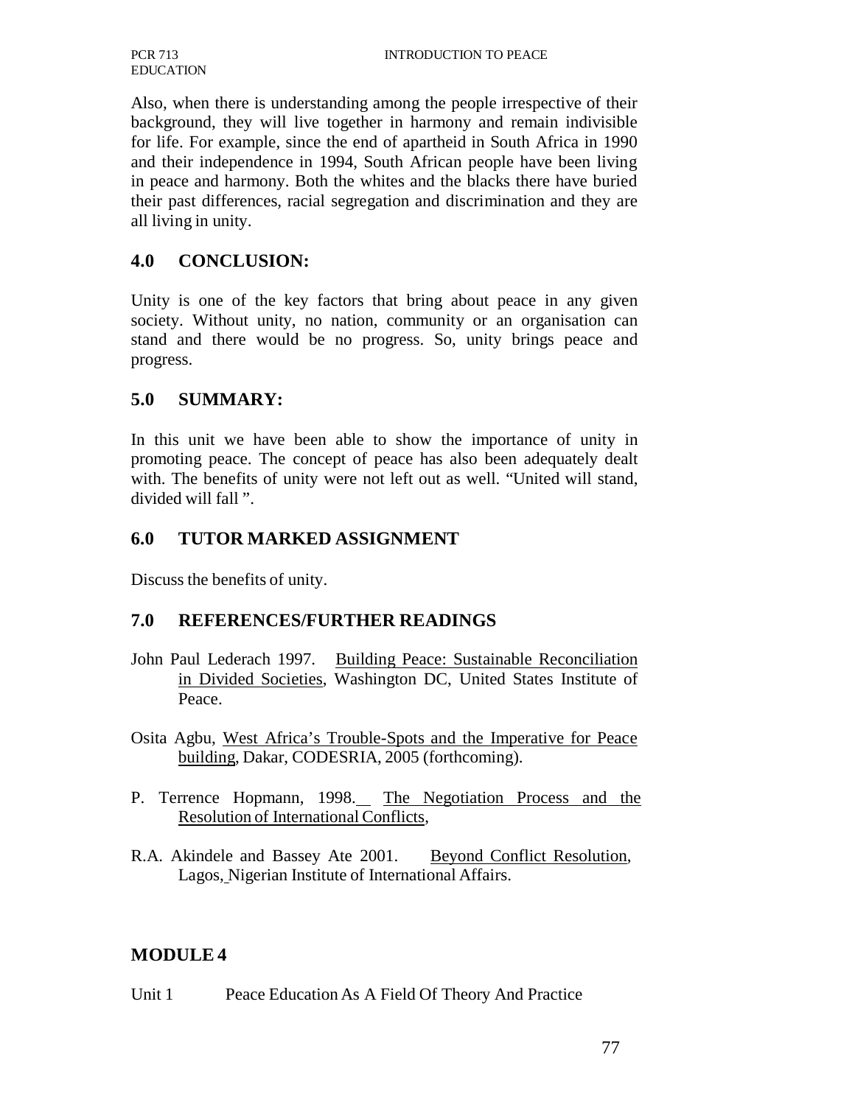Also, when there is understanding among the people irrespective of their background, they will live together in harmony and remain indivisible for life. For example, since the end of apartheid in South Africa in 1990 and their independence in 1994, South African people have been living in peace and harmony. Both the whites and the blacks there have buried their past differences, racial segregation and discrimination and they are all living in unity.

### **4.0 CONCLUSION:**

Unity is one of the key factors that bring about peace in any given society. Without unity, no nation, community or an organisation can stand and there would be no progress. So, unity brings peace and progress.

#### **5.0 SUMMARY:**

In this unit we have been able to show the importance of unity in promoting peace. The concept of peace has also been adequately dealt with. The benefits of unity were not left out as well. "United will stand, divided will fall ".

### **6.0 TUTOR MARKED ASSIGNMENT**

Discuss the benefits of unity.

#### **7.0 REFERENCES/FURTHER READINGS**

- John Paul Lederach 1997. Building Peace: Sustainable Reconciliation in Divided Societies, Washington DC, United States Institute of Peace.
- Osita Agbu, West Africa's Trouble-Spots and the Imperative for Peace building, Dakar, CODESRIA, 2005 (forthcoming).
- P. Terrence Hopmann, 1998. The Negotiation Process and the Resolution of International Conflicts,
- R.A. Akindele and Bassey Ate 2001. Beyond Conflict Resolution, Lagos, Nigerian Institute of International Affairs.

## **MODULE 4**

Unit 1 Peace Education As A Field Of Theory And Practice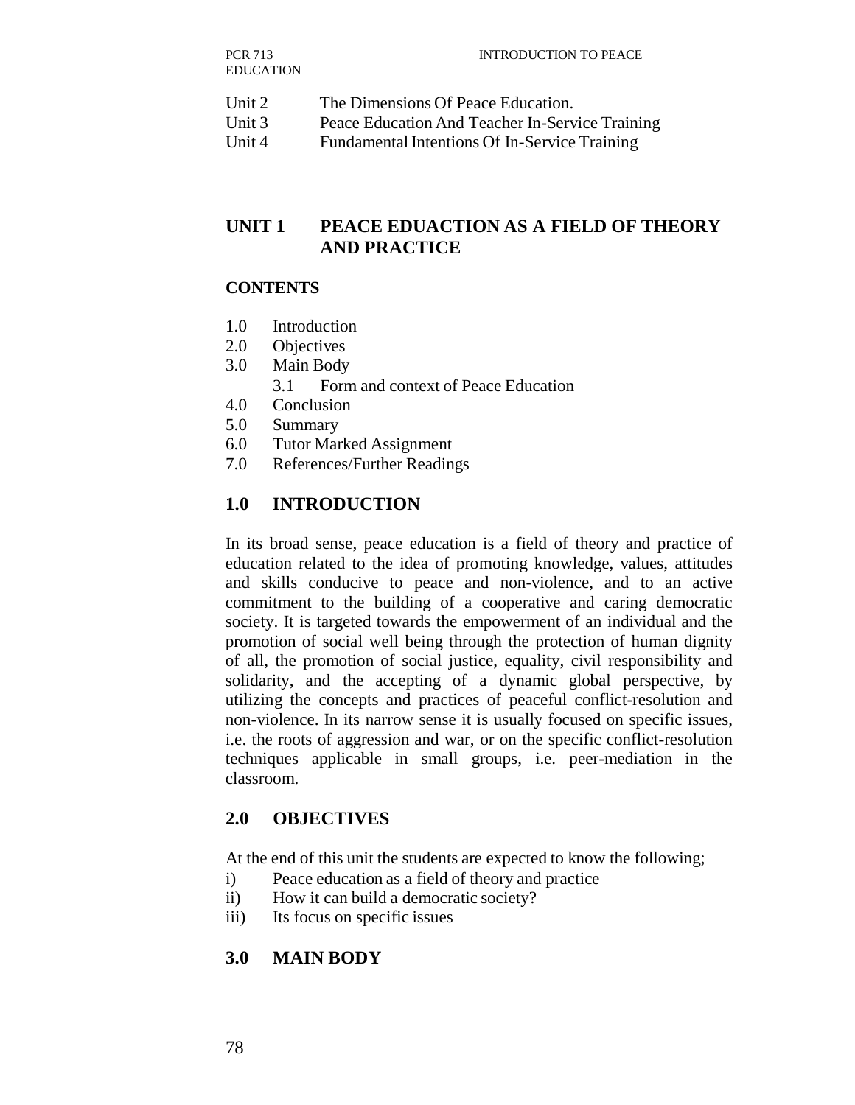| Unit 2<br>The Dimensions Of Peace Education. |  |
|----------------------------------------------|--|
|----------------------------------------------|--|

- Unit 3 Peace Education And Teacher In-Service Training
- Unit 4 Fundamental Intentions Of In-Service Training

## **UNIT 1 PEACE EDUACTION AS A FIELD OF THEORY AND PRACTICE**

#### **CONTENTS**

- 1.0 Introduction
- 2.0 Objectives
- 3.0 Main Body
	- 3.1 Form and context of Peace Education
- 4.0 Conclusion
- 5.0 Summary
- 6.0 Tutor Marked Assignment
- 7.0 References/Further Readings

## **1.0 INTRODUCTION**

In its broad sense, peace education is a field of theory and practice of education related to the idea of promoting knowledge, values, attitudes and skills conducive to peace and non-violence, and to an active commitment to the building of a cooperative and caring democratic society. It is targeted towards the empowerment of an individual and the promotion of social well being through the protection of human dignity of all, the promotion of social justice, equality, civil responsibility and solidarity, and the accepting of a dynamic global perspective, by utilizing the concepts and practices of peaceful conflict-resolution and non-violence. In its narrow sense it is usually focused on specific issues, i.e. the roots of aggression and war, or on the specific conflict-resolution techniques applicable in small groups, i.e. peer-mediation in the classroom.

## **2.0 OBJECTIVES**

At the end of this unit the students are expected to know the following;

- i) Peace education as a field of theory and practice
- ii) How it can build a democratic society?
- iii) Its focus on specific issues

## **3.0 MAIN BODY**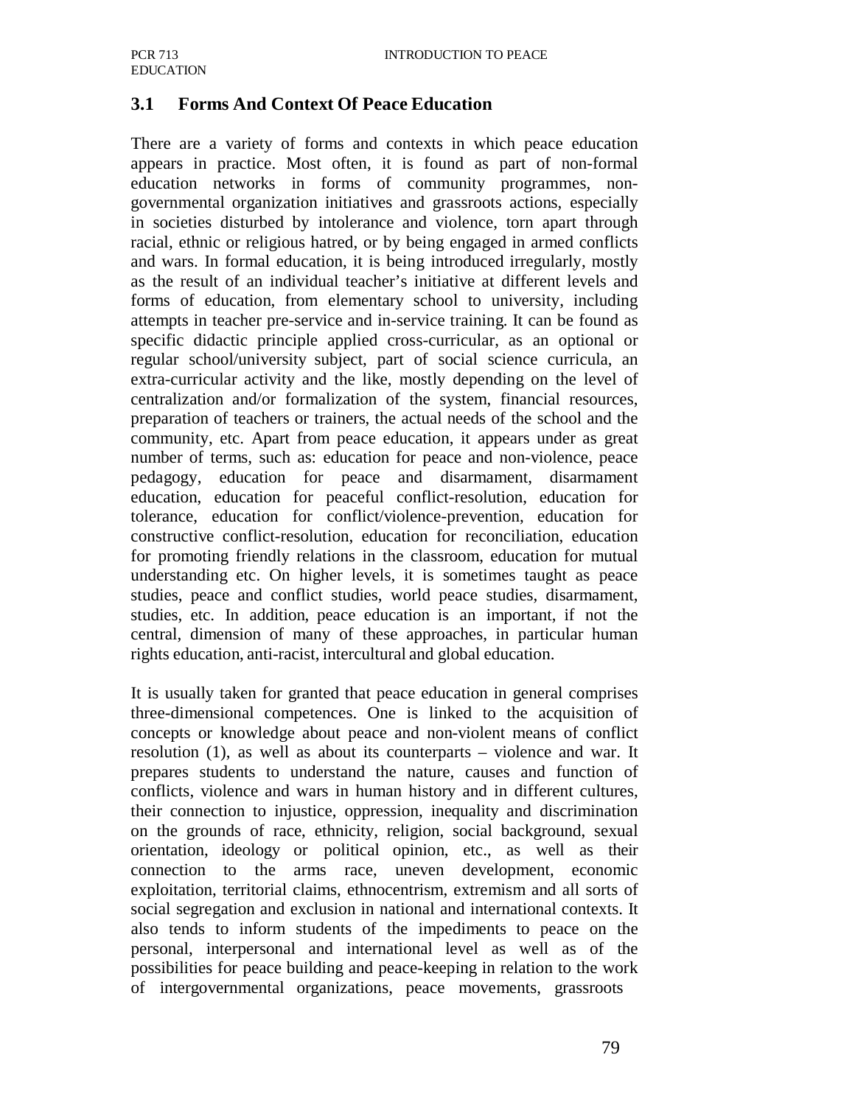### **3.1 Forms And Context Of Peace Education**

There are a variety of forms and contexts in which peace education appears in practice. Most often, it is found as part of non-formal education networks in forms of community programmes, nongovernmental organization initiatives and grassroots actions, especially in societies disturbed by intolerance and violence, torn apart through racial, ethnic or religious hatred, or by being engaged in armed conflicts and wars. In formal education, it is being introduced irregularly, mostly as the result of an individual teacher's initiative at different levels and forms of education, from elementary school to university, including attempts in teacher pre-service and in-service training. It can be found as specific didactic principle applied cross-curricular, as an optional or regular school/university subject, part of social science curricula, an extra-curricular activity and the like, mostly depending on the level of centralization and/or formalization of the system, financial resources, preparation of teachers or trainers, the actual needs of the school and the community, etc. Apart from peace education, it appears under as great number of terms, such as: education for peace and non-violence, peace pedagogy, education for peace and disarmament, disarmament education, education for peaceful conflict-resolution, education for tolerance, education for conflict/violence-prevention, education for constructive conflict-resolution, education for reconciliation, education for promoting friendly relations in the classroom, education for mutual understanding etc. On higher levels, it is sometimes taught as peace studies, peace and conflict studies, world peace studies, disarmament, studies, etc. In addition, peace education is an important, if not the central, dimension of many of these approaches, in particular human rights education, anti-racist, intercultural and global education.

It is usually taken for granted that peace education in general comprises three-dimensional competences. One is linked to the acquisition of concepts or knowledge about peace and non-violent means of conflict resolution (1), as well as about its counterparts – violence and war. It prepares students to understand the nature, causes and function of conflicts, violence and wars in human history and in different cultures, their connection to injustice, oppression, inequality and discrimination on the grounds of race, ethnicity, religion, social background, sexual orientation, ideology or political opinion, etc., as well as their connection to the arms race, uneven development, economic exploitation, territorial claims, ethnocentrism, extremism and all sorts of social segregation and exclusion in national and international contexts. It also tends to inform students of the impediments to peace on the personal, interpersonal and international level as well as of the possibilities for peace building and peace-keeping in relation to the work of intergovernmental organizations, peace movements, grassroots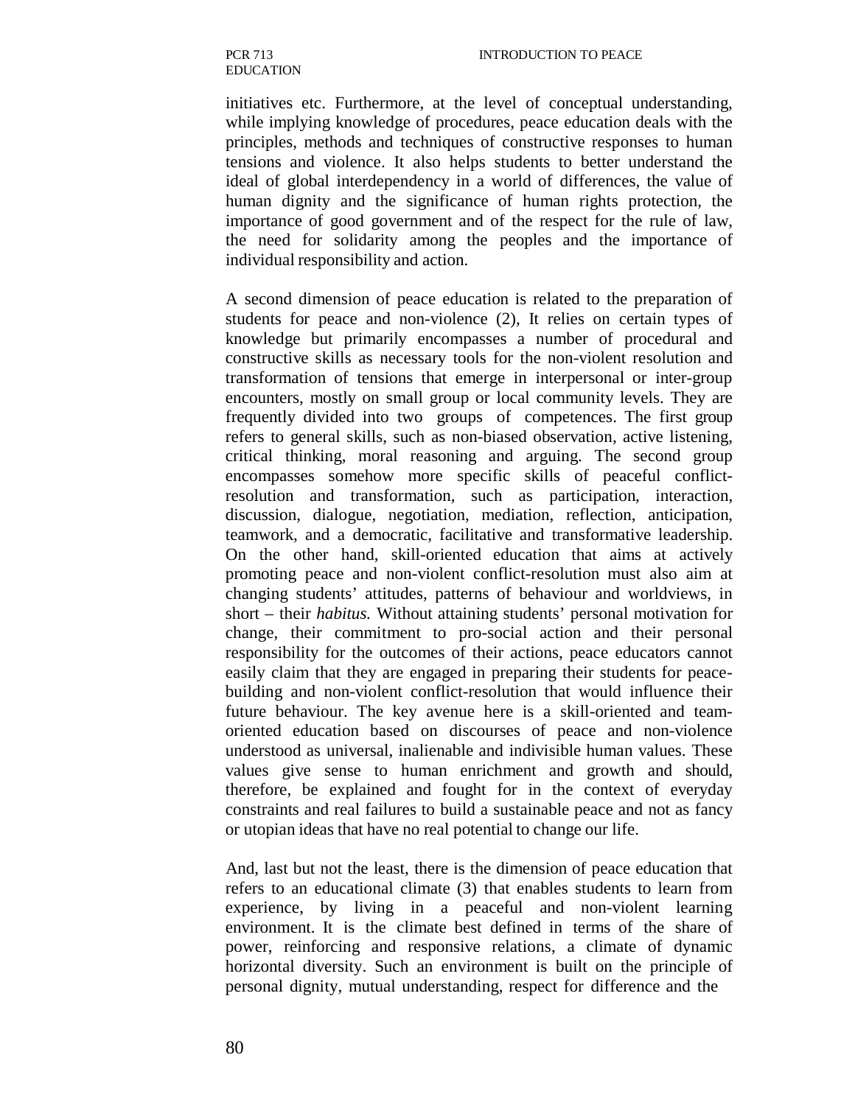initiatives etc. Furthermore, at the level of conceptual understanding, while implying knowledge of procedures, peace education deals with the principles, methods and techniques of constructive responses to human tensions and violence. It also helps students to better understand the ideal of global interdependency in a world of differences, the value of human dignity and the significance of human rights protection, the importance of good government and of the respect for the rule of law, the need for solidarity among the peoples and the importance of individual responsibility and action.

A second dimension of peace education is related to the preparation of students for peace and non-violence (2), It relies on certain types of knowledge but primarily encompasses a number of procedural and constructive skills as necessary tools for the non-violent resolution and transformation of tensions that emerge in interpersonal or inter-group encounters, mostly on small group or local community levels. They are frequently divided into two groups of competences. The first group refers to general skills, such as non-biased observation, active listening, critical thinking, moral reasoning and arguing. The second group encompasses somehow more specific skills of peaceful conflictresolution and transformation, such as participation, interaction, discussion, dialogue, negotiation, mediation, reflection, anticipation, teamwork, and a democratic, facilitative and transformative leadership. On the other hand, skill-oriented education that aims at actively promoting peace and non-violent conflict-resolution must also aim at changing students' attitudes, patterns of behaviour and worldviews, in short – their *habitus.* Without attaining students' personal motivation for change, their commitment to pro-social action and their personal responsibility for the outcomes of their actions, peace educators cannot easily claim that they are engaged in preparing their students for peacebuilding and non-violent conflict-resolution that would influence their future behaviour. The key avenue here is a skill-oriented and teamoriented education based on discourses of peace and non-violence understood as universal, inalienable and indivisible human values. These values give sense to human enrichment and growth and should, therefore, be explained and fought for in the context of everyday constraints and real failures to build a sustainable peace and not as fancy or utopian ideas that have no real potential to change our life.

And, last but not the least, there is the dimension of peace education that refers to an educational climate (3) that enables students to learn from experience, by living in a peaceful and non-violent learning environment. It is the climate best defined in terms of the share of power, reinforcing and responsive relations, a climate of dynamic horizontal diversity. Such an environment is built on the principle of personal dignity, mutual understanding, respect for difference and the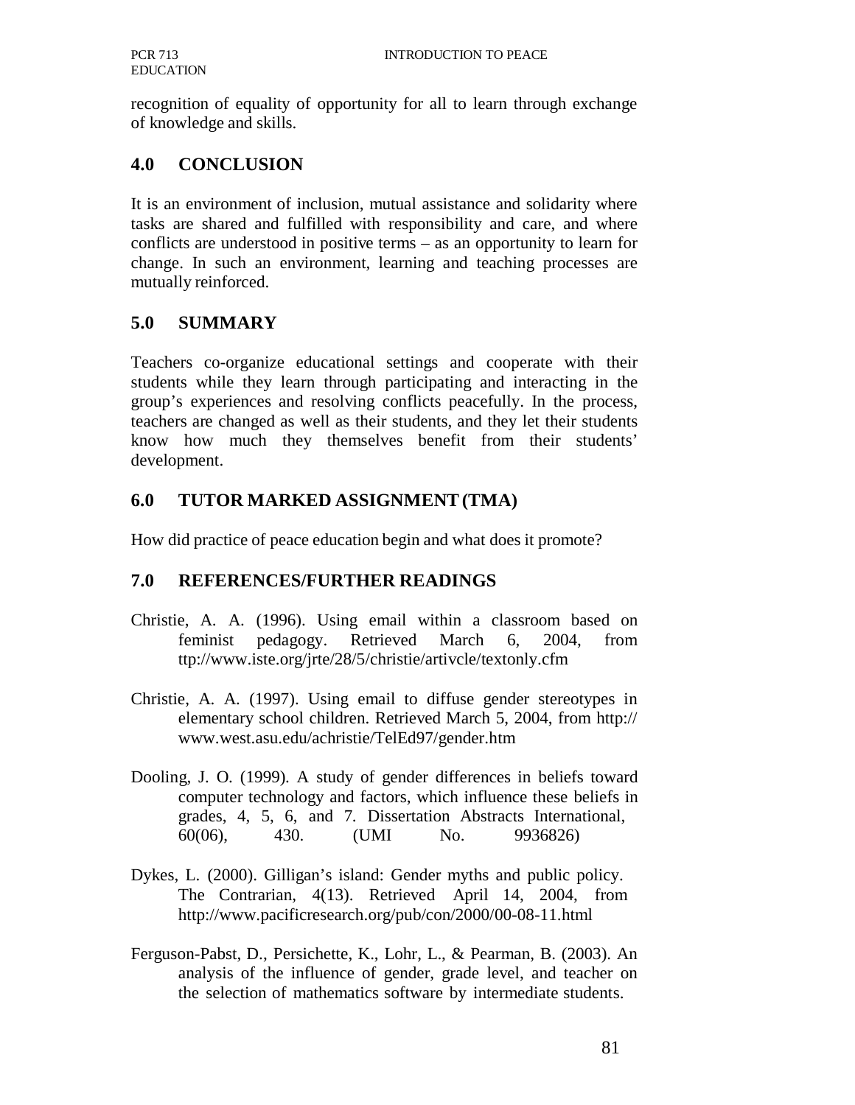recognition of equality of opportunity for all to learn through exchange of knowledge and skills.

### **4.0 CONCLUSION**

It is an environment of inclusion, mutual assistance and solidarity where tasks are shared and fulfilled with responsibility and care, and where conflicts are understood in positive terms – as an opportunity to learn for change. In such an environment, learning and teaching processes are mutually reinforced.

## **5.0 SUMMARY**

Teachers co-organize educational settings and cooperate with their students while they learn through participating and interacting in the group's experiences and resolving conflicts peacefully. In the process, teachers are changed as well as their students, and they let their students know how much they themselves benefit from their students' development.

## **6.0 TUTOR MARKED ASSIGNMENT (TMA)**

How did practice of peace education begin and what does it promote?

## **7.0 REFERENCES/FURTHER READINGS**

- Christie, A. A. (1996). Using email within a classroom based on feminist pedagogy. Retrieved March 6, 2004, from ttp://www.iste.org/jrte/28/5/christie/artivcle/textonly.cfm
- Christie, A. A. (1997). Using email to diffuse gender stereotypes in elementary school children. Retrieved March 5, 2004, from http:// www.west.asu.edu/achristie/TelEd97/gender.htm
- Dooling, J. O. (1999). A study of gender differences in beliefs toward computer technology and factors, which influence these beliefs in grades, 4, 5, 6, and 7. Dissertation Abstracts International, 60(06), 430. (UMI No. 9936826)
- Dykes, L. (2000). Gilligan's island: Gender myths and public policy. The Contrarian, 4(13). Retrieved April 14, 2004, from http://www.pacificresearch.org/pub/con/2000/00-08-11.html
- Ferguson-Pabst, D., Persichette, K., Lohr, L., & Pearman, B. (2003). An analysis of the influence of gender, grade level, and teacher on the selection of mathematics software by intermediate students.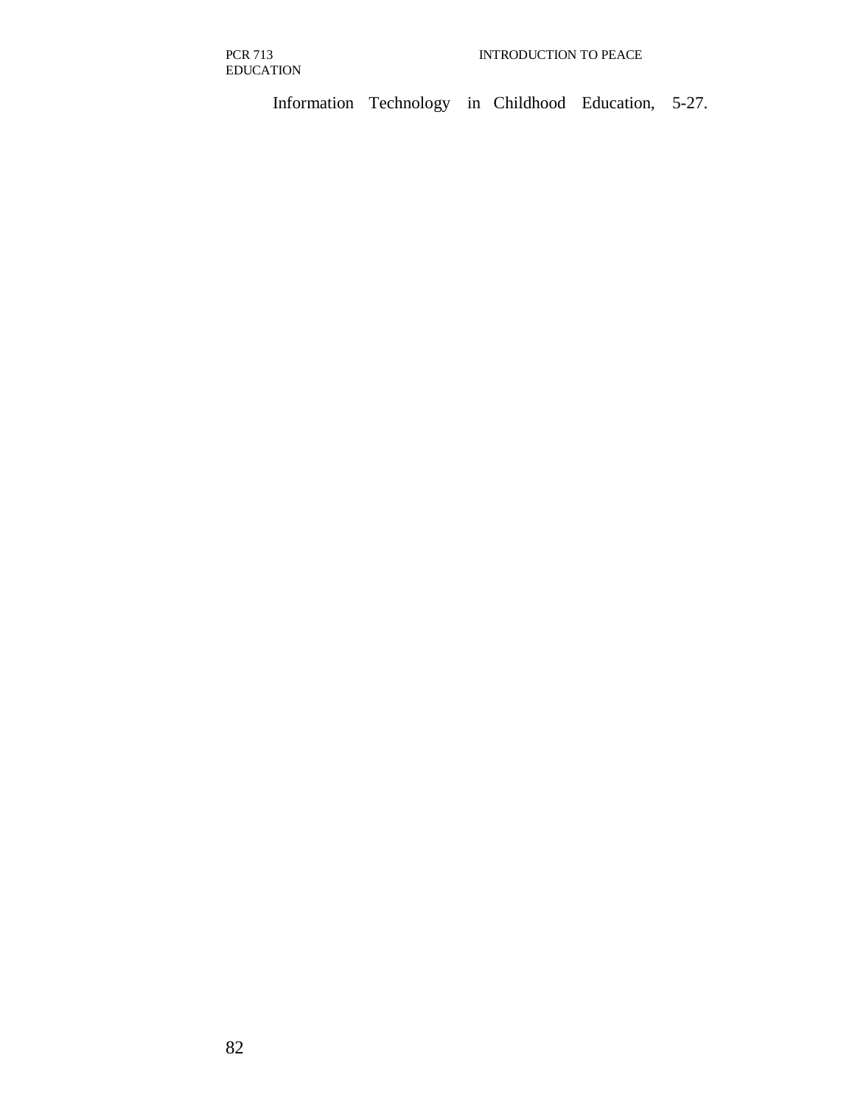Information Technology in Childhood Education, 5-27.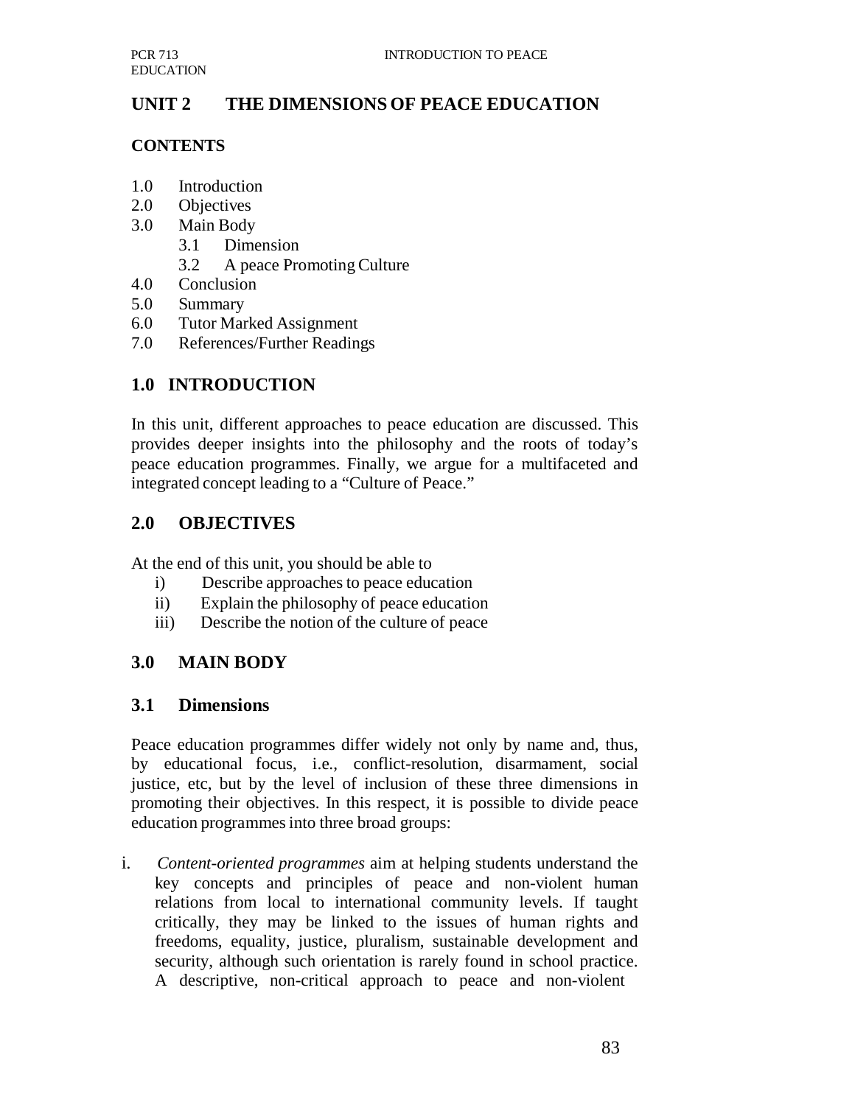## **UNIT 2 THE DIMENSIONS OF PEACE EDUCATION**

#### **CONTENTS**

- 1.0 Introduction
- 2.0 Objectives
- 3.0 Main Body
	- 3.1 Dimension
	- 3.2 A peace Promoting Culture
- 4.0 Conclusion
- 5.0 Summary
- 6.0 Tutor Marked Assignment
- 7.0 References/Further Readings

## **1.0 INTRODUCTION**

In this unit, different approaches to peace education are discussed. This provides deeper insights into the philosophy and the roots of today's peace education programmes. Finally, we argue for a multifaceted and integrated concept leading to a "Culture of Peace."

### **2.0 OBJECTIVES**

At the end of this unit, you should be able to

- i) Describe approaches to peace education
- ii) Explain the philosophy of peace education
- iii) Describe the notion of the culture of peace

## **3.0 MAIN BODY**

#### **3.1 Dimensions**

Peace education programmes differ widely not only by name and, thus, by educational focus, i.e., conflict-resolution, disarmament, social justice, etc, but by the level of inclusion of these three dimensions in promoting their objectives. In this respect, it is possible to divide peace education programmes into three broad groups:

i. *Content-oriented programmes* aim at helping students understand the key concepts and principles of peace and non-violent human relations from local to international community levels. If taught critically, they may be linked to the issues of human rights and freedoms, equality, justice, pluralism, sustainable development and security, although such orientation is rarely found in school practice. A descriptive, non-critical approach to peace and non-violent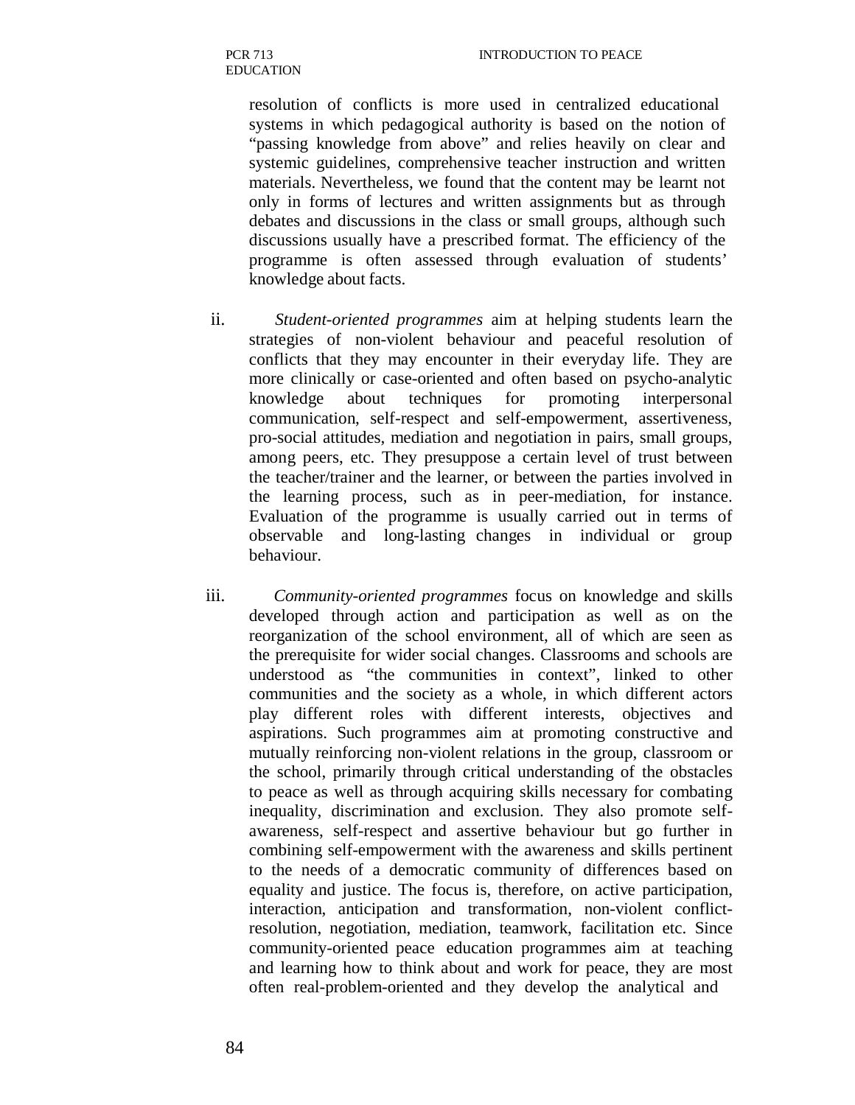> resolution of conflicts is more used in centralized educational systems in which pedagogical authority is based on the notion of "passing knowledge from above" and relies heavily on clear and systemic guidelines, comprehensive teacher instruction and written materials. Nevertheless, we found that the content may be learnt not only in forms of lectures and written assignments but as through debates and discussions in the class or small groups, although such discussions usually have a prescribed format. The efficiency of the programme is often assessed through evaluation of students' knowledge about facts.

- ii. *Student-oriented programmes* aim at helping students learn the strategies of non-violent behaviour and peaceful resolution of conflicts that they may encounter in their everyday life. They are more clinically or case-oriented and often based on psycho-analytic knowledge about techniques for promoting interpersonal communication, self-respect and self-empowerment, assertiveness, pro-social attitudes, mediation and negotiation in pairs, small groups, among peers, etc. They presuppose a certain level of trust between the teacher/trainer and the learner, or between the parties involved in the learning process, such as in peer-mediation, for instance. Evaluation of the programme is usually carried out in terms of observable and long-lasting changes in individual or group behaviour.
- iii. *Community-oriented programmes* focus on knowledge and skills developed through action and participation as well as on the reorganization of the school environment, all of which are seen as the prerequisite for wider social changes. Classrooms and schools are understood as "the communities in context", linked to other communities and the society as a whole, in which different actors play different roles with different interests, objectives and aspirations. Such programmes aim at promoting constructive and mutually reinforcing non-violent relations in the group, classroom or the school, primarily through critical understanding of the obstacles to peace as well as through acquiring skills necessary for combating inequality, discrimination and exclusion. They also promote selfawareness, self-respect and assertive behaviour but go further in combining self-empowerment with the awareness and skills pertinent to the needs of a democratic community of differences based on equality and justice. The focus is, therefore, on active participation, interaction, anticipation and transformation, non-violent conflictresolution, negotiation, mediation, teamwork, facilitation etc. Since community-oriented peace education programmes aim at teaching and learning how to think about and work for peace, they are most often real-problem-oriented and they develop the analytical and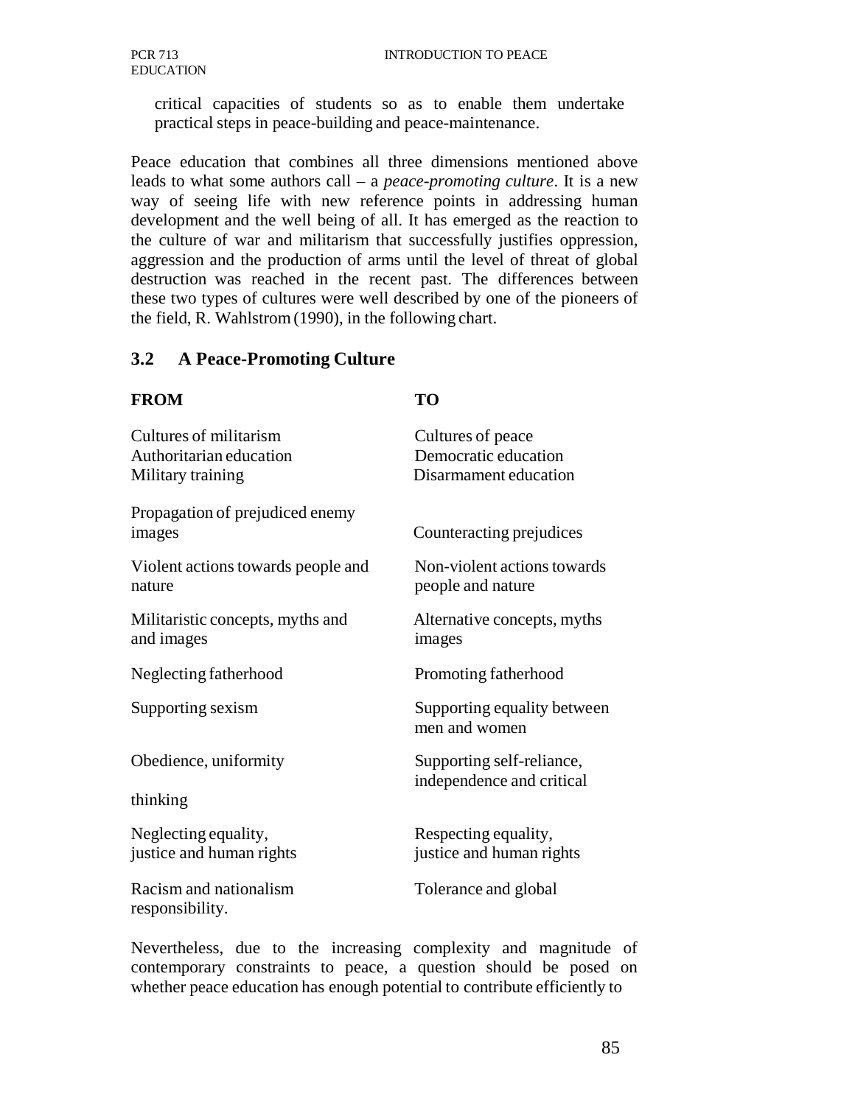critical capacities of students so as to enable them undertake practical steps in peace-building and peace-maintenance.

Peace education that combines all three dimensions mentioned above leads to what some authors call – a *peace-promoting culture*. It is a new way of seeing life with new reference points in addressing human development and the well being of all. It has emerged as the reaction to the culture of war and militarism that successfully justifies oppression, aggression and the production of arms until the level of threat of global destruction was reached in the recent past. The differences between these two types of cultures were well described by one of the pioneers of the field, R. Wahlstrom (1990), in the following chart.

### **3.2 A Peace-Promoting Culture**

#### **FROM TO**

| Cultures of militarism<br>Authoritarian education<br>Military training | Cultures of peace<br>Democratic education<br>Disarmament education |
|------------------------------------------------------------------------|--------------------------------------------------------------------|
| Propagation of prejudiced enemy<br>images                              | Counteracting prejudices                                           |
| Violent actions towards people and<br>nature                           | Non-violent actions towards<br>people and nature                   |
| Militaristic concepts, myths and<br>and images                         | Alternative concepts, myths<br>images                              |
| Neglecting fatherhood                                                  | Promoting fatherhood                                               |
| Supporting sexism                                                      | Supporting equality between<br>men and women                       |
| Obedience, uniformity                                                  | Supporting self-reliance,<br>independence and critical             |
| thinking                                                               |                                                                    |
| Neglecting equality,<br>justice and human rights                       | Respecting equality,<br>justice and human rights                   |
| Racism and nationalism<br>responsibility.                              | Tolerance and global                                               |

Nevertheless, due to the increasing complexity and magnitude of contemporary constraints to peace, a question should be posed on whether peace education has enough potential to contribute efficiently to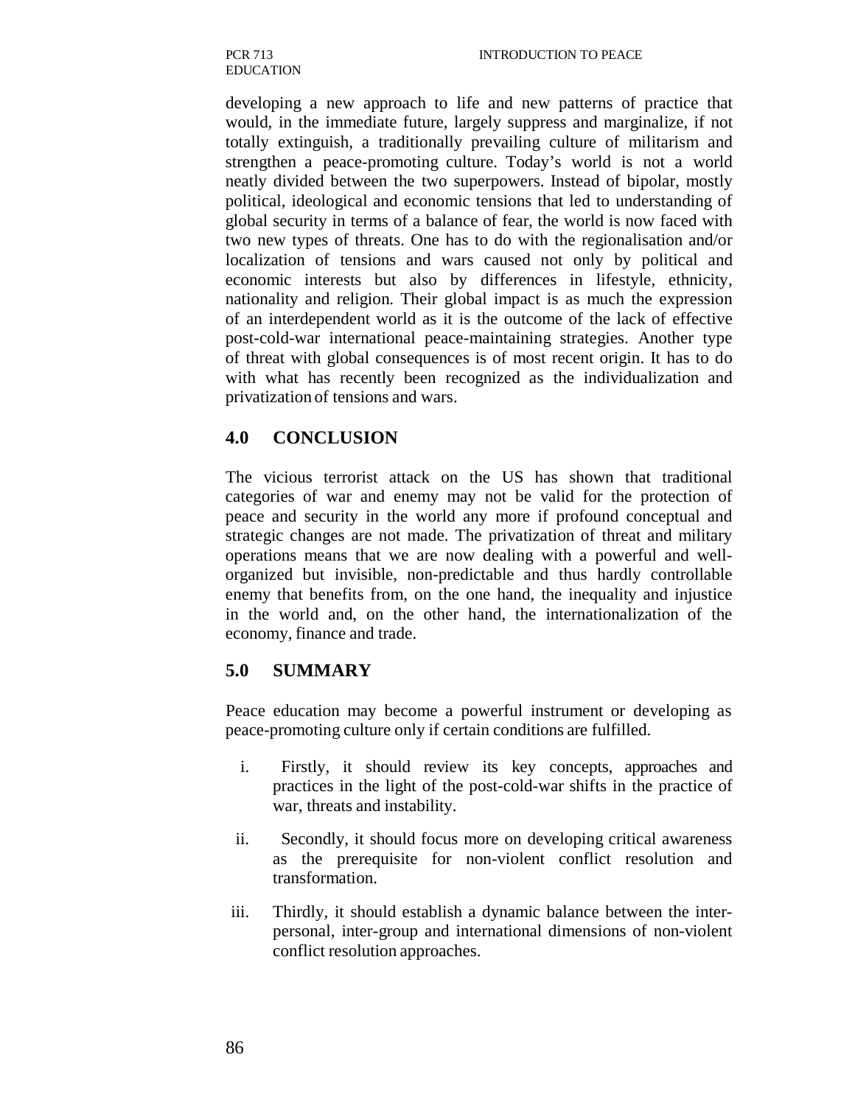developing a new approach to life and new patterns of practice that would, in the immediate future, largely suppress and marginalize, if not totally extinguish, a traditionally prevailing culture of militarism and strengthen a peace-promoting culture. Today's world is not a world neatly divided between the two superpowers. Instead of bipolar, mostly political, ideological and economic tensions that led to understanding of global security in terms of a balance of fear, the world is now faced with two new types of threats. One has to do with the regionalisation and/or localization of tensions and wars caused not only by political and economic interests but also by differences in lifestyle, ethnicity, nationality and religion. Their global impact is as much the expression of an interdependent world as it is the outcome of the lack of effective post-cold-war international peace-maintaining strategies. Another type of threat with global consequences is of most recent origin. It has to do with what has recently been recognized as the individualization and privatization of tensions and wars.

## **4.0 CONCLUSION**

The vicious terrorist attack on the US has shown that traditional categories of war and enemy may not be valid for the protection of peace and security in the world any more if profound conceptual and strategic changes are not made. The privatization of threat and military operations means that we are now dealing with a powerful and wellorganized but invisible, non-predictable and thus hardly controllable enemy that benefits from, on the one hand, the inequality and injustice in the world and, on the other hand, the internationalization of the economy, finance and trade.

## **5.0 SUMMARY**

Peace education may become a powerful instrument or developing as peace-promoting culture only if certain conditions are fulfilled.

- i. Firstly, it should review its key concepts, approaches and practices in the light of the post-cold-war shifts in the practice of war, threats and instability.
- ii. Secondly, it should focus more on developing critical awareness as the prerequisite for non-violent conflict resolution and transformation.
- iii. Thirdly, it should establish a dynamic balance between the interpersonal, inter-group and international dimensions of non-violent conflict resolution approaches.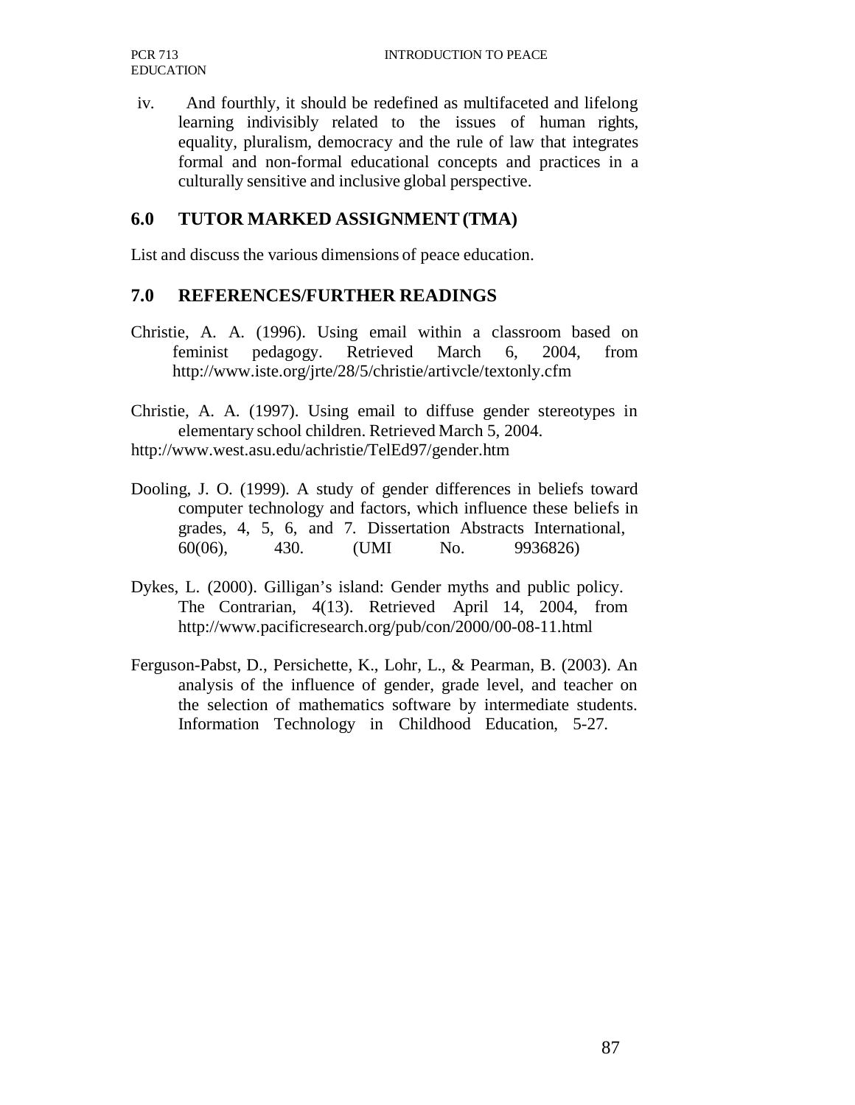iv. And fourthly, it should be redefined as multifaceted and lifelong learning indivisibly related to the issues of human rights, equality, pluralism, democracy and the rule of law that integrates formal and non-formal educational concepts and practices in a culturally sensitive and inclusive global perspective.

### **6.0 TUTOR MARKED ASSIGNMENT (TMA)**

List and discuss the various dimensions of peace education.

#### **7.0 REFERENCES/FURTHER READINGS**

- Christie, A. A. (1996). Using email within a classroom based on feminist pedagogy. Retrieved March 6, 2004, from http://www.iste.org/jrte/28/5/christie/artivcle/textonly.cfm
- Christie, A. A. (1997). Using email to diffuse gender stereotypes in elementary school children. Retrieved March 5, 2004. http://www.west.asu.edu/achristie/TelEd97/gender.htm
- Dooling, J. O. (1999). A study of gender differences in beliefs toward computer technology and factors, which influence these beliefs in grades, 4, 5, 6, and 7. Dissertation Abstracts International, 60(06), 430. (UMI No. 9936826)
- Dykes, L. (2000). Gilligan's island: Gender myths and public policy. The Contrarian, 4(13). Retrieved April 14, 2004, from http://www.pacificresearch.org/pub/con/2000/00-08-11.html
- Ferguson-Pabst, D., Persichette, K., Lohr, L., & Pearman, B. (2003). An analysis of the influence of gender, grade level, and teacher on the selection of mathematics software by intermediate students. Information Technology in Childhood Education, 5-27.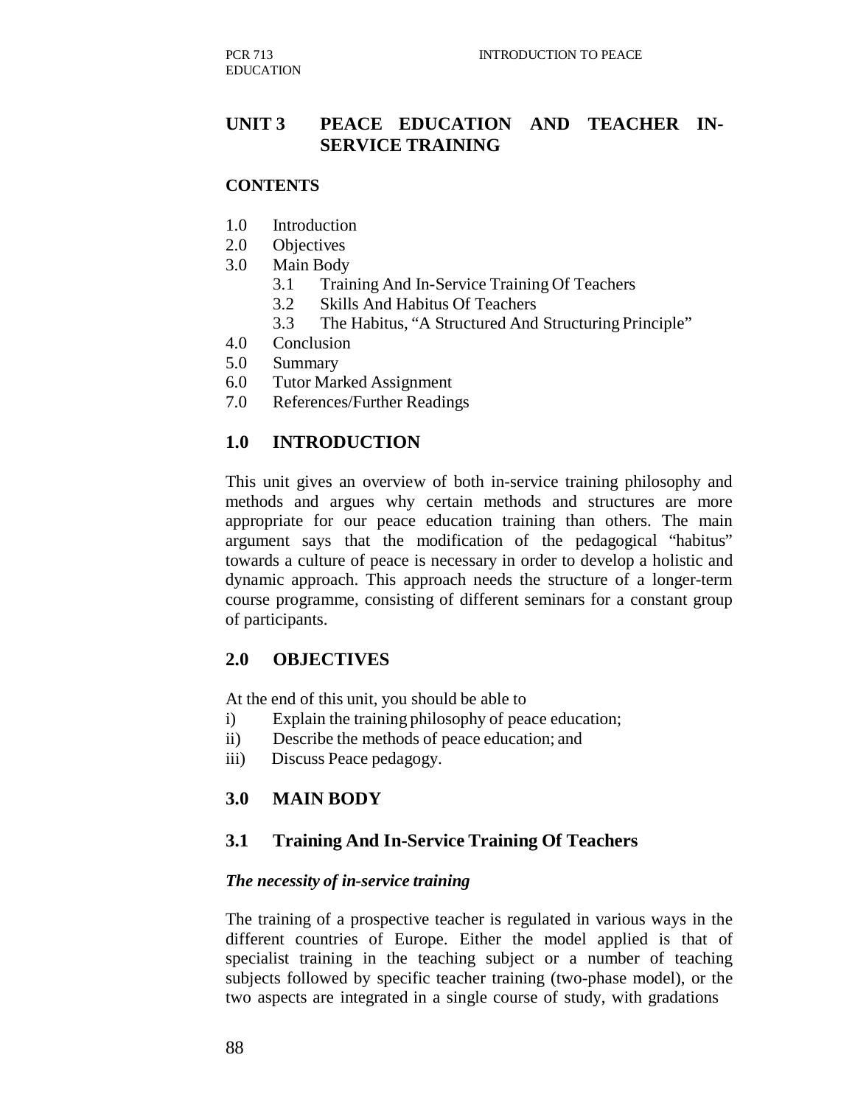### **UNIT 3 PEACE EDUCATION AND TEACHER IN-SERVICE TRAINING**

#### **CONTENTS**

- 1.0 Introduction
- 2.0 Objectives
- 3.0 Main Body
	- 3.1 Training And In-Service Training Of Teachers
	- 3.2 Skills And Habitus Of Teachers
	- 3.3 The Habitus, "A Structured And Structuring Principle"
- 4.0 Conclusion
- 5.0 Summary
- 6.0 Tutor Marked Assignment
- 7.0 References/Further Readings

#### **1.0 INTRODUCTION**

This unit gives an overview of both in-service training philosophy and methods and argues why certain methods and structures are more appropriate for our peace education training than others. The main argument says that the modification of the pedagogical "habitus" towards a culture of peace is necessary in order to develop a holistic and dynamic approach. This approach needs the structure of a longer-term course programme, consisting of different seminars for a constant group of participants.

#### **2.0 OBJECTIVES**

At the end of this unit, you should be able to

- i) Explain the training philosophy of peace education;
- ii) Describe the methods of peace education; and
- iii) Discuss Peace pedagogy.

#### **3.0 MAIN BODY**

#### **3.1 Training And In-Service Training Of Teachers**

#### *The necessity of in-service training*

The training of a prospective teacher is regulated in various ways in the different countries of Europe. Either the model applied is that of specialist training in the teaching subject or a number of teaching subjects followed by specific teacher training (two-phase model), or the two aspects are integrated in a single course of study, with gradations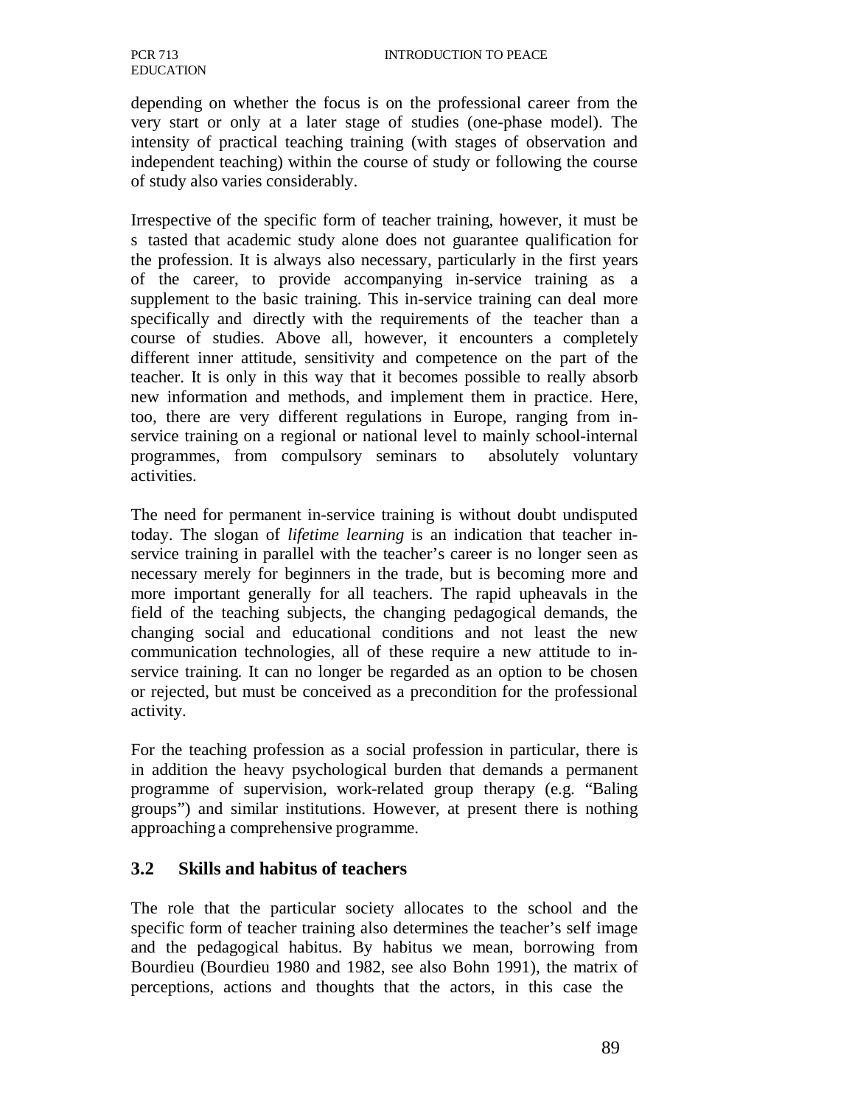depending on whether the focus is on the professional career from the very start or only at a later stage of studies (one-phase model). The intensity of practical teaching training (with stages of observation and independent teaching) within the course of study or following the course of study also varies considerably.

Irrespective of the specific form of teacher training, however, it must be s tasted that academic study alone does not guarantee qualification for the profession. It is always also necessary, particularly in the first years of the career, to provide accompanying in-service training as a supplement to the basic training. This in-service training can deal more specifically and directly with the requirements of the teacher than a course of studies. Above all, however, it encounters a completely different inner attitude, sensitivity and competence on the part of the teacher. It is only in this way that it becomes possible to really absorb new information and methods, and implement them in practice. Here, too, there are very different regulations in Europe, ranging from inservice training on a regional or national level to mainly school-internal programmes, from compulsory seminars to absolutely voluntary activities.

The need for permanent in-service training is without doubt undisputed today. The slogan of *lifetime learning* is an indication that teacher inservice training in parallel with the teacher's career is no longer seen as necessary merely for beginners in the trade, but is becoming more and more important generally for all teachers. The rapid upheavals in the field of the teaching subjects, the changing pedagogical demands, the changing social and educational conditions and not least the new communication technologies, all of these require a new attitude to inservice training. It can no longer be regarded as an option to be chosen or rejected, but must be conceived as a precondition for the professional activity.

For the teaching profession as a social profession in particular, there is in addition the heavy psychological burden that demands a permanent programme of supervision, work-related group therapy (e.g. "Baling groups") and similar institutions. However, at present there is nothing approaching a comprehensive programme.

## **3.2 Skills and habitus of teachers**

The role that the particular society allocates to the school and the specific form of teacher training also determines the teacher's self image and the pedagogical habitus. By habitus we mean, borrowing from Bourdieu (Bourdieu 1980 and 1982, see also Bohn 1991), the matrix of perceptions, actions and thoughts that the actors, in this case the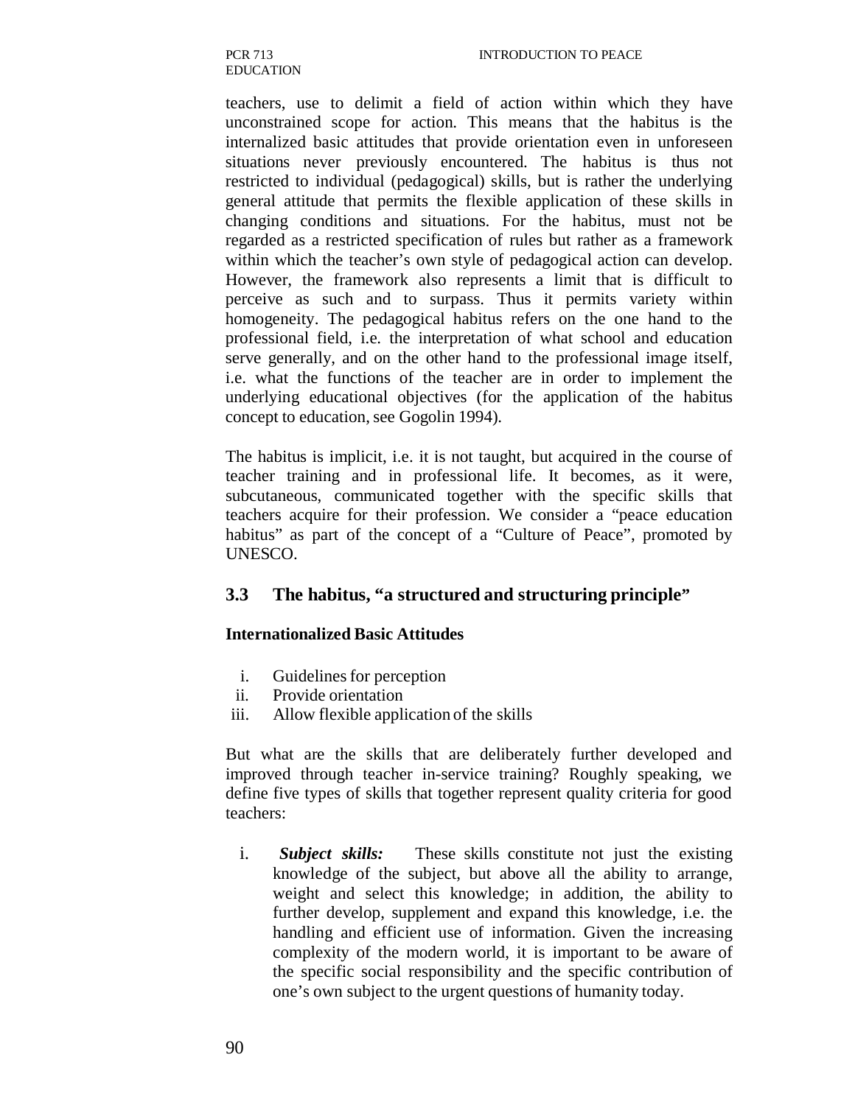teachers, use to delimit a field of action within which they have unconstrained scope for action. This means that the habitus is the internalized basic attitudes that provide orientation even in unforeseen situations never previously encountered. The habitus is thus not restricted to individual (pedagogical) skills, but is rather the underlying general attitude that permits the flexible application of these skills in changing conditions and situations. For the habitus, must not be regarded as a restricted specification of rules but rather as a framework within which the teacher's own style of pedagogical action can develop. However, the framework also represents a limit that is difficult to perceive as such and to surpass. Thus it permits variety within homogeneity. The pedagogical habitus refers on the one hand to the professional field, i.e. the interpretation of what school and education serve generally, and on the other hand to the professional image itself, i.e. what the functions of the teacher are in order to implement the underlying educational objectives (for the application of the habitus concept to education, see Gogolin 1994).

The habitus is implicit, i.e. it is not taught, but acquired in the course of teacher training and in professional life. It becomes, as it were, subcutaneous, communicated together with the specific skills that teachers acquire for their profession. We consider a "peace education habitus" as part of the concept of a "Culture of Peace", promoted by UNESCO.

#### **3.3 The habitus, "a structured and structuring principle"**

#### **Internationalized Basic Attitudes**

- i. Guidelines for perception
- ii. Provide orientation
- iii. Allow flexible application of the skills

But what are the skills that are deliberately further developed and improved through teacher in-service training? Roughly speaking, we define five types of skills that together represent quality criteria for good teachers:

i. *Subject skills:* These skills constitute not just the existing knowledge of the subject, but above all the ability to arrange, weight and select this knowledge; in addition, the ability to further develop, supplement and expand this knowledge, i.e. the handling and efficient use of information. Given the increasing complexity of the modern world, it is important to be aware of the specific social responsibility and the specific contribution of one's own subject to the urgent questions of humanity today.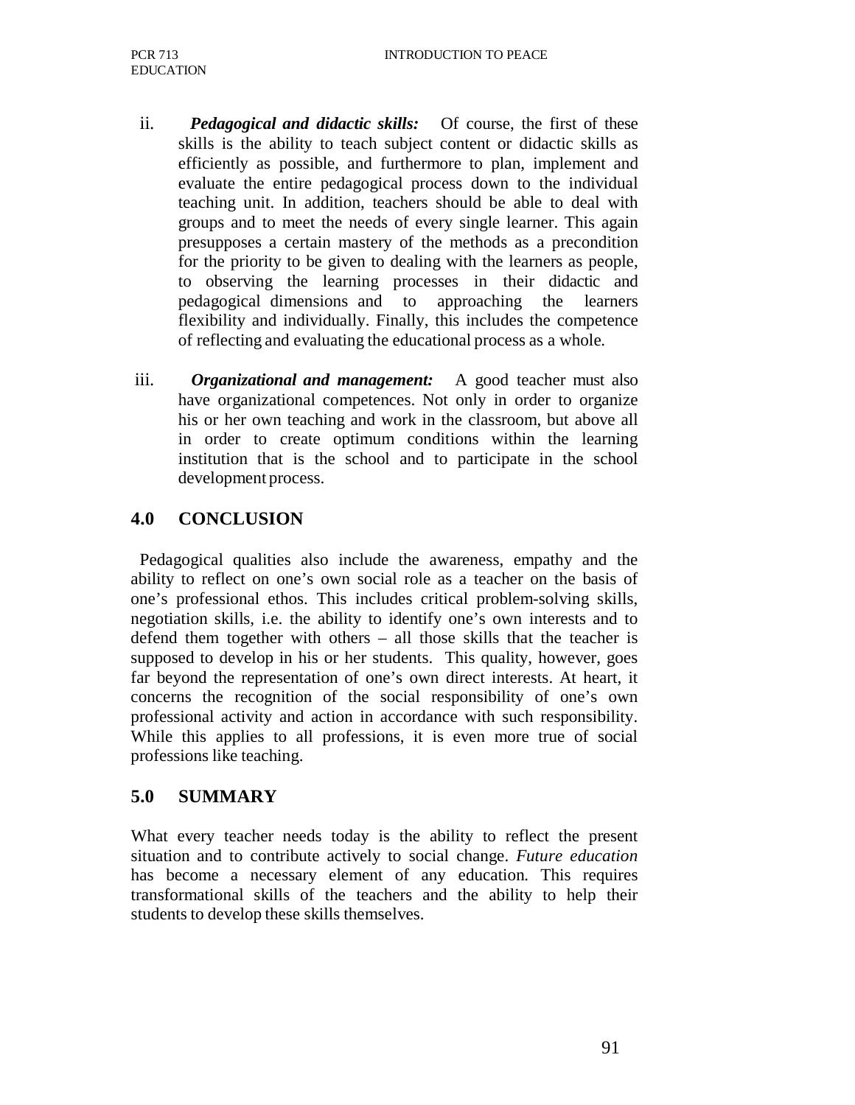- ii. *Pedagogical and didactic skills:* Of course, the first of these skills is the ability to teach subject content or didactic skills as efficiently as possible, and furthermore to plan, implement and evaluate the entire pedagogical process down to the individual teaching unit. In addition, teachers should be able to deal with groups and to meet the needs of every single learner. This again presupposes a certain mastery of the methods as a precondition for the priority to be given to dealing with the learners as people, to observing the learning processes in their didactic and pedagogical dimensions and to approaching the learners flexibility and individually. Finally, this includes the competence of reflecting and evaluating the educational process as a whole.
- iii. *Organizational and management:* A good teacher must also have organizational competences. Not only in order to organize his or her own teaching and work in the classroom, but above all in order to create optimum conditions within the learning institution that is the school and to participate in the school development process.

# **4.0 CONCLUSION**

Pedagogical qualities also include the awareness, empathy and the ability to reflect on one's own social role as a teacher on the basis of one's professional ethos. This includes critical problem-solving skills, negotiation skills, i.e. the ability to identify one's own interests and to defend them together with others – all those skills that the teacher is supposed to develop in his or her students. This quality, however, goes far beyond the representation of one's own direct interests. At heart, it concerns the recognition of the social responsibility of one's own professional activity and action in accordance with such responsibility. While this applies to all professions, it is even more true of social professions like teaching.

# **5.0 SUMMARY**

What every teacher needs today is the ability to reflect the present situation and to contribute actively to social change. *Future education*  has become a necessary element of any education. This requires transformational skills of the teachers and the ability to help their students to develop these skills themselves.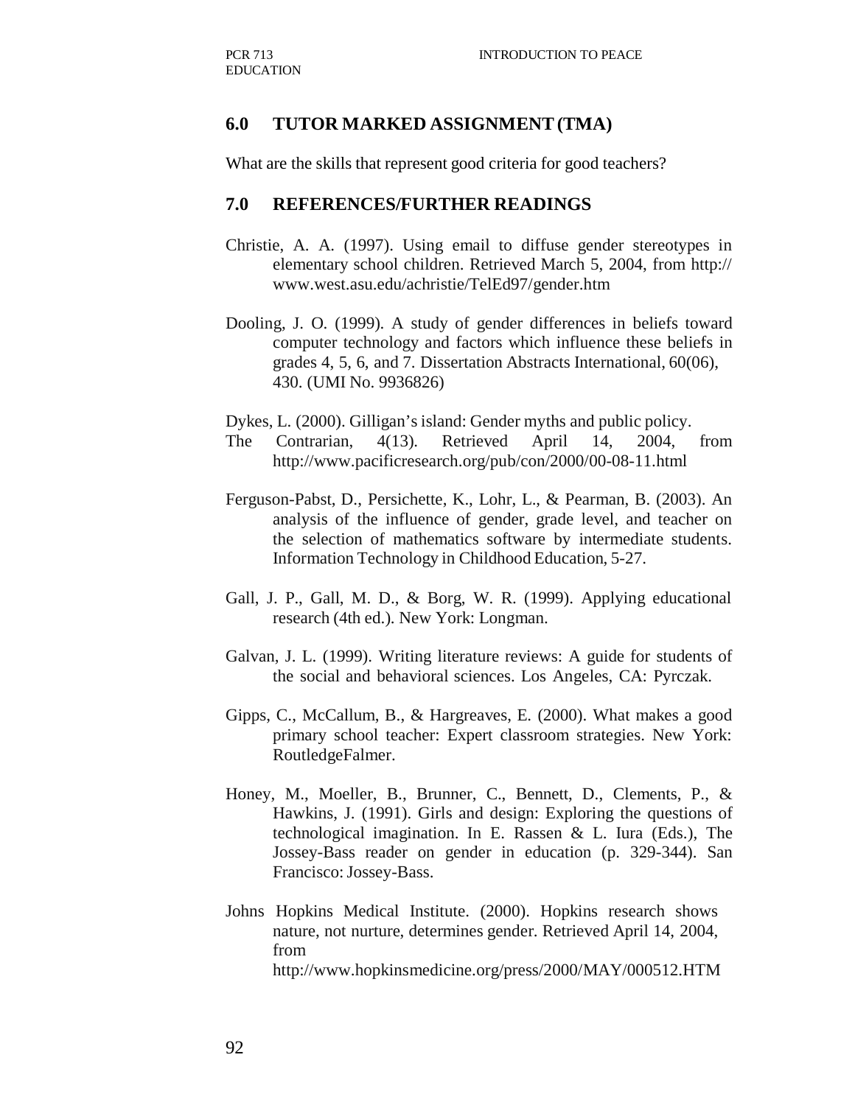#### **6.0 TUTOR MARKED ASSIGNMENT (TMA)**

What are the skills that represent good criteria for good teachers?

#### **7.0 REFERENCES/FURTHER READINGS**

- Christie, A. A. (1997). Using email to diffuse gender stereotypes in elementary school children. Retrieved March 5, 2004, from http:// www.west.asu.edu/achristie/TelEd97/gender.htm
- Dooling, J. O. (1999). A study of gender differences in beliefs toward computer technology and factors which influence these beliefs in grades 4, 5, 6, and 7. Dissertation Abstracts International, 60(06), 430. (UMI No. 9936826)

Dykes, L. (2000). Gilligan's island: Gender myths and public policy.

- The Contrarian, 4(13). Retrieved April 14, 2004, from http://www.pacificresearch.org/pub/con/2000/00-08-11.html
- Ferguson-Pabst, D., Persichette, K., Lohr, L., & Pearman, B. (2003). An analysis of the influence of gender, grade level, and teacher on the selection of mathematics software by intermediate students. Information Technology in Childhood Education, 5-27.
- Gall, J. P., Gall, M. D., & Borg, W. R. (1999). Applying educational research (4th ed.). New York: Longman.
- Galvan, J. L. (1999). Writing literature reviews: A guide for students of the social and behavioral sciences. Los Angeles, CA: Pyrczak.
- Gipps, C., McCallum, B., & Hargreaves, E. (2000). What makes a good primary school teacher: Expert classroom strategies. New York: RoutledgeFalmer.
- Honey, M., Moeller, B., Brunner, C., Bennett, D., Clements, P., & Hawkins, J. (1991). Girls and design: Exploring the questions of technological imagination. In E. Rassen & L. Iura (Eds.), The Jossey-Bass reader on gender in education (p. 329-344). San Francisco: Jossey-Bass.
- Johns Hopkins Medical Institute. (2000). Hopkins research shows nature, not nurture, determines gender. Retrieved April 14, 2004, from http://www.hopkinsmedicine.org/press/2000/MAY/000512.HTM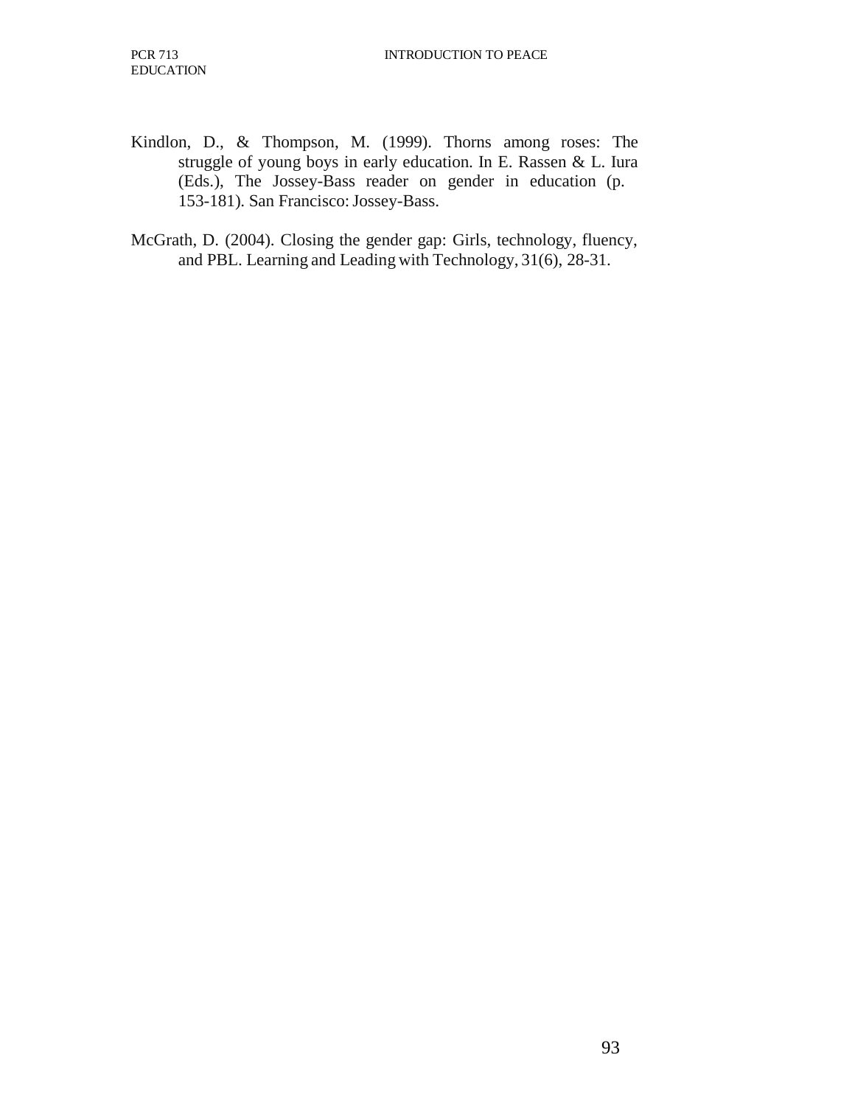- Kindlon, D., & Thompson, M. (1999). Thorns among roses: The struggle of young boys in early education. In E. Rassen & L. Iura (Eds.), The Jossey-Bass reader on gender in education (p. 153-181). San Francisco: Jossey-Bass.
- McGrath, D. (2004). Closing the gender gap: Girls, technology, fluency, and PBL. Learning and Leading with Technology, 31(6), 28-31.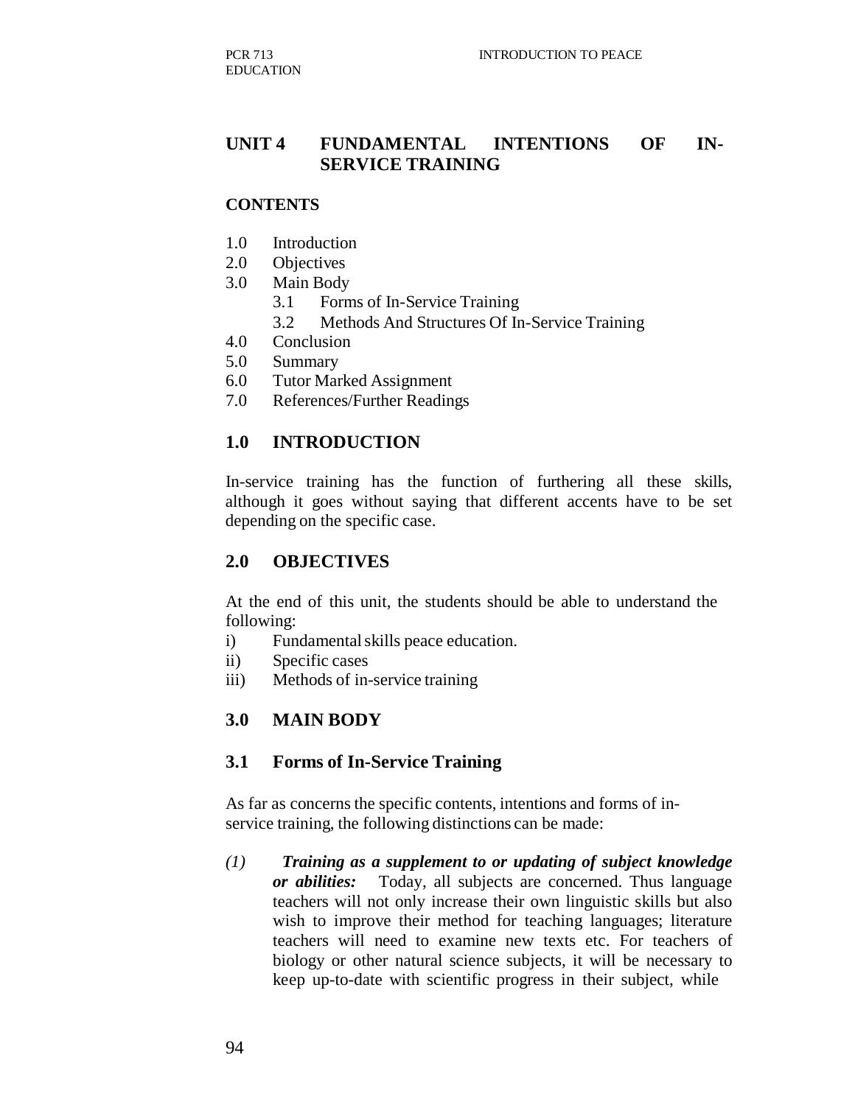## **UNIT 4 FUNDAMENTAL INTENTIONS OF IN-SERVICE TRAINING**

#### **CONTENTS**

- 1.0 Introduction
- 2.0 Objectives
- 3.0 Main Body
	- 3.1 Forms of In-Service Training
	- 3.2 Methods And Structures Of In-Service Training
- 4.0 Conclusion
- 5.0 Summary
- 6.0 Tutor Marked Assignment
- 7.0 References/Further Readings

#### **1.0 INTRODUCTION**

In-service training has the function of furthering all these skills, although it goes without saying that different accents have to be set depending on the specific case.

#### **2.0 OBJECTIVES**

At the end of this unit, the students should be able to understand the following:

- i) Fundamental skills peace education.
- ii) Specific cases
- iii) Methods of in-service training

#### **3.0 MAIN BODY**

#### **3.1 Forms of In-Service Training**

As far as concerns the specific contents, intentions and forms of inservice training, the following distinctions can be made:

*(1) Training as a supplement to or updating of subject knowledge or abilities:* Today, all subjects are concerned. Thus language teachers will not only increase their own linguistic skills but also wish to improve their method for teaching languages; literature teachers will need to examine new texts etc. For teachers of biology or other natural science subjects, it will be necessary to keep up-to-date with scientific progress in their subject, while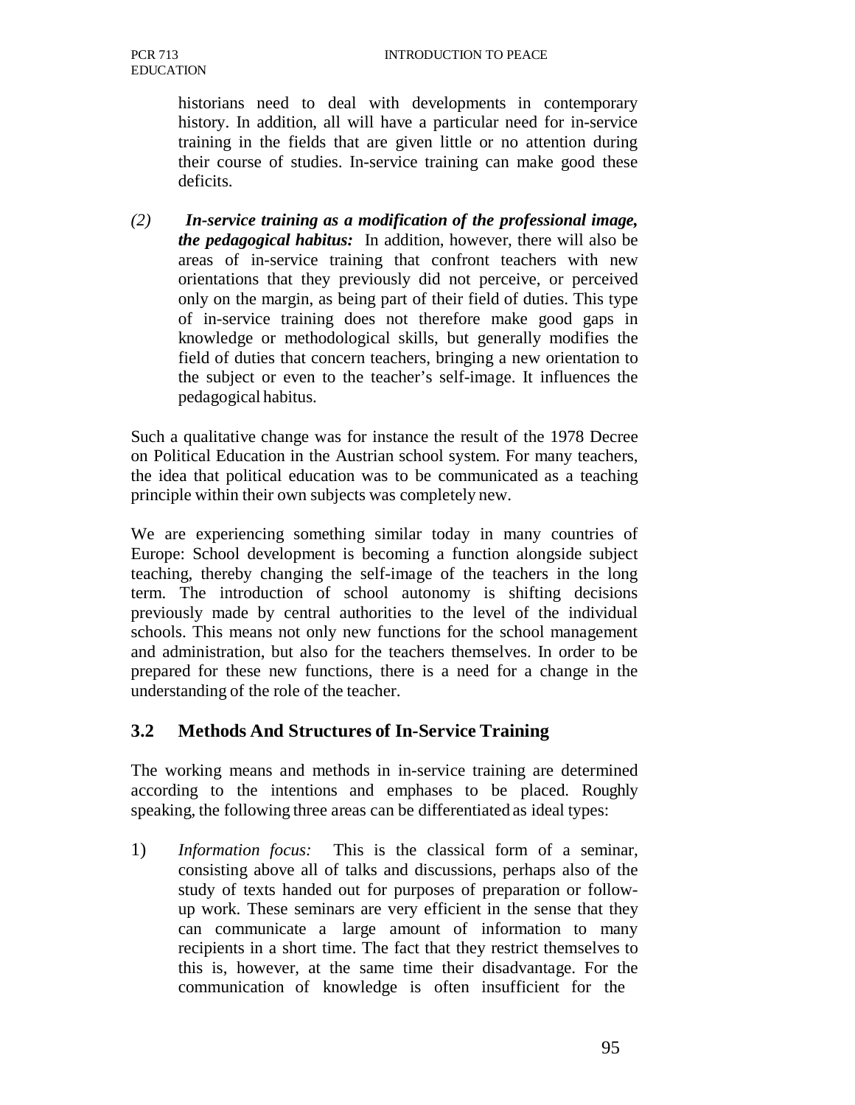historians need to deal with developments in contemporary history. In addition, all will have a particular need for in-service training in the fields that are given little or no attention during their course of studies. In-service training can make good these deficits.

*(2) In-service training as a modification of the professional image, the pedagogical habitus:* In addition, however, there will also be areas of in-service training that confront teachers with new orientations that they previously did not perceive, or perceived only on the margin, as being part of their field of duties. This type of in-service training does not therefore make good gaps in knowledge or methodological skills, but generally modifies the field of duties that concern teachers, bringing a new orientation to the subject or even to the teacher's self-image. It influences the pedagogical habitus.

Such a qualitative change was for instance the result of the 1978 Decree on Political Education in the Austrian school system. For many teachers, the idea that political education was to be communicated as a teaching principle within their own subjects was completely new.

We are experiencing something similar today in many countries of Europe: School development is becoming a function alongside subject teaching, thereby changing the self-image of the teachers in the long term. The introduction of school autonomy is shifting decisions previously made by central authorities to the level of the individual schools. This means not only new functions for the school management and administration, but also for the teachers themselves. In order to be prepared for these new functions, there is a need for a change in the understanding of the role of the teacher.

# **3.2 Methods And Structures of In-Service Training**

The working means and methods in in-service training are determined according to the intentions and emphases to be placed. Roughly speaking, the following three areas can be differentiated as ideal types:

1) *Information focus:* This is the classical form of a seminar, consisting above all of talks and discussions, perhaps also of the study of texts handed out for purposes of preparation or followup work. These seminars are very efficient in the sense that they can communicate a large amount of information to many recipients in a short time. The fact that they restrict themselves to this is, however, at the same time their disadvantage. For the communication of knowledge is often insufficient for the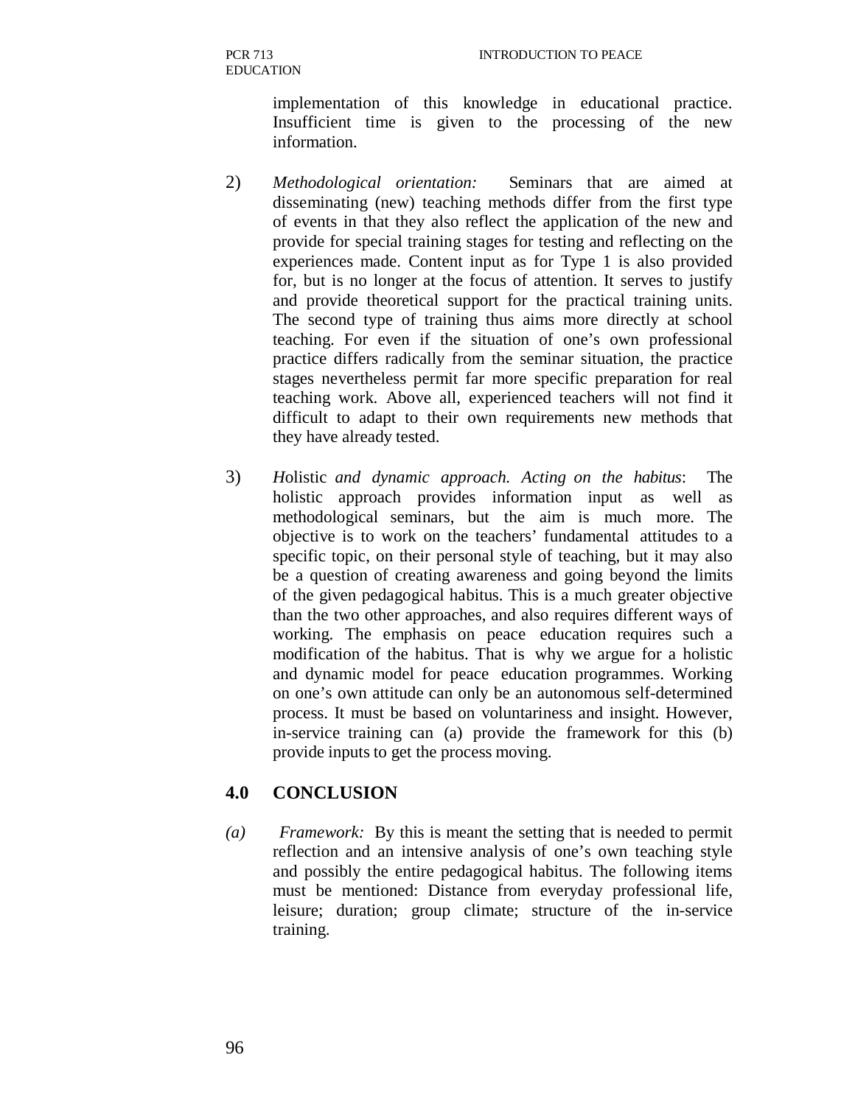implementation of this knowledge in educational practice. Insufficient time is given to the processing of the new information.

- 2) *Methodological orientation:* Seminars that are aimed at disseminating (new) teaching methods differ from the first type of events in that they also reflect the application of the new and provide for special training stages for testing and reflecting on the experiences made. Content input as for Type 1 is also provided for, but is no longer at the focus of attention. It serves to justify and provide theoretical support for the practical training units. The second type of training thus aims more directly at school teaching. For even if the situation of one's own professional practice differs radically from the seminar situation, the practice stages nevertheless permit far more specific preparation for real teaching work. Above all, experienced teachers will not find it difficult to adapt to their own requirements new methods that they have already tested.
- 3) *H*olistic *and dynamic approach. Acting on the habitus*: The holistic approach provides information input as well as methodological seminars, but the aim is much more. The objective is to work on the teachers' fundamental attitudes to a specific topic, on their personal style of teaching, but it may also be a question of creating awareness and going beyond the limits of the given pedagogical habitus. This is a much greater objective than the two other approaches, and also requires different ways of working. The emphasis on peace education requires such a modification of the habitus. That is why we argue for a holistic and dynamic model for peace education programmes. Working on one's own attitude can only be an autonomous self-determined process. It must be based on voluntariness and insight. However, in-service training can (a) provide the framework for this (b) provide inputs to get the process moving.

# **4.0 CONCLUSION**

*(a) Framework:* By this is meant the setting that is needed to permit reflection and an intensive analysis of one's own teaching style and possibly the entire pedagogical habitus. The following items must be mentioned: Distance from everyday professional life, leisure; duration; group climate; structure of the in-service training.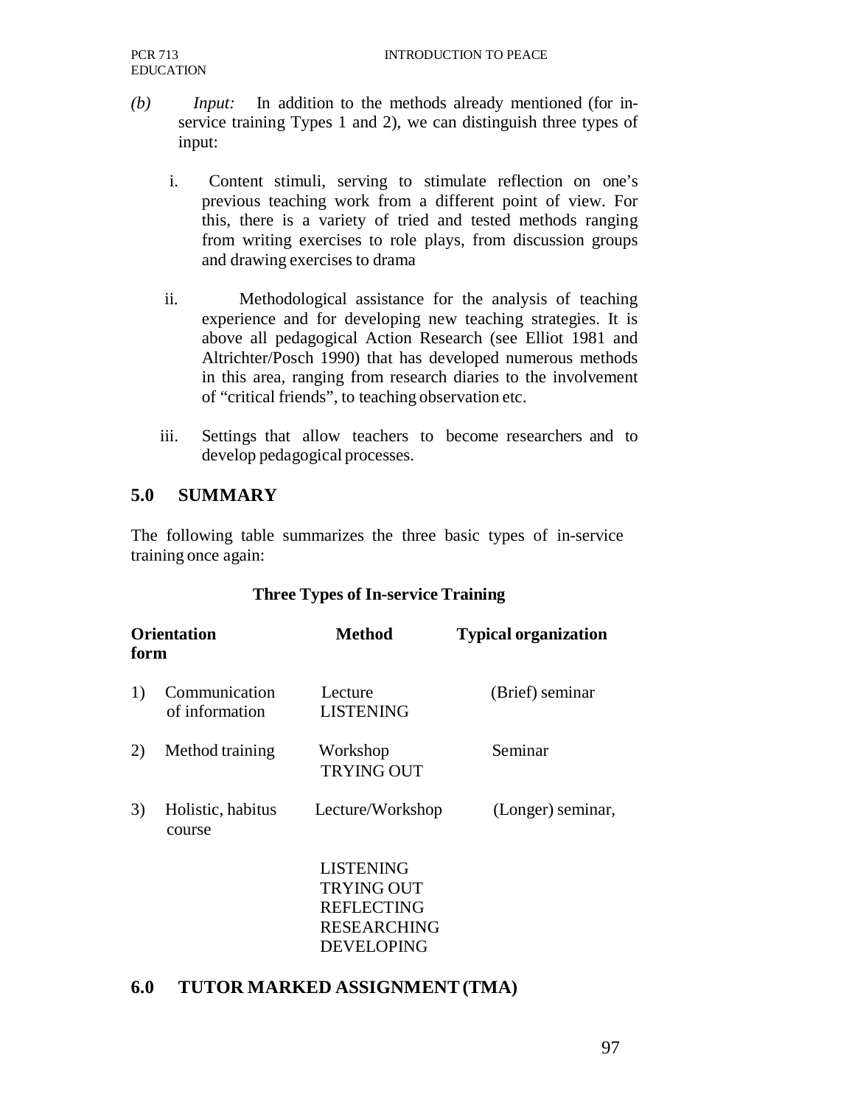- *(b) Input:* In addition to the methods already mentioned (for inservice training Types 1 and 2), we can distinguish three types of input:
	- i. Content stimuli, serving to stimulate reflection on one's previous teaching work from a different point of view. For this, there is a variety of tried and tested methods ranging from writing exercises to role plays, from discussion groups and drawing exercises to drama
	- ii. Methodological assistance for the analysis of teaching experience and for developing new teaching strategies. It is above all pedagogical Action Research (see Elliot 1981 and Altrichter/Posch 1990) that has developed numerous methods in this area, ranging from research diaries to the involvement of "critical friends", to teaching observation etc.
	- iii. Settings that allow teachers to become researchers and to develop pedagogical processes.

# **5.0 SUMMARY**

The following table summarizes the three basic types of in-service training once again:

#### **Three Types of In-service Training**

| <b>Orientation</b><br>form |                                 | Method                                                                                                | <b>Typical organization</b> |
|----------------------------|---------------------------------|-------------------------------------------------------------------------------------------------------|-----------------------------|
| 1)                         | Communication<br>of information | Lecture<br><b>LISTENING</b>                                                                           | (Brief) seminar             |
| 2)                         | Method training                 | Workshop<br><b>TRYING OUT</b>                                                                         | Seminar                     |
| 3)                         | Holistic, habitus<br>course     | Lecture/Workshop                                                                                      | (Longer) seminar,           |
|                            |                                 | <b>LISTENING</b><br><b>TRYING OUT</b><br><b>REFLECTING</b><br><b>RESEARCHING</b><br><b>DEVELOPING</b> |                             |

## **6.0 TUTOR MARKED ASSIGNMENT (TMA)**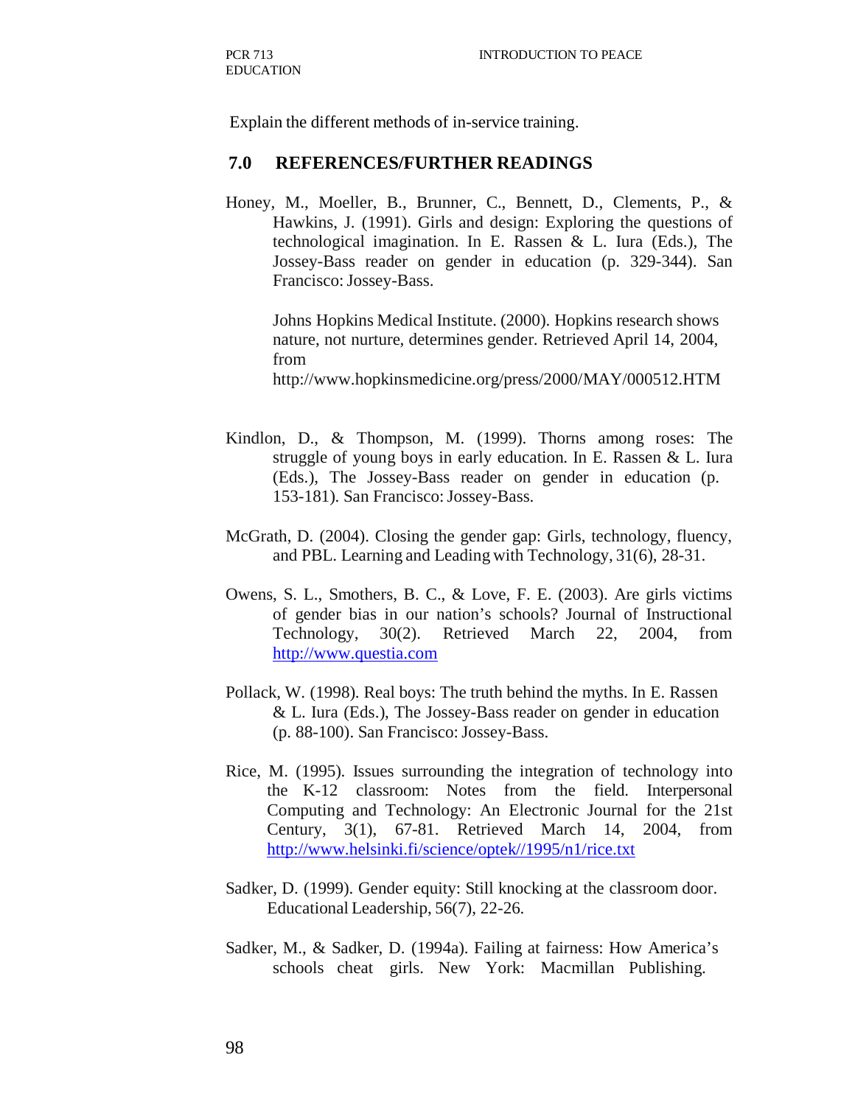Explain the different methods of in-service training.

#### **7.0 REFERENCES/FURTHER READINGS**

Honey, M., Moeller, B., Brunner, C., Bennett, D., Clements, P., & Hawkins, J. (1991). Girls and design: Exploring the questions of technological imagination. In E. Rassen & L. Iura (Eds.), The Jossey-Bass reader on gender in education (p. 329-344). San Francisco: Jossey-Bass.

Johns Hopkins Medical Institute. (2000). Hopkins research shows nature, not nurture, determines gender. Retrieved April 14, 2004, from

http://www.hopkinsmedicine.org/press/2000/MAY/000512.HTM

- Kindlon, D., & Thompson, M. (1999). Thorns among roses: The struggle of young boys in early education. In E. Rassen & L. Iura (Eds.), The Jossey-Bass reader on gender in education (p. 153-181). San Francisco: Jossey-Bass.
- McGrath, D. (2004). Closing the gender gap: Girls, technology, fluency, and PBL. Learning and Leading with Technology, 31(6), 28-31.
- Owens, S. L., Smothers, B. C., & Love, F. E. (2003). Are girls victims of gender bias in our nation's schools? Journal of Instructional Technology, 30(2). Retrieved March 22, 2004, from http://www.questia.com
- Pollack, W. (1998). Real boys: The truth behind the myths. In E. Rassen & L. Iura (Eds.), The Jossey-Bass reader on gender in education (p. 88-100). San Francisco: Jossey-Bass.
- Rice, M. (1995). Issues surrounding the integration of technology into the K-12 classroom: Notes from the field. Interpersonal Computing and Technology: An Electronic Journal for the 21st Century, 3(1), 67-81. Retrieved March 14, 2004, from http://www.helsinki.fi/science/optek//1995/n1/rice.txt
- Sadker, D. (1999). Gender equity: Still knocking at the classroom door. Educational Leadership, 56(7), 22-26.
- Sadker, M., & Sadker, D. (1994a). Failing at fairness: How America's schools cheat girls. New York: Macmillan Publishing.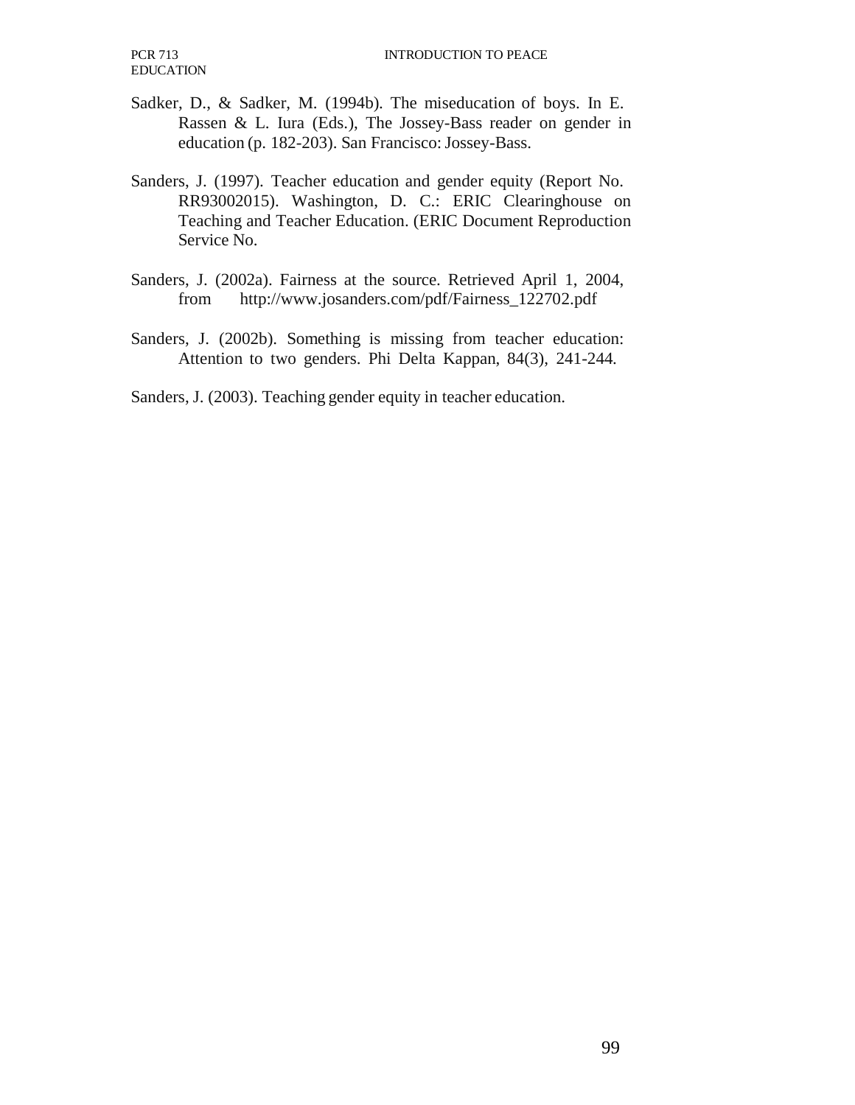- Sadker, D., & Sadker, M. (1994b). The miseducation of boys. In E. Rassen & L. Iura (Eds.), The Jossey-Bass reader on gender in education (p. 182-203). San Francisco: Jossey-Bass.
- Sanders, J. (1997). Teacher education and gender equity (Report No. RR93002015). Washington, D. C.: ERIC Clearinghouse on Teaching and Teacher Education. (ERIC Document Reproduction Service No.
- Sanders, J. (2002a). Fairness at the source. Retrieved April 1, 2004, from http://www.josanders.com/pdf/Fairness\_122702.pdf
- Sanders, J. (2002b). Something is missing from teacher education: Attention to two genders. Phi Delta Kappan, 84(3), 241-244.
- Sanders, J. (2003). Teaching gender equity in teacher education.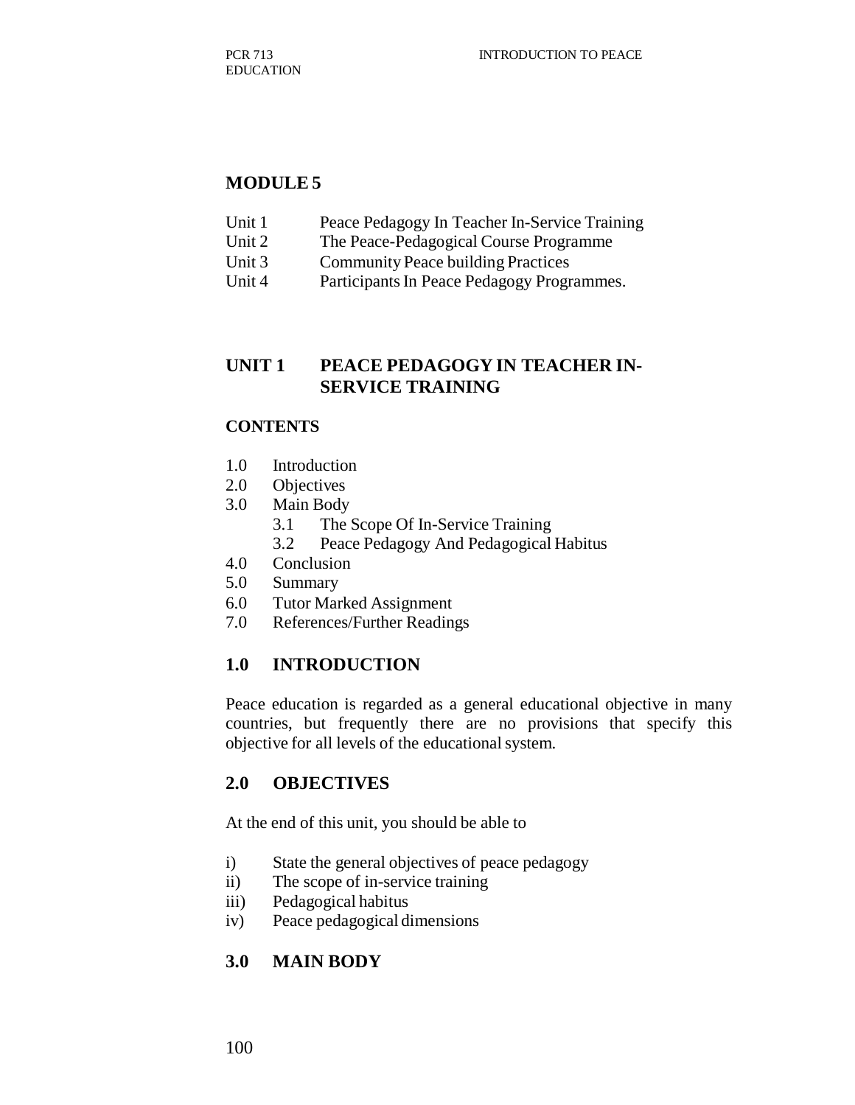#### **MODULE 5**

- Unit 1 Peace Pedagogy In Teacher In-Service Training
- Unit 2 The Peace-Pedagogical Course Programme
- Unit 3 Community Peace building Practices
- Unit 4 Participants In Peace Pedagogy Programmes.

## **UNIT 1 PEACE PEDAGOGY IN TEACHER IN-SERVICE TRAINING**

#### **CONTENTS**

- 1.0 Introduction
- 2.0 Objectives
- 3.0 Main Body
	- 3.1 The Scope Of In-Service Training
	- 3.2 Peace Pedagogy And Pedagogical Habitus
- 4.0 Conclusion
- 5.0 Summary
- 6.0 Tutor Marked Assignment
- 7.0 References/Further Readings

## **1.0 INTRODUCTION**

Peace education is regarded as a general educational objective in many countries, but frequently there are no provisions that specify this objective for all levels of the educational system.

## **2.0 OBJECTIVES**

At the end of this unit, you should be able to

- i) State the general objectives of peace pedagogy
- ii) The scope of in-service training
- iii) Pedagogical habitus
- iv) Peace pedagogical dimensions

# **3.0 MAIN BODY**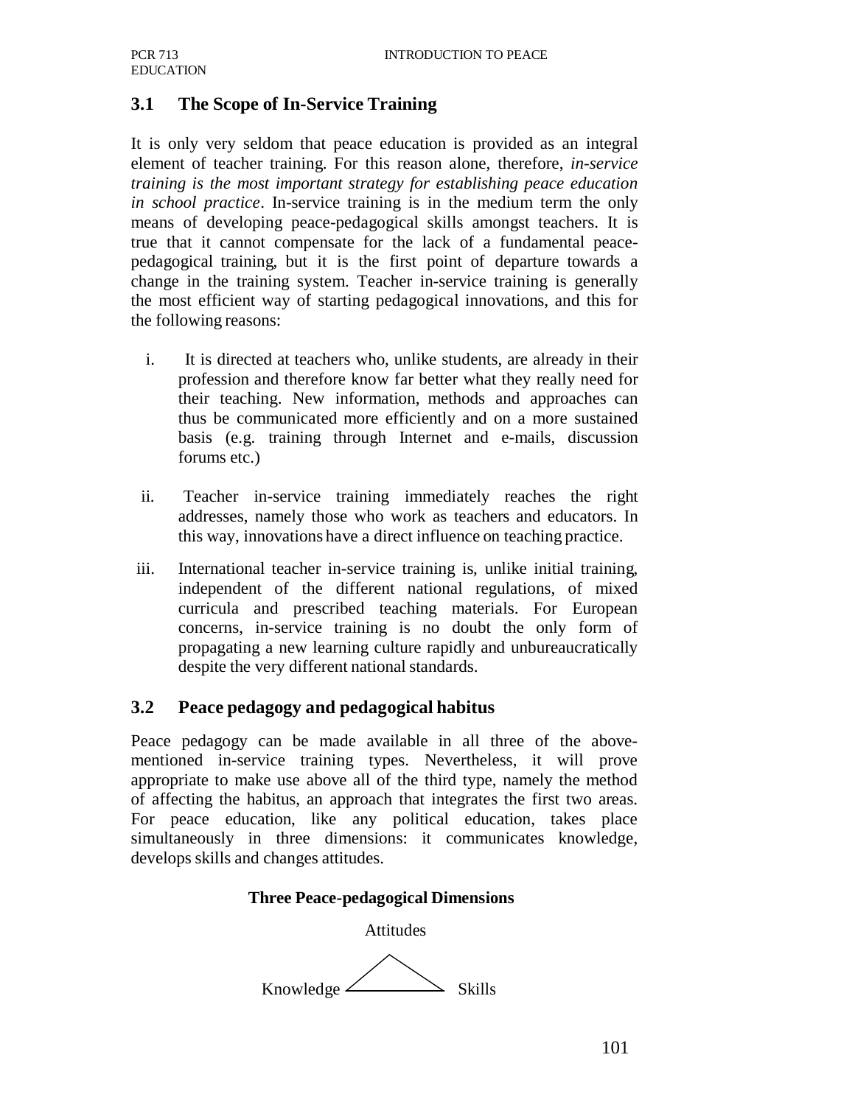# **3.1 The Scope of In-Service Training**

It is only very seldom that peace education is provided as an integral element of teacher training. For this reason alone, therefore, *in-service training is the most important strategy for establishing peace education in school practice*. In-service training is in the medium term the only means of developing peace-pedagogical skills amongst teachers. It is true that it cannot compensate for the lack of a fundamental peacepedagogical training, but it is the first point of departure towards a change in the training system. Teacher in-service training is generally the most efficient way of starting pedagogical innovations, and this for the following reasons:

- i. It is directed at teachers who, unlike students, are already in their profession and therefore know far better what they really need for their teaching. New information, methods and approaches can thus be communicated more efficiently and on a more sustained basis (e.g. training through Internet and e-mails, discussion forums etc.)
- ii. Teacher in-service training immediately reaches the right addresses, namely those who work as teachers and educators. In this way, innovations have a direct influence on teaching practice.
- iii. International teacher in-service training is, unlike initial training, independent of the different national regulations, of mixed curricula and prescribed teaching materials. For European concerns, in-service training is no doubt the only form of propagating a new learning culture rapidly and unbureaucratically despite the very different national standards.

## **3.2 Peace pedagogy and pedagogical habitus**

Peace pedagogy can be made available in all three of the abovementioned in-service training types. Nevertheless, it will prove appropriate to make use above all of the third type, namely the method of affecting the habitus, an approach that integrates the first two areas. For peace education, like any political education, takes place simultaneously in three dimensions: it communicates knowledge, develops skills and changes attitudes.

#### **Three Peace-pedagogical Dimensions**

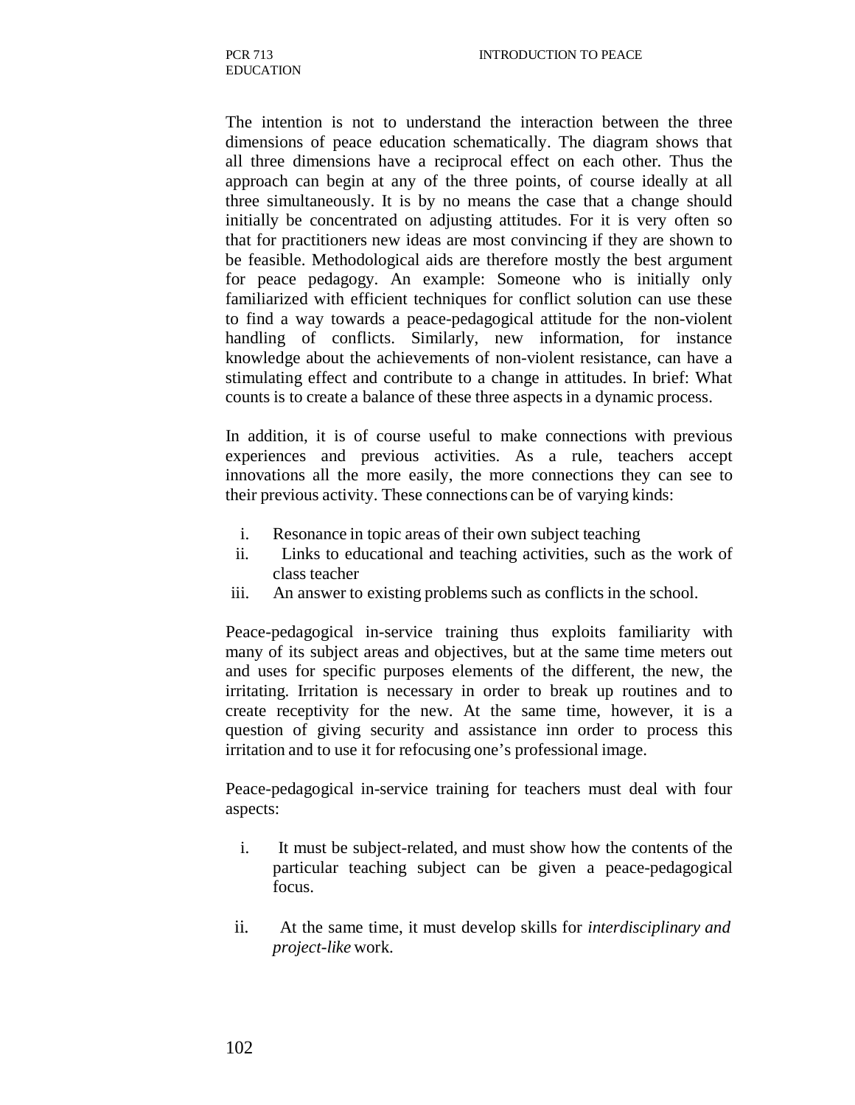The intention is not to understand the interaction between the three dimensions of peace education schematically. The diagram shows that all three dimensions have a reciprocal effect on each other. Thus the approach can begin at any of the three points, of course ideally at all three simultaneously. It is by no means the case that a change should initially be concentrated on adjusting attitudes. For it is very often so that for practitioners new ideas are most convincing if they are shown to be feasible. Methodological aids are therefore mostly the best argument for peace pedagogy. An example: Someone who is initially only familiarized with efficient techniques for conflict solution can use these to find a way towards a peace-pedagogical attitude for the non-violent handling of conflicts. Similarly, new information, for instance knowledge about the achievements of non-violent resistance, can have a stimulating effect and contribute to a change in attitudes. In brief: What counts is to create a balance of these three aspects in a dynamic process.

In addition, it is of course useful to make connections with previous experiences and previous activities. As a rule, teachers accept innovations all the more easily, the more connections they can see to their previous activity. These connections can be of varying kinds:

- i. Resonance in topic areas of their own subject teaching
- ii. Links to educational and teaching activities, such as the work of class teacher
- iii. An answer to existing problems such as conflicts in the school.

Peace-pedagogical in-service training thus exploits familiarity with many of its subject areas and objectives, but at the same time meters out and uses for specific purposes elements of the different, the new, the irritating. Irritation is necessary in order to break up routines and to create receptivity for the new. At the same time, however, it is a question of giving security and assistance inn order to process this irritation and to use it for refocusing one's professional image.

Peace-pedagogical in-service training for teachers must deal with four aspects:

- i. It must be subject-related, and must show how the contents of the particular teaching subject can be given a peace-pedagogical focus.
- ii. At the same time, it must develop skills for *interdisciplinary and project-like* work.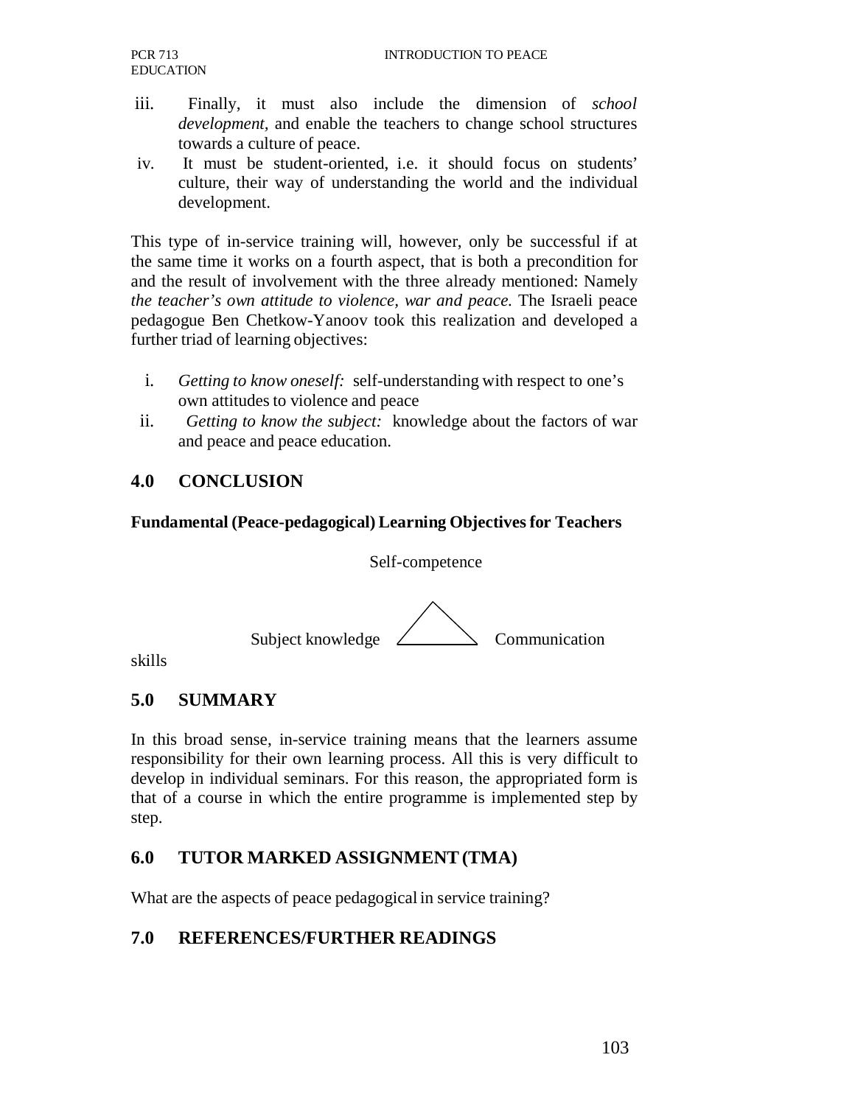- iii. Finally, it must also include the dimension of *school development,* and enable the teachers to change school structures towards a culture of peace.
- iv. It must be student-oriented, i.e. it should focus on students' culture, their way of understanding the world and the individual development.

This type of in-service training will, however, only be successful if at the same time it works on a fourth aspect, that is both a precondition for and the result of involvement with the three already mentioned: Namely *the teacher's own attitude to violence, war and peace.* The Israeli peace pedagogue Ben Chetkow-Yanoov took this realization and developed a further triad of learning objectives:

- i. *Getting to know oneself:* self-understanding with respect to one's own attitudes to violence and peace
- ii. *Getting to know the subject:* knowledge about the factors of war and peace and peace education.

## **4.0 CONCLUSION**

#### **Fundamental (Peace-pedagogical) Learning Objectives for Teachers**

Self-competence



skills

# **5.0 SUMMARY**

In this broad sense, in-service training means that the learners assume responsibility for their own learning process. All this is very difficult to develop in individual seminars. For this reason, the appropriated form is that of a course in which the entire programme is implemented step by step.

# **6.0 TUTOR MARKED ASSIGNMENT (TMA)**

What are the aspects of peace pedagogical in service training?

# **7.0 REFERENCES/FURTHER READINGS**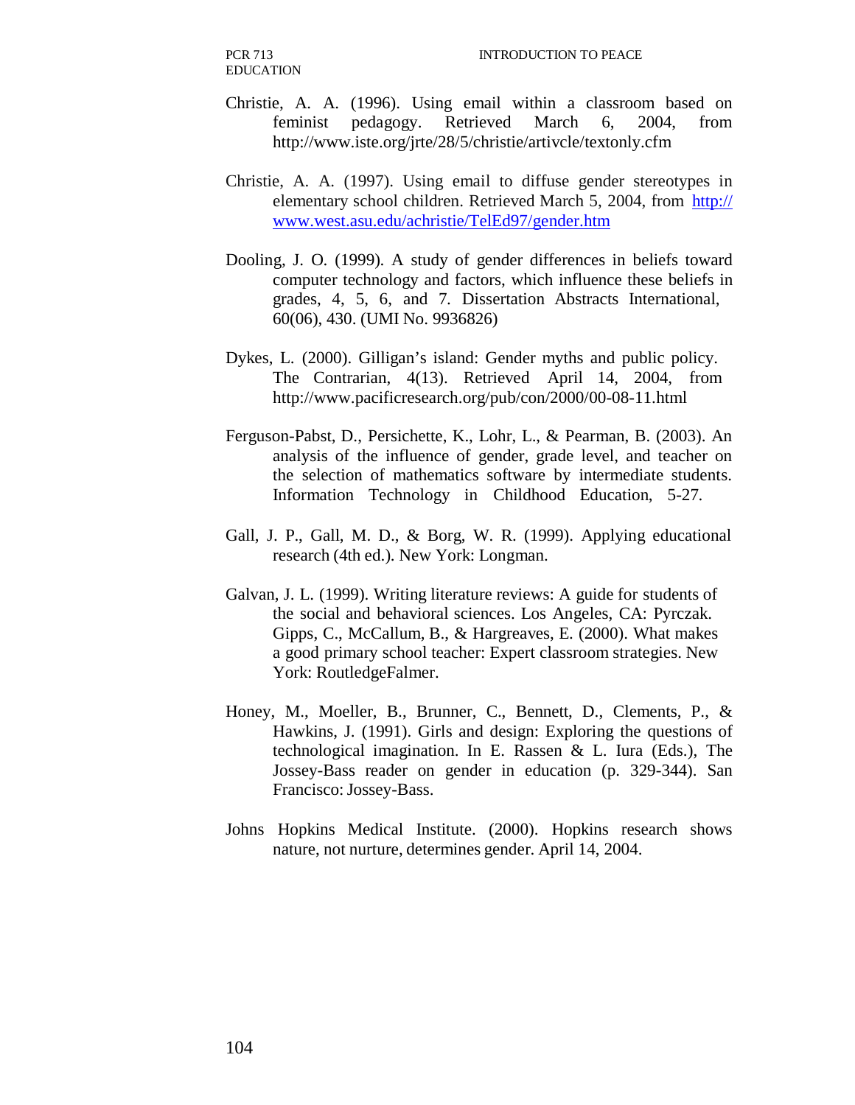PCR 713 EDUCATION

- Christie, A. A. (1996). Using email within a classroom based on feminist pedagogy. Retrieved March 6, 2004, from http://www.iste.org/jrte/28/5/christie/artivcle/textonly.cfm
- Christie, A. A. (1997). Using email to diffuse gender stereotypes in elementary school children. Retrieved March 5, 2004, from http:// www.west.asu.edu/achristie/TelEd97/gender.htm
- Dooling, J. O. (1999). A study of gender differences in beliefs toward computer technology and factors, which influence these beliefs in grades, 4, 5, 6, and 7. Dissertation Abstracts International, 60(06), 430. (UMI No. 9936826)
- Dykes, L. (2000). Gilligan's island: Gender myths and public policy. The Contrarian, 4(13). Retrieved April 14, 2004, from http://www.pacificresearch.org/pub/con/2000/00-08-11.html
- Ferguson-Pabst, D., Persichette, K., Lohr, L., & Pearman, B. (2003). An analysis of the influence of gender, grade level, and teacher on the selection of mathematics software by intermediate students. Information Technology in Childhood Education, 5-27.
- Gall, J. P., Gall, M. D., & Borg, W. R. (1999). Applying educational research (4th ed.). New York: Longman.
- Galvan, J. L. (1999). Writing literature reviews: A guide for students of the social and behavioral sciences. Los Angeles, CA: Pyrczak. Gipps, C., McCallum, B., & Hargreaves, E. (2000). What makes a good primary school teacher: Expert classroom strategies. New York: RoutledgeFalmer.
- Honey, M., Moeller, B., Brunner, C., Bennett, D., Clements, P., & Hawkins, J. (1991). Girls and design: Exploring the questions of technological imagination. In E. Rassen & L. Iura (Eds.), The Jossey-Bass reader on gender in education (p. 329-344). San Francisco: Jossey-Bass.
- Johns Hopkins Medical Institute. (2000). Hopkins research shows nature, not nurture, determines gender. April 14, 2004.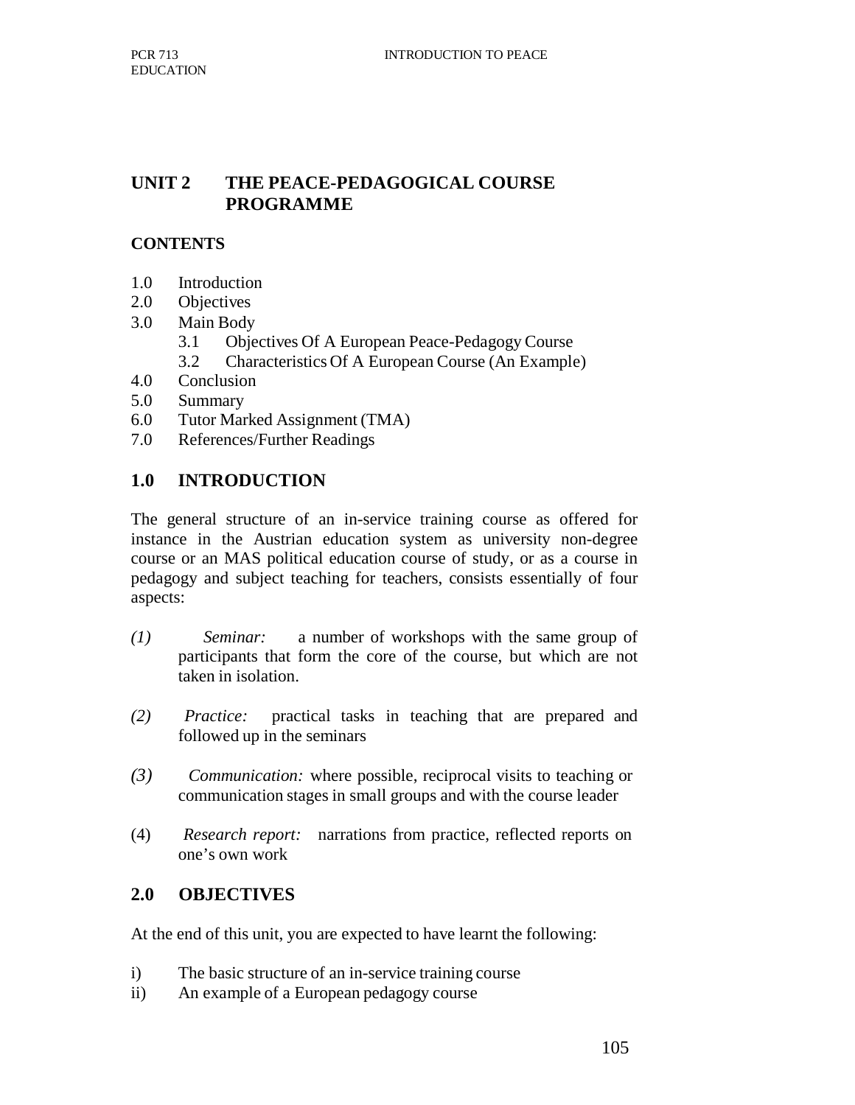## **UNIT 2 THE PEACE-PEDAGOGICAL COURSE PROGRAMME**

## **CONTENTS**

- 1.0 Introduction
- 2.0 Objectives
- 3.0 Main Body
	- 3.1 Objectives Of A European Peace-Pedagogy Course
	- 3.2 Characteristics Of A European Course (An Example)
- 4.0 Conclusion
- 5.0 Summary
- 6.0 Tutor Marked Assignment (TMA)
- 7.0 References/Further Readings

# **1.0 INTRODUCTION**

The general structure of an in-service training course as offered for instance in the Austrian education system as university non-degree course or an MAS political education course of study, or as a course in pedagogy and subject teaching for teachers, consists essentially of four aspects:

- *(1) Seminar:* a number of workshops with the same group of participants that form the core of the course, but which are not taken in isolation.
- *(2) Practice:* practical tasks in teaching that are prepared and followed up in the seminars
- *(3) Communication:* where possible, reciprocal visits to teaching or communication stages in small groups and with the course leader
- (4) *Research report:* narrations from practice, reflected reports on one's own work

#### **2.0 OBJECTIVES**

At the end of this unit, you are expected to have learnt the following:

- i) The basic structure of an in-service training course
- ii) An example of a European pedagogy course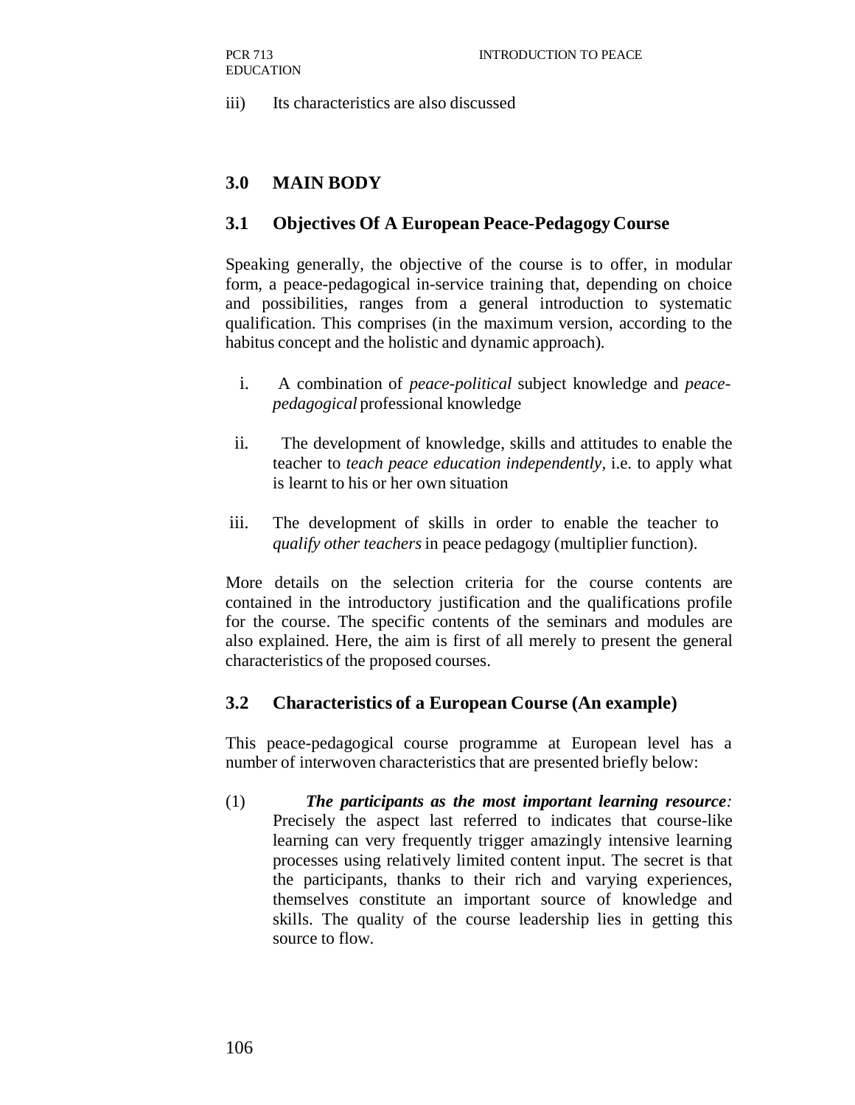iii) Its characteristics are also discussed

## **3.0 MAIN BODY**

#### **3.1 Objectives Of A European Peace-Pedagogy Course**

Speaking generally, the objective of the course is to offer, in modular form, a peace-pedagogical in-service training that, depending on choice and possibilities, ranges from a general introduction to systematic qualification. This comprises (in the maximum version, according to the habitus concept and the holistic and dynamic approach).

- i. A combination of *peace-political* subject knowledge and *peacepedagogical* professional knowledge
- ii. The development of knowledge, skills and attitudes to enable the teacher to *teach peace education independently,* i.e. to apply what is learnt to his or her own situation
- iii. The development of skills in order to enable the teacher to *qualify other teachers* in peace pedagogy (multiplier function).

More details on the selection criteria for the course contents are contained in the introductory justification and the qualifications profile for the course. The specific contents of the seminars and modules are also explained. Here, the aim is first of all merely to present the general characteristics of the proposed courses.

#### **3.2 Characteristics of a European Course (An example)**

This peace-pedagogical course programme at European level has a number of interwoven characteristics that are presented briefly below:

(1) *The participants as the most important learning resource:*  Precisely the aspect last referred to indicates that course-like learning can very frequently trigger amazingly intensive learning processes using relatively limited content input. The secret is that the participants, thanks to their rich and varying experiences, themselves constitute an important source of knowledge and skills. The quality of the course leadership lies in getting this source to flow.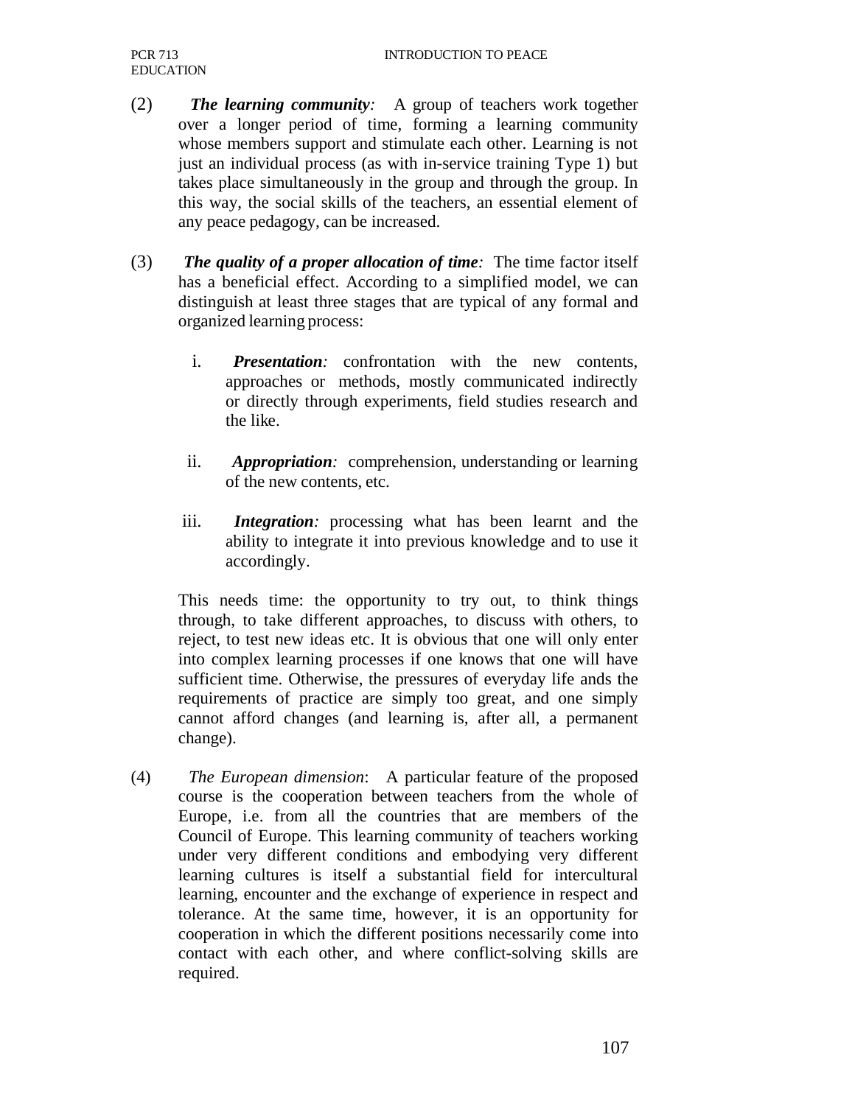- (2) *The learning community:* A group of teachers work together over a longer period of time, forming a learning community whose members support and stimulate each other. Learning is not just an individual process (as with in-service training Type 1) but takes place simultaneously in the group and through the group. In this way, the social skills of the teachers, an essential element of any peace pedagogy, can be increased.
- (3) *The quality of a proper allocation of time:* The time factor itself has a beneficial effect. According to a simplified model, we can distinguish at least three stages that are typical of any formal and organized learning process:
	- i. *Presentation:* confrontation with the new contents, approaches or methods, mostly communicated indirectly or directly through experiments, field studies research and the like.
	- ii. *Appropriation:* comprehension, understanding or learning of the new contents, etc.
	- iii. *Integration:* processing what has been learnt and the ability to integrate it into previous knowledge and to use it accordingly.

This needs time: the opportunity to try out, to think things through, to take different approaches, to discuss with others, to reject, to test new ideas etc. It is obvious that one will only enter into complex learning processes if one knows that one will have sufficient time. Otherwise, the pressures of everyday life ands the requirements of practice are simply too great, and one simply cannot afford changes (and learning is, after all, a permanent change).

(4) *The European dimension*: A particular feature of the proposed course is the cooperation between teachers from the whole of Europe, i.e. from all the countries that are members of the Council of Europe. This learning community of teachers working under very different conditions and embodying very different learning cultures is itself a substantial field for intercultural learning, encounter and the exchange of experience in respect and tolerance. At the same time, however, it is an opportunity for cooperation in which the different positions necessarily come into contact with each other, and where conflict-solving skills are required.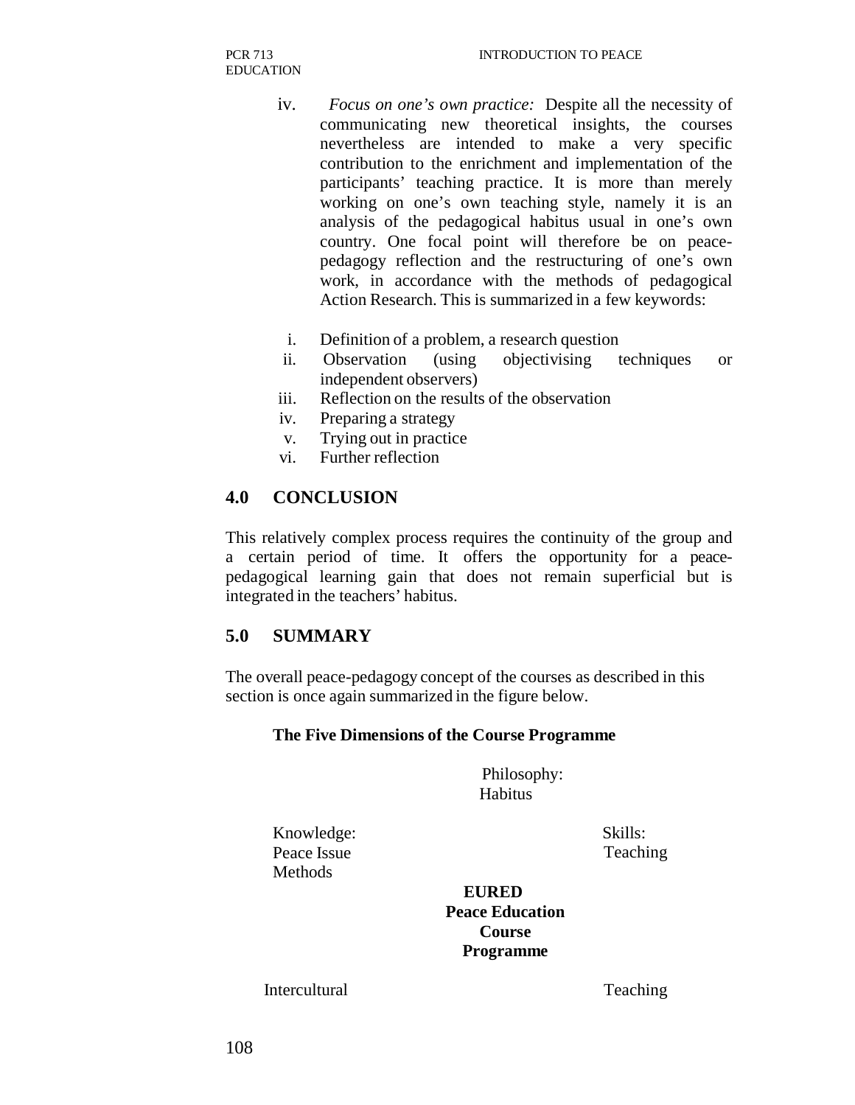- iv. *Focus on one's own practice:* Despite all the necessity of communicating new theoretical insights, the courses nevertheless are intended to make a very specific contribution to the enrichment and implementation of the participants' teaching practice. It is more than merely working on one's own teaching style, namely it is an analysis of the pedagogical habitus usual in one's own country. One focal point will therefore be on peacepedagogy reflection and the restructuring of one's own work, in accordance with the methods of pedagogical Action Research. This is summarized in a few keywords:
- i. Definition of a problem, a research question
- ii. Observation (using objectivising techniques or independent observers)
- iii. Reflection on the results of the observation
- iv. Preparing a strategy
- v. Trying out in practice
- vi. Further reflection

#### **4.0 CONCLUSION**

This relatively complex process requires the continuity of the group and a certain period of time. It offers the opportunity for a peacepedagogical learning gain that does not remain superficial but is integrated in the teachers' habitus.

## **5.0 SUMMARY**

The overall peace-pedagogy concept of the courses as described in this section is once again summarized in the figure below.

#### **The Five Dimensions of the Course Programme**

Philosophy: **Habitus** 

Knowledge: Skills: Peace Issue Teaching **Methods** 

**EURED Peace Education Course Programme**

Intercultural Teaching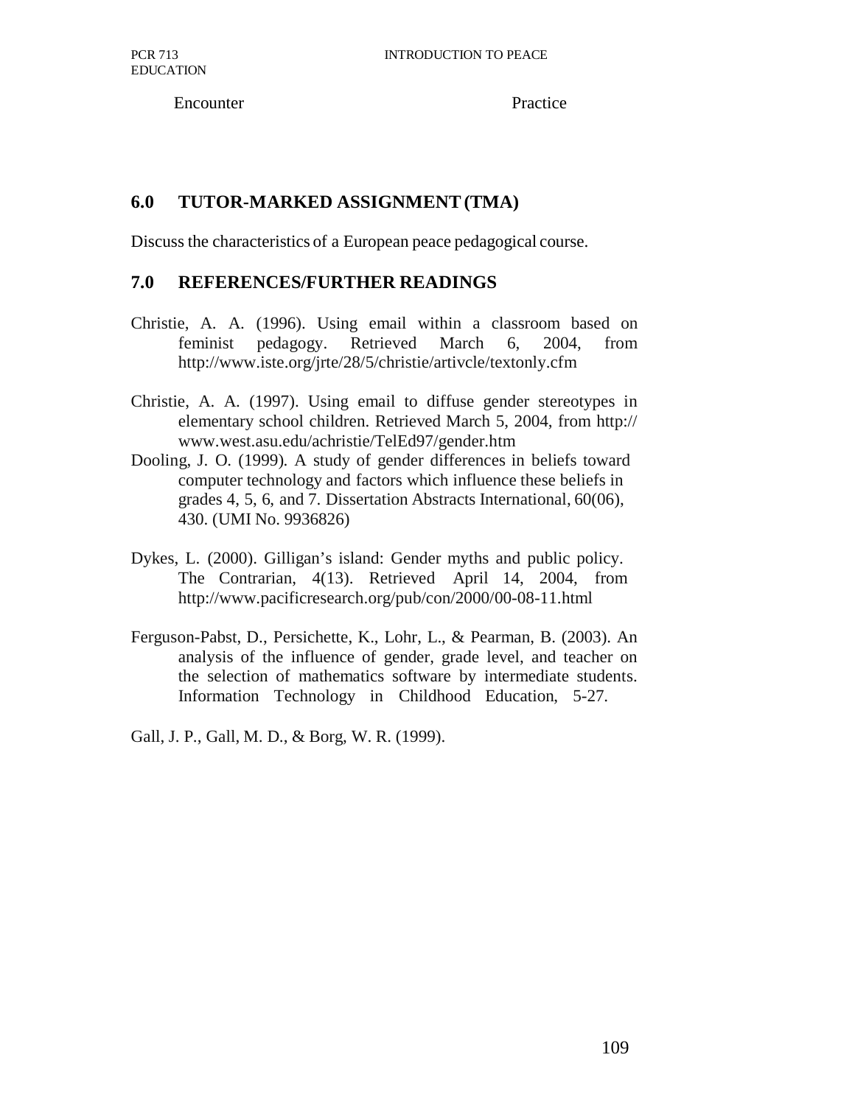Encounter Practice

# **6.0 TUTOR-MARKED ASSIGNMENT (TMA)**

Discuss the characteristics of a European peace pedagogical course.

# **7.0 REFERENCES/FURTHER READINGS**

- Christie, A. A. (1996). Using email within a classroom based on feminist pedagogy. Retrieved March 6, 2004, from http://www.iste.org/jrte/28/5/christie/artivcle/textonly.cfm
- Christie, A. A. (1997). Using email to diffuse gender stereotypes in elementary school children. Retrieved March 5, 2004, from http:// www.west.asu.edu/achristie/TelEd97/gender.htm
- Dooling, J. O. (1999). A study of gender differences in beliefs toward computer technology and factors which influence these beliefs in grades 4, 5, 6, and 7. Dissertation Abstracts International, 60(06), 430. (UMI No. 9936826)
- Dykes, L. (2000). Gilligan's island: Gender myths and public policy. The Contrarian, 4(13). Retrieved April 14, 2004, from http://www.pacificresearch.org/pub/con/2000/00-08-11.html
- Ferguson-Pabst, D., Persichette, K., Lohr, L., & Pearman, B. (2003). An analysis of the influence of gender, grade level, and teacher on the selection of mathematics software by intermediate students. Information Technology in Childhood Education, 5-27.

Gall, J. P., Gall, M. D., & Borg, W. R. (1999).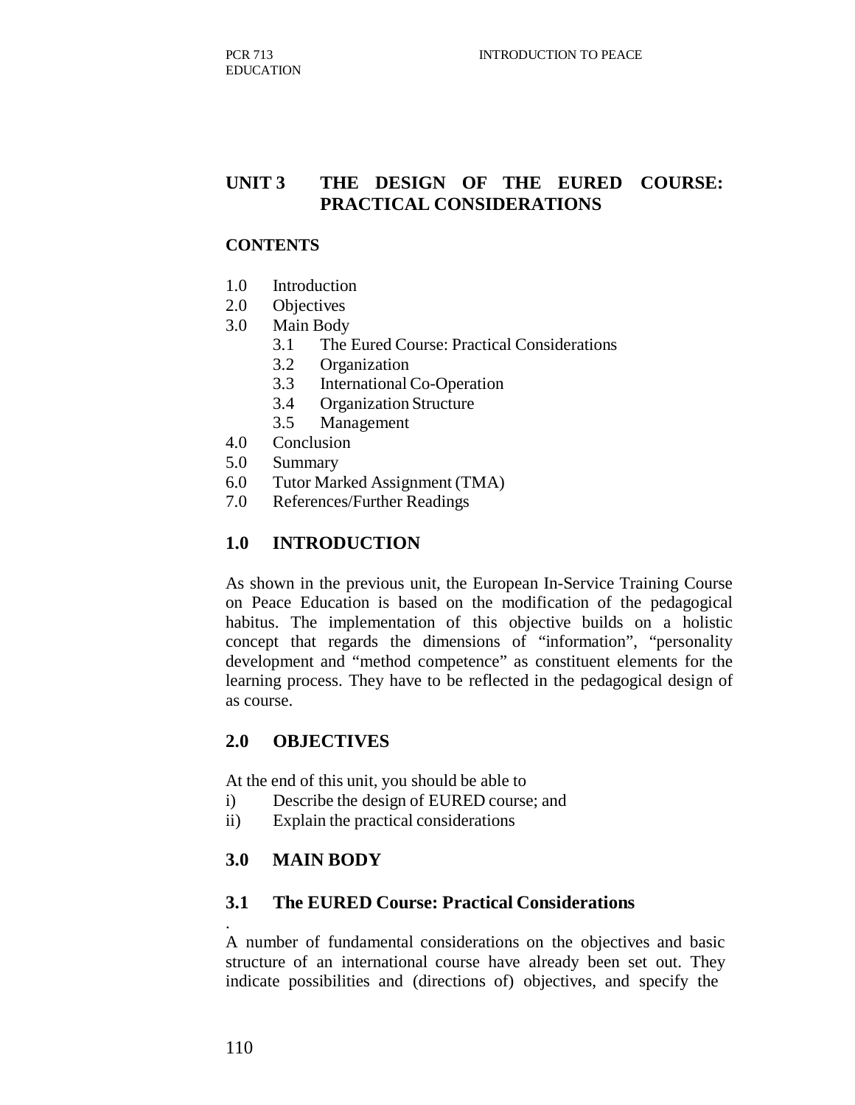# **UNIT 3 THE DESIGN OF THE EURED COURSE: PRACTICAL CONSIDERATIONS**

#### **CONTENTS**

- 1.0 Introduction
- 2.0 Objectives
- 3.0 Main Body
	- 3.1 The Eured Course: Practical Considerations
	- 3.2 Organization
	- 3.3 International Co-Operation
	- 3.4 Organization Structure
	- 3.5 Management
- 4.0 Conclusion
- 5.0 Summary
- 6.0 Tutor Marked Assignment (TMA)
- 7.0 References/Further Readings

#### **1.0 INTRODUCTION**

As shown in the previous unit, the European In-Service Training Course on Peace Education is based on the modification of the pedagogical habitus. The implementation of this objective builds on a holistic concept that regards the dimensions of "information", "personality development and "method competence" as constituent elements for the learning process. They have to be reflected in the pedagogical design of as course.

#### **2.0 OBJECTIVES**

At the end of this unit, you should be able to

- i) Describe the design of EURED course; and
- ii) Explain the practical considerations

## **3.0 MAIN BODY**

#### **3.1 The EURED Course: Practical Considerations**

A number of fundamental considerations on the objectives and basic structure of an international course have already been set out. They indicate possibilities and (directions of) objectives, and specify the

.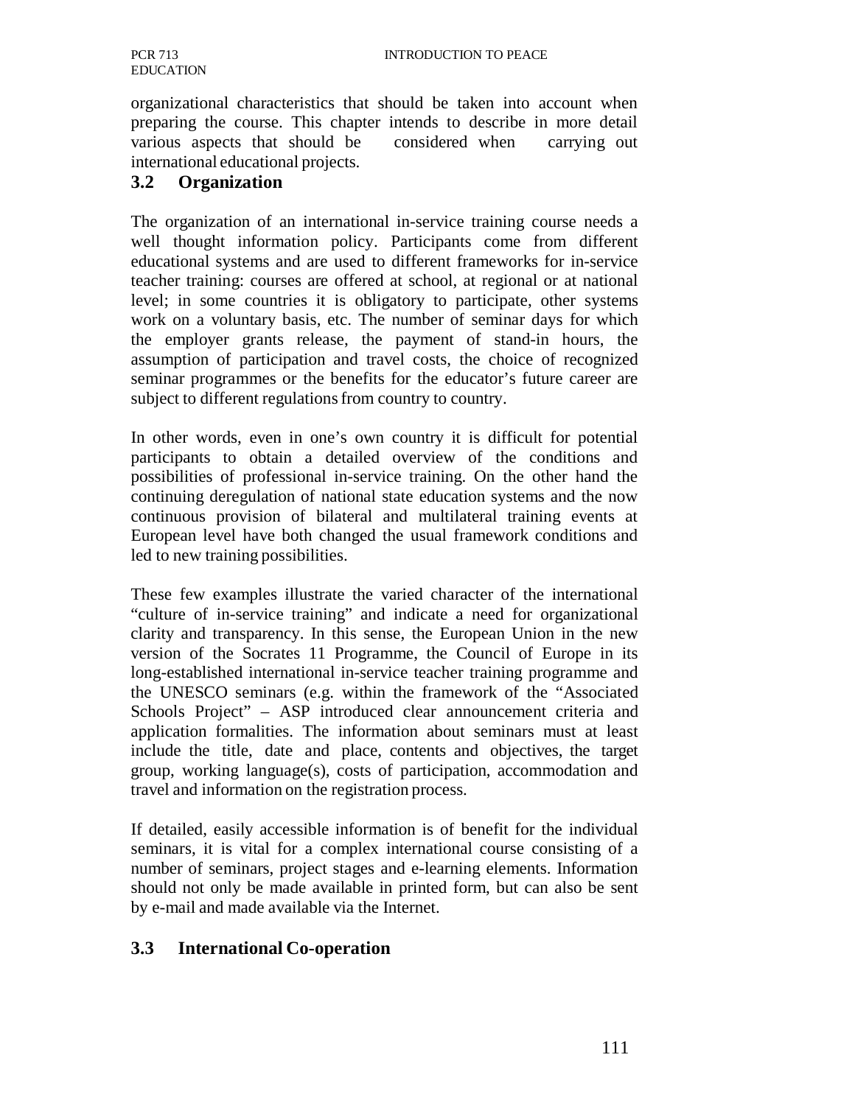organizational characteristics that should be taken into account when preparing the course. This chapter intends to describe in more detail various aspects that should be considered when carrying out international educational projects.

## **3.2 Organization**

The organization of an international in-service training course needs a well thought information policy. Participants come from different educational systems and are used to different frameworks for in-service teacher training: courses are offered at school, at regional or at national level; in some countries it is obligatory to participate, other systems work on a voluntary basis, etc. The number of seminar days for which the employer grants release, the payment of stand-in hours, the assumption of participation and travel costs, the choice of recognized seminar programmes or the benefits for the educator's future career are subject to different regulations from country to country.

In other words, even in one's own country it is difficult for potential participants to obtain a detailed overview of the conditions and possibilities of professional in-service training. On the other hand the continuing deregulation of national state education systems and the now continuous provision of bilateral and multilateral training events at European level have both changed the usual framework conditions and led to new training possibilities.

These few examples illustrate the varied character of the international "culture of in-service training" and indicate a need for organizational clarity and transparency. In this sense, the European Union in the new version of the Socrates 11 Programme, the Council of Europe in its long-established international in-service teacher training programme and the UNESCO seminars (e.g. within the framework of the "Associated Schools Project" – ASP introduced clear announcement criteria and application formalities. The information about seminars must at least include the title, date and place, contents and objectives, the target group, working language(s), costs of participation, accommodation and travel and information on the registration process.

If detailed, easily accessible information is of benefit for the individual seminars, it is vital for a complex international course consisting of a number of seminars, project stages and e-learning elements. Information should not only be made available in printed form, but can also be sent by e-mail and made available via the Internet.

## **3.3 International Co-operation**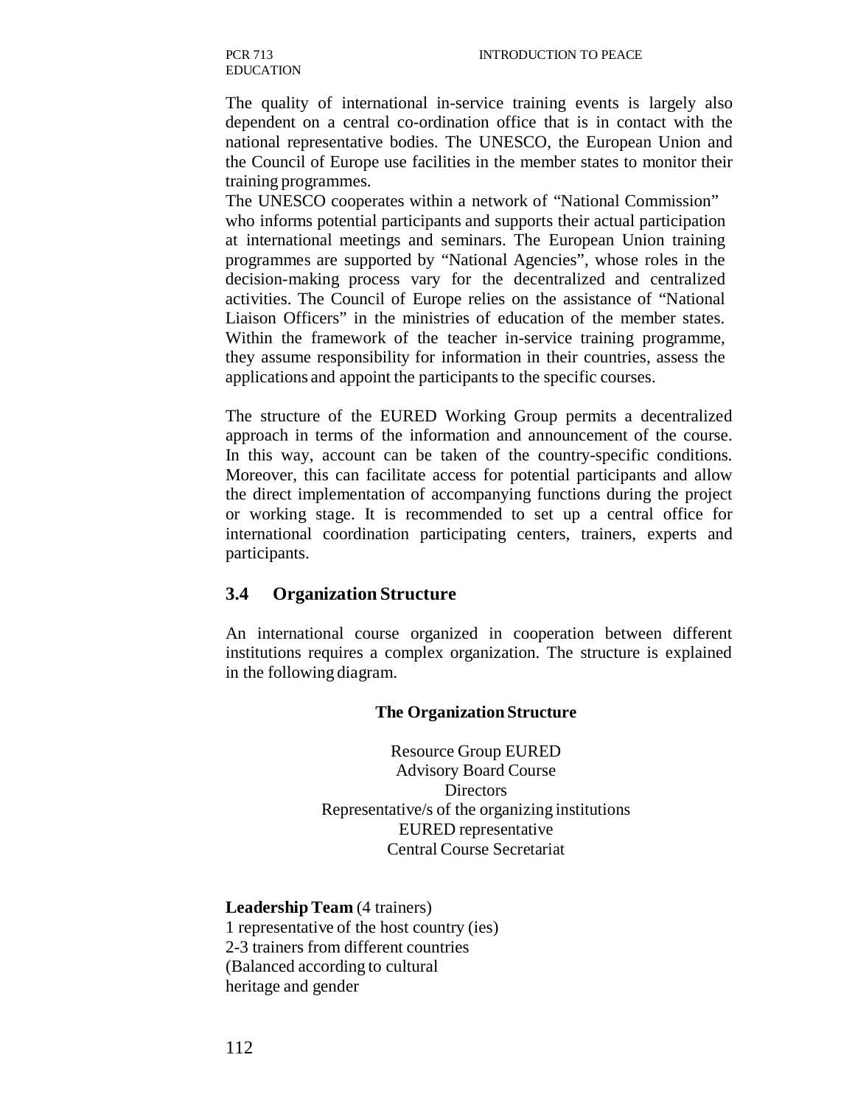The quality of international in-service training events is largely also dependent on a central co-ordination office that is in contact with the national representative bodies. The UNESCO, the European Union and the Council of Europe use facilities in the member states to monitor their training programmes.

The UNESCO cooperates within a network of "National Commission" who informs potential participants and supports their actual participation at international meetings and seminars. The European Union training programmes are supported by "National Agencies", whose roles in the decision-making process vary for the decentralized and centralized activities. The Council of Europe relies on the assistance of "National Liaison Officers" in the ministries of education of the member states. Within the framework of the teacher in-service training programme, they assume responsibility for information in their countries, assess the applications and appoint the participants to the specific courses.

The structure of the EURED Working Group permits a decentralized approach in terms of the information and announcement of the course. In this way, account can be taken of the country-specific conditions. Moreover, this can facilitate access for potential participants and allow the direct implementation of accompanying functions during the project or working stage. It is recommended to set up a central office for international coordination participating centers, trainers, experts and participants.

## **3.4 Organization Structure**

An international course organized in cooperation between different institutions requires a complex organization. The structure is explained in the following diagram.

#### **The Organization Structure**

Resource Group EURED Advisory Board Course **Directors** Representative/s of the organizing institutions EURED representative Central Course Secretariat

**Leadership Team** (4 trainers) 1 representative of the host country (ies) 2-3 trainers from different countries (Balanced according to cultural heritage and gender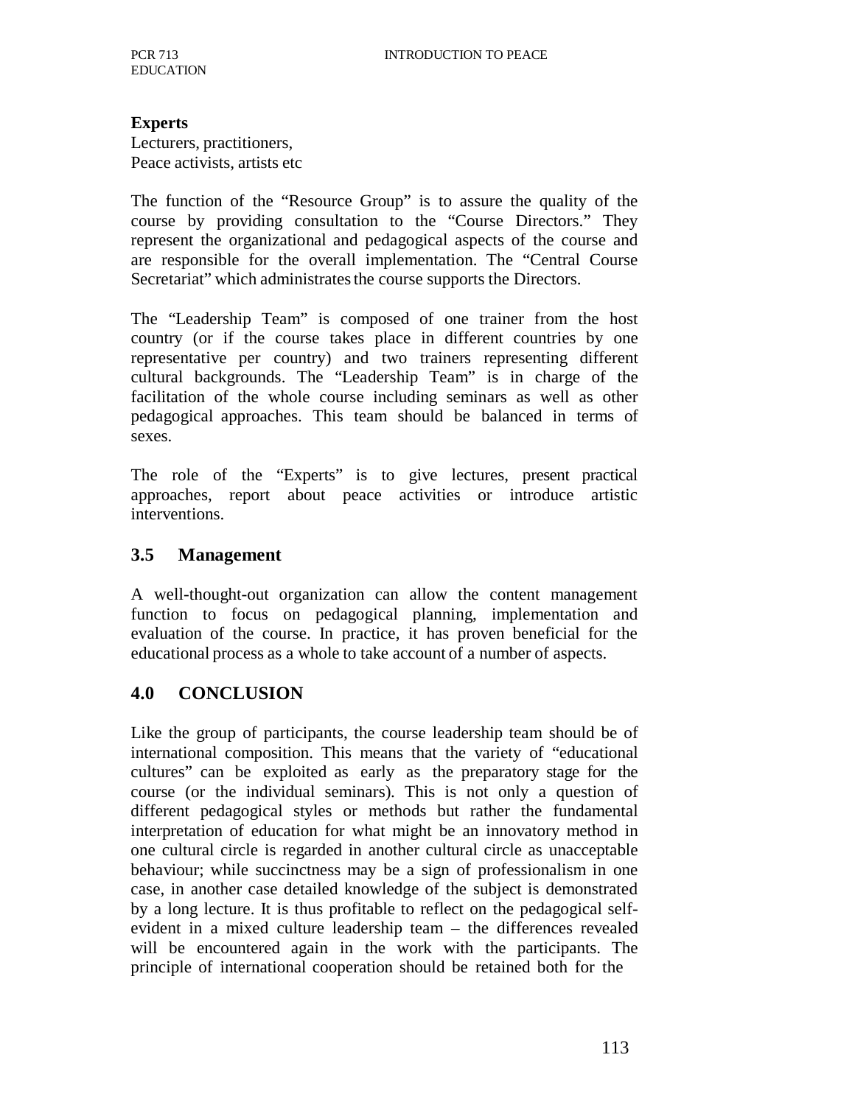#### **Experts**

Lecturers, practitioners, Peace activists, artists etc

The function of the "Resource Group" is to assure the quality of the course by providing consultation to the "Course Directors." They represent the organizational and pedagogical aspects of the course and are responsible for the overall implementation. The "Central Course Secretariat" which administrates the course supports the Directors.

The "Leadership Team" is composed of one trainer from the host country (or if the course takes place in different countries by one representative per country) and two trainers representing different cultural backgrounds. The "Leadership Team" is in charge of the facilitation of the whole course including seminars as well as other pedagogical approaches. This team should be balanced in terms of sexes.

The role of the "Experts" is to give lectures, present practical approaches, report about peace activities or introduce artistic interventions.

## **3.5 Management**

A well-thought-out organization can allow the content management function to focus on pedagogical planning, implementation and evaluation of the course. In practice, it has proven beneficial for the educational process as a whole to take account of a number of aspects.

# **4.0 CONCLUSION**

Like the group of participants, the course leadership team should be of international composition. This means that the variety of "educational cultures" can be exploited as early as the preparatory stage for the course (or the individual seminars). This is not only a question of different pedagogical styles or methods but rather the fundamental interpretation of education for what might be an innovatory method in one cultural circle is regarded in another cultural circle as unacceptable behaviour; while succinctness may be a sign of professionalism in one case, in another case detailed knowledge of the subject is demonstrated by a long lecture. It is thus profitable to reflect on the pedagogical selfevident in a mixed culture leadership team – the differences revealed will be encountered again in the work with the participants. The principle of international cooperation should be retained both for the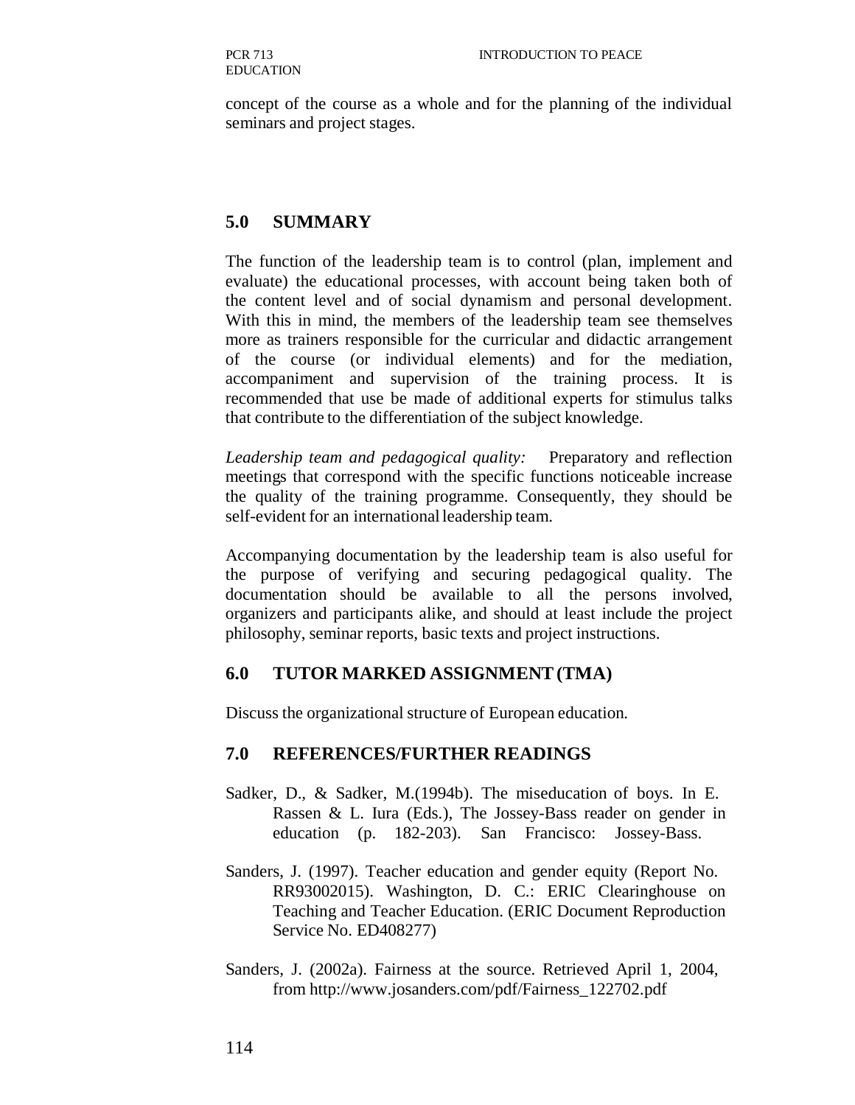concept of the course as a whole and for the planning of the individual seminars and project stages.

## **5.0 SUMMARY**

The function of the leadership team is to control (plan, implement and evaluate) the educational processes, with account being taken both of the content level and of social dynamism and personal development. With this in mind, the members of the leadership team see themselves more as trainers responsible for the curricular and didactic arrangement of the course (or individual elements) and for the mediation, accompaniment and supervision of the training process. It is recommended that use be made of additional experts for stimulus talks that contribute to the differentiation of the subject knowledge.

*Leadership team and pedagogical quality:* Preparatory and reflection meetings that correspond with the specific functions noticeable increase the quality of the training programme. Consequently, they should be self-evident for an international leadership team.

Accompanying documentation by the leadership team is also useful for the purpose of verifying and securing pedagogical quality. The documentation should be available to all the persons involved, organizers and participants alike, and should at least include the project philosophy, seminar reports, basic texts and project instructions.

## **6.0 TUTOR MARKED ASSIGNMENT (TMA)**

Discuss the organizational structure of European education.

## **7.0 REFERENCES/FURTHER READINGS**

- Sadker, D., & Sadker, M.(1994b). The miseducation of boys. In E. Rassen & L. Iura (Eds.), The Jossey-Bass reader on gender in education (p. 182-203). San Francisco: Jossey-Bass.
- Sanders, J. (1997). Teacher education and gender equity (Report No. RR93002015). Washington, D. C.: ERIC Clearinghouse on Teaching and Teacher Education. (ERIC Document Reproduction Service No. ED408277)
- Sanders, J. (2002a). Fairness at the source. Retrieved April 1, 2004, from http://www.josanders.com/pdf/Fairness\_122702.pdf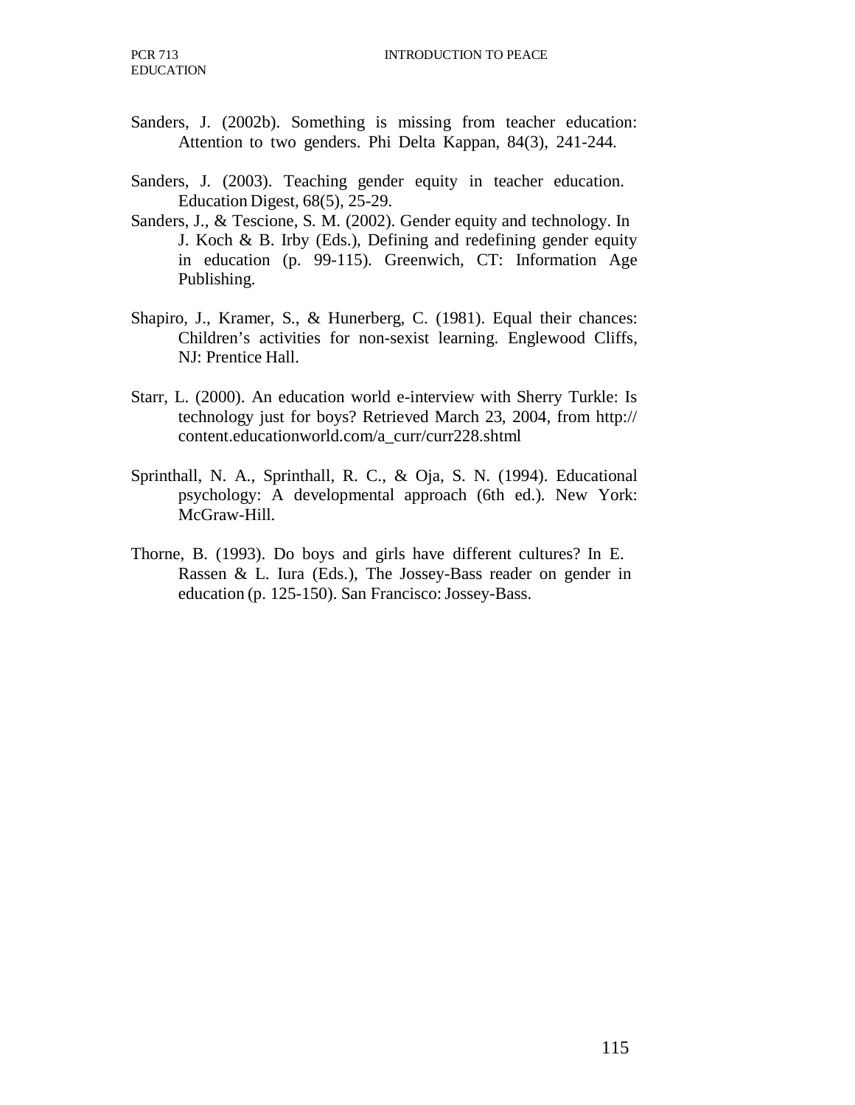- Sanders, J. (2002b). Something is missing from teacher education: Attention to two genders. Phi Delta Kappan, 84(3), 241-244.
- Sanders, J. (2003). Teaching gender equity in teacher education. Education Digest, 68(5), 25-29.
- Sanders, J., & Tescione, S. M. (2002). Gender equity and technology. In J. Koch & B. Irby (Eds.), Defining and redefining gender equity in education (p. 99-115). Greenwich, CT: Information Age Publishing.
- Shapiro, J., Kramer, S., & Hunerberg, C. (1981). Equal their chances: Children's activities for non-sexist learning. Englewood Cliffs, NJ: Prentice Hall.
- Starr, L. (2000). An education world e-interview with Sherry Turkle: Is technology just for boys? Retrieved March 23, 2004, from http:// content.educationworld.com/a\_curr/curr228.shtml
- Sprinthall, N. A., Sprinthall, R. C., & Oja, S. N. (1994). Educational psychology: A developmental approach (6th ed.). New York: McGraw-Hill.
- Thorne, B. (1993). Do boys and girls have different cultures? In E. Rassen & L. Iura (Eds.), The Jossey-Bass reader on gender in education (p. 125-150). San Francisco: Jossey-Bass.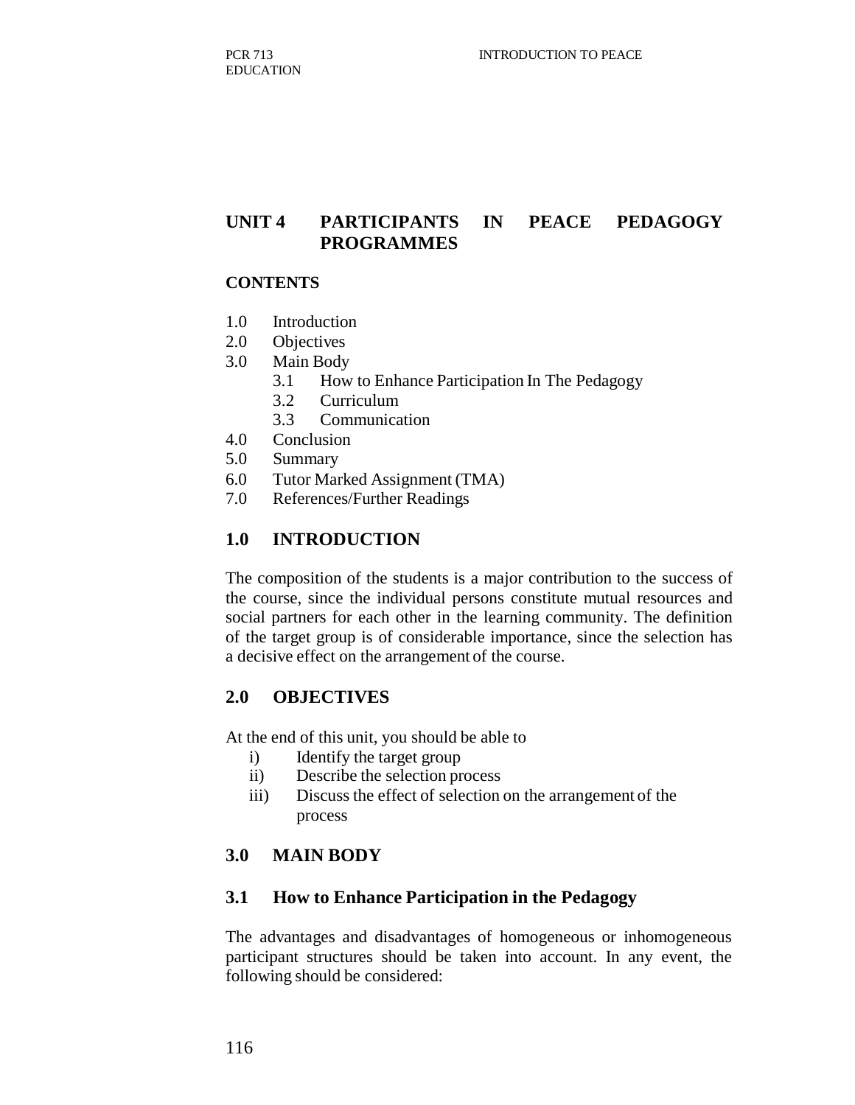# **UNIT 4 PARTICIPANTS IN PEACE PEDAGOGY PROGRAMMES**

#### **CONTENTS**

- 1.0 Introduction
- 2.0 Objectives
- 3.0 Main Body
	- 3.1 How to Enhance Participation In The Pedagogy
	- 3.2 Curriculum
	- 3.3 Communication
- 4.0 Conclusion
- 5.0 Summary
- 6.0 Tutor Marked Assignment (TMA)
- 7.0 References/Further Readings

## **1.0 INTRODUCTION**

The composition of the students is a major contribution to the success of the course, since the individual persons constitute mutual resources and social partners for each other in the learning community. The definition of the target group is of considerable importance, since the selection has a decisive effect on the arrangement of the course.

#### **2.0 OBJECTIVES**

At the end of this unit, you should be able to

- i) Identify the target group
- ii) Describe the selection process
- iii) Discuss the effect of selection on the arrangement of the process

## **3.0 MAIN BODY**

#### **3.1 How to Enhance Participation in the Pedagogy**

The advantages and disadvantages of homogeneous or inhomogeneous participant structures should be taken into account. In any event, the following should be considered: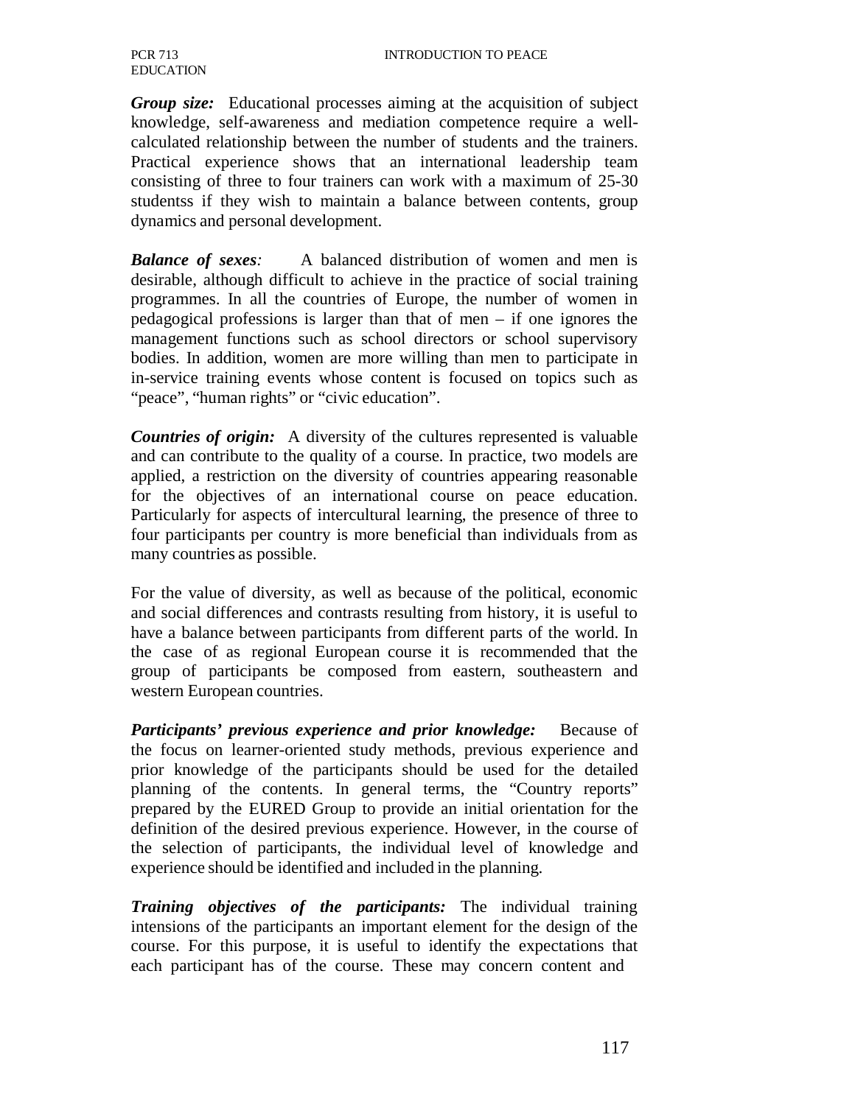PCR 713 EDUCATION

*Group size:* Educational processes aiming at the acquisition of subject knowledge, self-awareness and mediation competence require a wellcalculated relationship between the number of students and the trainers. Practical experience shows that an international leadership team consisting of three to four trainers can work with a maximum of 25-30 studentss if they wish to maintain a balance between contents, group dynamics and personal development.

*Balance of sexes:* A balanced distribution of women and men is desirable, although difficult to achieve in the practice of social training programmes. In all the countries of Europe, the number of women in pedagogical professions is larger than that of men – if one ignores the management functions such as school directors or school supervisory bodies. In addition, women are more willing than men to participate in in-service training events whose content is focused on topics such as "peace", "human rights" or "civic education".

*Countries of origin:* A diversity of the cultures represented is valuable and can contribute to the quality of a course. In practice, two models are applied, a restriction on the diversity of countries appearing reasonable for the objectives of an international course on peace education. Particularly for aspects of intercultural learning, the presence of three to four participants per country is more beneficial than individuals from as many countries as possible.

For the value of diversity, as well as because of the political, economic and social differences and contrasts resulting from history, it is useful to have a balance between participants from different parts of the world. In the case of as regional European course it is recommended that the group of participants be composed from eastern, southeastern and western European countries.

*Participants' previous experience and prior knowledge:* Because of the focus on learner-oriented study methods, previous experience and prior knowledge of the participants should be used for the detailed planning of the contents. In general terms, the "Country reports" prepared by the EURED Group to provide an initial orientation for the definition of the desired previous experience. However, in the course of the selection of participants, the individual level of knowledge and experience should be identified and included in the planning.

*Training objectives of the participants:* The individual training intensions of the participants an important element for the design of the course. For this purpose, it is useful to identify the expectations that each participant has of the course. These may concern content and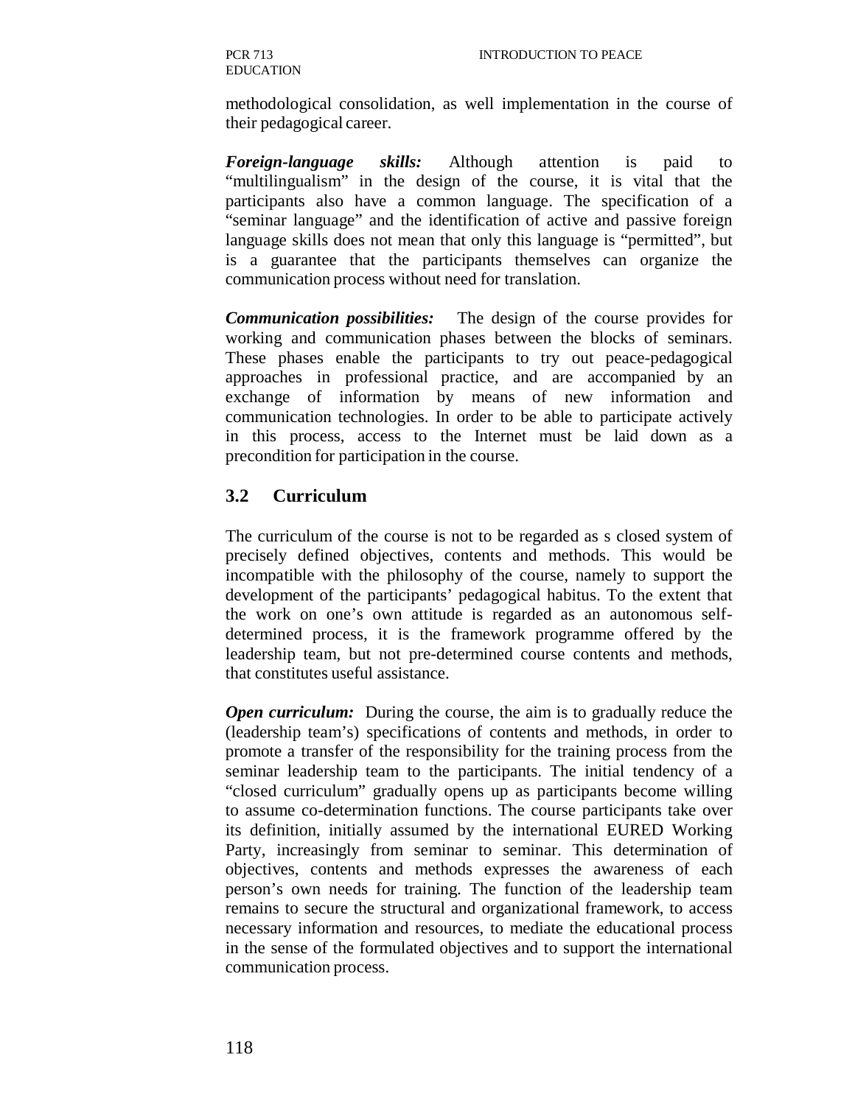PCR 713 EDUCATION

methodological consolidation, as well implementation in the course of their pedagogical career.

*Foreign-language skills:* Although attention is paid to "multilingualism" in the design of the course, it is vital that the participants also have a common language. The specification of a "seminar language" and the identification of active and passive foreign language skills does not mean that only this language is "permitted", but is a guarantee that the participants themselves can organize the communication process without need for translation.

*Communication possibilities:* The design of the course provides for working and communication phases between the blocks of seminars. These phases enable the participants to try out peace-pedagogical approaches in professional practice, and are accompanied by an exchange of information by means of new information and communication technologies. In order to be able to participate actively in this process, access to the Internet must be laid down as a precondition for participation in the course.

## **3.2 Curriculum**

The curriculum of the course is not to be regarded as s closed system of precisely defined objectives, contents and methods. This would be incompatible with the philosophy of the course, namely to support the development of the participants' pedagogical habitus. To the extent that the work on one's own attitude is regarded as an autonomous selfdetermined process, it is the framework programme offered by the leadership team, but not pre-determined course contents and methods, that constitutes useful assistance.

*Open curriculum:* During the course, the aim is to gradually reduce the (leadership team's) specifications of contents and methods, in order to promote a transfer of the responsibility for the training process from the seminar leadership team to the participants. The initial tendency of a "closed curriculum" gradually opens up as participants become willing to assume co-determination functions. The course participants take over its definition, initially assumed by the international EURED Working Party, increasingly from seminar to seminar. This determination of objectives, contents and methods expresses the awareness of each person's own needs for training. The function of the leadership team remains to secure the structural and organizational framework, to access necessary information and resources, to mediate the educational process in the sense of the formulated objectives and to support the international communication process.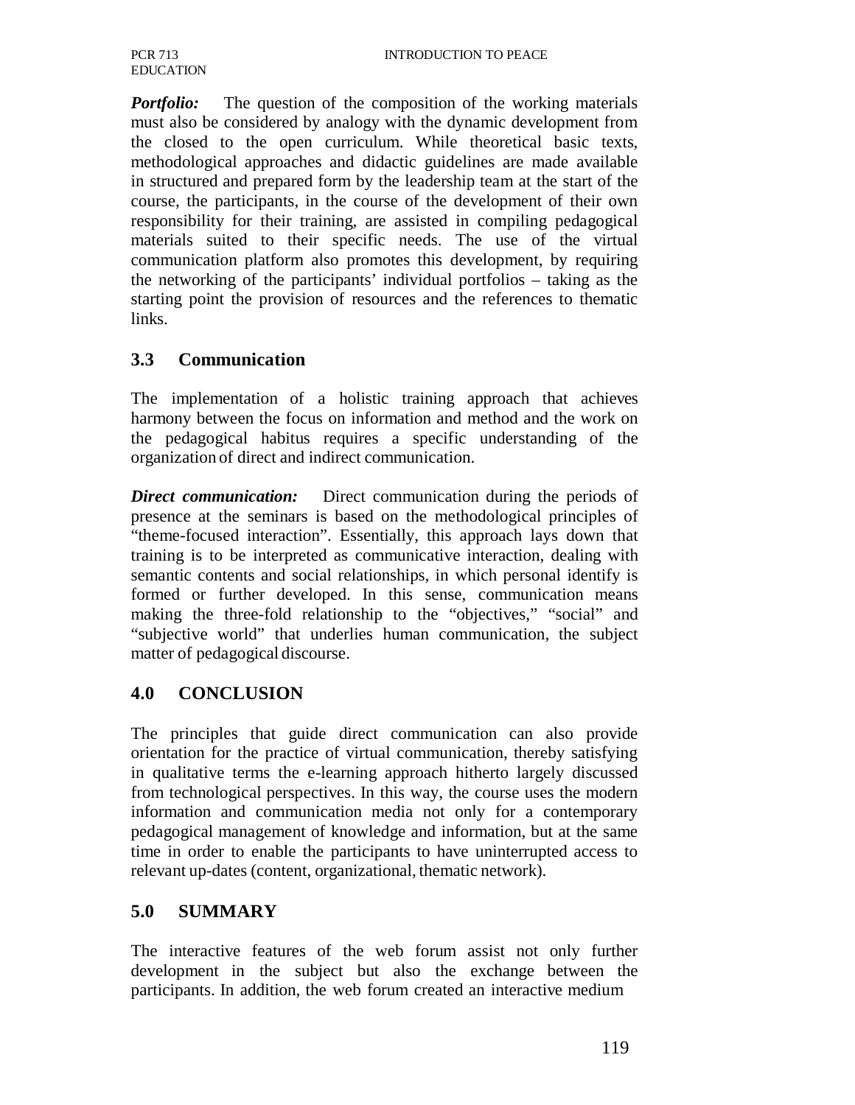*Portfolio:* The question of the composition of the working materials must also be considered by analogy with the dynamic development from the closed to the open curriculum. While theoretical basic texts, methodological approaches and didactic guidelines are made available in structured and prepared form by the leadership team at the start of the course, the participants, in the course of the development of their own responsibility for their training, are assisted in compiling pedagogical materials suited to their specific needs. The use of the virtual communication platform also promotes this development, by requiring the networking of the participants' individual portfolios – taking as the starting point the provision of resources and the references to thematic links.

# **3.3 Communication**

The implementation of a holistic training approach that achieves harmony between the focus on information and method and the work on the pedagogical habitus requires a specific understanding of the organization of direct and indirect communication.

*Direct communication:* Direct communication during the periods of presence at the seminars is based on the methodological principles of "theme-focused interaction". Essentially, this approach lays down that training is to be interpreted as communicative interaction, dealing with semantic contents and social relationships, in which personal identify is formed or further developed. In this sense, communication means making the three-fold relationship to the "objectives," "social" and "subjective world" that underlies human communication, the subject matter of pedagogical discourse.

# **4.0 CONCLUSION**

The principles that guide direct communication can also provide orientation for the practice of virtual communication, thereby satisfying in qualitative terms the e-learning approach hitherto largely discussed from technological perspectives. In this way, the course uses the modern information and communication media not only for a contemporary pedagogical management of knowledge and information, but at the same time in order to enable the participants to have uninterrupted access to relevant up-dates (content, organizational, thematic network).

# **5.0 SUMMARY**

The interactive features of the web forum assist not only further development in the subject but also the exchange between the participants. In addition, the web forum created an interactive medium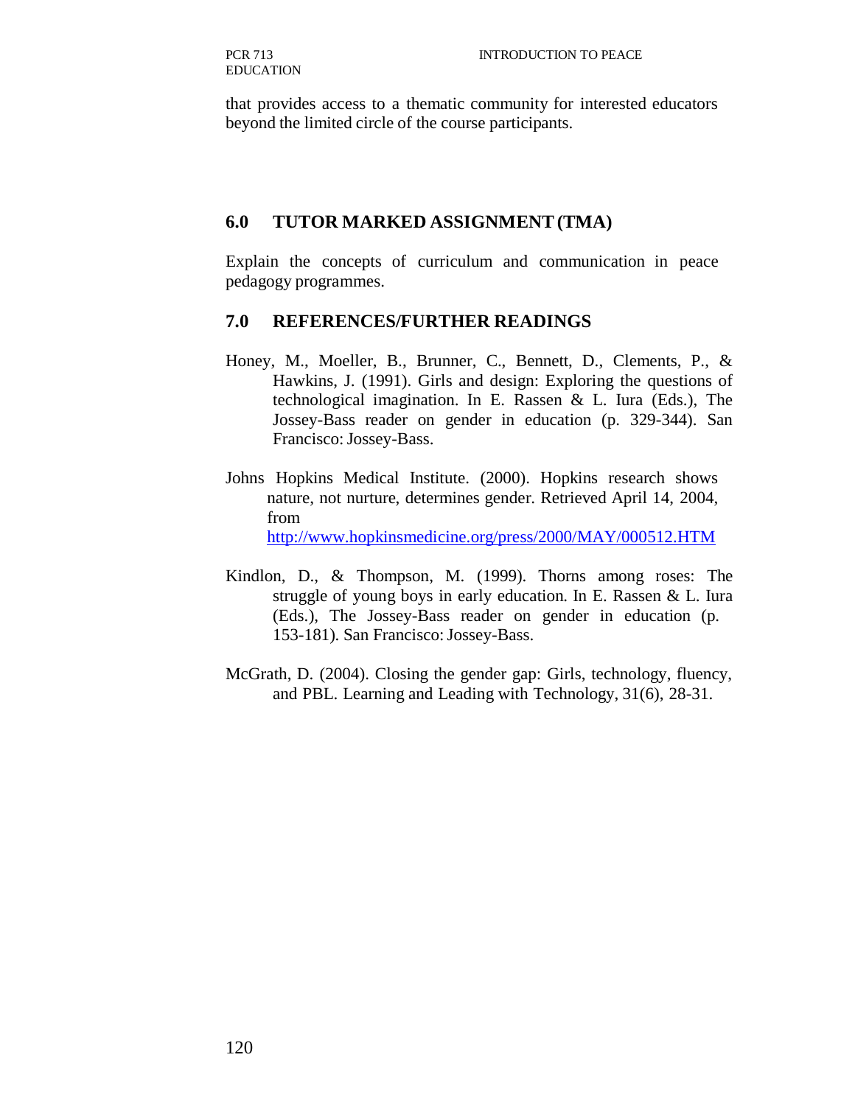that provides access to a thematic community for interested educators beyond the limited circle of the course participants.

#### **6.0 TUTOR MARKED ASSIGNMENT (TMA)**

Explain the concepts of curriculum and communication in peace pedagogy programmes.

#### **7.0 REFERENCES/FURTHER READINGS**

- Honey, M., Moeller, B., Brunner, C., Bennett, D., Clements, P., & Hawkins, J. (1991). Girls and design: Exploring the questions of technological imagination. In E. Rassen & L. Iura (Eds.), The Jossey-Bass reader on gender in education (p. 329-344). San Francisco: Jossey-Bass.
- Johns Hopkins Medical Institute. (2000). Hopkins research shows nature, not nurture, determines gender. Retrieved April 14, 2004, from http://www.hopkinsmedicine.org/press/2000/MAY/000512.HTM
- Kindlon, D., & Thompson, M. (1999). Thorns among roses: The struggle of young boys in early education. In E. Rassen & L. Iura (Eds.), The Jossey-Bass reader on gender in education (p. 153-181). San Francisco: Jossey-Bass.
- McGrath, D. (2004). Closing the gender gap: Girls, technology, fluency, and PBL. Learning and Leading with Technology, 31(6), 28-31.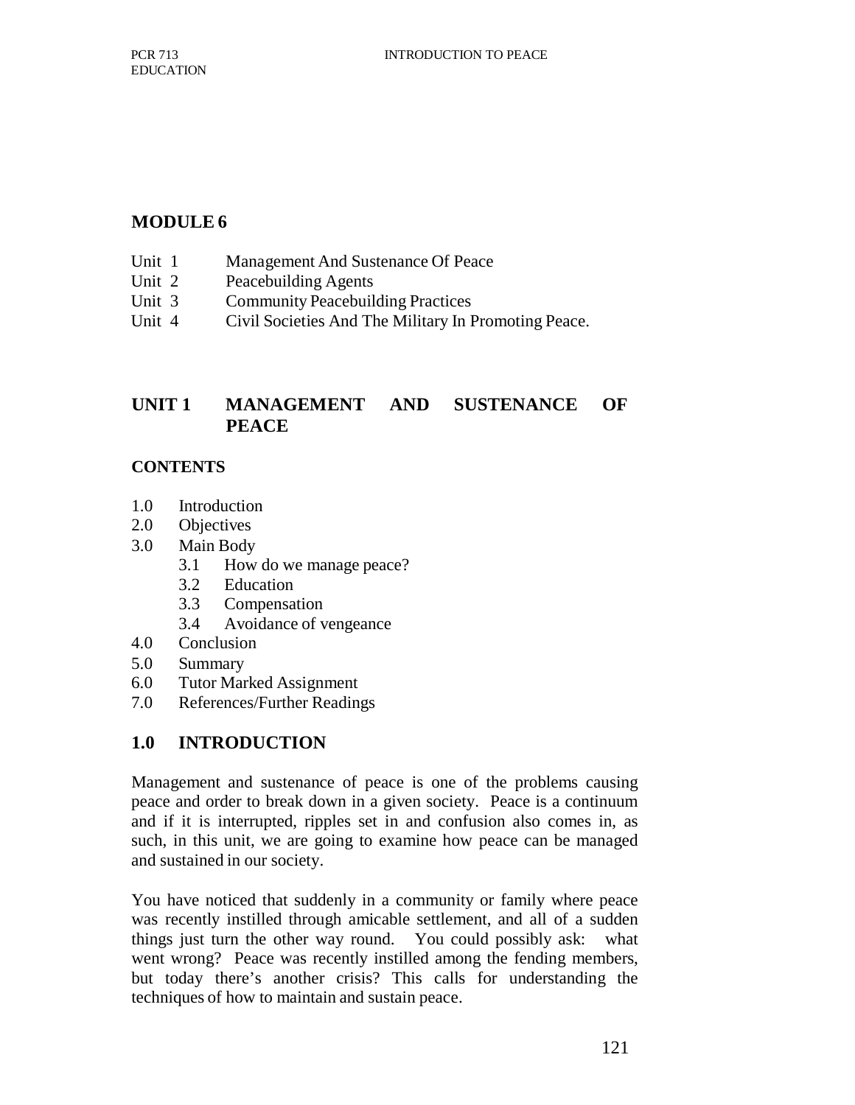# **MODULE 6**

- Unit 1 Management And Sustenance Of Peace
- Unit 2 Peacebuilding Agents
- Unit 3 Community Peacebuilding Practices
- Unit 4 Civil Societies And The Military In Promoting Peace.

# **UNIT 1 MANAGEMENT AND SUSTENANCE OF PEACE**

## **CONTENTS**

- 1.0 Introduction
- 2.0 Objectives
- 3.0 Main Body
	- 3.1 How do we manage peace?
	- 3.2 Education
	- 3.3 Compensation
	- 3.4 Avoidance of vengeance
- 4.0 Conclusion
- 5.0 Summary
- 6.0 Tutor Marked Assignment
- 7.0 References/Further Readings

# **1.0 INTRODUCTION**

Management and sustenance of peace is one of the problems causing peace and order to break down in a given society. Peace is a continuum and if it is interrupted, ripples set in and confusion also comes in, as such, in this unit, we are going to examine how peace can be managed and sustained in our society.

You have noticed that suddenly in a community or family where peace was recently instilled through amicable settlement, and all of a sudden things just turn the other way round. You could possibly ask: what went wrong? Peace was recently instilled among the fending members, but today there's another crisis? This calls for understanding the techniques of how to maintain and sustain peace.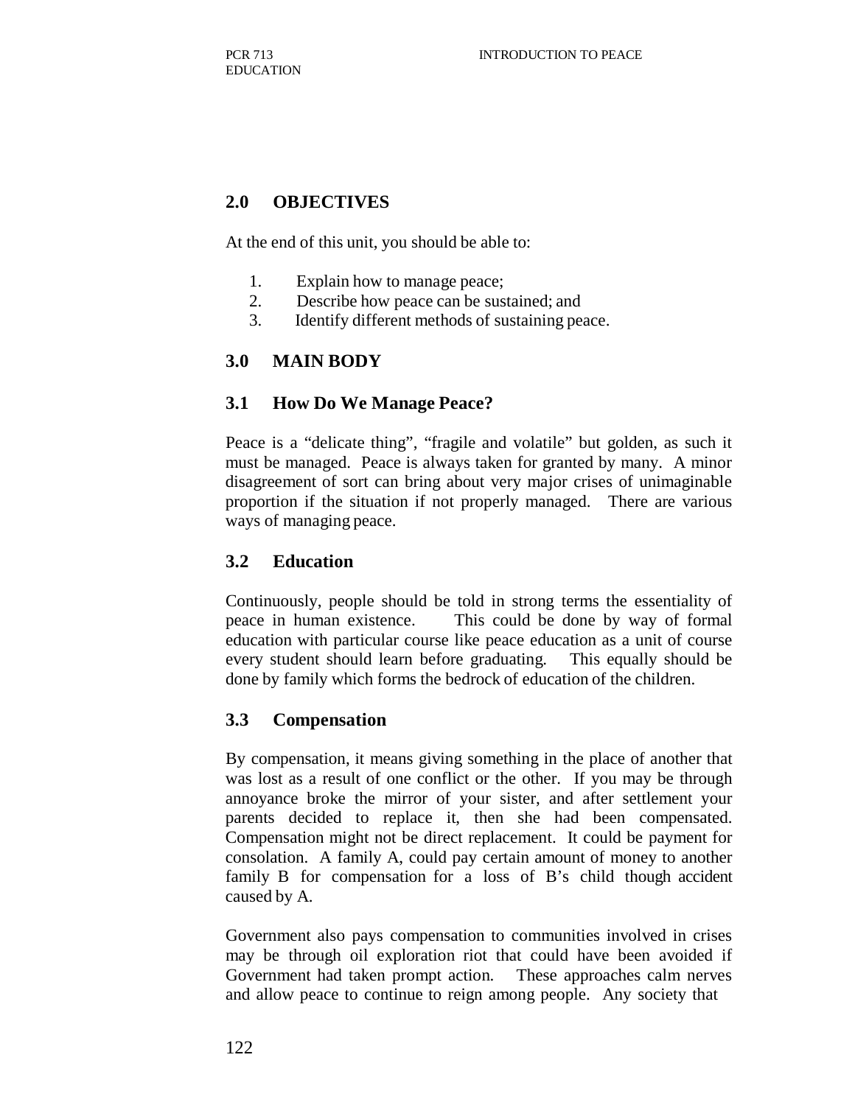# **2.0 OBJECTIVES**

At the end of this unit, you should be able to:

- 1. Explain how to manage peace;
- 2. Describe how peace can be sustained; and
- 3. Identify different methods of sustaining peace.

#### **3.0 MAIN BODY**

#### **3.1 How Do We Manage Peace?**

Peace is a "delicate thing", "fragile and volatile" but golden, as such it must be managed. Peace is always taken for granted by many. A minor disagreement of sort can bring about very major crises of unimaginable proportion if the situation if not properly managed. There are various ways of managing peace.

#### **3.2 Education**

Continuously, people should be told in strong terms the essentiality of peace in human existence. This could be done by way of formal education with particular course like peace education as a unit of course every student should learn before graduating. This equally should be done by family which forms the bedrock of education of the children.

#### **3.3 Compensation**

By compensation, it means giving something in the place of another that was lost as a result of one conflict or the other. If you may be through annoyance broke the mirror of your sister, and after settlement your parents decided to replace it, then she had been compensated. Compensation might not be direct replacement. It could be payment for consolation. A family A, could pay certain amount of money to another family B for compensation for a loss of B's child though accident caused by A.

Government also pays compensation to communities involved in crises may be through oil exploration riot that could have been avoided if Government had taken prompt action. These approaches calm nerves and allow peace to continue to reign among people. Any society that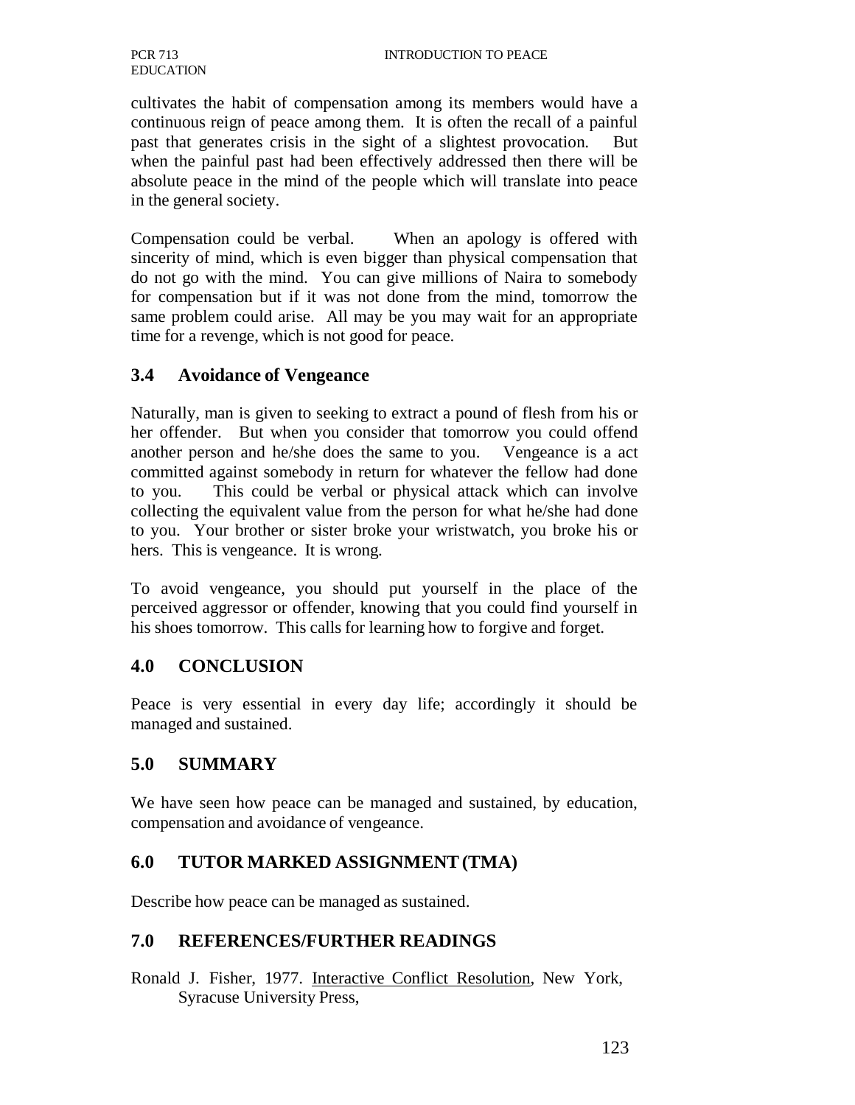cultivates the habit of compensation among its members would have a continuous reign of peace among them. It is often the recall of a painful past that generates crisis in the sight of a slightest provocation. But when the painful past had been effectively addressed then there will be absolute peace in the mind of the people which will translate into peace in the general society.

Compensation could be verbal. When an apology is offered with sincerity of mind, which is even bigger than physical compensation that do not go with the mind. You can give millions of Naira to somebody for compensation but if it was not done from the mind, tomorrow the same problem could arise. All may be you may wait for an appropriate time for a revenge, which is not good for peace.

# **3.4 Avoidance of Vengeance**

Naturally, man is given to seeking to extract a pound of flesh from his or her offender. But when you consider that tomorrow you could offend another person and he/she does the same to you. Vengeance is a act committed against somebody in return for whatever the fellow had done to you. This could be verbal or physical attack which can involve collecting the equivalent value from the person for what he/she had done to you. Your brother or sister broke your wristwatch, you broke his or hers. This is vengeance. It is wrong.

To avoid vengeance, you should put yourself in the place of the perceived aggressor or offender, knowing that you could find yourself in his shoes tomorrow. This calls for learning how to forgive and forget.

## **4.0 CONCLUSION**

Peace is very essential in every day life; accordingly it should be managed and sustained.

# **5.0 SUMMARY**

We have seen how peace can be managed and sustained, by education, compensation and avoidance of vengeance.

# **6.0 TUTOR MARKED ASSIGNMENT (TMA)**

Describe how peace can be managed as sustained.

## **7.0 REFERENCES/FURTHER READINGS**

Ronald J. Fisher, 1977. Interactive Conflict Resolution, New York, Syracuse University Press,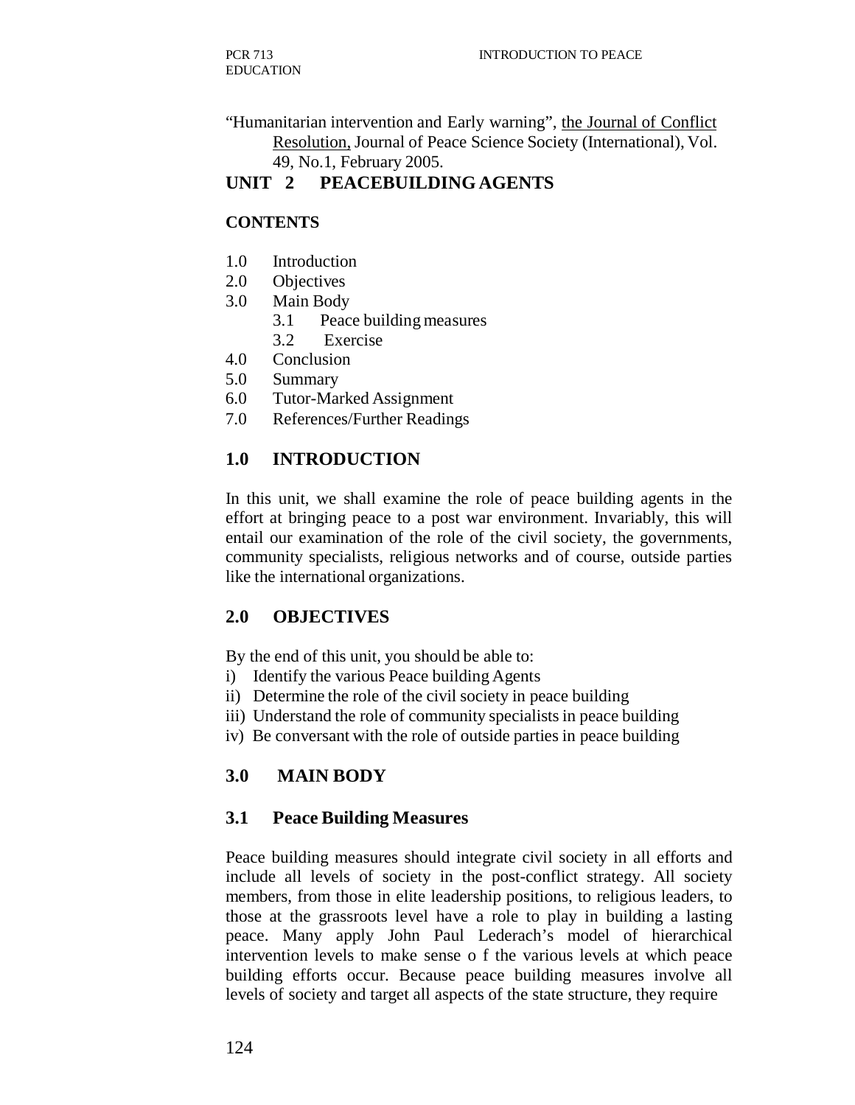"Humanitarian intervention and Early warning", the Journal of Conflict Resolution, Journal of Peace Science Society (International), Vol. 49, No.1, February 2005.

# **UNIT 2 PEACEBUILDING AGENTS**

## **CONTENTS**

- 1.0 Introduction
- 2.0 Objectives
- 3.0 Main Body
	- 3.1 Peace building measures
	- 3.2 Exercise
- 4.0 Conclusion
- 5.0 Summary
- 6.0 Tutor-Marked Assignment
- 7.0 References/Further Readings

# **1.0 INTRODUCTION**

In this unit, we shall examine the role of peace building agents in the effort at bringing peace to a post war environment. Invariably, this will entail our examination of the role of the civil society, the governments, community specialists, religious networks and of course, outside parties like the international organizations.

## **2.0 OBJECTIVES**

By the end of this unit, you should be able to:

- i) Identify the various Peace building Agents
- ii) Determine the role of the civil society in peace building
- iii) Understand the role of community specialists in peace building
- iv) Be conversant with the role of outside parties in peace building

# **3.0 MAIN BODY**

## **3.1 Peace Building Measures**

Peace building measures should integrate civil society in all efforts and include all levels of society in the post-conflict strategy. All society members, from those in elite leadership positions, to religious leaders, to those at the grassroots level have a role to play in building a lasting peace. Many apply John Paul Lederach's model of hierarchical intervention levels to make sense o f the various levels at which peace building efforts occur. Because peace building measures involve all levels of society and target all aspects of the state structure, they require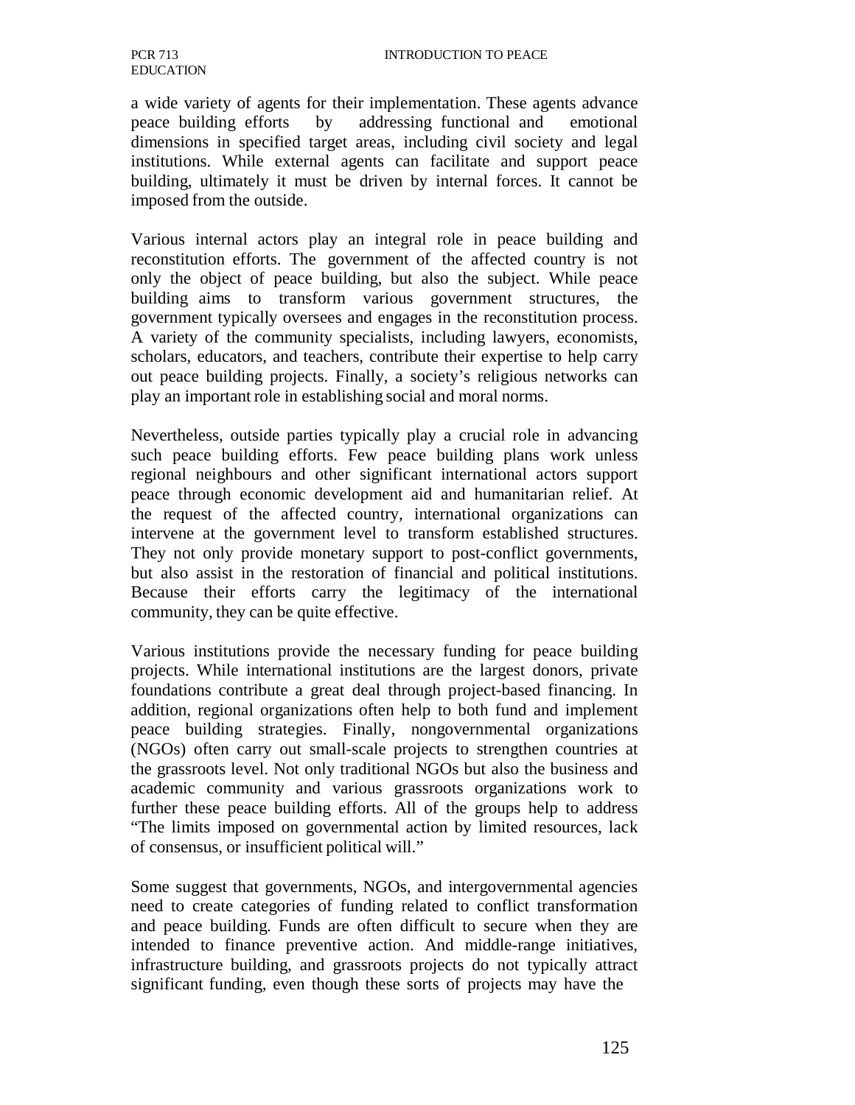a wide variety of agents for their implementation. These agents advance peace building efforts by addressing functional and emotional dimensions in specified target areas, including civil society and legal institutions. While external agents can facilitate and support peace building, ultimately it must be driven by internal forces. It cannot be imposed from the outside.

Various internal actors play an integral role in peace building and reconstitution efforts. The government of the affected country is not only the object of peace building, but also the subject. While peace building aims to transform various government structures, the government typically oversees and engages in the reconstitution process. A variety of the community specialists, including lawyers, economists, scholars, educators, and teachers, contribute their expertise to help carry out peace building projects. Finally, a society's religious networks can play an important role in establishing social and moral norms.

Nevertheless, outside parties typically play a crucial role in advancing such peace building efforts. Few peace building plans work unless regional neighbours and other significant international actors support peace through economic development aid and humanitarian relief. At the request of the affected country, international organizations can intervene at the government level to transform established structures. They not only provide monetary support to post-conflict governments, but also assist in the restoration of financial and political institutions. Because their efforts carry the legitimacy of the international community, they can be quite effective.

Various institutions provide the necessary funding for peace building projects. While international institutions are the largest donors, private foundations contribute a great deal through project-based financing. In addition, regional organizations often help to both fund and implement peace building strategies. Finally, nongovernmental organizations (NGOs) often carry out small-scale projects to strengthen countries at the grassroots level. Not only traditional NGOs but also the business and academic community and various grassroots organizations work to further these peace building efforts. All of the groups help to address "The limits imposed on governmental action by limited resources, lack of consensus, or insufficient political will."

Some suggest that governments, NGOs, and intergovernmental agencies need to create categories of funding related to conflict transformation and peace building. Funds are often difficult to secure when they are intended to finance preventive action. And middle-range initiatives, infrastructure building, and grassroots projects do not typically attract significant funding, even though these sorts of projects may have the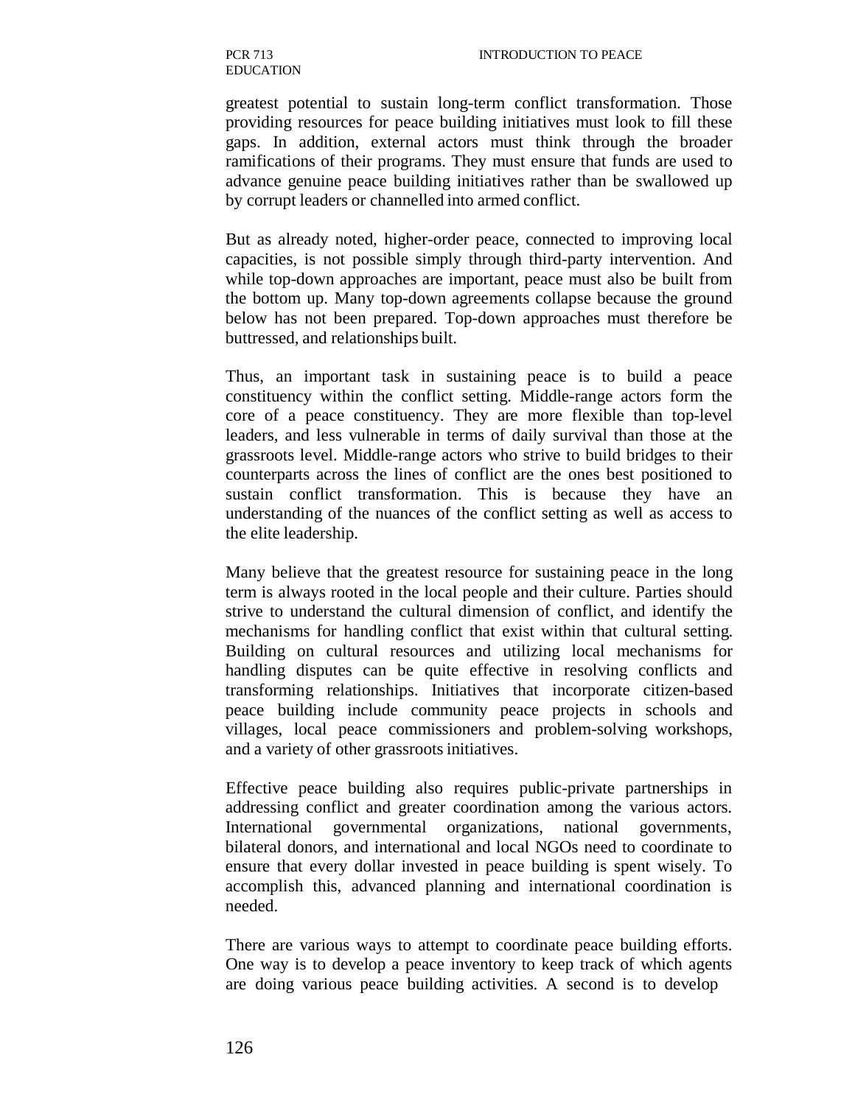PCR 713 EDUCATION

greatest potential to sustain long-term conflict transformation. Those providing resources for peace building initiatives must look to fill these gaps. In addition, external actors must think through the broader ramifications of their programs. They must ensure that funds are used to advance genuine peace building initiatives rather than be swallowed up by corrupt leaders or channelled into armed conflict.

But as already noted, higher-order peace, connected to improving local capacities, is not possible simply through third-party intervention. And while top-down approaches are important, peace must also be built from the bottom up. Many top-down agreements collapse because the ground below has not been prepared. Top-down approaches must therefore be buttressed, and relationships built.

Thus, an important task in sustaining peace is to build a peace constituency within the conflict setting. Middle-range actors form the core of a peace constituency. They are more flexible than top-level leaders, and less vulnerable in terms of daily survival than those at the grassroots level. Middle-range actors who strive to build bridges to their counterparts across the lines of conflict are the ones best positioned to sustain conflict transformation. This is because they have an understanding of the nuances of the conflict setting as well as access to the elite leadership.

Many believe that the greatest resource for sustaining peace in the long term is always rooted in the local people and their culture. Parties should strive to understand the cultural dimension of conflict, and identify the mechanisms for handling conflict that exist within that cultural setting. Building on cultural resources and utilizing local mechanisms for handling disputes can be quite effective in resolving conflicts and transforming relationships. Initiatives that incorporate citizen-based peace building include community peace projects in schools and villages, local peace commissioners and problem-solving workshops, and a variety of other grassroots initiatives.

Effective peace building also requires public-private partnerships in addressing conflict and greater coordination among the various actors. International governmental organizations, national governments, bilateral donors, and international and local NGOs need to coordinate to ensure that every dollar invested in peace building is spent wisely. To accomplish this, advanced planning and international coordination is needed.

There are various ways to attempt to coordinate peace building efforts. One way is to develop a peace inventory to keep track of which agents are doing various peace building activities. A second is to develop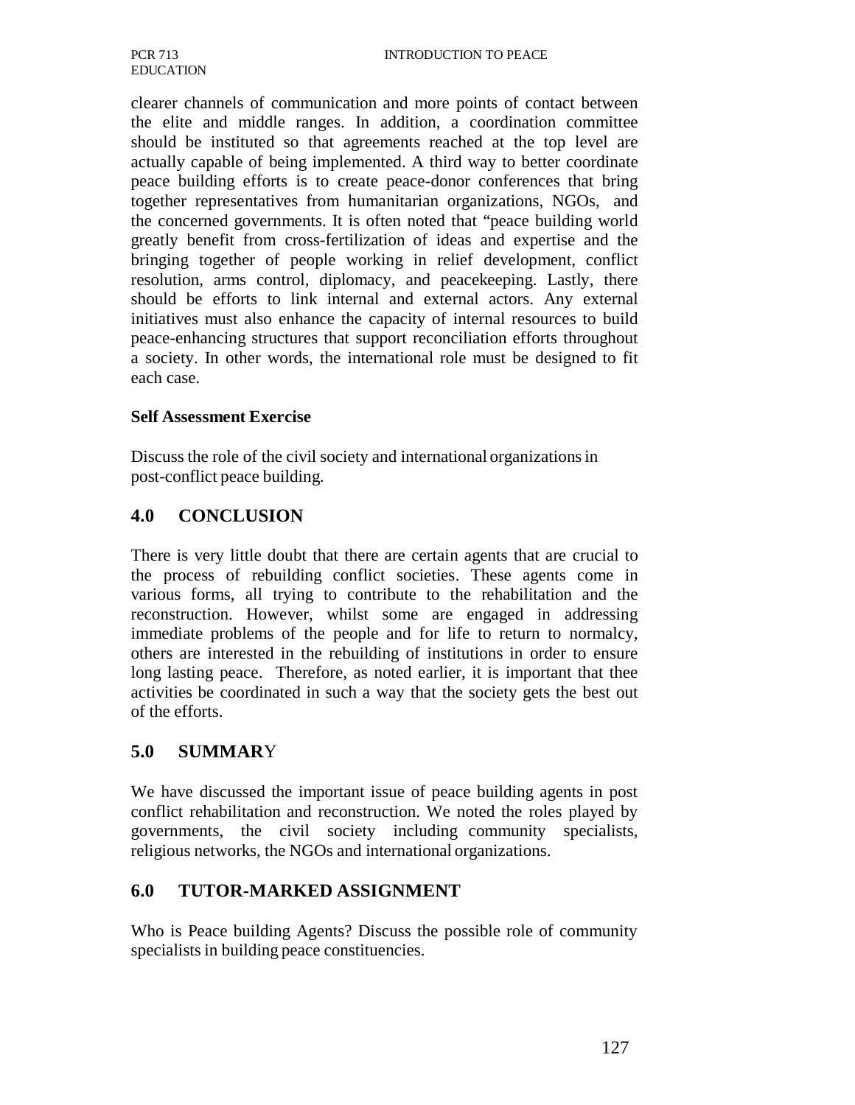clearer channels of communication and more points of contact between the elite and middle ranges. In addition, a coordination committee should be instituted so that agreements reached at the top level are actually capable of being implemented. A third way to better coordinate peace building efforts is to create peace-donor conferences that bring together representatives from humanitarian organizations, NGOs, and the concerned governments. It is often noted that "peace building world greatly benefit from cross-fertilization of ideas and expertise and the bringing together of people working in relief development, conflict resolution, arms control, diplomacy, and peacekeeping. Lastly, there should be efforts to link internal and external actors. Any external initiatives must also enhance the capacity of internal resources to build peace-enhancing structures that support reconciliation efforts throughout a society. In other words, the international role must be designed to fit each case.

#### **Self Assessment Exercise**

Discuss the role of the civil society and international organizations in post-conflict peace building.

# **4.0 CONCLUSION**

There is very little doubt that there are certain agents that are crucial to the process of rebuilding conflict societies. These agents come in various forms, all trying to contribute to the rehabilitation and the reconstruction. However, whilst some are engaged in addressing immediate problems of the people and for life to return to normalcy, others are interested in the rebuilding of institutions in order to ensure long lasting peace. Therefore, as noted earlier, it is important that thee activities be coordinated in such a way that the society gets the best out of the efforts.

# **5.0 SUMMAR**Y

We have discussed the important issue of peace building agents in post conflict rehabilitation and reconstruction. We noted the roles played by governments, the civil society including community specialists, religious networks, the NGOs and international organizations.

# **6.0 TUTOR-MARKED ASSIGNMENT**

Who is Peace building Agents? Discuss the possible role of community specialists in building peace constituencies.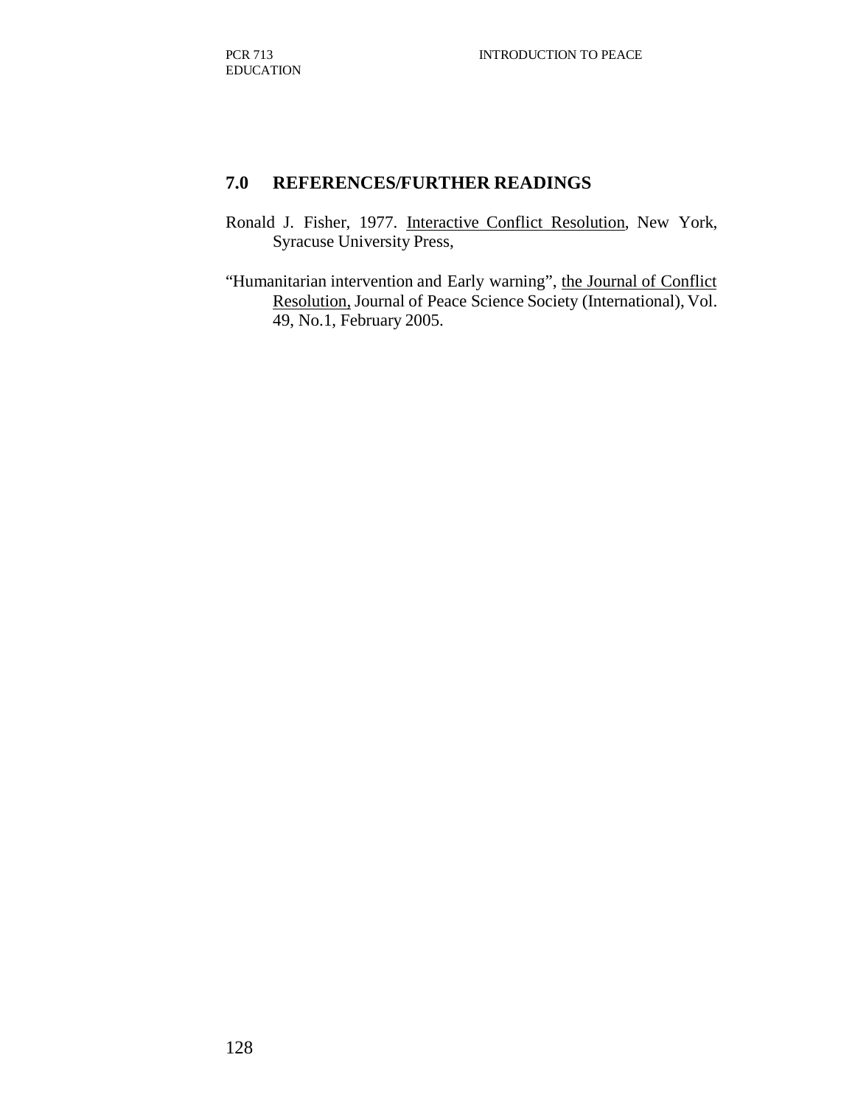# **7.0 REFERENCES/FURTHER READINGS**

- Ronald J. Fisher, 1977. Interactive Conflict Resolution, New York, Syracuse University Press,
- "Humanitarian intervention and Early warning", the Journal of Conflict Resolution, Journal of Peace Science Society (International), Vol. 49, No.1, February 2005.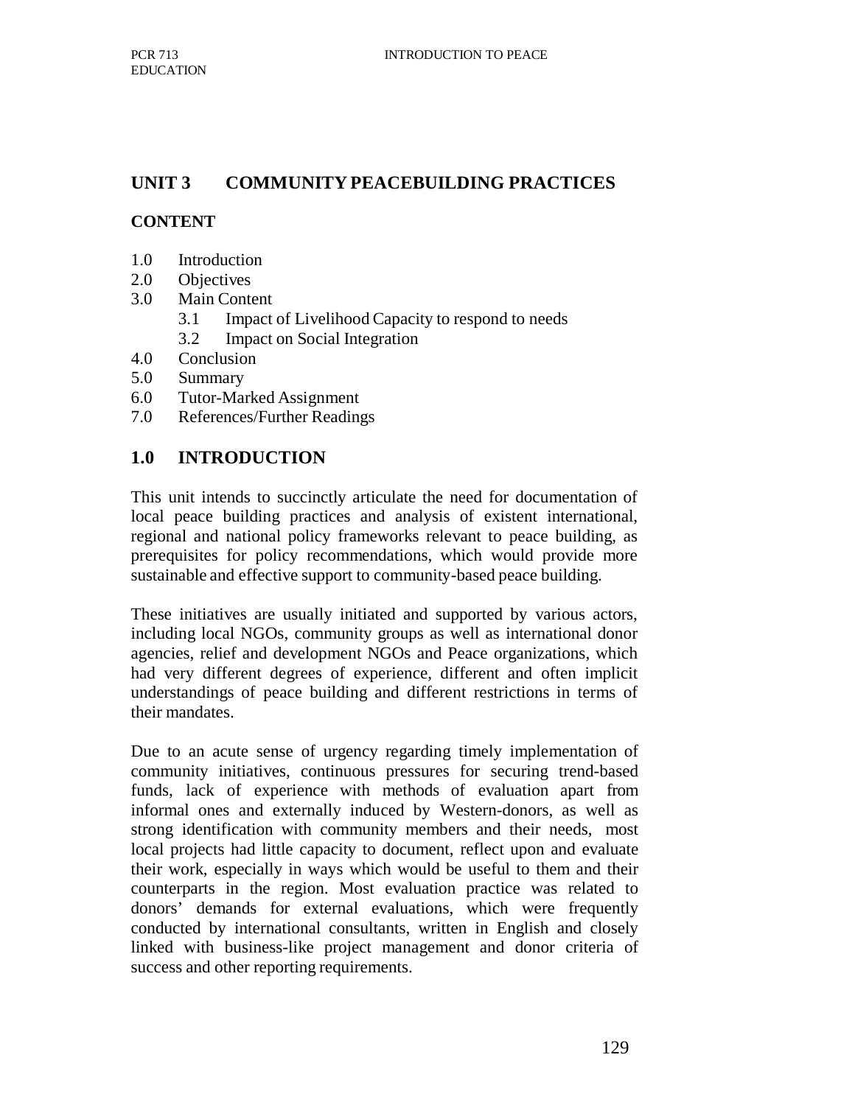# **UNIT 3 COMMUNITY PEACEBUILDING PRACTICES**

#### **CONTENT**

- 1.0 Introduction
- 2.0 Objectives
- 3.0 Main Content
	- 3.1 Impact of Livelihood Capacity to respond to needs
	- 3.2 Impact on Social Integration
- 4.0 Conclusion
- 5.0 Summary
- 6.0 Tutor-Marked Assignment
- 7.0 References/Further Readings

#### **1.0 INTRODUCTION**

This unit intends to succinctly articulate the need for documentation of local peace building practices and analysis of existent international, regional and national policy frameworks relevant to peace building, as prerequisites for policy recommendations, which would provide more sustainable and effective support to community-based peace building.

These initiatives are usually initiated and supported by various actors, including local NGOs, community groups as well as international donor agencies, relief and development NGOs and Peace organizations, which had very different degrees of experience, different and often implicit understandings of peace building and different restrictions in terms of their mandates.

Due to an acute sense of urgency regarding timely implementation of community initiatives, continuous pressures for securing trend-based funds, lack of experience with methods of evaluation apart from informal ones and externally induced by Western-donors, as well as strong identification with community members and their needs, most local projects had little capacity to document, reflect upon and evaluate their work, especially in ways which would be useful to them and their counterparts in the region. Most evaluation practice was related to donors' demands for external evaluations, which were frequently conducted by international consultants, written in English and closely linked with business-like project management and donor criteria of success and other reporting requirements.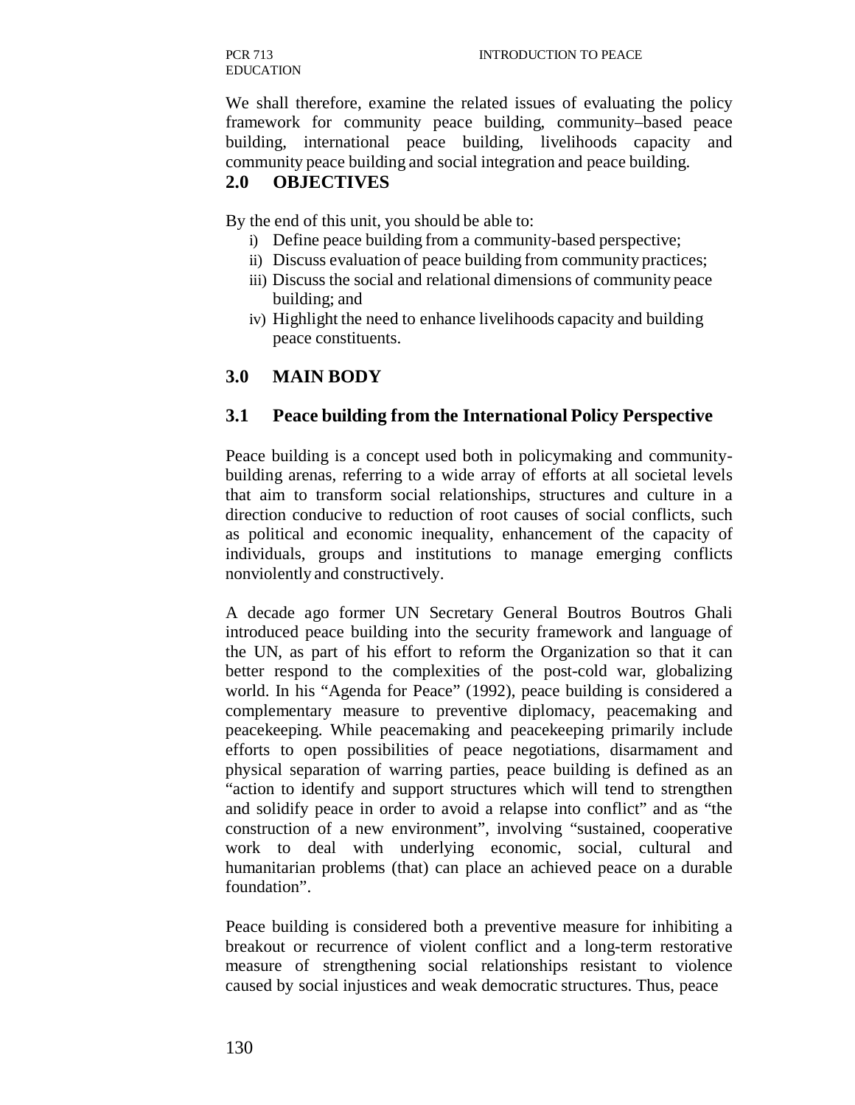PCR 713 EDUCATION

We shall therefore, examine the related issues of evaluating the policy framework for community peace building, community–based peace building, international peace building, livelihoods capacity and community peace building and social integration and peace building.

### **2.0 OBJECTIVES**

By the end of this unit, you should be able to:

- i) Define peace building from a community-based perspective;
- ii) Discuss evaluation of peace building from community practices;
- iii) Discuss the social and relational dimensions of community peace building; and
- iv) Highlight the need to enhance livelihoods capacity and building peace constituents.

### **3.0 MAIN BODY**

#### **3.1 Peace building from the International Policy Perspective**

Peace building is a concept used both in policymaking and communitybuilding arenas, referring to a wide array of efforts at all societal levels that aim to transform social relationships, structures and culture in a direction conducive to reduction of root causes of social conflicts, such as political and economic inequality, enhancement of the capacity of individuals, groups and institutions to manage emerging conflicts nonviolently and constructively.

A decade ago former UN Secretary General Boutros Boutros Ghali introduced peace building into the security framework and language of the UN, as part of his effort to reform the Organization so that it can better respond to the complexities of the post-cold war, globalizing world. In his "Agenda for Peace" (1992), peace building is considered a complementary measure to preventive diplomacy, peacemaking and peacekeeping. While peacemaking and peacekeeping primarily include efforts to open possibilities of peace negotiations, disarmament and physical separation of warring parties, peace building is defined as an "action to identify and support structures which will tend to strengthen and solidify peace in order to avoid a relapse into conflict" and as "the construction of a new environment", involving "sustained, cooperative work to deal with underlying economic, social, cultural and humanitarian problems (that) can place an achieved peace on a durable foundation".

Peace building is considered both a preventive measure for inhibiting a breakout or recurrence of violent conflict and a long-term restorative measure of strengthening social relationships resistant to violence caused by social injustices and weak democratic structures. Thus, peace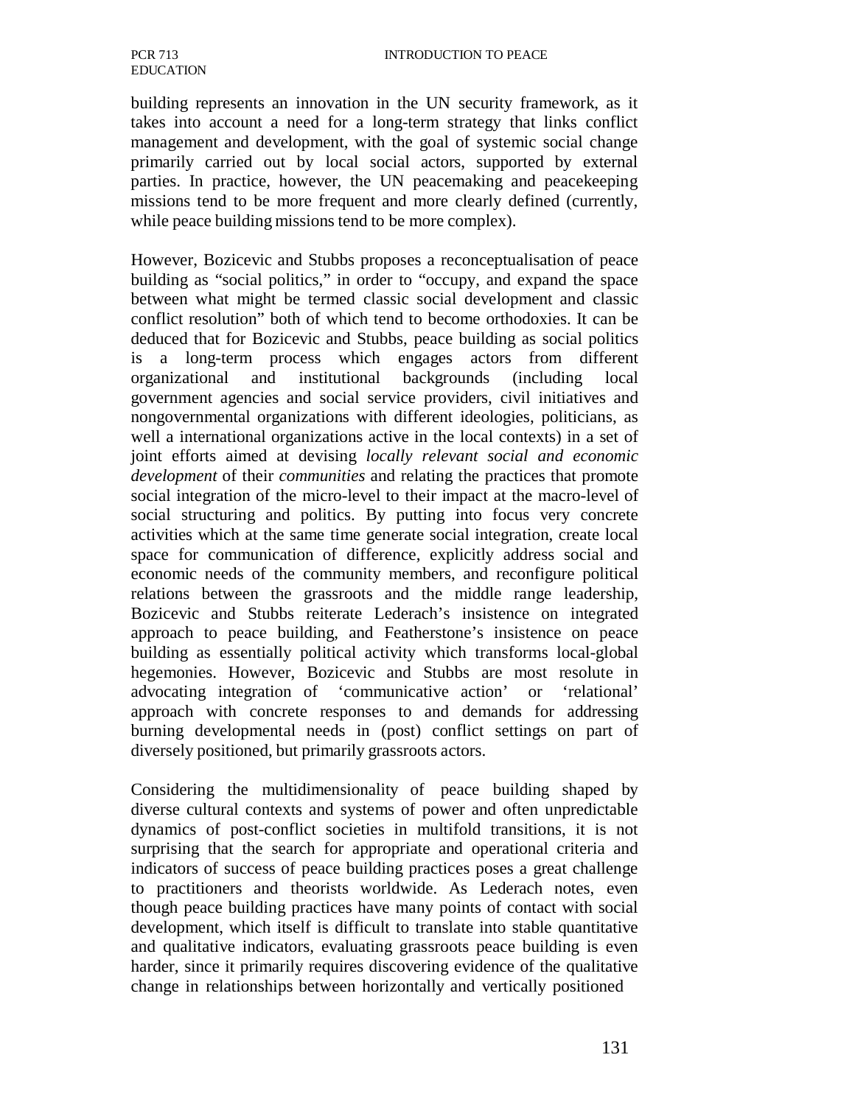building represents an innovation in the UN security framework, as it takes into account a need for a long-term strategy that links conflict management and development, with the goal of systemic social change primarily carried out by local social actors, supported by external parties. In practice, however, the UN peacemaking and peacekeeping missions tend to be more frequent and more clearly defined (currently, while peace building missions tend to be more complex).

However, Bozicevic and Stubbs proposes a reconceptualisation of peace building as "social politics," in order to "occupy, and expand the space between what might be termed classic social development and classic conflict resolution" both of which tend to become orthodoxies. It can be deduced that for Bozicevic and Stubbs, peace building as social politics is a long-term process which engages actors from different organizational and institutional backgrounds (including local government agencies and social service providers, civil initiatives and nongovernmental organizations with different ideologies, politicians, as well a international organizations active in the local contexts) in a set of joint efforts aimed at devising *locally relevant social and economic development* of their *communities* and relating the practices that promote social integration of the micro-level to their impact at the macro-level of social structuring and politics. By putting into focus very concrete activities which at the same time generate social integration, create local space for communication of difference, explicitly address social and economic needs of the community members, and reconfigure political relations between the grassroots and the middle range leadership, Bozicevic and Stubbs reiterate Lederach's insistence on integrated approach to peace building, and Featherstone's insistence on peace building as essentially political activity which transforms local-global hegemonies. However, Bozicevic and Stubbs are most resolute in advocating integration of 'communicative action' or 'relational' approach with concrete responses to and demands for addressing burning developmental needs in (post) conflict settings on part of diversely positioned, but primarily grassroots actors.

Considering the multidimensionality of peace building shaped by diverse cultural contexts and systems of power and often unpredictable dynamics of post-conflict societies in multifold transitions, it is not surprising that the search for appropriate and operational criteria and indicators of success of peace building practices poses a great challenge to practitioners and theorists worldwide. As Lederach notes, even though peace building practices have many points of contact with social development, which itself is difficult to translate into stable quantitative and qualitative indicators, evaluating grassroots peace building is even harder, since it primarily requires discovering evidence of the qualitative change in relationships between horizontally and vertically positioned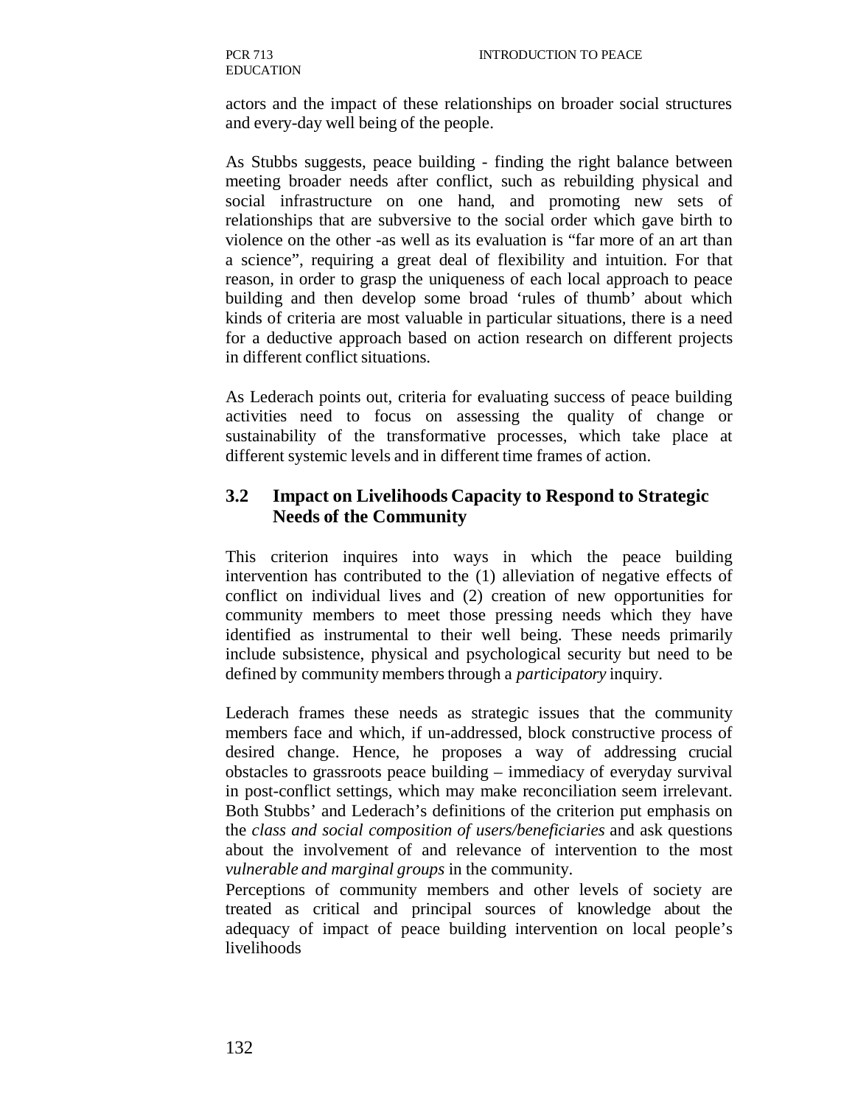actors and the impact of these relationships on broader social structures and every-day well being of the people.

As Stubbs suggests, peace building - finding the right balance between meeting broader needs after conflict, such as rebuilding physical and social infrastructure on one hand, and promoting new sets of relationships that are subversive to the social order which gave birth to violence on the other -as well as its evaluation is "far more of an art than a science", requiring a great deal of flexibility and intuition. For that reason, in order to grasp the uniqueness of each local approach to peace building and then develop some broad 'rules of thumb' about which kinds of criteria are most valuable in particular situations, there is a need for a deductive approach based on action research on different projects in different conflict situations.

As Lederach points out, criteria for evaluating success of peace building activities need to focus on assessing the quality of change or sustainability of the transformative processes, which take place at different systemic levels and in different time frames of action.

# **3.2 Impact on Livelihoods Capacity to Respond to Strategic Needs of the Community**

This criterion inquires into ways in which the peace building intervention has contributed to the (1) alleviation of negative effects of conflict on individual lives and (2) creation of new opportunities for community members to meet those pressing needs which they have identified as instrumental to their well being. These needs primarily include subsistence, physical and psychological security but need to be defined by community members through a *participatory* inquiry.

Lederach frames these needs as strategic issues that the community members face and which, if un-addressed, block constructive process of desired change. Hence, he proposes a way of addressing crucial obstacles to grassroots peace building – immediacy of everyday survival in post-conflict settings, which may make reconciliation seem irrelevant. Both Stubbs' and Lederach's definitions of the criterion put emphasis on the *class and social composition of users/beneficiaries* and ask questions about the involvement of and relevance of intervention to the most *vulnerable and marginal groups* in the community.

Perceptions of community members and other levels of society are treated as critical and principal sources of knowledge about the adequacy of impact of peace building intervention on local people's livelihoods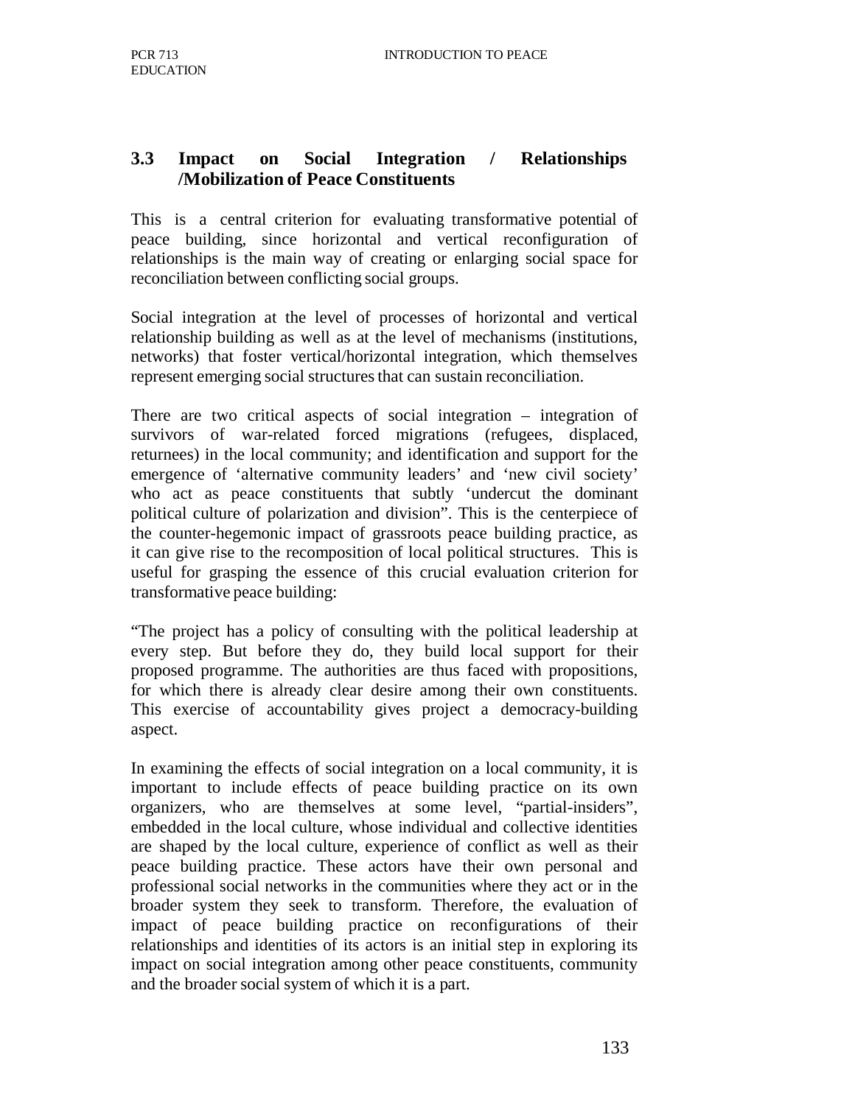# **3.3 Impact on Social Integration / Relationships /Mobilization of Peace Constituents**

This is a central criterion for evaluating transformative potential of peace building, since horizontal and vertical reconfiguration of relationships is the main way of creating or enlarging social space for reconciliation between conflicting social groups.

Social integration at the level of processes of horizontal and vertical relationship building as well as at the level of mechanisms (institutions, networks) that foster vertical/horizontal integration, which themselves represent emerging social structures that can sustain reconciliation.

There are two critical aspects of social integration – integration of survivors of war-related forced migrations (refugees, displaced, returnees) in the local community; and identification and support for the emergence of 'alternative community leaders' and 'new civil society' who act as peace constituents that subtly 'undercut the dominant political culture of polarization and division". This is the centerpiece of the counter-hegemonic impact of grassroots peace building practice, as it can give rise to the recomposition of local political structures. This is useful for grasping the essence of this crucial evaluation criterion for transformative peace building:

"The project has a policy of consulting with the political leadership at every step. But before they do, they build local support for their proposed programme. The authorities are thus faced with propositions, for which there is already clear desire among their own constituents. This exercise of accountability gives project a democracy-building aspect.

In examining the effects of social integration on a local community, it is important to include effects of peace building practice on its own organizers, who are themselves at some level, "partial-insiders", embedded in the local culture, whose individual and collective identities are shaped by the local culture, experience of conflict as well as their peace building practice. These actors have their own personal and professional social networks in the communities where they act or in the broader system they seek to transform. Therefore, the evaluation of impact of peace building practice on reconfigurations of their relationships and identities of its actors is an initial step in exploring its impact on social integration among other peace constituents, community and the broader social system of which it is a part.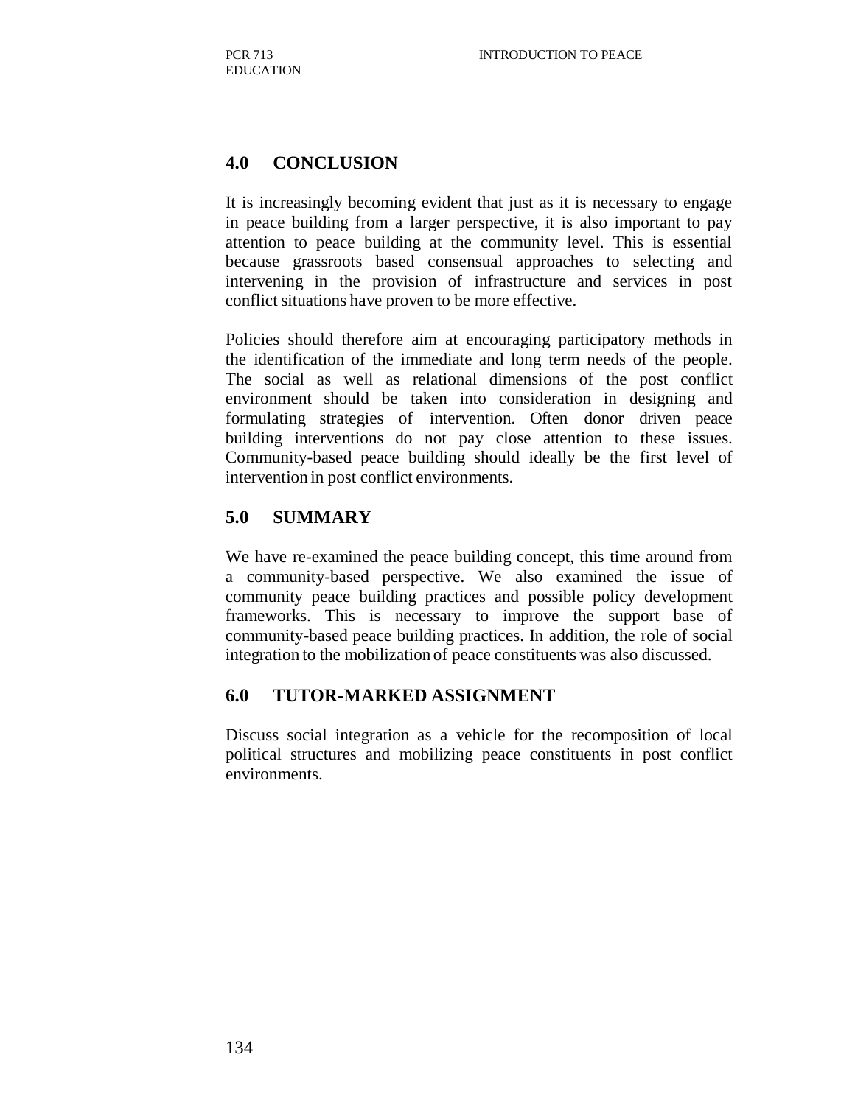# **4.0 CONCLUSION**

It is increasingly becoming evident that just as it is necessary to engage in peace building from a larger perspective, it is also important to pay attention to peace building at the community level. This is essential because grassroots based consensual approaches to selecting and intervening in the provision of infrastructure and services in post conflict situations have proven to be more effective.

Policies should therefore aim at encouraging participatory methods in the identification of the immediate and long term needs of the people. The social as well as relational dimensions of the post conflict environment should be taken into consideration in designing and formulating strategies of intervention. Often donor driven peace building interventions do not pay close attention to these issues. Community-based peace building should ideally be the first level of intervention in post conflict environments.

### **5.0 SUMMARY**

We have re-examined the peace building concept, this time around from a community-based perspective. We also examined the issue of community peace building practices and possible policy development frameworks. This is necessary to improve the support base of community-based peace building practices. In addition, the role of social integration to the mobilization of peace constituents was also discussed.

#### **6.0 TUTOR-MARKED ASSIGNMENT**

Discuss social integration as a vehicle for the recomposition of local political structures and mobilizing peace constituents in post conflict environments.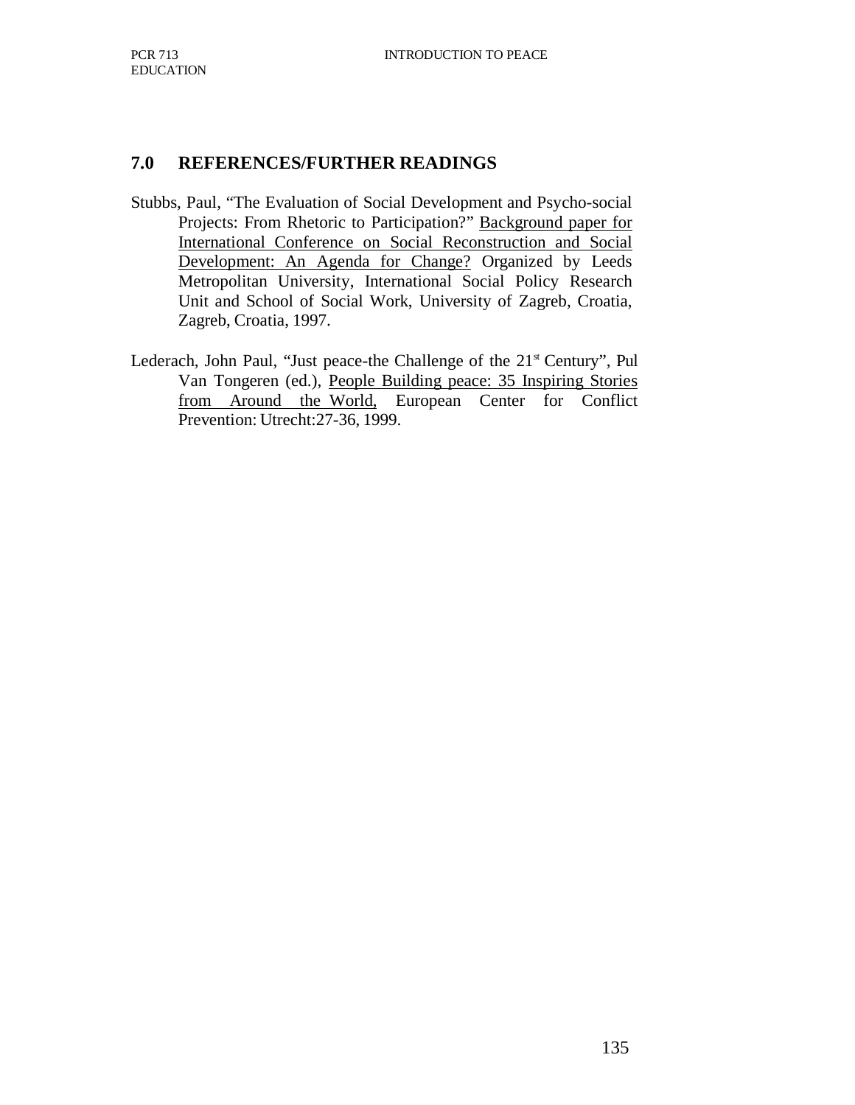### **7.0 REFERENCES/FURTHER READINGS**

- Stubbs, Paul, "The Evaluation of Social Development and Psycho-social Projects: From Rhetoric to Participation?" Background paper for International Conference on Social Reconstruction and Social Development: An Agenda for Change? Organized by Leeds Metropolitan University, International Social Policy Research Unit and School of Social Work, University of Zagreb, Croatia, Zagreb, Croatia, 1997.
- Lederach, John Paul, "Just peace-the Challenge of the  $21<sup>st</sup>$  Century", Pul Van Tongeren (ed.), People Building peace: 35 Inspiring Stories from Around the World, European Center for Conflict Prevention: Utrecht:27-36, 1999.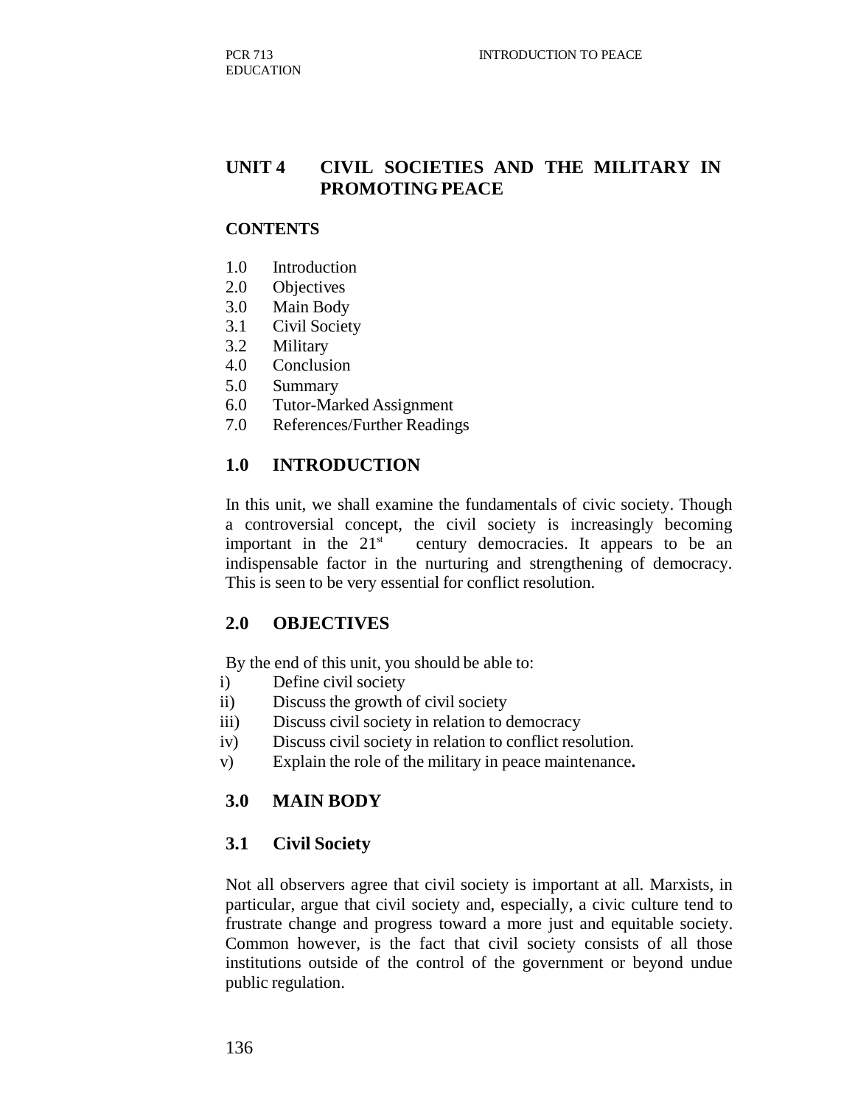# **UNIT 4 CIVIL SOCIETIES AND THE MILITARY IN PROMOTING PEACE**

#### **CONTENTS**

- 1.0 Introduction
- 2.0 Objectives
- 3.0 Main Body
- 3.1 Civil Society
- 3.2 Military
- 4.0 Conclusion
- 5.0 Summary
- 6.0 Tutor-Marked Assignment
- 7.0 References/Further Readings

#### **1.0 INTRODUCTION**

In this unit, we shall examine the fundamentals of civic society. Though a controversial concept, the civil society is increasingly becoming important in the  $21<sup>st</sup>$  century democracies. It appears to be an indispensable factor in the nurturing and strengthening of democracy. This is seen to be very essential for conflict resolution.

#### **2.0 OBJECTIVES**

By the end of this unit, you should be able to:

- i) Define civil society
- ii) Discuss the growth of civil society
- iii) Discuss civil society in relation to democracy
- iv) Discuss civil society in relation to conflict resolution.
- v) Explain the role of the military in peace maintenance**.**

#### **3.0 MAIN BODY**

#### **3.1 Civil Society**

Not all observers agree that civil society is important at all. Marxists, in particular, argue that civil society and, especially, a civic culture tend to frustrate change and progress toward a more just and equitable society. Common however, is the fact that civil society consists of all those institutions outside of the control of the government or beyond undue public regulation.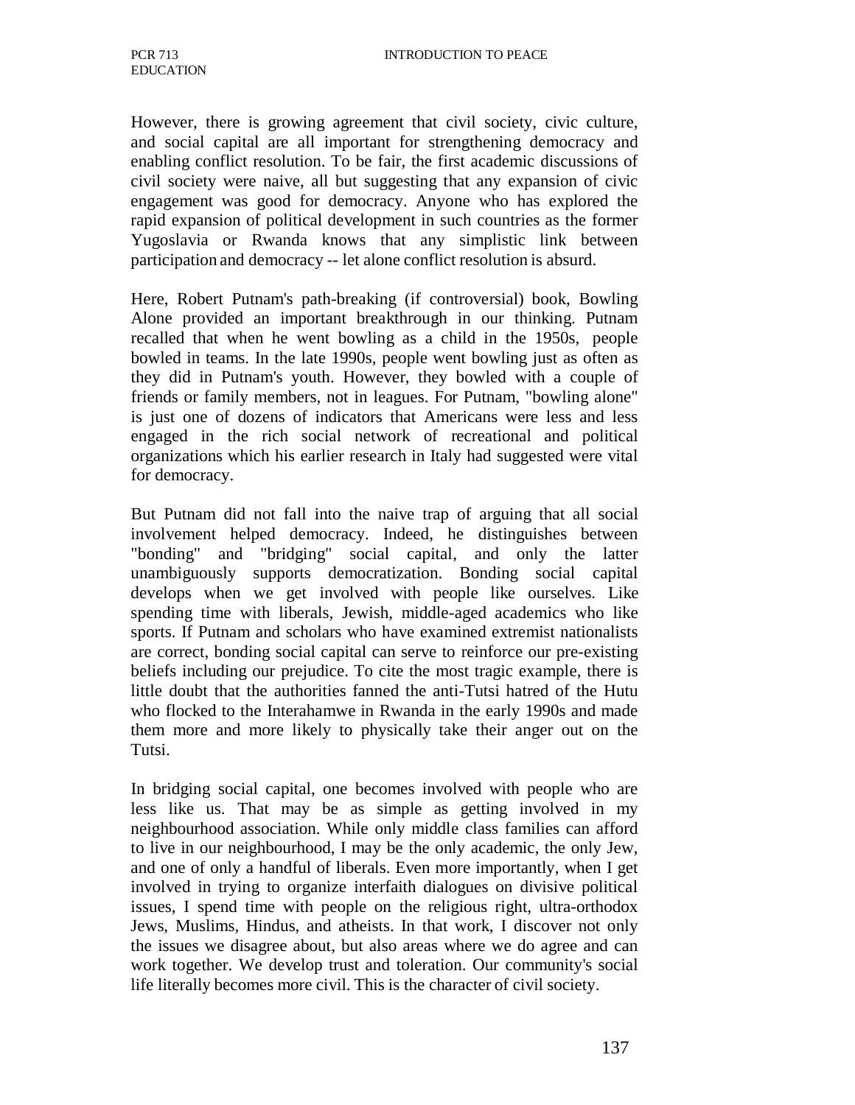However, there is growing agreement that civil society, civic culture, and social capital are all important for strengthening democracy and enabling conflict resolution. To be fair, the first academic discussions of civil society were naive, all but suggesting that any expansion of civic engagement was good for democracy. Anyone who has explored the rapid expansion of political development in such countries as the former Yugoslavia or Rwanda knows that any simplistic link between participation and democracy -- let alone conflict resolution is absurd.

Here, Robert Putnam's path-breaking (if controversial) book, Bowling Alone provided an important breakthrough in our thinking. Putnam recalled that when he went bowling as a child in the 1950s, people bowled in teams. In the late 1990s, people went bowling just as often as they did in Putnam's youth. However, they bowled with a couple of friends or family members, not in leagues. For Putnam, "bowling alone" is just one of dozens of indicators that Americans were less and less engaged in the rich social network of recreational and political organizations which his earlier research in Italy had suggested were vital for democracy.

But Putnam did not fall into the naive trap of arguing that all social involvement helped democracy. Indeed, he distinguishes between "bonding" and "bridging" social capital, and only the latter unambiguously supports democratization. Bonding social capital develops when we get involved with people like ourselves. Like spending time with liberals, Jewish, middle-aged academics who like sports. If Putnam and scholars who have examined extremist nationalists are correct, bonding social capital can serve to reinforce our pre-existing beliefs including our prejudice. To cite the most tragic example, there is little doubt that the authorities fanned the anti-Tutsi hatred of the Hutu who flocked to the Interahamwe in Rwanda in the early 1990s and made them more and more likely to physically take their anger out on the Tutsi.

In bridging social capital, one becomes involved with people who are less like us. That may be as simple as getting involved in my neighbourhood association. While only middle class families can afford to live in our neighbourhood, I may be the only academic, the only Jew, and one of only a handful of liberals. Even more importantly, when I get involved in trying to organize interfaith dialogues on divisive political issues, I spend time with people on the religious right, ultra-orthodox Jews, Muslims, Hindus, and atheists. In that work, I discover not only the issues we disagree about, but also areas where we do agree and can work together. We develop trust and toleration. Our community's social life literally becomes more civil. This is the character of civil society.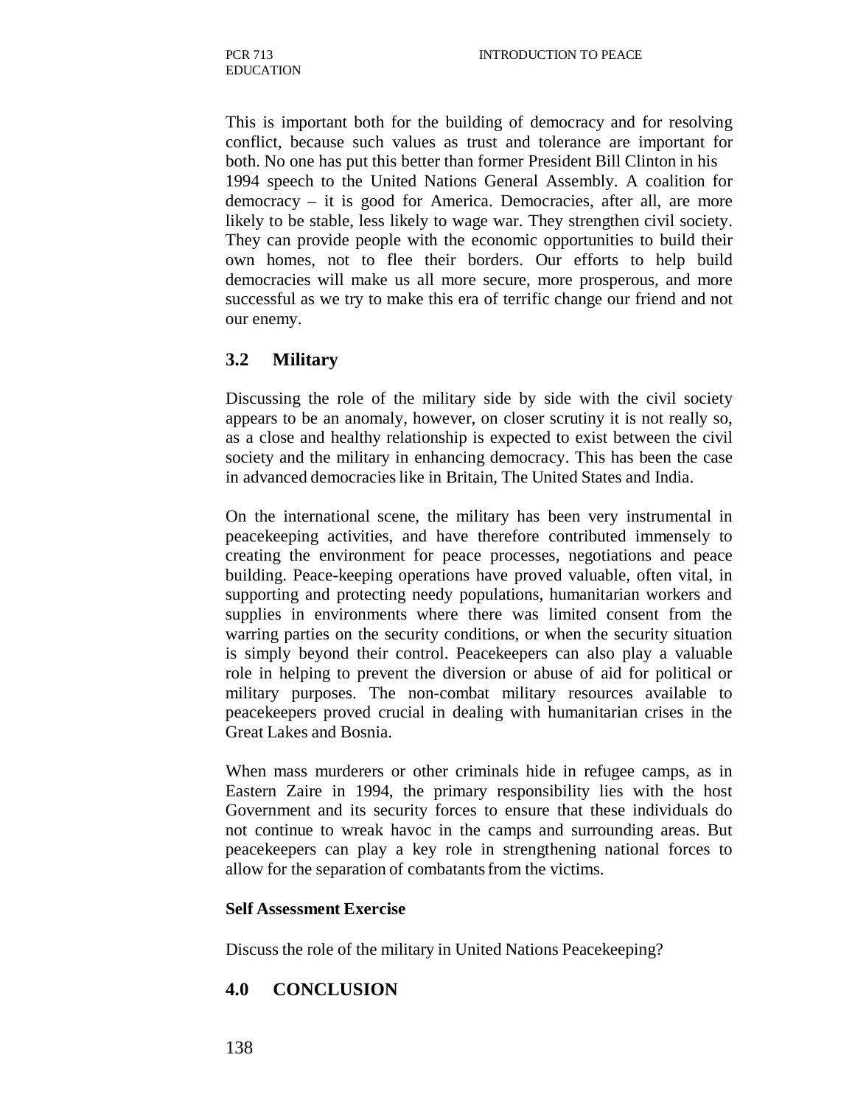This is important both for the building of democracy and for resolving conflict, because such values as trust and tolerance are important for both. No one has put this better than former President Bill Clinton in his 1994 speech to the United Nations General Assembly. A coalition for democracy – it is good for America. Democracies, after all, are more likely to be stable, less likely to wage war. They strengthen civil society. They can provide people with the economic opportunities to build their own homes, not to flee their borders. Our efforts to help build democracies will make us all more secure, more prosperous, and more successful as we try to make this era of terrific change our friend and not our enemy.

#### **3.2 Military**

Discussing the role of the military side by side with the civil society appears to be an anomaly, however, on closer scrutiny it is not really so, as a close and healthy relationship is expected to exist between the civil society and the military in enhancing democracy. This has been the case in advanced democracies like in Britain, The United States and India.

On the international scene, the military has been very instrumental in peacekeeping activities, and have therefore contributed immensely to creating the environment for peace processes, negotiations and peace building. Peace-keeping operations have proved valuable, often vital, in supporting and protecting needy populations, humanitarian workers and supplies in environments where there was limited consent from the warring parties on the security conditions, or when the security situation is simply beyond their control. Peacekeepers can also play a valuable role in helping to prevent the diversion or abuse of aid for political or military purposes. The non-combat military resources available to peacekeepers proved crucial in dealing with humanitarian crises in the Great Lakes and Bosnia.

When mass murderers or other criminals hide in refugee camps, as in Eastern Zaire in 1994, the primary responsibility lies with the host Government and its security forces to ensure that these individuals do not continue to wreak havoc in the camps and surrounding areas. But peacekeepers can play a key role in strengthening national forces to allow for the separation of combatants from the victims.

#### **Self Assessment Exercise**

Discuss the role of the military in United Nations Peacekeeping?

# **4.0 CONCLUSION**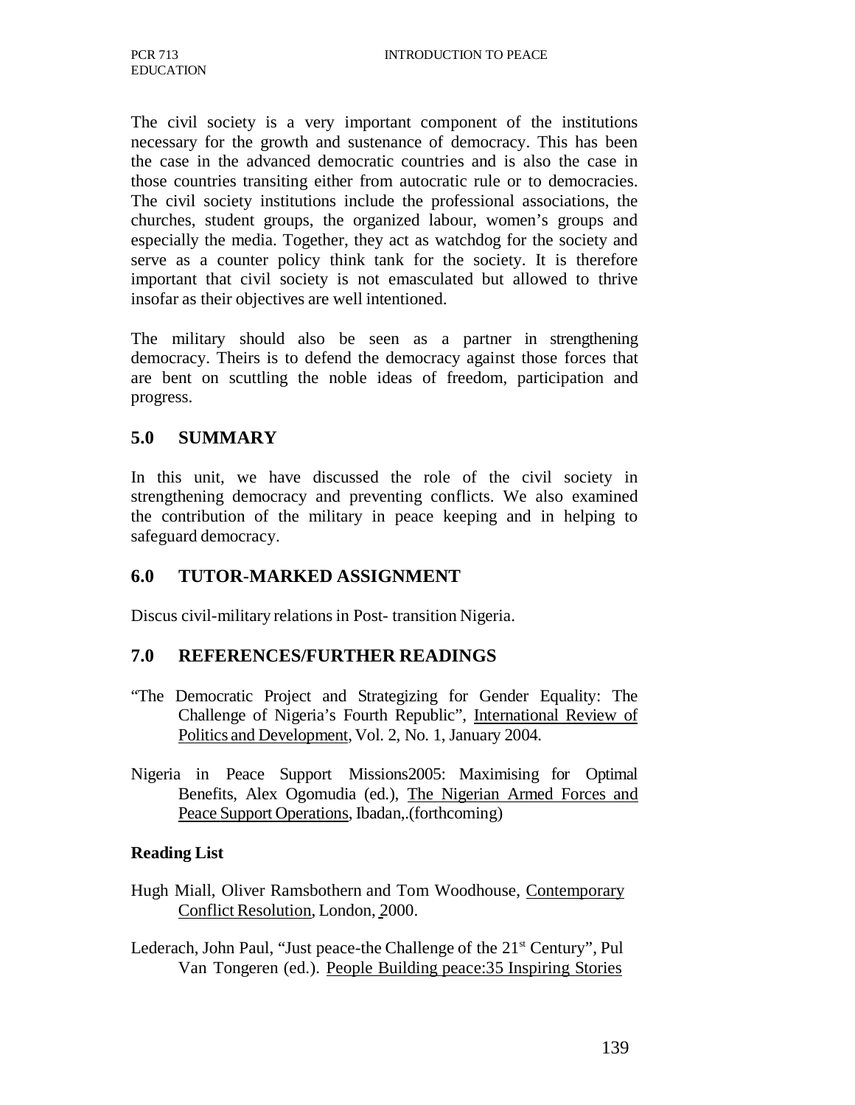The civil society is a very important component of the institutions necessary for the growth and sustenance of democracy. This has been the case in the advanced democratic countries and is also the case in those countries transiting either from autocratic rule or to democracies. The civil society institutions include the professional associations, the churches, student groups, the organized labour, women's groups and especially the media. Together, they act as watchdog for the society and serve as a counter policy think tank for the society. It is therefore important that civil society is not emasculated but allowed to thrive insofar as their objectives are well intentioned.

The military should also be seen as a partner in strengthening democracy. Theirs is to defend the democracy against those forces that are bent on scuttling the noble ideas of freedom, participation and progress.

### **5.0 SUMMARY**

In this unit, we have discussed the role of the civil society in strengthening democracy and preventing conflicts. We also examined the contribution of the military in peace keeping and in helping to safeguard democracy.

#### **6.0 TUTOR-MARKED ASSIGNMENT**

Discus civil-military relations in Post- transition Nigeria.

#### **7.0 REFERENCES/FURTHER READINGS**

- "The Democratic Project and Strategizing for Gender Equality: The Challenge of Nigeria's Fourth Republic", International Review of Politics and Development, Vol. 2, No. 1, January 2004.
- Nigeria in Peace Support Missions2005: Maximising for Optimal Benefits, Alex Ogomudia (ed.), The Nigerian Armed Forces and Peace Support Operations, Ibadan,.(forthcoming)

#### **Reading List**

- Hugh Miall, Oliver Ramsbothern and Tom Woodhouse, Contemporary Conflict Resolution, London, 2000.
- Lederach, John Paul, "Just peace-the Challenge of the 21<sup>st</sup> Century", Pul Van Tongeren (ed.). People Building peace:35 Inspiring Stories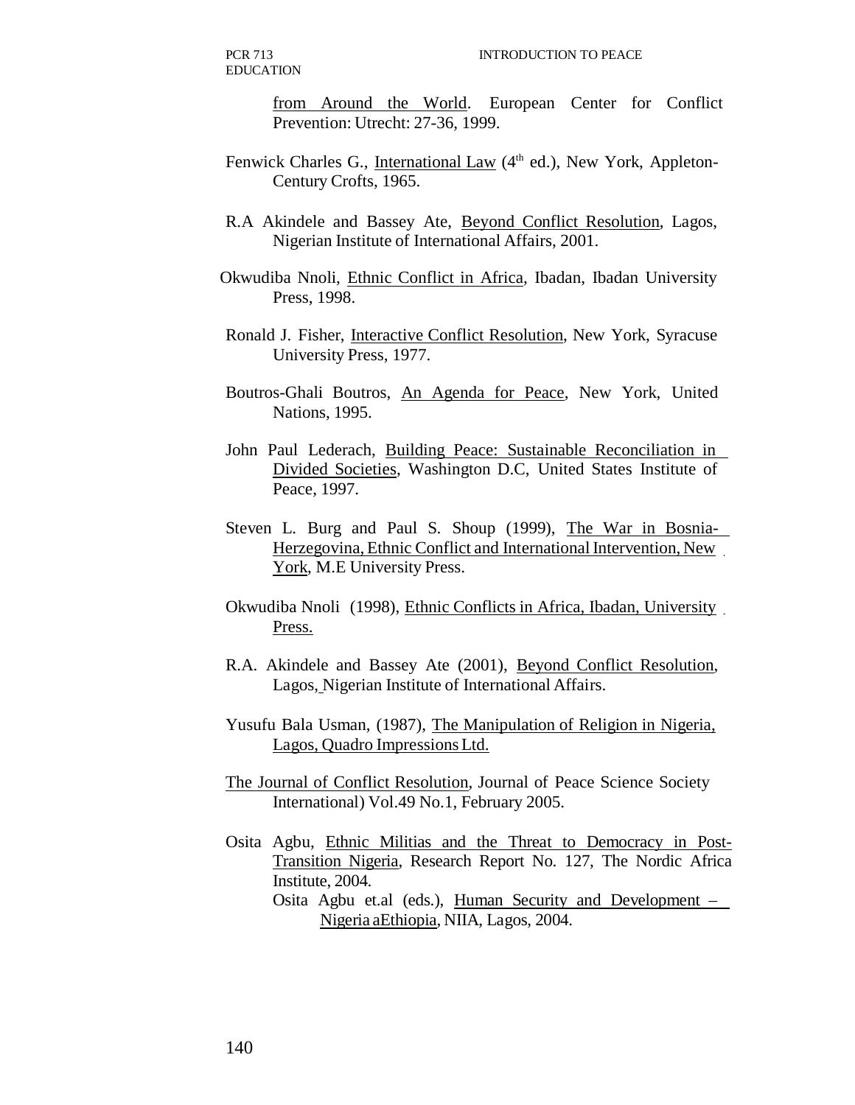PCR 713 EDUCATION

> from Around the World. European Center for Conflict Prevention: Utrecht: 27-36, 1999.

- Fenwick Charles G., International Law (4<sup>th</sup> ed.), New York, Appleton-Century Crofts, 1965.
- R.A Akindele and Bassey Ate, Beyond Conflict Resolution, Lagos, Nigerian Institute of International Affairs, 2001.
- Okwudiba Nnoli, Ethnic Conflict in Africa, Ibadan, Ibadan University Press, 1998.
- Ronald J. Fisher, Interactive Conflict Resolution, New York, Syracuse University Press, 1977.
- Boutros-Ghali Boutros, An Agenda for Peace, New York, United Nations, 1995.
- John Paul Lederach, Building Peace: Sustainable Reconciliation in Divided Societies, Washington D.C, United States Institute of Peace, 1997.
- Steven L. Burg and Paul S. Shoup (1999), The War in Bosnia-Herzegovina, Ethnic Conflict and International Intervention, New York, M.E University Press.
- Okwudiba Nnoli (1998), Ethnic Conflicts in Africa, Ibadan, University Press.
- R.A. Akindele and Bassey Ate (2001), Beyond Conflict Resolution, Lagos, Nigerian Institute of International Affairs.
- Yusufu Bala Usman, (1987), The Manipulation of Religion in Nigeria, Lagos, Quadro Impressions Ltd.
- The Journal of Conflict Resolution, Journal of Peace Science Society International) Vol.49 No.1, February 2005.
- Osita Agbu, Ethnic Militias and the Threat to Democracy in Post-Transition Nigeria, Research Report No. 127, The Nordic Africa Institute, 2004.
	- Osita Agbu et.al (eds.), Human Security and Development Nigeria aEthiopia, NIIA, Lagos, 2004.